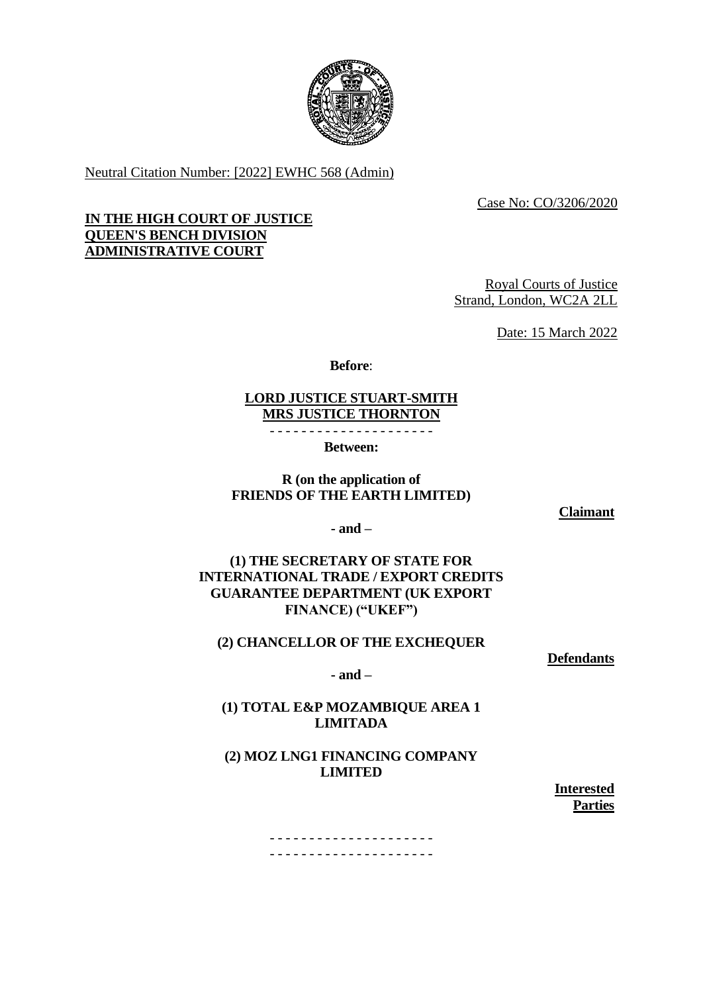

Neutral Citation Number: [2022] EWHC 568 (Admin)

Case No: CO/3206/2020

## **IN THE HIGH COURT OF JUSTICE QUEEN'S BENCH DIVISION ADMINISTRATIVE COURT**

Royal Courts of Justice Strand, London, WC2A 2LL

Date: 15 March 2022

**Before**:

## **LORD JUSTICE STUART-SMITH MRS JUSTICE THORNTON**

- - - - - - - - - - - - - - - - - - - - -

**Between:**

## **R (on the application of FRIENDS OF THE EARTH LIMITED)**

**Claimant**

**- and –**

**(1) THE SECRETARY OF STATE FOR INTERNATIONAL TRADE / EXPORT CREDITS GUARANTEE DEPARTMENT (UK EXPORT FINANCE) ("UKEF")**

## **(2) CHANCELLOR OF THE EXCHEQUER**

**Defendants**

**- and –**

## **(1) TOTAL E&P MOZAMBIQUE AREA 1 LIMITADA**

# **(2) MOZ LNG1 FINANCING COMPANY LIMITED**

**Interested Parties**

- - - - - - - - - - - - - - - - - - - - - - - - - - - - - - - - - - - - - - - - - -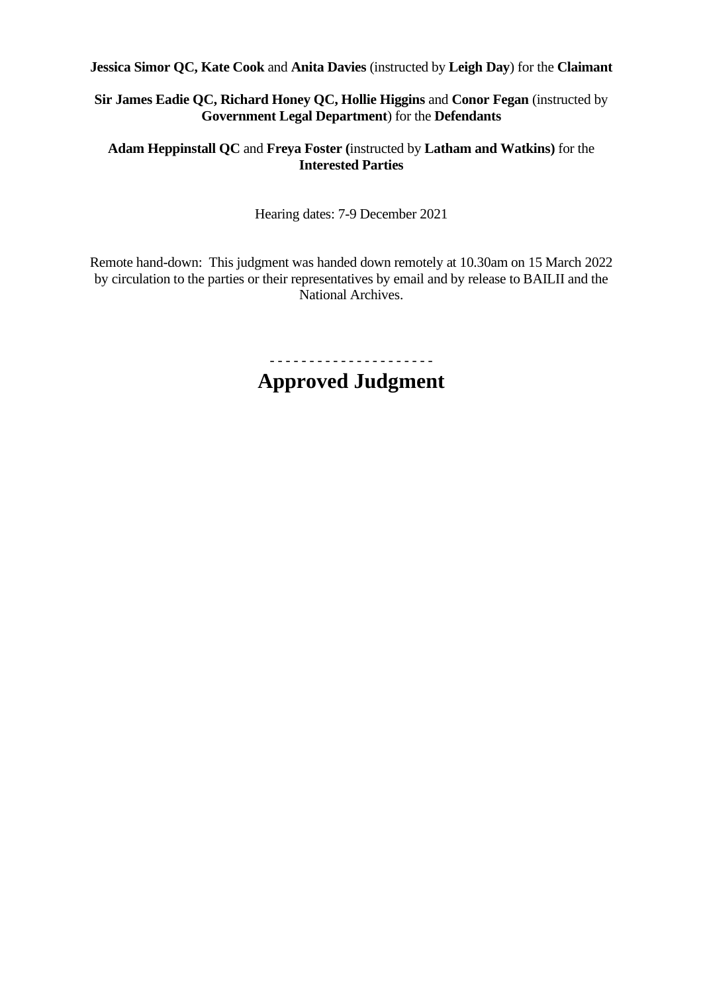**Jessica Simor QC, Kate Cook** and **Anita Davies** (instructed by **Leigh Day**) for the **Claimant**

# **Sir James Eadie QC, Richard Honey QC, Hollie Higgins** and **Conor Fegan** (instructed by **Government Legal Department**) for the **Defendants**

# **Adam Heppinstall QC** and **Freya Foster (**instructed by **Latham and Watkins)** for the **Interested Parties**

Hearing dates: 7-9 December 2021

Remote hand-down: This judgment was handed down remotely at 10.30am on 15 March 2022 by circulation to the parties or their representatives by email and by release to BAILII and the National Archives.

> - - - - - - - - - - - - - - - - - - - - - **Approved Judgment**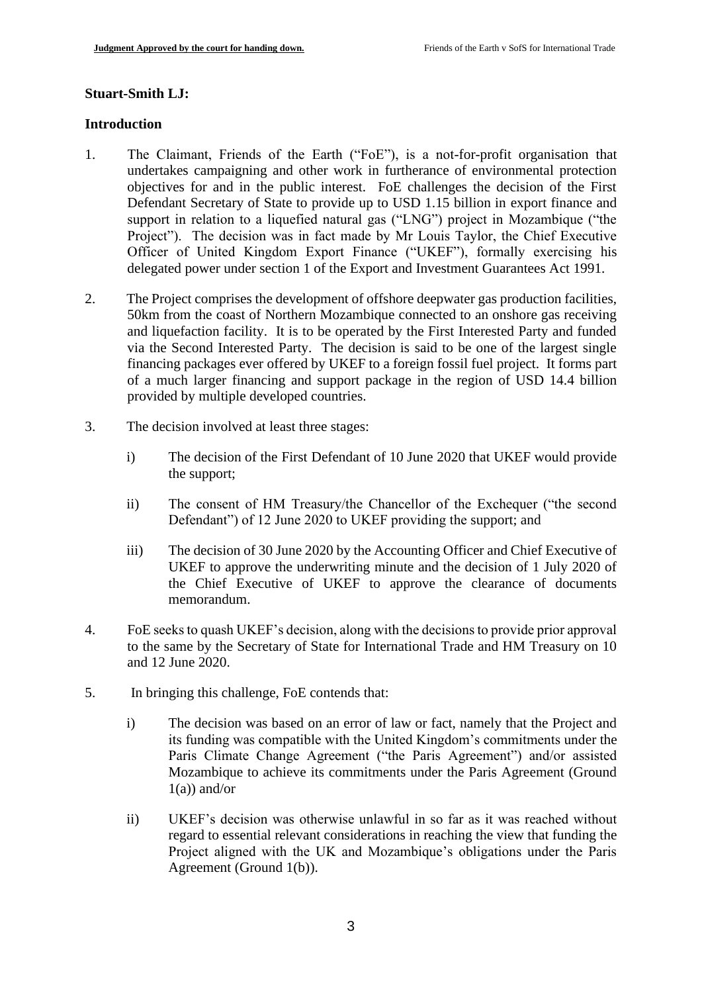#### **Stuart-Smith LJ:**

#### **Introduction**

- 1. The Claimant, Friends of the Earth ("FoE"), is a not-for-profit organisation that undertakes campaigning and other work in furtherance of environmental protection objectives for and in the public interest. FoE challenges the decision of the First Defendant Secretary of State to provide up to USD 1.15 billion in export finance and support in relation to a liquefied natural gas ("LNG") project in Mozambique ("the Project"). The decision was in fact made by Mr Louis Taylor, the Chief Executive Officer of United Kingdom Export Finance ("UKEF"), formally exercising his delegated power under section 1 of the Export and Investment Guarantees Act 1991*.*
- 2. The Project comprises the development of offshore deepwater gas production facilities, 50km from the coast of Northern Mozambique connected to an onshore gas receiving and liquefaction facility. It is to be operated by the First Interested Party and funded via the Second Interested Party. The decision is said to be one of the largest single financing packages ever offered by UKEF to a foreign fossil fuel project. It forms part of a much larger financing and support package in the region of USD 14.4 billion provided by multiple developed countries.
- 3. The decision involved at least three stages:
	- i) The decision of the First Defendant of 10 June 2020 that UKEF would provide the support;
	- ii) The consent of HM Treasury/the Chancellor of the Exchequer ("the second Defendant") of 12 June 2020 to UKEF providing the support; and
	- iii) The decision of 30 June 2020 by the Accounting Officer and Chief Executive of UKEF to approve the underwriting minute and the decision of 1 July 2020 of the Chief Executive of UKEF to approve the clearance of documents memorandum.
- 4. FoE seeks to quash UKEF's decision, along with the decisions to provide prior approval to the same by the Secretary of State for International Trade and HM Treasury on 10 and 12 June 2020.
- 5. In bringing this challenge, FoE contends that:
	- i) The decision was based on an error of law or fact, namely that the Project and its funding was compatible with the United Kingdom's commitments under the Paris Climate Change Agreement ("the Paris Agreement") and/or assisted Mozambique to achieve its commitments under the Paris Agreement (Ground  $1(a)$ ) and/or
	- ii) UKEF's decision was otherwise unlawful in so far as it was reached without regard to essential relevant considerations in reaching the view that funding the Project aligned with the UK and Mozambique's obligations under the Paris Agreement (Ground 1(b)).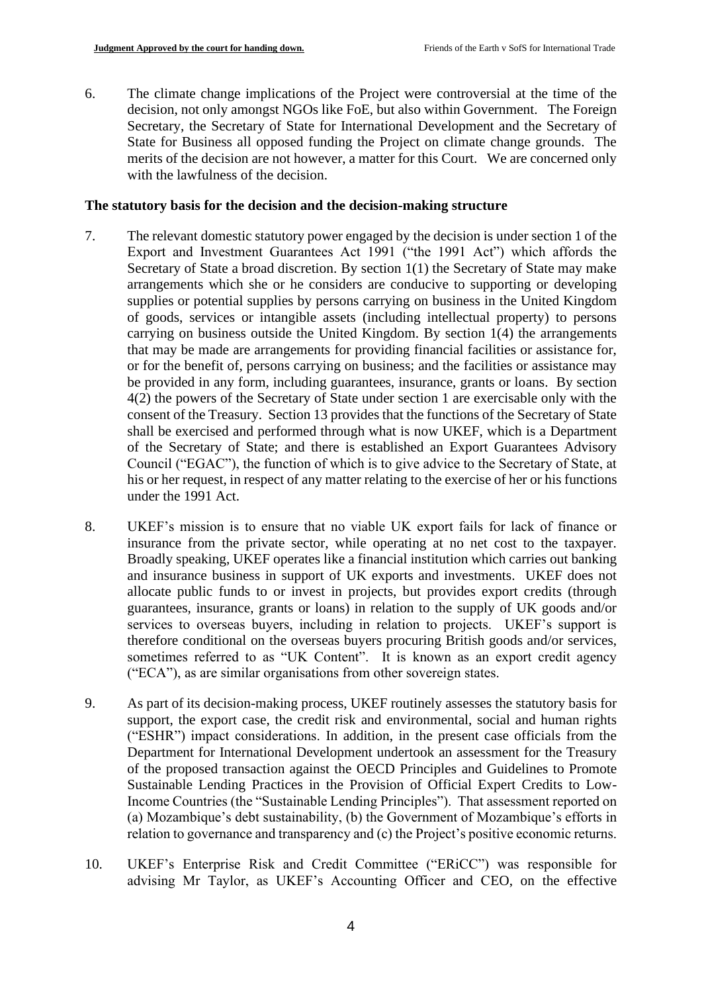6. The climate change implications of the Project were controversial at the time of the decision, not only amongst NGOs like FoE, but also within Government. The Foreign Secretary, the Secretary of State for International Development and the Secretary of State for Business all opposed funding the Project on climate change grounds. The merits of the decision are not however, a matter for this Court. We are concerned only with the lawfulness of the decision.

## **The statutory basis for the decision and the decision-making structure**

- 7. The relevant domestic statutory power engaged by the decision is under section 1 of the Export and Investment Guarantees Act 1991 ("the 1991 Act") which affords the Secretary of State a broad discretion. By section 1(1) the Secretary of State may make arrangements which she or he considers are conducive to supporting or developing supplies or potential supplies by persons carrying on business in the United Kingdom of goods, services or intangible assets (including intellectual property) to persons carrying on business outside the United Kingdom. By section  $1(4)$  the arrangements that may be made are arrangements for providing financial facilities or assistance for, or for the benefit of, persons carrying on business; and the facilities or assistance may be provided in any form, including guarantees, insurance, grants or loans. By section 4(2) the powers of the Secretary of State under section 1 are exercisable only with the consent of the Treasury. Section 13 provides that the functions of the Secretary of State shall be exercised and performed through what is now UKEF, which is a Department of the Secretary of State; and there is established an Export Guarantees Advisory Council ("EGAC"), the function of which is to give advice to the Secretary of State, at his or her request, in respect of any matter relating to the exercise of her or his functions under the 1991 Act.
- 8. UKEF's mission is to ensure that no viable UK export fails for lack of finance or insurance from the private sector, while operating at no net cost to the taxpayer. Broadly speaking, UKEF operates like a financial institution which carries out banking and insurance business in support of UK exports and investments. UKEF does not allocate public funds to or invest in projects, but provides export credits (through guarantees, insurance, grants or loans) in relation to the supply of UK goods and/or services to overseas buyers, including in relation to projects. UKEF's support is therefore conditional on the overseas buyers procuring British goods and/or services, sometimes referred to as "UK Content". It is known as an export credit agency ("ECA"), as are similar organisations from other sovereign states.
- 9. As part of its decision-making process, UKEF routinely assesses the statutory basis for support, the export case, the credit risk and environmental, social and human rights ("ESHR") impact considerations. In addition, in the present case officials from the Department for International Development undertook an assessment for the Treasury of the proposed transaction against the OECD Principles and Guidelines to Promote Sustainable Lending Practices in the Provision of Official Expert Credits to Low-Income Countries (the "Sustainable Lending Principles"). That assessment reported on (a) Mozambique's debt sustainability, (b) the Government of Mozambique's efforts in relation to governance and transparency and (c) the Project's positive economic returns.
- 10. UKEF's Enterprise Risk and Credit Committee ("ERiCC") was responsible for advising Mr Taylor, as UKEF's Accounting Officer and CEO, on the effective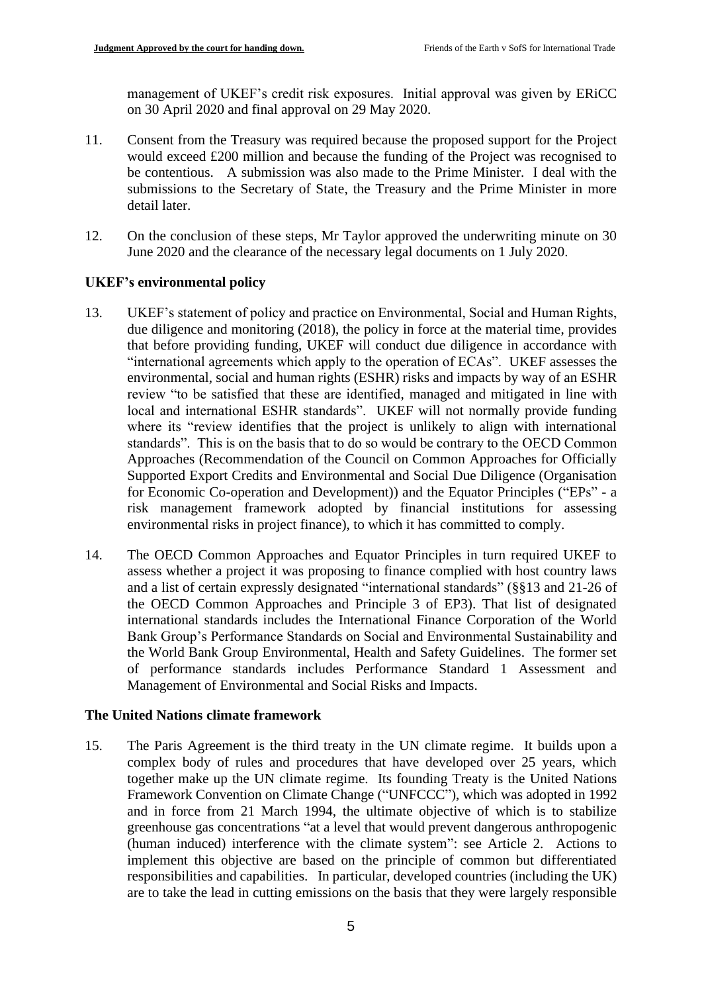management of UKEF's credit risk exposures. Initial approval was given by ERiCC on 30 April 2020 and final approval on 29 May 2020.

- 11. Consent from the Treasury was required because the proposed support for the Project would exceed £200 million and because the funding of the Project was recognised to be contentious. A submission was also made to the Prime Minister. I deal with the submissions to the Secretary of State, the Treasury and the Prime Minister in more detail later.
- 12. On the conclusion of these steps, Mr Taylor approved the underwriting minute on 30 June 2020 and the clearance of the necessary legal documents on 1 July 2020.

## **UKEF's environmental policy**

- 13. UKEF's statement of policy and practice on Environmental, Social and Human Rights, due diligence and monitoring (2018), the policy in force at the material time, provides that before providing funding, UKEF will conduct due diligence in accordance with "international agreements which apply to the operation of ECAs". UKEF assesses the environmental, social and human rights (ESHR) risks and impacts by way of an ESHR review "to be satisfied that these are identified, managed and mitigated in line with local and international ESHR standards". UKEF will not normally provide funding where its "review identifies that the project is unlikely to align with international standards". This is on the basis that to do so would be contrary to the OECD Common Approaches (Recommendation of the Council on Common Approaches for Officially Supported Export Credits and Environmental and Social Due Diligence (Organisation for Economic Co-operation and Development)) and the Equator Principles ("EPs" - a risk management framework adopted by financial institutions for assessing environmental risks in project finance), to which it has committed to comply.
- 14. The OECD Common Approaches and Equator Principles in turn required UKEF to assess whether a project it was proposing to finance complied with host country laws and a list of certain expressly designated "international standards" (§§13 and 21-26 of the OECD Common Approaches and Principle 3 of EP3). That list of designated international standards includes the International Finance Corporation of the World Bank Group's Performance Standards on Social and Environmental Sustainability and the World Bank Group Environmental, Health and Safety Guidelines. The former set of performance standards includes Performance Standard 1 Assessment and Management of Environmental and Social Risks and Impacts.

### **The United Nations climate framework**

15. The Paris Agreement is the third treaty in the UN climate regime. It builds upon a complex body of rules and procedures that have developed over 25 years, which together make up the UN climate regime. Its founding Treaty is the United Nations Framework Convention on Climate Change ("UNFCCC"), which was adopted in 1992 and in force from 21 March 1994, the ultimate objective of which is to stabilize greenhouse gas concentrations "at a level that would prevent dangerous anthropogenic (human induced) interference with the climate system": see Article 2. Actions to implement this objective are based on the principle of common but differentiated responsibilities and capabilities. In particular, developed countries (including the UK) are to take the lead in cutting emissions on the basis that they were largely responsible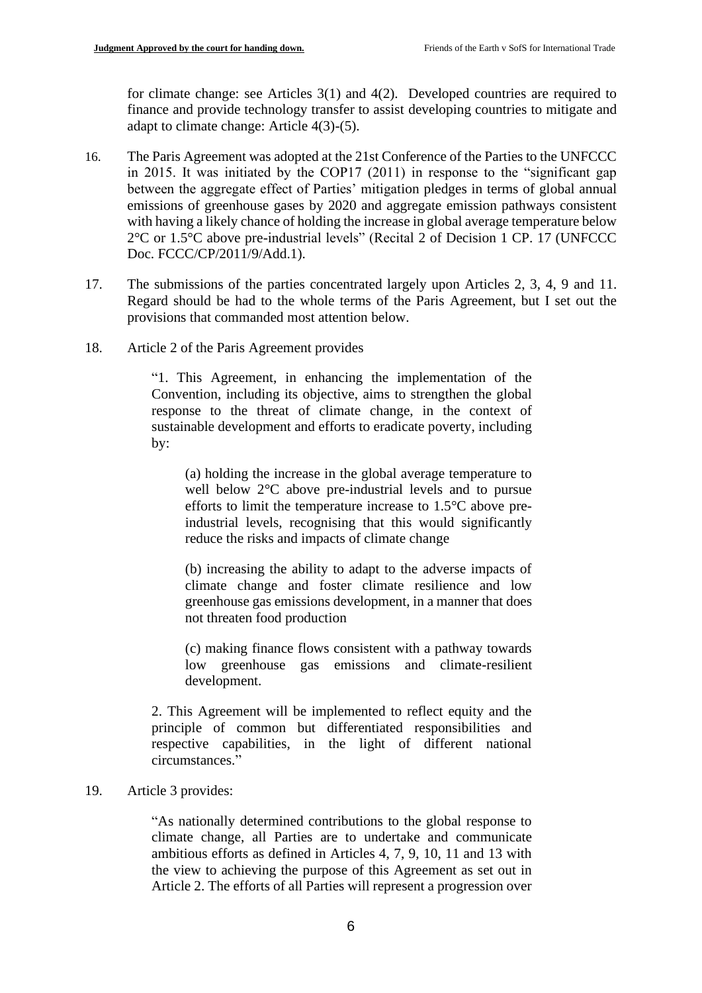for climate change: see Articles 3(1) and 4(2). Developed countries are required to finance and provide technology transfer to assist developing countries to mitigate and adapt to climate change: Article 4(3)-(5).

- 16. The Paris Agreement was adopted at the 21st Conference of the Parties to the UNFCCC in 2015. It was initiated by the COP17 (2011) in response to the "significant gap between the aggregate effect of Parties' mitigation pledges in terms of global annual emissions of greenhouse gases by 2020 and aggregate emission pathways consistent with having a likely chance of holding the increase in global average temperature below 2°C or 1.5°C above pre-industrial levels" (Recital 2 of Decision 1 CP. 17 (UNFCCC Doc. FCCC/CP/2011/9/Add.1).
- 17. The submissions of the parties concentrated largely upon Articles 2, 3, 4, 9 and 11. Regard should be had to the whole terms of the Paris Agreement, but I set out the provisions that commanded most attention below.
- 18. Article 2 of the Paris Agreement provides

"1. This Agreement, in enhancing the implementation of the Convention, including its objective, aims to strengthen the global response to the threat of climate change, in the context of sustainable development and efforts to eradicate poverty, including by:

(a) holding the increase in the global average temperature to well below 2°C above pre-industrial levels and to pursue efforts to limit the temperature increase to 1.5°C above preindustrial levels, recognising that this would significantly reduce the risks and impacts of climate change

(b) increasing the ability to adapt to the adverse impacts of climate change and foster climate resilience and low greenhouse gas emissions development, in a manner that does not threaten food production

(c) making finance flows consistent with a pathway towards low greenhouse gas emissions and climate-resilient development.

2. This Agreement will be implemented to reflect equity and the principle of common but differentiated responsibilities and respective capabilities, in the light of different national circumstances."

### 19. Article 3 provides:

"As nationally determined contributions to the global response to climate change, all Parties are to undertake and communicate ambitious efforts as defined in Articles 4, 7, 9, 10, 11 and 13 with the view to achieving the purpose of this Agreement as set out in Article 2. The efforts of all Parties will represent a progression over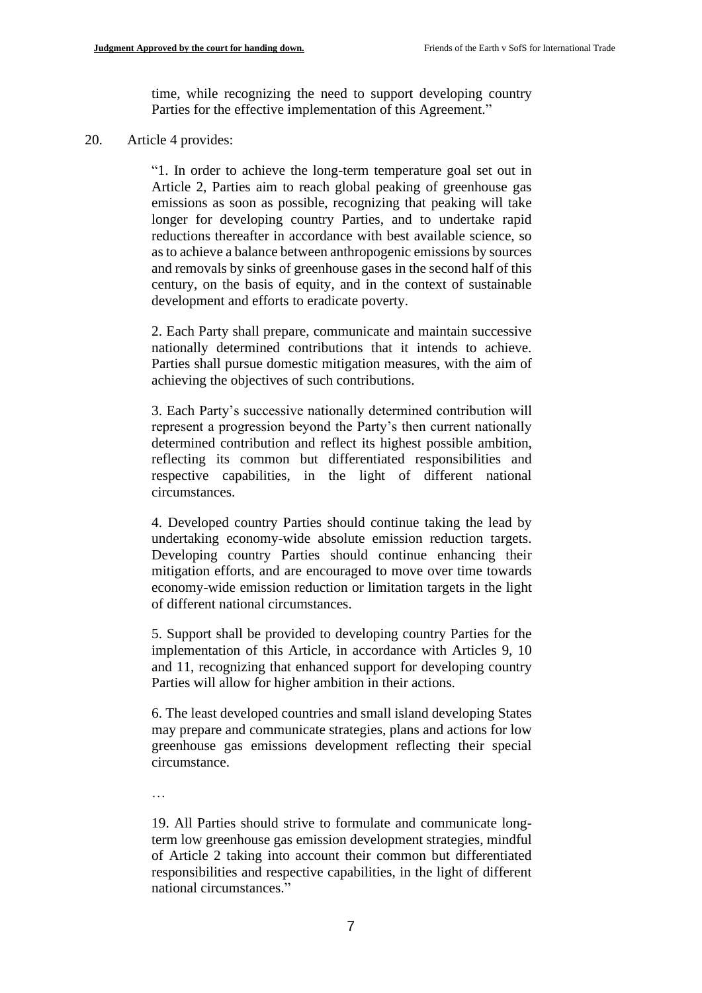time, while recognizing the need to support developing country Parties for the effective implementation of this Agreement."

#### 20. Article 4 provides:

"1. In order to achieve the long-term temperature goal set out in Article 2, Parties aim to reach global peaking of greenhouse gas emissions as soon as possible, recognizing that peaking will take longer for developing country Parties, and to undertake rapid reductions thereafter in accordance with best available science, so as to achieve a balance between anthropogenic emissions by sources and removals by sinks of greenhouse gases in the second half of this century, on the basis of equity, and in the context of sustainable development and efforts to eradicate poverty.

2. Each Party shall prepare, communicate and maintain successive nationally determined contributions that it intends to achieve. Parties shall pursue domestic mitigation measures, with the aim of achieving the objectives of such contributions.

3. Each Party's successive nationally determined contribution will represent a progression beyond the Party's then current nationally determined contribution and reflect its highest possible ambition, reflecting its common but differentiated responsibilities and respective capabilities, in the light of different national circumstances.

4. Developed country Parties should continue taking the lead by undertaking economy-wide absolute emission reduction targets. Developing country Parties should continue enhancing their mitigation efforts, and are encouraged to move over time towards economy-wide emission reduction or limitation targets in the light of different national circumstances.

5. Support shall be provided to developing country Parties for the implementation of this Article, in accordance with Articles 9, 10 and 11, recognizing that enhanced support for developing country Parties will allow for higher ambition in their actions.

6. The least developed countries and small island developing States may prepare and communicate strategies, plans and actions for low greenhouse gas emissions development reflecting their special circumstance.

…

19. All Parties should strive to formulate and communicate longterm low greenhouse gas emission development strategies, mindful of Article 2 taking into account their common but differentiated responsibilities and respective capabilities, in the light of different national circumstances."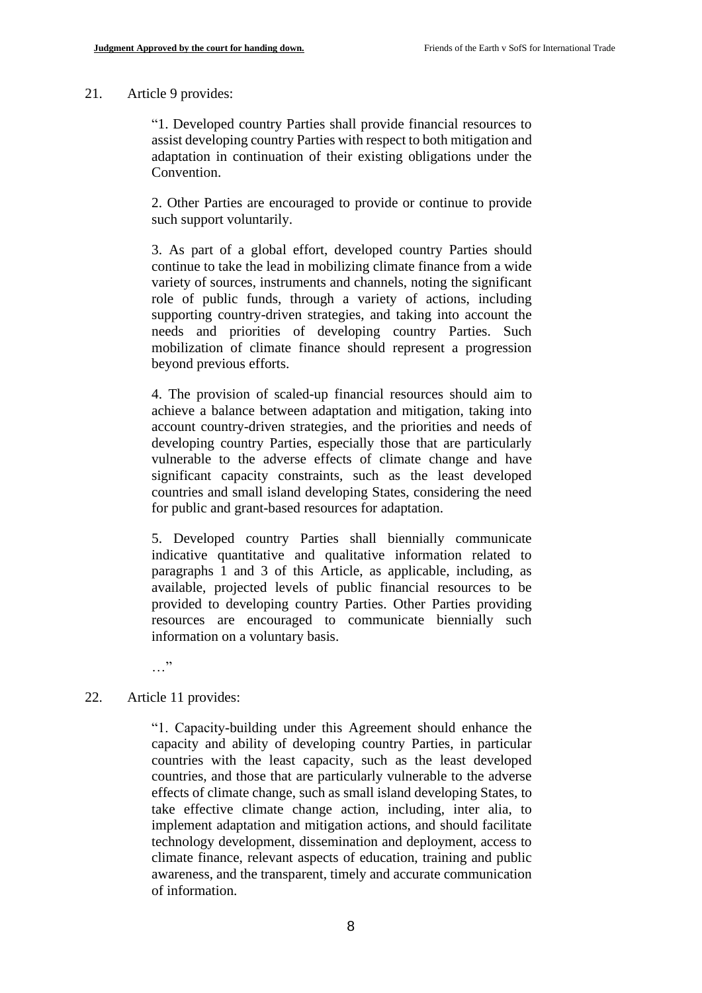#### 21. Article 9 provides:

"1. Developed country Parties shall provide financial resources to assist developing country Parties with respect to both mitigation and adaptation in continuation of their existing obligations under the Convention.

2. Other Parties are encouraged to provide or continue to provide such support voluntarily.

3. As part of a global effort, developed country Parties should continue to take the lead in mobilizing climate finance from a wide variety of sources, instruments and channels, noting the significant role of public funds, through a variety of actions, including supporting country-driven strategies, and taking into account the needs and priorities of developing country Parties. Such mobilization of climate finance should represent a progression beyond previous efforts.

4. The provision of scaled-up financial resources should aim to achieve a balance between adaptation and mitigation, taking into account country-driven strategies, and the priorities and needs of developing country Parties, especially those that are particularly vulnerable to the adverse effects of climate change and have significant capacity constraints, such as the least developed countries and small island developing States, considering the need for public and grant-based resources for adaptation.

5. Developed country Parties shall biennially communicate indicative quantitative and qualitative information related to paragraphs 1 and 3 of this Article, as applicable, including, as available, projected levels of public financial resources to be provided to developing country Parties. Other Parties providing resources are encouraged to communicate biennially such information on a voluntary basis.

…"

#### 22. Article 11 provides:

"1. Capacity-building under this Agreement should enhance the capacity and ability of developing country Parties, in particular countries with the least capacity, such as the least developed countries, and those that are particularly vulnerable to the adverse effects of climate change, such as small island developing States, to take effective climate change action, including, inter alia, to implement adaptation and mitigation actions, and should facilitate technology development, dissemination and deployment, access to climate finance, relevant aspects of education, training and public awareness, and the transparent, timely and accurate communication of information.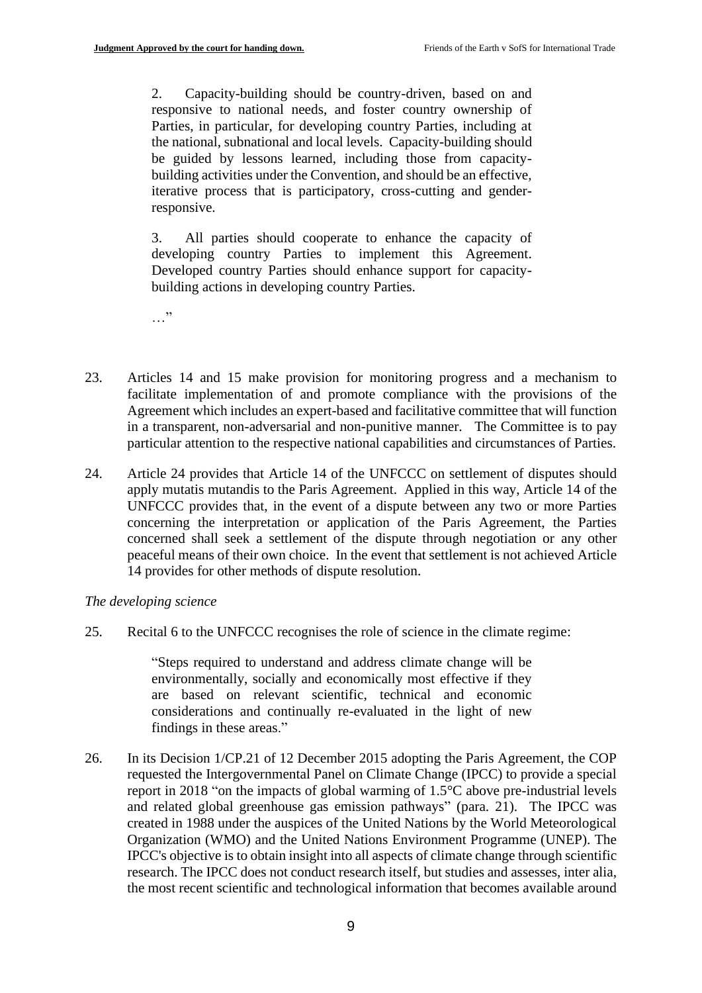2. Capacity-building should be country-driven, based on and responsive to national needs, and foster country ownership of Parties, in particular, for developing country Parties, including at the national, subnational and local levels. Capacity-building should be guided by lessons learned, including those from capacitybuilding activities under the Convention, and should be an effective, iterative process that is participatory, cross-cutting and genderresponsive.

3. All parties should cooperate to enhance the capacity of developing country Parties to implement this Agreement. Developed country Parties should enhance support for capacitybuilding actions in developing country Parties.

…"

- 23. Articles 14 and 15 make provision for monitoring progress and a mechanism to facilitate implementation of and promote compliance with the provisions of the Agreement which includes an expert-based and facilitative committee that will function in a transparent, non-adversarial and non-punitive manner. The Committee is to pay particular attention to the respective national capabilities and circumstances of Parties.
- 24. Article 24 provides that Article 14 of the UNFCCC on settlement of disputes should apply mutatis mutandis to the Paris Agreement. Applied in this way, Article 14 of the UNFCCC provides that, in the event of a dispute between any two or more Parties concerning the interpretation or application of the Paris Agreement, the Parties concerned shall seek a settlement of the dispute through negotiation or any other peaceful means of their own choice. In the event that settlement is not achieved Article 14 provides for other methods of dispute resolution.

### *The developing science*

25. Recital 6 to the UNFCCC recognises the role of science in the climate regime:

"Steps required to understand and address climate change will be environmentally, socially and economically most effective if they are based on relevant scientific, technical and economic considerations and continually re-evaluated in the light of new findings in these areas."

26. In its Decision 1/CP.21 of 12 December 2015 adopting the Paris Agreement, the COP requested the Intergovernmental Panel on Climate Change (IPCC) to provide a special report in 2018 "on the impacts of global warming of 1.5°C above pre-industrial levels and related global greenhouse gas emission pathways" (para. 21). The IPCC was created in 1988 under the auspices of the United Nations by the World Meteorological Organization (WMO) and the United Nations Environment Programme (UNEP). The IPCC's objective is to obtain insight into all aspects of climate change through scientific research. The IPCC does not conduct research itself, but studies and assesses, inter alia, the most recent scientific and technological information that becomes available around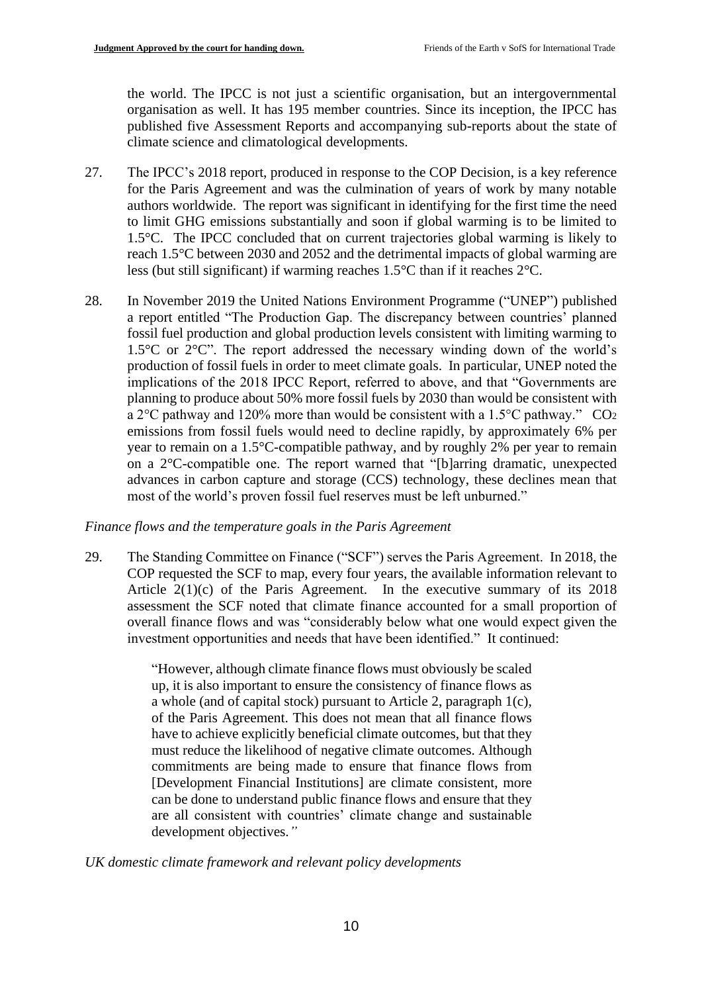the world. The IPCC is not just a scientific organisation, but an intergovernmental organisation as well. It has 195 member countries. Since its inception, the IPCC has published five Assessment Reports and accompanying sub-reports about the state of climate science and climatological developments.

- 27. The IPCC's 2018 report, produced in response to the COP Decision, is a key reference for the Paris Agreement and was the culmination of years of work by many notable authors worldwide. The report was significant in identifying for the first time the need to limit GHG emissions substantially and soon if global warming is to be limited to 1.5°C. The IPCC concluded that on current trajectories global warming is likely to reach 1.5°C between 2030 and 2052 and the detrimental impacts of global warming are less (but still significant) if warming reaches 1.5°C than if it reaches 2°C.
- 28. In November 2019 the United Nations Environment Programme ("UNEP") published a report entitled "The Production Gap. The discrepancy between countries' planned fossil fuel production and global production levels consistent with limiting warming to 1.5°C or 2°C". The report addressed the necessary winding down of the world's production of fossil fuels in order to meet climate goals. In particular, UNEP noted the implications of the 2018 IPCC Report, referred to above, and that "Governments are planning to produce about 50% more fossil fuels by 2030 than would be consistent with a 2°C pathway and 120% more than would be consistent with a 1.5°C pathway." CO<sup>2</sup> emissions from fossil fuels would need to decline rapidly, by approximately 6% per year to remain on a 1.5°C-compatible pathway, and by roughly 2% per year to remain on a 2°C-compatible one. The report warned that "[b]arring dramatic, unexpected advances in carbon capture and storage (CCS) technology, these declines mean that most of the world's proven fossil fuel reserves must be left unburned."

### *Finance flows and the temperature goals in the Paris Agreement*

29. The Standing Committee on Finance ("SCF") serves the Paris Agreement. In 2018, the COP requested the SCF to map, every four years, the available information relevant to Article 2(1)(c) of the Paris Agreement. In the executive summary of its 2018 assessment the SCF noted that climate finance accounted for a small proportion of overall finance flows and was "considerably below what one would expect given the investment opportunities and needs that have been identified." It continued:

> "However, although climate finance flows must obviously be scaled up, it is also important to ensure the consistency of finance flows as a whole (and of capital stock) pursuant to Article 2, paragraph 1(c), of the Paris Agreement. This does not mean that all finance flows have to achieve explicitly beneficial climate outcomes, but that they must reduce the likelihood of negative climate outcomes. Although commitments are being made to ensure that finance flows from [Development Financial Institutions] are climate consistent, more can be done to understand public finance flows and ensure that they are all consistent with countries' climate change and sustainable development objectives.*"*

### *UK domestic climate framework and relevant policy developments*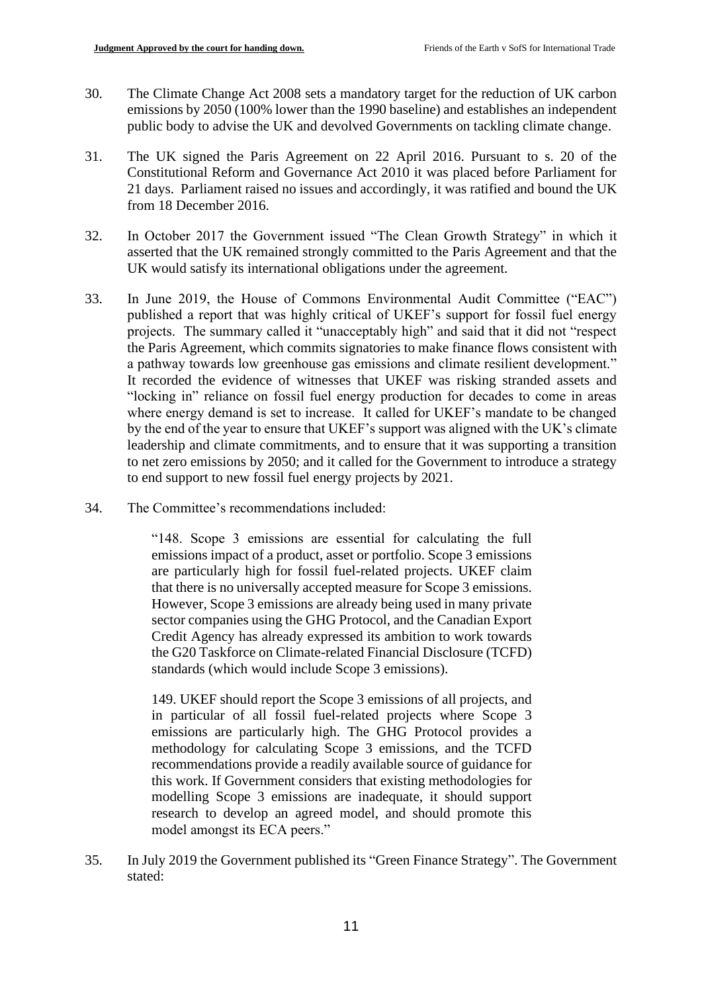- 30. The Climate Change Act 2008 sets a mandatory target for the reduction of UK carbon emissions by 2050 (100% lower than the 1990 baseline) and establishes an independent public body to advise the UK and devolved Governments on tackling climate change.
- 31. The UK signed the Paris Agreement on 22 April 2016. Pursuant to s. 20 of the Constitutional Reform and Governance Act 2010 it was placed before Parliament for 21 days. Parliament raised no issues and accordingly, it was ratified and bound the UK from 18 December 2016.
- 32. In October 2017 the Government issued "The Clean Growth Strategy" in which it asserted that the UK remained strongly committed to the Paris Agreement and that the UK would satisfy its international obligations under the agreement.
- 33. In June 2019, the House of Commons Environmental Audit Committee ("EAC") published a report that was highly critical of UKEF's support for fossil fuel energy projects. The summary called it "unacceptably high" and said that it did not "respect the Paris Agreement, which commits signatories to make finance flows consistent with a pathway towards low greenhouse gas emissions and climate resilient development." It recorded the evidence of witnesses that UKEF was risking stranded assets and "locking in" reliance on fossil fuel energy production for decades to come in areas where energy demand is set to increase. It called for UKEF's mandate to be changed by the end of the year to ensure that UKEF's support was aligned with the UK's climate leadership and climate commitments, and to ensure that it was supporting a transition to net zero emissions by 2050; and it called for the Government to introduce a strategy to end support to new fossil fuel energy projects by 2021.
- 34. The Committee's recommendations included:

"148. Scope 3 emissions are essential for calculating the full emissions impact of a product, asset or portfolio. Scope 3 emissions are particularly high for fossil fuel-related projects. UKEF claim that there is no universally accepted measure for Scope 3 emissions. However, Scope 3 emissions are already being used in many private sector companies using the GHG Protocol, and the Canadian Export Credit Agency has already expressed its ambition to work towards the G20 Taskforce on Climate-related Financial Disclosure (TCFD) standards (which would include Scope 3 emissions).

149. UKEF should report the Scope 3 emissions of all projects, and in particular of all fossil fuel-related projects where Scope 3 emissions are particularly high. The GHG Protocol provides a methodology for calculating Scope 3 emissions, and the TCFD recommendations provide a readily available source of guidance for this work. If Government considers that existing methodologies for modelling Scope 3 emissions are inadequate, it should support research to develop an agreed model, and should promote this model amongst its ECA peers."

35. In July 2019 the Government published its "Green Finance Strategy". The Government stated: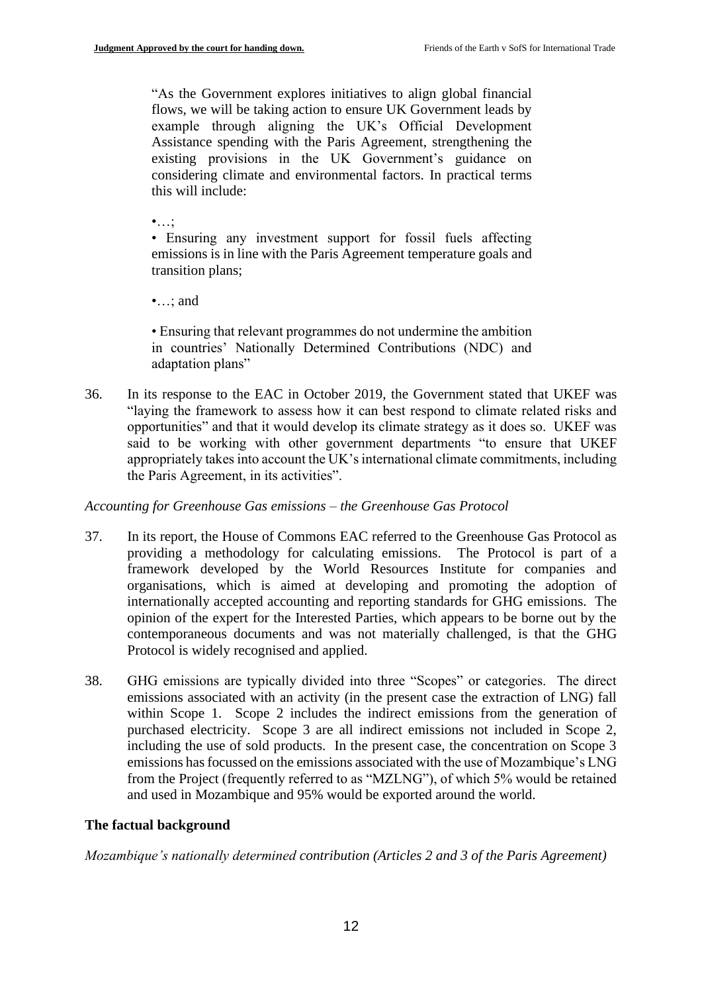"As the Government explores initiatives to align global financial flows, we will be taking action to ensure UK Government leads by example through aligning the UK's Official Development Assistance spending with the Paris Agreement, strengthening the existing provisions in the UK Government's guidance on considering climate and environmental factors. In practical terms this will include:

 $\bullet$ ...;

• Ensuring any investment support for fossil fuels affecting emissions is in line with the Paris Agreement temperature goals and transition plans;

•…; and

• Ensuring that relevant programmes do not undermine the ambition in countries' Nationally Determined Contributions (NDC) and adaptation plans"

36. In its response to the EAC in October 2019, the Government stated that UKEF was "laying the framework to assess how it can best respond to climate related risks and opportunities" and that it would develop its climate strategy as it does so. UKEF was said to be working with other government departments "to ensure that UKEF appropriately takes into account the UK's international climate commitments, including the Paris Agreement, in its activities".

### *Accounting for Greenhouse Gas emissions – the Greenhouse Gas Protocol*

- 37. In its report, the House of Commons EAC referred to the Greenhouse Gas Protocol as providing a methodology for calculating emissions. The Protocol is part of a framework developed by the World Resources Institute for companies and organisations, which is aimed at developing and promoting the adoption of internationally accepted accounting and reporting standards for GHG emissions. The opinion of the expert for the Interested Parties, which appears to be borne out by the contemporaneous documents and was not materially challenged, is that the GHG Protocol is widely recognised and applied.
- 38. GHG emissions are typically divided into three "Scopes" or categories. The direct emissions associated with an activity (in the present case the extraction of LNG) fall within Scope 1. Scope 2 includes the indirect emissions from the generation of purchased electricity. Scope 3 are all indirect emissions not included in Scope 2, including the use of sold products. In the present case, the concentration on Scope 3 emissions has focussed on the emissions associated with the use of Mozambique's LNG from the Project (frequently referred to as "MZLNG"), of which 5% would be retained and used in Mozambique and 95% would be exported around the world.

### **The factual background**

*Mozambique's nationally determined contribution (Articles 2 and 3 of the Paris Agreement)*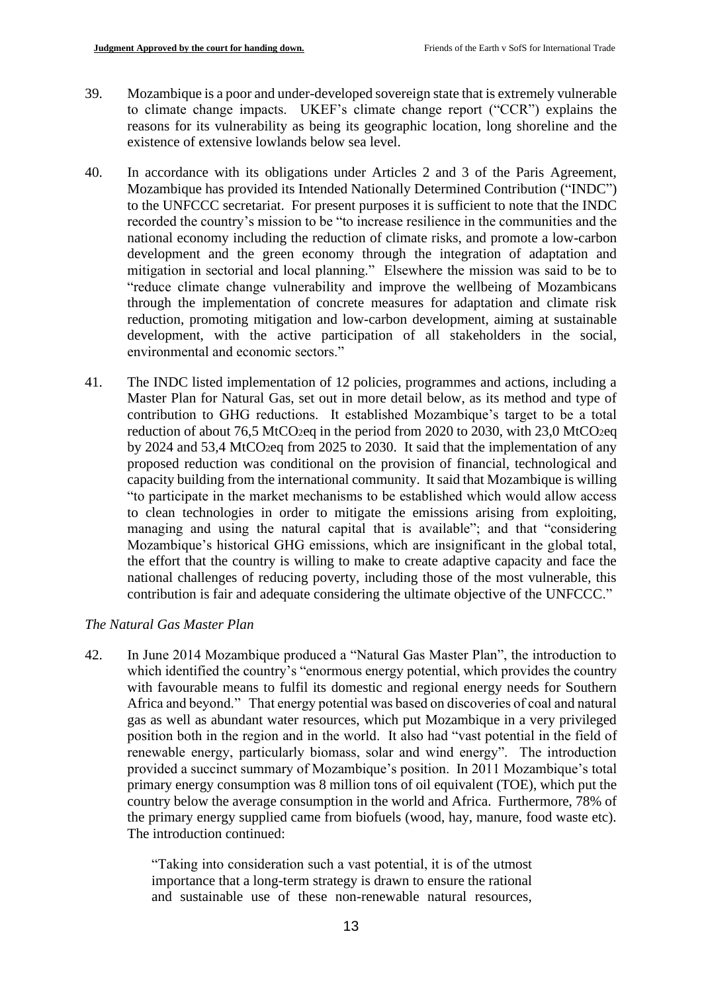- 39. Mozambique is a poor and under-developed sovereign state that is extremely vulnerable to climate change impacts. UKEF's climate change report ("CCR") explains the reasons for its vulnerability as being its geographic location, long shoreline and the existence of extensive lowlands below sea level.
- 40. In accordance with its obligations under Articles 2 and 3 of the Paris Agreement, Mozambique has provided its Intended Nationally Determined Contribution ("INDC") to the UNFCCC secretariat. For present purposes it is sufficient to note that the INDC recorded the country's mission to be "to increase resilience in the communities and the national economy including the reduction of climate risks, and promote a low-carbon development and the green economy through the integration of adaptation and mitigation in sectorial and local planning." Elsewhere the mission was said to be to "reduce climate change vulnerability and improve the wellbeing of Mozambicans through the implementation of concrete measures for adaptation and climate risk reduction, promoting mitigation and low-carbon development, aiming at sustainable development, with the active participation of all stakeholders in the social, environmental and economic sectors."
- 41. The INDC listed implementation of 12 policies, programmes and actions, including a Master Plan for Natural Gas, set out in more detail below, as its method and type of contribution to GHG reductions. It established Mozambique's target to be a total reduction of about 76,5 MtCO2eq in the period from 2020 to 2030, with 23,0 MtCO2eq by 2024 and 53,4 MtCO2eq from 2025 to 2030. It said that the implementation of any proposed reduction was conditional on the provision of financial, technological and capacity building from the international community.It said that Mozambique is willing "to participate in the market mechanisms to be established which would allow access to clean technologies in order to mitigate the emissions arising from exploiting, managing and using the natural capital that is available"; and that "considering Mozambique's historical GHG emissions, which are insignificant in the global total, the effort that the country is willing to make to create adaptive capacity and face the national challenges of reducing poverty, including those of the most vulnerable, this contribution is fair and adequate considering the ultimate objective of the UNFCCC."

### *The Natural Gas Master Plan*

42. In June 2014 Mozambique produced a "Natural Gas Master Plan", the introduction to which identified the country's "enormous energy potential, which provides the country with favourable means to fulfil its domestic and regional energy needs for Southern Africa and beyond." That energy potential was based on discoveries of coal and natural gas as well as abundant water resources, which put Mozambique in a very privileged position both in the region and in the world. It also had "vast potential in the field of renewable energy, particularly biomass, solar and wind energy". The introduction provided a succinct summary of Mozambique's position. In 2011 Mozambique's total primary energy consumption was 8 million tons of oil equivalent (TOE), which put the country below the average consumption in the world and Africa. Furthermore, 78% of the primary energy supplied came from biofuels (wood, hay, manure, food waste etc). The introduction continued:

> "Taking into consideration such a vast potential, it is of the utmost importance that a long-term strategy is drawn to ensure the rational and sustainable use of these non-renewable natural resources,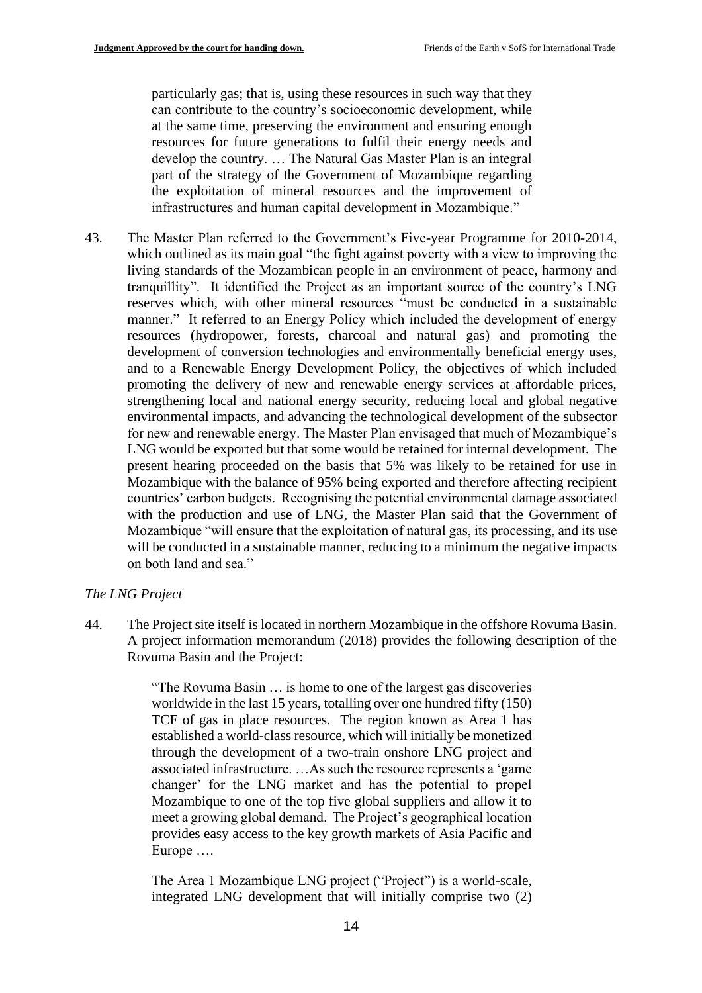particularly gas; that is, using these resources in such way that they can contribute to the country's socioeconomic development, while at the same time, preserving the environment and ensuring enough resources for future generations to fulfil their energy needs and develop the country. … The Natural Gas Master Plan is an integral part of the strategy of the Government of Mozambique regarding the exploitation of mineral resources and the improvement of infrastructures and human capital development in Mozambique."

43. The Master Plan referred to the Government's Five-year Programme for 2010-2014, which outlined as its main goal "the fight against poverty with a view to improving the living standards of the Mozambican people in an environment of peace, harmony and tranquillity". It identified the Project as an important source of the country's LNG reserves which, with other mineral resources "must be conducted in a sustainable manner." It referred to an Energy Policy which included the development of energy resources (hydropower, forests, charcoal and natural gas) and promoting the development of conversion technologies and environmentally beneficial energy uses, and to a Renewable Energy Development Policy, the objectives of which included promoting the delivery of new and renewable energy services at affordable prices, strengthening local and national energy security, reducing local and global negative environmental impacts, and advancing the technological development of the subsector for new and renewable energy. The Master Plan envisaged that much of Mozambique's LNG would be exported but that some would be retained for internal development. The present hearing proceeded on the basis that 5% was likely to be retained for use in Mozambique with the balance of 95% being exported and therefore affecting recipient countries' carbon budgets. Recognising the potential environmental damage associated with the production and use of LNG, the Master Plan said that the Government of Mozambique "will ensure that the exploitation of natural gas, its processing, and its use will be conducted in a sustainable manner, reducing to a minimum the negative impacts on both land and sea."

### *The LNG Project*

44. The Project site itself is located in northern Mozambique in the offshore Rovuma Basin. A project information memorandum (2018) provides the following description of the Rovuma Basin and the Project:

> "The Rovuma Basin … is home to one of the largest gas discoveries worldwide in the last 15 years, totalling over one hundred fifty (150) TCF of gas in place resources. The region known as Area 1 has established a world-class resource, which will initially be monetized through the development of a two-train onshore LNG project and associated infrastructure. …As such the resource represents a 'game changer' for the LNG market and has the potential to propel Mozambique to one of the top five global suppliers and allow it to meet a growing global demand. The Project's geographical location provides easy access to the key growth markets of Asia Pacific and Europe ….

> The Area 1 Mozambique LNG project ("Project") is a world-scale, integrated LNG development that will initially comprise two (2)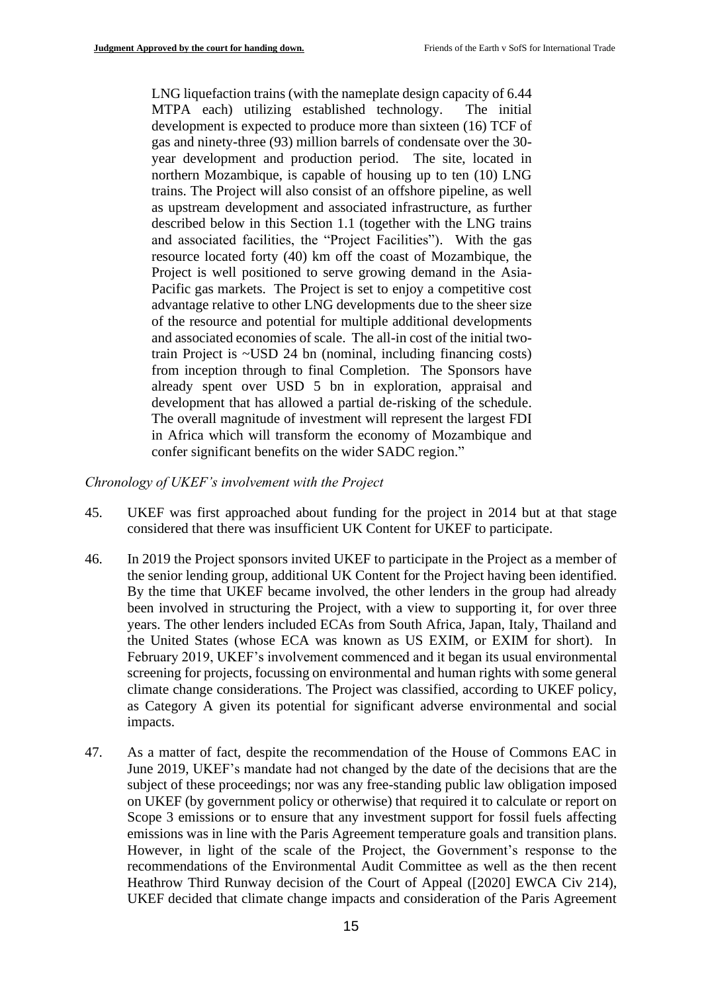LNG liquefaction trains (with the nameplate design capacity of 6.44 MTPA each) utilizing established technology. The initial development is expected to produce more than sixteen (16) TCF of gas and ninety-three (93) million barrels of condensate over the 30 year development and production period. The site, located in northern Mozambique, is capable of housing up to ten (10) LNG trains. The Project will also consist of an offshore pipeline, as well as upstream development and associated infrastructure, as further described below in this Section 1.1 (together with the LNG trains and associated facilities, the "Project Facilities"). With the gas resource located forty (40) km off the coast of Mozambique, the Project is well positioned to serve growing demand in the Asia-Pacific gas markets. The Project is set to enjoy a competitive cost advantage relative to other LNG developments due to the sheer size of the resource and potential for multiple additional developments and associated economies of scale. The all-in cost of the initial twotrain Project is ~USD 24 bn (nominal, including financing costs) from inception through to final Completion. The Sponsors have already spent over USD 5 bn in exploration, appraisal and development that has allowed a partial de-risking of the schedule. The overall magnitude of investment will represent the largest FDI in Africa which will transform the economy of Mozambique and confer significant benefits on the wider SADC region."

#### *Chronology of UKEF's involvement with the Project*

- 45. UKEF was first approached about funding for the project in 2014 but at that stage considered that there was insufficient UK Content for UKEF to participate.
- 46. In 2019 the Project sponsors invited UKEF to participate in the Project as a member of the senior lending group, additional UK Content for the Project having been identified. By the time that UKEF became involved, the other lenders in the group had already been involved in structuring the Project, with a view to supporting it, for over three years. The other lenders included ECAs from South Africa, Japan, Italy, Thailand and the United States (whose ECA was known as US EXIM, or EXIM for short). In February 2019, UKEF's involvement commenced and it began its usual environmental screening for projects, focussing on environmental and human rights with some general climate change considerations. The Project was classified, according to UKEF policy, as Category A given its potential for significant adverse environmental and social impacts.
- 47. As a matter of fact, despite the recommendation of the House of Commons EAC in June 2019, UKEF's mandate had not changed by the date of the decisions that are the subject of these proceedings; nor was any free-standing public law obligation imposed on UKEF (by government policy or otherwise) that required it to calculate or report on Scope 3 emissions or to ensure that any investment support for fossil fuels affecting emissions was in line with the Paris Agreement temperature goals and transition plans. However, in light of the scale of the Project, the Government's response to the recommendations of the Environmental Audit Committee as well as the then recent Heathrow Third Runway decision of the Court of Appeal ([2020] EWCA Civ 214), UKEF decided that climate change impacts and consideration of the Paris Agreement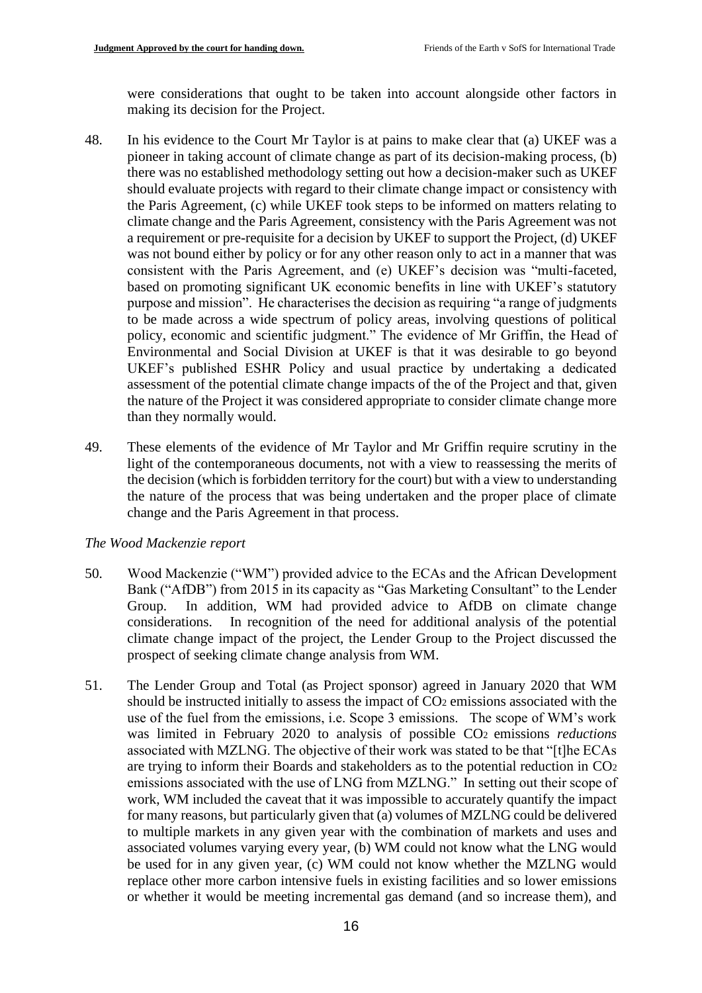were considerations that ought to be taken into account alongside other factors in making its decision for the Project.

- 48. In his evidence to the Court Mr Taylor is at pains to make clear that (a) UKEF was a pioneer in taking account of climate change as part of its decision-making process, (b) there was no established methodology setting out how a decision-maker such as UKEF should evaluate projects with regard to their climate change impact or consistency with the Paris Agreement, (c) while UKEF took steps to be informed on matters relating to climate change and the Paris Agreement, consistency with the Paris Agreement was not a requirement or pre-requisite for a decision by UKEF to support the Project, (d) UKEF was not bound either by policy or for any other reason only to act in a manner that was consistent with the Paris Agreement, and (e) UKEF's decision was "multi-faceted, based on promoting significant UK economic benefits in line with UKEF's statutory purpose and mission". He characterises the decision as requiring "a range of judgments to be made across a wide spectrum of policy areas, involving questions of political policy, economic and scientific judgment." The evidence of Mr Griffin, the Head of Environmental and Social Division at UKEF is that it was desirable to go beyond UKEF's published ESHR Policy and usual practice by undertaking a dedicated assessment of the potential climate change impacts of the of the Project and that, given the nature of the Project it was considered appropriate to consider climate change more than they normally would.
- 49. These elements of the evidence of Mr Taylor and Mr Griffin require scrutiny in the light of the contemporaneous documents, not with a view to reassessing the merits of the decision (which is forbidden territory for the court) but with a view to understanding the nature of the process that was being undertaken and the proper place of climate change and the Paris Agreement in that process.

#### *The Wood Mackenzie report*

- 50. Wood Mackenzie ("WM") provided advice to the ECAs and the African Development Bank ("AfDB") from 2015 in its capacity as "Gas Marketing Consultant" to the Lender Group. In addition, WM had provided advice to AfDB on climate change considerations. In recognition of the need for additional analysis of the potential climate change impact of the project, the Lender Group to the Project discussed the prospect of seeking climate change analysis from WM.
- 51. The Lender Group and Total (as Project sponsor) agreed in January 2020 that WM should be instructed initially to assess the impact of CO<sup>2</sup> emissions associated with the use of the fuel from the emissions, i.e. Scope 3 emissions. The scope of WM's work was limited in February 2020 to analysis of possible CO<sup>2</sup> emissions *reductions*  associated with MZLNG. The objective of their work was stated to be that "[t]he ECAs are trying to inform their Boards and stakeholders as to the potential reduction in CO<sup>2</sup> emissions associated with the use of LNG from MZLNG." In setting out their scope of work, WM included the caveat that it was impossible to accurately quantify the impact for many reasons, but particularly given that (a) volumes of MZLNG could be delivered to multiple markets in any given year with the combination of markets and uses and associated volumes varying every year, (b) WM could not know what the LNG would be used for in any given year, (c) WM could not know whether the MZLNG would replace other more carbon intensive fuels in existing facilities and so lower emissions or whether it would be meeting incremental gas demand (and so increase them), and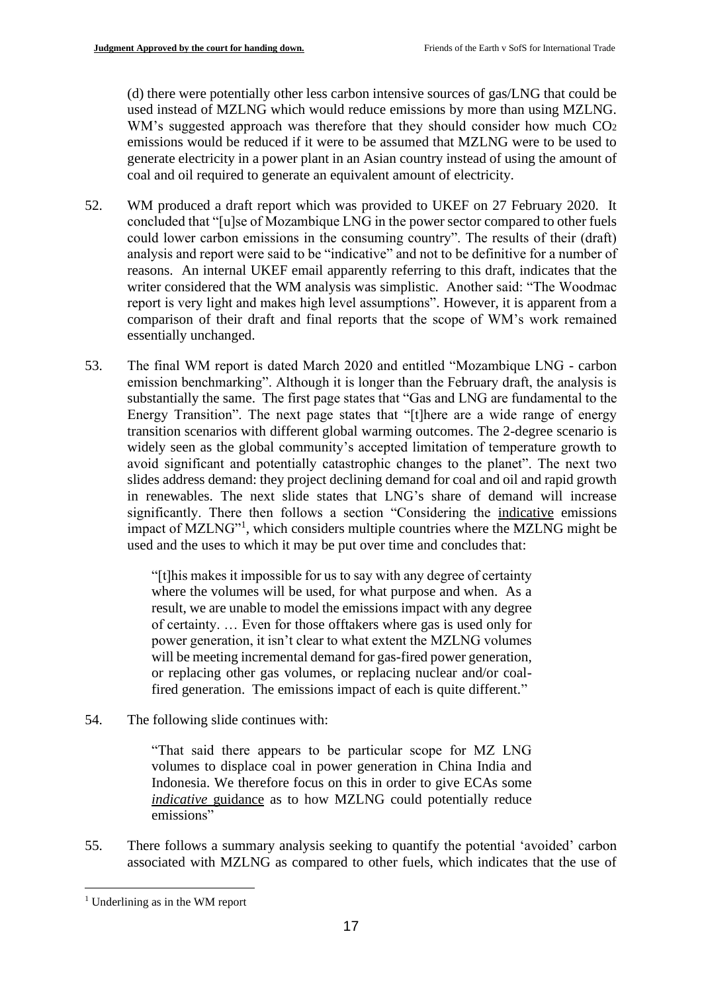(d) there were potentially other less carbon intensive sources of gas/LNG that could be used instead of MZLNG which would reduce emissions by more than using MZLNG. WM's suggested approach was therefore that they should consider how much CO<sub>2</sub> emissions would be reduced if it were to be assumed that MZLNG were to be used to generate electricity in a power plant in an Asian country instead of using the amount of coal and oil required to generate an equivalent amount of electricity.

- 52. WM produced a draft report which was provided to UKEF on 27 February 2020. It concluded that "[u]se of Mozambique LNG in the power sector compared to other fuels could lower carbon emissions in the consuming country". The results of their (draft) analysis and report were said to be "indicative" and not to be definitive for a number of reasons. An internal UKEF email apparently referring to this draft, indicates that the writer considered that the WM analysis was simplistic. Another said: "The Woodmac report is very light and makes high level assumptions". However, it is apparent from a comparison of their draft and final reports that the scope of WM's work remained essentially unchanged.
- 53. The final WM report is dated March 2020 and entitled "Mozambique LNG carbon emission benchmarking". Although it is longer than the February draft, the analysis is substantially the same. The first page states that "Gas and LNG are fundamental to the Energy Transition". The next page states that "[t]here are a wide range of energy transition scenarios with different global warming outcomes. The 2-degree scenario is widely seen as the global community's accepted limitation of temperature growth to avoid significant and potentially catastrophic changes to the planet". The next two slides address demand: they project declining demand for coal and oil and rapid growth in renewables. The next slide states that LNG's share of demand will increase significantly. There then follows a section "Considering the indicative emissions impact of MZLNG"<sup>1</sup>, which considers multiple countries where the MZLNG might be used and the uses to which it may be put over time and concludes that:

"[t]his makes it impossible for us to say with any degree of certainty where the volumes will be used, for what purpose and when. As a result, we are unable to model the emissions impact with any degree of certainty. … Even for those offtakers where gas is used only for power generation, it isn't clear to what extent the MZLNG volumes will be meeting incremental demand for gas-fired power generation, or replacing other gas volumes, or replacing nuclear and/or coalfired generation. The emissions impact of each is quite different."

54. The following slide continues with:

"That said there appears to be particular scope for MZ LNG volumes to displace coal in power generation in China India and Indonesia. We therefore focus on this in order to give ECAs some *indicative* guidance as to how MZLNG could potentially reduce emissions"

55. There follows a summary analysis seeking to quantify the potential 'avoided' carbon associated with MZLNG as compared to other fuels, which indicates that the use of

<sup>&</sup>lt;sup>1</sup> Underlining as in the WM report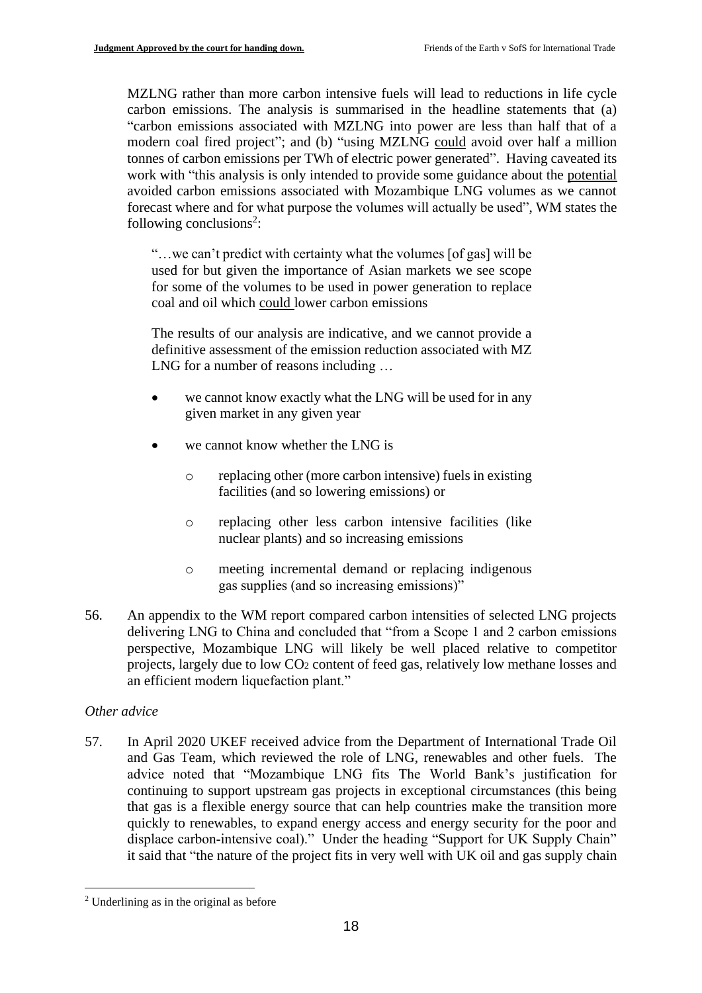MZLNG rather than more carbon intensive fuels will lead to reductions in life cycle carbon emissions. The analysis is summarised in the headline statements that (a) "carbon emissions associated with MZLNG into power are less than half that of a modern coal fired project"; and (b) "using MZLNG could avoid over half a million tonnes of carbon emissions per TWh of electric power generated". Having caveated its work with "this analysis is only intended to provide some guidance about the potential avoided carbon emissions associated with Mozambique LNG volumes as we cannot forecast where and for what purpose the volumes will actually be used", WM states the following conclusions<sup>2</sup>:

"…we can't predict with certainty what the volumes [of gas] will be used for but given the importance of Asian markets we see scope for some of the volumes to be used in power generation to replace coal and oil which could lower carbon emissions

The results of our analysis are indicative, and we cannot provide a definitive assessment of the emission reduction associated with MZ LNG for a number of reasons including …

- we cannot know exactly what the LNG will be used for in any given market in any given year
- we cannot know whether the LNG is
	- o replacing other (more carbon intensive) fuels in existing facilities (and so lowering emissions) or
	- o replacing other less carbon intensive facilities (like nuclear plants) and so increasing emissions
	- o meeting incremental demand or replacing indigenous gas supplies (and so increasing emissions)"
- 56. An appendix to the WM report compared carbon intensities of selected LNG projects delivering LNG to China and concluded that "from a Scope 1 and 2 carbon emissions perspective, Mozambique LNG will likely be well placed relative to competitor projects, largely due to low CO<sup>2</sup> content of feed gas, relatively low methane losses and an efficient modern liquefaction plant."

# *Other advice*

57. In April 2020 UKEF received advice from the Department of International Trade Oil and Gas Team, which reviewed the role of LNG, renewables and other fuels. The advice noted that "Mozambique LNG fits The World Bank's justification for continuing to support upstream gas projects in exceptional circumstances (this being that gas is a flexible energy source that can help countries make the transition more quickly to renewables, to expand energy access and energy security for the poor and displace carbon-intensive coal)." Under the heading "Support for UK Supply Chain" it said that "the nature of the project fits in very well with UK oil and gas supply chain

<sup>2</sup> Underlining as in the original as before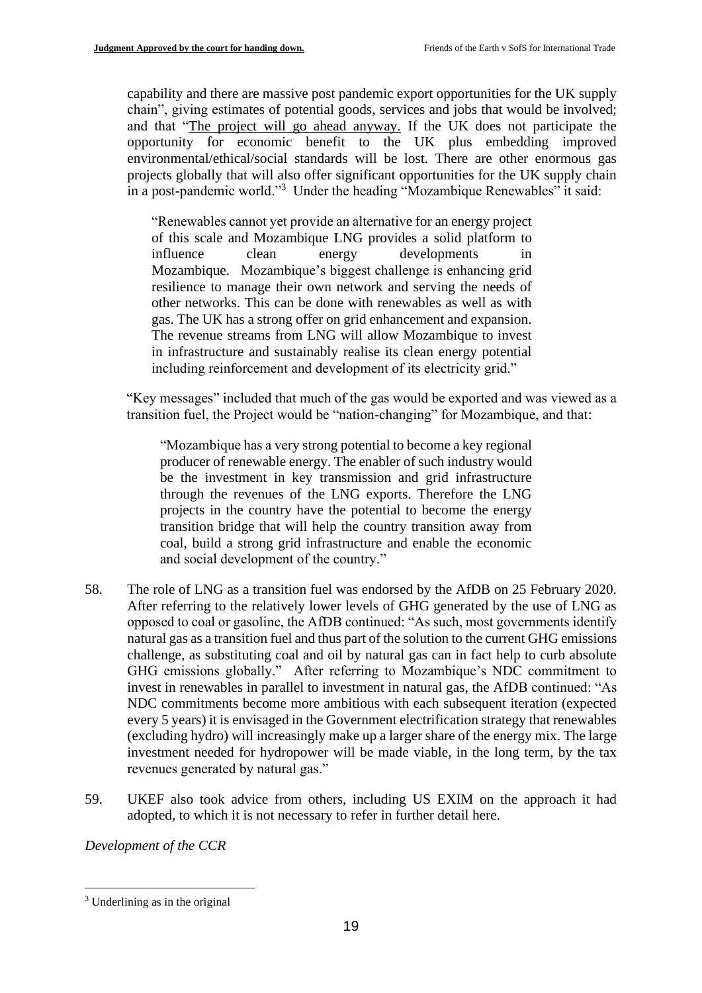capability and there are massive post pandemic export opportunities for the UK supply chain", giving estimates of potential goods, services and jobs that would be involved; and that "The project will go ahead anyway. If the UK does not participate the opportunity for economic benefit to the UK plus embedding improved environmental/ethical/social standards will be lost. There are other enormous gas projects globally that will also offer significant opportunities for the UK supply chain in a post-pandemic world."<sup>3</sup> Under the heading "Mozambique Renewables" it said:

"Renewables cannot yet provide an alternative for an energy project of this scale and Mozambique LNG provides a solid platform to influence clean energy developments Mozambique. Mozambique's biggest challenge is enhancing grid resilience to manage their own network and serving the needs of other networks. This can be done with renewables as well as with gas. The UK has a strong offer on grid enhancement and expansion. The revenue streams from LNG will allow Mozambique to invest in infrastructure and sustainably realise its clean energy potential including reinforcement and development of its electricity grid."

"Key messages" included that much of the gas would be exported and was viewed as a transition fuel, the Project would be "nation-changing" for Mozambique, and that:

"Mozambique has a very strong potential to become a key regional producer of renewable energy. The enabler of such industry would be the investment in key transmission and grid infrastructure through the revenues of the LNG exports. Therefore the LNG projects in the country have the potential to become the energy transition bridge that will help the country transition away from coal, build a strong grid infrastructure and enable the economic and social development of the country."

- 58. The role of LNG as a transition fuel was endorsed by the AfDB on 25 February 2020. After referring to the relatively lower levels of GHG generated by the use of LNG as opposed to coal or gasoline, the AfDB continued: "As such, most governments identify natural gas as a transition fuel and thus part of the solution to the current GHG emissions challenge, as substituting coal and oil by natural gas can in fact help to curb absolute GHG emissions globally." After referring to Mozambique's NDC commitment to invest in renewables in parallel to investment in natural gas, the AfDB continued: "As NDC commitments become more ambitious with each subsequent iteration (expected every 5 years) it is envisaged in the Government electrification strategy that renewables (excluding hydro) will increasingly make up a larger share of the energy mix. The large investment needed for hydropower will be made viable, in the long term, by the tax revenues generated by natural gas."
- 59. UKEF also took advice from others, including US EXIM on the approach it had adopted, to which it is not necessary to refer in further detail here.

*Development of the CCR*

<sup>3</sup> Underlining as in the original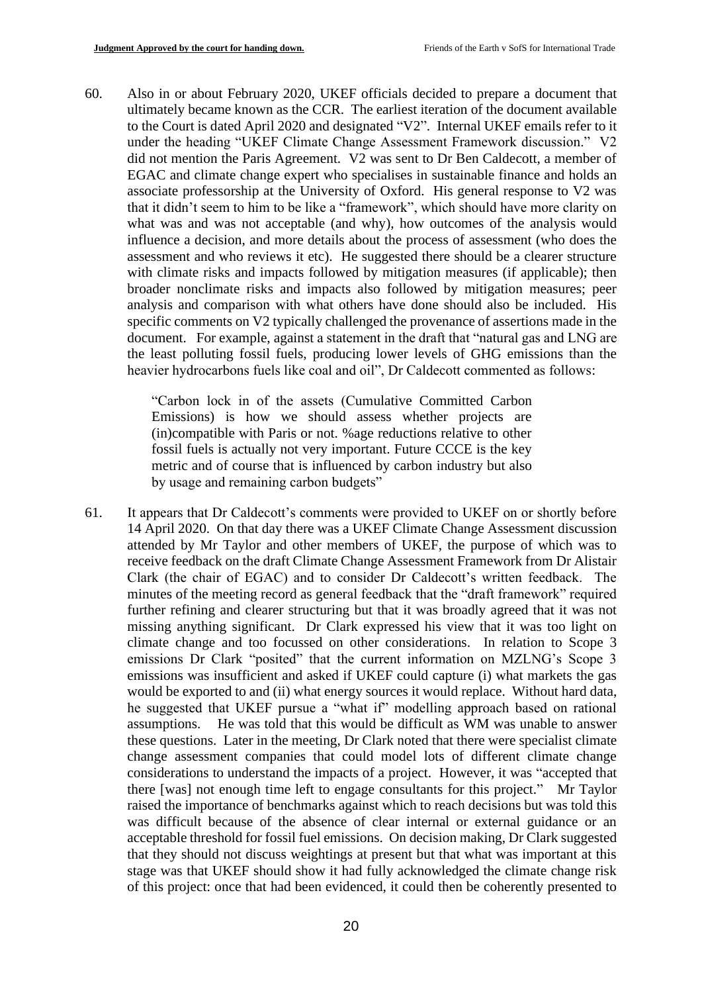60. Also in or about February 2020, UKEF officials decided to prepare a document that ultimately became known as the CCR. The earliest iteration of the document available to the Court is dated April 2020 and designated "V2". Internal UKEF emails refer to it under the heading "UKEF Climate Change Assessment Framework discussion." V2 did not mention the Paris Agreement. V2 was sent to Dr Ben Caldecott, a member of EGAC and climate change expert who specialises in sustainable finance and holds an associate professorship at the University of Oxford. His general response to V2 was that it didn't seem to him to be like a "framework", which should have more clarity on what was and was not acceptable (and why), how outcomes of the analysis would influence a decision, and more details about the process of assessment (who does the assessment and who reviews it etc). He suggested there should be a clearer structure with climate risks and impacts followed by mitigation measures (if applicable); then broader nonclimate risks and impacts also followed by mitigation measures; peer analysis and comparison with what others have done should also be included. His specific comments on V2 typically challenged the provenance of assertions made in the document. For example, against a statement in the draft that "natural gas and LNG are the least polluting fossil fuels, producing lower levels of GHG emissions than the heavier hydrocarbons fuels like coal and oil", Dr Caldecott commented as follows:

> "Carbon lock in of the assets (Cumulative Committed Carbon Emissions) is how we should assess whether projects are (in)compatible with Paris or not. %age reductions relative to other fossil fuels is actually not very important. Future CCCE is the key metric and of course that is influenced by carbon industry but also by usage and remaining carbon budgets"

61. It appears that Dr Caldecott's comments were provided to UKEF on or shortly before 14 April 2020. On that day there was a UKEF Climate Change Assessment discussion attended by Mr Taylor and other members of UKEF, the purpose of which was to receive feedback on the draft Climate Change Assessment Framework from Dr Alistair Clark (the chair of EGAC) and to consider Dr Caldecott's written feedback. The minutes of the meeting record as general feedback that the "draft framework" required further refining and clearer structuring but that it was broadly agreed that it was not missing anything significant. Dr Clark expressed his view that it was too light on climate change and too focussed on other considerations. In relation to Scope 3 emissions Dr Clark "posited" that the current information on MZLNG's Scope 3 emissions was insufficient and asked if UKEF could capture (i) what markets the gas would be exported to and (ii) what energy sources it would replace. Without hard data, he suggested that UKEF pursue a "what if" modelling approach based on rational assumptions. He was told that this would be difficult as WM was unable to answer these questions. Later in the meeting, Dr Clark noted that there were specialist climate change assessment companies that could model lots of different climate change considerations to understand the impacts of a project. However, it was "accepted that there [was] not enough time left to engage consultants for this project." Mr Taylor raised the importance of benchmarks against which to reach decisions but was told this was difficult because of the absence of clear internal or external guidance or an acceptable threshold for fossil fuel emissions. On decision making, Dr Clark suggested that they should not discuss weightings at present but that what was important at this stage was that UKEF should show it had fully acknowledged the climate change risk of this project: once that had been evidenced, it could then be coherently presented to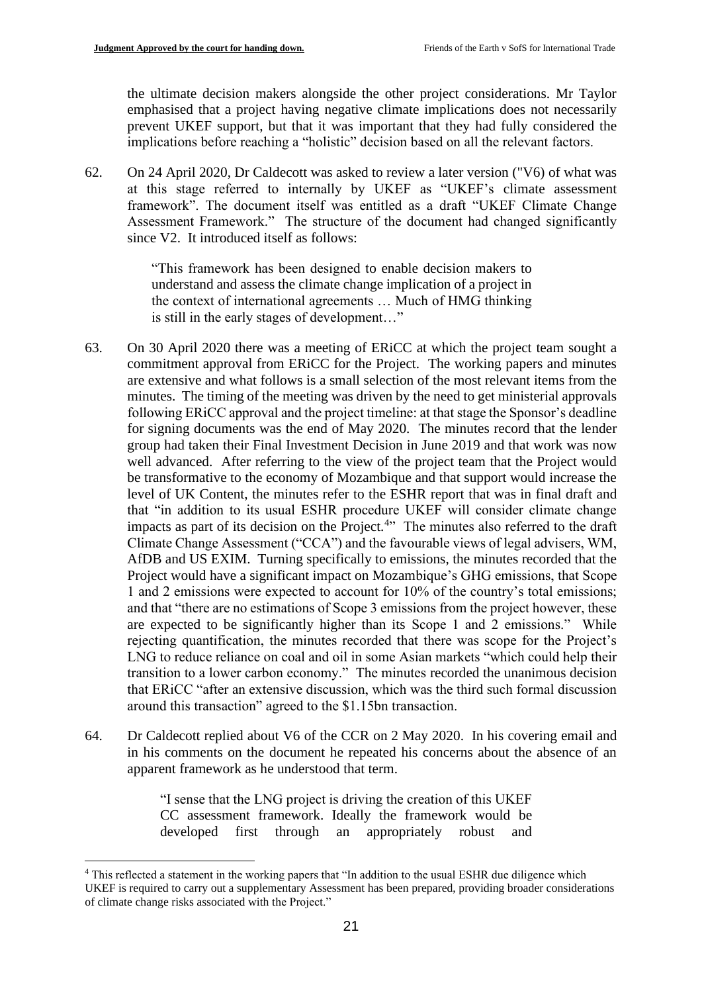the ultimate decision makers alongside the other project considerations. Mr Taylor emphasised that a project having negative climate implications does not necessarily prevent UKEF support, but that it was important that they had fully considered the implications before reaching a "holistic" decision based on all the relevant factors.

62. On 24 April 2020, Dr Caldecott was asked to review a later version ("V6) of what was at this stage referred to internally by UKEF as "UKEF's climate assessment framework". The document itself was entitled as a draft "UKEF Climate Change Assessment Framework." The structure of the document had changed significantly since V2. It introduced itself as follows:

> "This framework has been designed to enable decision makers to understand and assess the climate change implication of a project in the context of international agreements … Much of HMG thinking is still in the early stages of development…"

- 63. On 30 April 2020 there was a meeting of ERiCC at which the project team sought a commitment approval from ERiCC for the Project. The working papers and minutes are extensive and what follows is a small selection of the most relevant items from the minutes. The timing of the meeting was driven by the need to get ministerial approvals following ERiCC approval and the project timeline: at that stage the Sponsor's deadline for signing documents was the end of May 2020. The minutes record that the lender group had taken their Final Investment Decision in June 2019 and that work was now well advanced. After referring to the view of the project team that the Project would be transformative to the economy of Mozambique and that support would increase the level of UK Content, the minutes refer to the ESHR report that was in final draft and that "in addition to its usual ESHR procedure UKEF will consider climate change impacts as part of its decision on the Project.<sup>4</sup> $\cdot$  The minutes also referred to the draft Climate Change Assessment ("CCA") and the favourable views of legal advisers, WM, AfDB and US EXIM. Turning specifically to emissions, the minutes recorded that the Project would have a significant impact on Mozambique's GHG emissions, that Scope 1 and 2 emissions were expected to account for 10% of the country's total emissions; and that "there are no estimations of Scope 3 emissions from the project however, these are expected to be significantly higher than its Scope 1 and 2 emissions." While rejecting quantification, the minutes recorded that there was scope for the Project's LNG to reduce reliance on coal and oil in some Asian markets "which could help their transition to a lower carbon economy." The minutes recorded the unanimous decision that ERiCC "after an extensive discussion, which was the third such formal discussion around this transaction" agreed to the \$1.15bn transaction.
- 64. Dr Caldecott replied about V6 of the CCR on 2 May 2020. In his covering email and in his comments on the document he repeated his concerns about the absence of an apparent framework as he understood that term.

"I sense that the LNG project is driving the creation of this UKEF CC assessment framework. Ideally the framework would be developed first through an appropriately robust and

<sup>&</sup>lt;sup>4</sup> This reflected a statement in the working papers that "In addition to the usual ESHR due diligence which UKEF is required to carry out a supplementary Assessment has been prepared, providing broader considerations of climate change risks associated with the Project."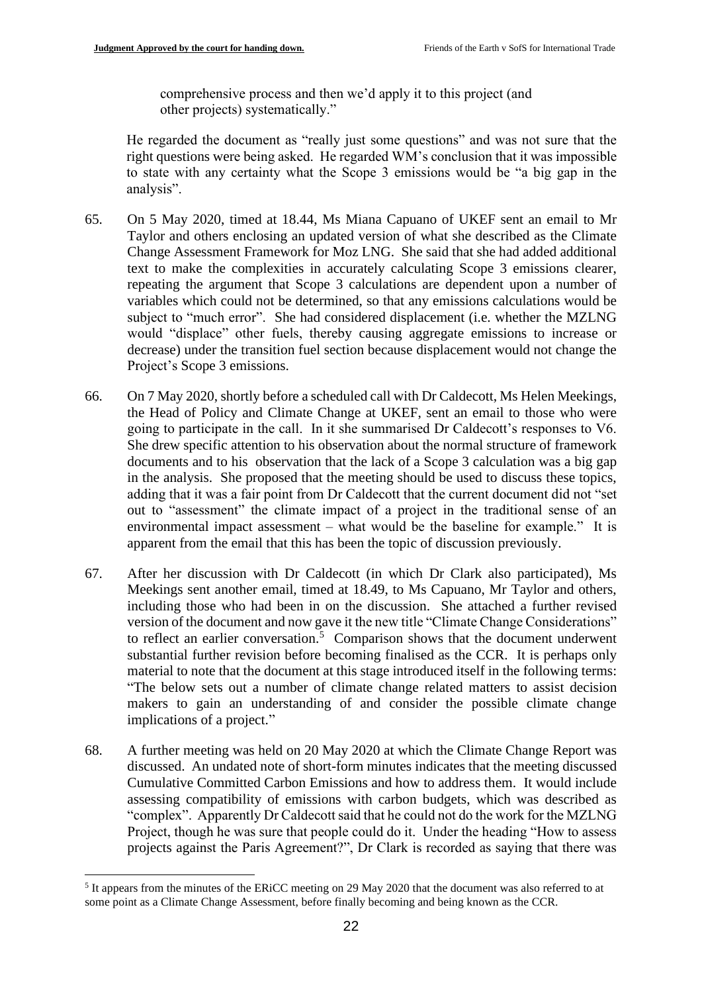comprehensive process and then we'd apply it to this project (and other projects) systematically."

He regarded the document as "really just some questions" and was not sure that the right questions were being asked. He regarded WM's conclusion that it was impossible to state with any certainty what the Scope 3 emissions would be "a big gap in the analysis".

- 65. On 5 May 2020, timed at 18.44, Ms Miana Capuano of UKEF sent an email to Mr Taylor and others enclosing an updated version of what she described as the Climate Change Assessment Framework for Moz LNG. She said that she had added additional text to make the complexities in accurately calculating Scope 3 emissions clearer, repeating the argument that Scope 3 calculations are dependent upon a number of variables which could not be determined, so that any emissions calculations would be subject to "much error". She had considered displacement (i.e. whether the MZLNG would "displace" other fuels, thereby causing aggregate emissions to increase or decrease) under the transition fuel section because displacement would not change the Project's Scope 3 emissions.
- 66. On 7 May 2020, shortly before a scheduled call with Dr Caldecott, Ms Helen Meekings, the Head of Policy and Climate Change at UKEF, sent an email to those who were going to participate in the call. In it she summarised Dr Caldecott's responses to V6. She drew specific attention to his observation about the normal structure of framework documents and to his observation that the lack of a Scope 3 calculation was a big gap in the analysis. She proposed that the meeting should be used to discuss these topics, adding that it was a fair point from Dr Caldecott that the current document did not "set out to "assessment" the climate impact of a project in the traditional sense of an environmental impact assessment – what would be the baseline for example." It is apparent from the email that this has been the topic of discussion previously.
- 67. After her discussion with Dr Caldecott (in which Dr Clark also participated), Ms Meekings sent another email, timed at 18.49, to Ms Capuano, Mr Taylor and others, including those who had been in on the discussion. She attached a further revised version of the document and now gave it the new title "Climate Change Considerations" to reflect an earlier conversation.<sup>5</sup> Comparison shows that the document underwent substantial further revision before becoming finalised as the CCR. It is perhaps only material to note that the document at this stage introduced itself in the following terms: "The below sets out a number of climate change related matters to assist decision makers to gain an understanding of and consider the possible climate change implications of a project."
- 68. A further meeting was held on 20 May 2020 at which the Climate Change Report was discussed. An undated note of short-form minutes indicates that the meeting discussed Cumulative Committed Carbon Emissions and how to address them. It would include assessing compatibility of emissions with carbon budgets, which was described as "complex". Apparently Dr Caldecott said that he could not do the work for the MZLNG Project, though he was sure that people could do it. Under the heading "How to assess projects against the Paris Agreement?", Dr Clark is recorded as saying that there was

<sup>&</sup>lt;sup>5</sup> It appears from the minutes of the ERICC meeting on 29 May 2020 that the document was also referred to at some point as a Climate Change Assessment, before finally becoming and being known as the CCR.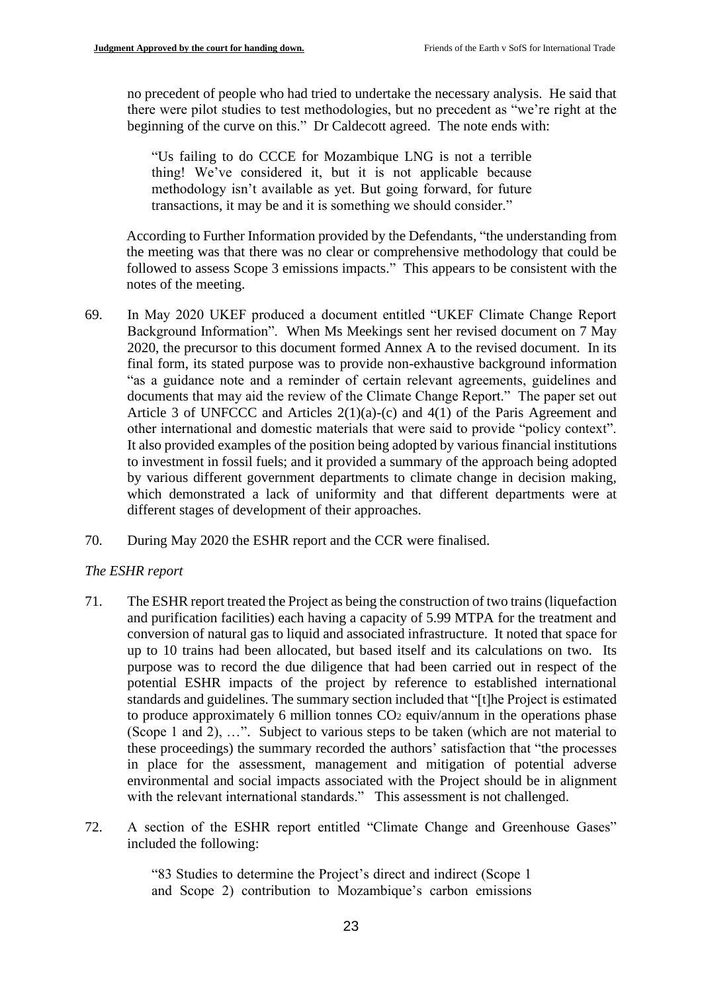no precedent of people who had tried to undertake the necessary analysis. He said that there were pilot studies to test methodologies, but no precedent as "we're right at the beginning of the curve on this." Dr Caldecott agreed. The note ends with:

"Us failing to do CCCE for Mozambique LNG is not a terrible thing! We've considered it, but it is not applicable because methodology isn't available as yet. But going forward, for future transactions, it may be and it is something we should consider."

According to Further Information provided by the Defendants, "the understanding from the meeting was that there was no clear or comprehensive methodology that could be followed to assess Scope 3 emissions impacts." This appears to be consistent with the notes of the meeting.

- 69. In May 2020 UKEF produced a document entitled "UKEF Climate Change Report Background Information". When Ms Meekings sent her revised document on 7 May 2020, the precursor to this document formed Annex A to the revised document. In its final form, its stated purpose was to provide non-exhaustive background information "as a guidance note and a reminder of certain relevant agreements, guidelines and documents that may aid the review of the Climate Change Report." The paper set out Article 3 of UNFCCC and Articles 2(1)(a)-(c) and 4(1) of the Paris Agreement and other international and domestic materials that were said to provide "policy context". It also provided examples of the position being adopted by various financial institutions to investment in fossil fuels; and it provided a summary of the approach being adopted by various different government departments to climate change in decision making, which demonstrated a lack of uniformity and that different departments were at different stages of development of their approaches.
- 70. During May 2020 the ESHR report and the CCR were finalised.

### *The ESHR report*

- 71. The ESHR report treated the Project as being the construction of two trains (liquefaction and purification facilities) each having a capacity of 5.99 MTPA for the treatment and conversion of natural gas to liquid and associated infrastructure. It noted that space for up to 10 trains had been allocated, but based itself and its calculations on two. Its purpose was to record the due diligence that had been carried out in respect of the potential ESHR impacts of the project by reference to established international standards and guidelines. The summary section included that "[t]he Project is estimated to produce approximately 6 million tonnes CO<sup>2</sup> equiv/annum in the operations phase (Scope 1 and 2), …". Subject to various steps to be taken (which are not material to these proceedings) the summary recorded the authors' satisfaction that "the processes in place for the assessment, management and mitigation of potential adverse environmental and social impacts associated with the Project should be in alignment with the relevant international standards." This assessment is not challenged.
- 72. A section of the ESHR report entitled "Climate Change and Greenhouse Gases" included the following:

"83 Studies to determine the Project's direct and indirect (Scope 1 and Scope 2) contribution to Mozambique's carbon emissions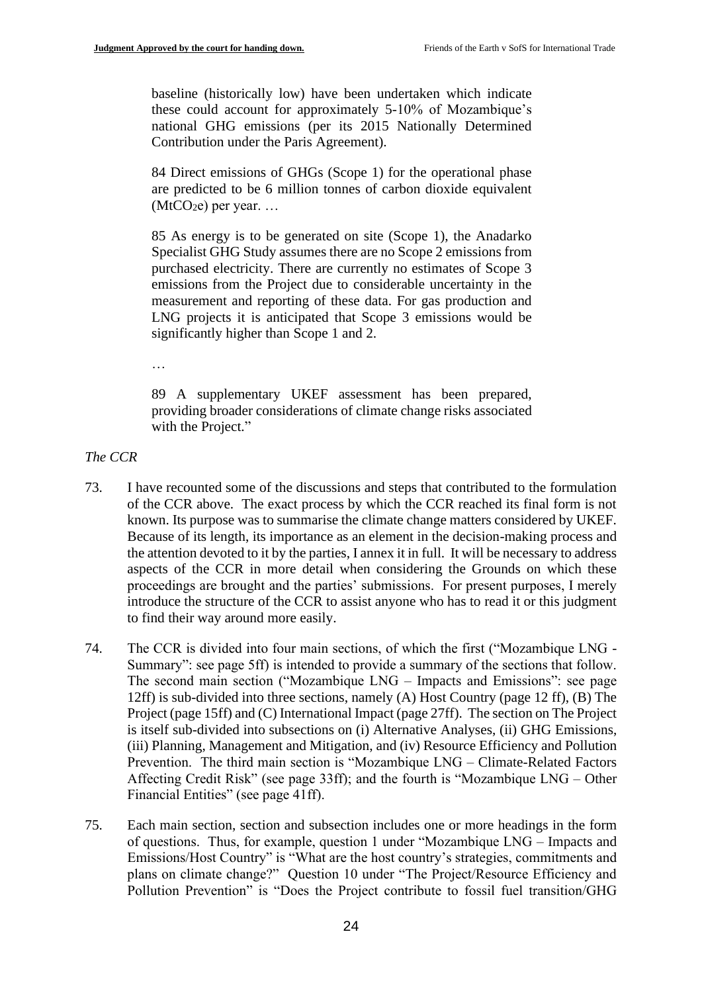baseline (historically low) have been undertaken which indicate these could account for approximately 5-10% of Mozambique's national GHG emissions (per its 2015 Nationally Determined Contribution under the Paris Agreement).

84 Direct emissions of GHGs (Scope 1) for the operational phase are predicted to be 6 million tonnes of carbon dioxide equivalent  $(MtCO<sub>2</sub>e)$  per year. ...

85 As energy is to be generated on site (Scope 1), the Anadarko Specialist GHG Study assumes there are no Scope 2 emissions from purchased electricity. There are currently no estimates of Scope 3 emissions from the Project due to considerable uncertainty in the measurement and reporting of these data. For gas production and LNG projects it is anticipated that Scope 3 emissions would be significantly higher than Scope 1 and 2.

…

89 A supplementary UKEF assessment has been prepared, providing broader considerations of climate change risks associated with the Project."

### *The CCR*

- 73. I have recounted some of the discussions and steps that contributed to the formulation of the CCR above. The exact process by which the CCR reached its final form is not known. Its purpose was to summarise the climate change matters considered by UKEF. Because of its length, its importance as an element in the decision-making process and the attention devoted to it by the parties, I annex it in full. It will be necessary to address aspects of the CCR in more detail when considering the Grounds on which these proceedings are brought and the parties' submissions. For present purposes, I merely introduce the structure of the CCR to assist anyone who has to read it or this judgment to find their way around more easily.
- 74. The CCR is divided into four main sections, of which the first ("Mozambique LNG Summary": see page 5ff) is intended to provide a summary of the sections that follow. The second main section ("Mozambique LNG – Impacts and Emissions": see page 12ff) is sub-divided into three sections, namely (A) Host Country (page 12 ff), (B) The Project (page 15ff) and (C) International Impact (page 27ff). The section on The Project is itself sub-divided into subsections on (i) Alternative Analyses, (ii) GHG Emissions, (iii) Planning, Management and Mitigation, and (iv) Resource Efficiency and Pollution Prevention. The third main section is "Mozambique LNG – Climate-Related Factors Affecting Credit Risk" (see page 33ff); and the fourth is "Mozambique LNG – Other Financial Entities" (see page 41ff).
- 75. Each main section, section and subsection includes one or more headings in the form of questions. Thus, for example, question 1 under "Mozambique LNG – Impacts and Emissions/Host Country" is "What are the host country's strategies, commitments and plans on climate change?" Question 10 under "The Project/Resource Efficiency and Pollution Prevention" is "Does the Project contribute to fossil fuel transition/GHG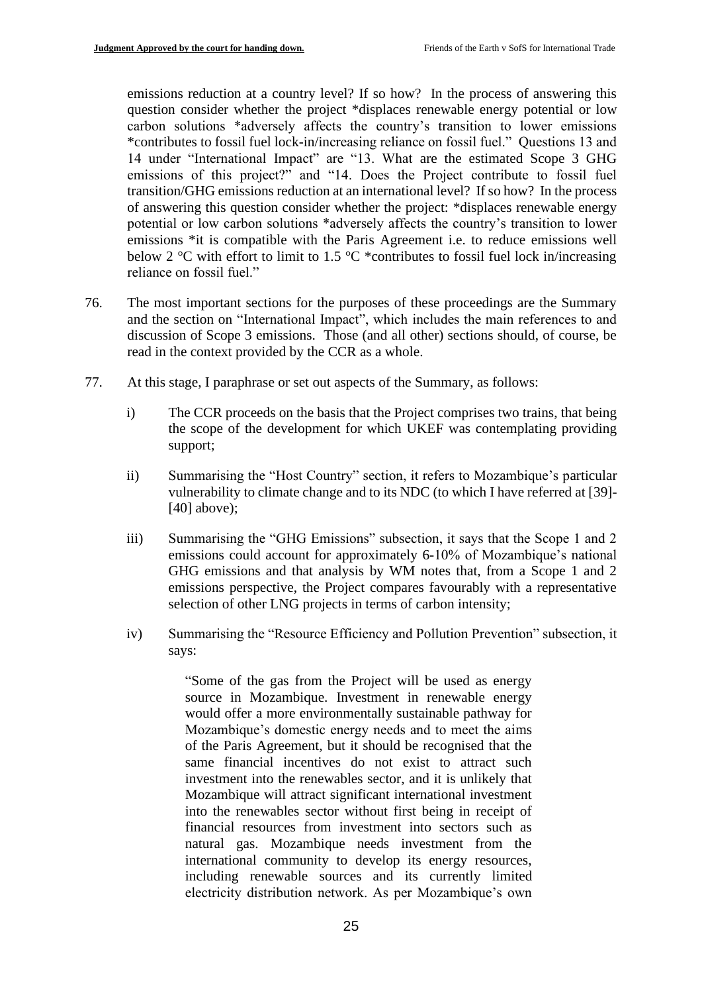emissions reduction at a country level? If so how? In the process of answering this question consider whether the project \*displaces renewable energy potential or low carbon solutions \*adversely affects the country's transition to lower emissions \*contributes to fossil fuel lock-in/increasing reliance on fossil fuel." Questions 13 and 14 under "International Impact" are "13. What are the estimated Scope 3 GHG emissions of this project?" and "14. Does the Project contribute to fossil fuel transition/GHG emissions reduction at an international level? If so how? In the process of answering this question consider whether the project: \*displaces renewable energy potential or low carbon solutions \*adversely affects the country's transition to lower emissions \*it is compatible with the Paris Agreement i.e. to reduce emissions well below 2 °C with effort to limit to 1.5 °C  $*$  contributes to fossil fuel lock in/increasing reliance on fossil fuel."

- 76. The most important sections for the purposes of these proceedings are the Summary and the section on "International Impact", which includes the main references to and discussion of Scope 3 emissions. Those (and all other) sections should, of course, be read in the context provided by the CCR as a whole.
- 77. At this stage, I paraphrase or set out aspects of the Summary, as follows:
	- i) The CCR proceeds on the basis that the Project comprises two trains, that being the scope of the development for which UKEF was contemplating providing support;
	- ii) Summarising the "Host Country" section, it refers to Mozambique's particular vulnerability to climate change and to its NDC (to which I have referred at [39]- [40] above);
	- iii) Summarising the "GHG Emissions" subsection, it says that the Scope 1 and 2 emissions could account for approximately 6-10% of Mozambique's national GHG emissions and that analysis by WM notes that, from a Scope 1 and 2 emissions perspective, the Project compares favourably with a representative selection of other LNG projects in terms of carbon intensity;
	- iv) Summarising the "Resource Efficiency and Pollution Prevention" subsection, it says:

"Some of the gas from the Project will be used as energy source in Mozambique. Investment in renewable energy would offer a more environmentally sustainable pathway for Mozambique's domestic energy needs and to meet the aims of the Paris Agreement, but it should be recognised that the same financial incentives do not exist to attract such investment into the renewables sector, and it is unlikely that Mozambique will attract significant international investment into the renewables sector without first being in receipt of financial resources from investment into sectors such as natural gas. Mozambique needs investment from the international community to develop its energy resources, including renewable sources and its currently limited electricity distribution network. As per Mozambique's own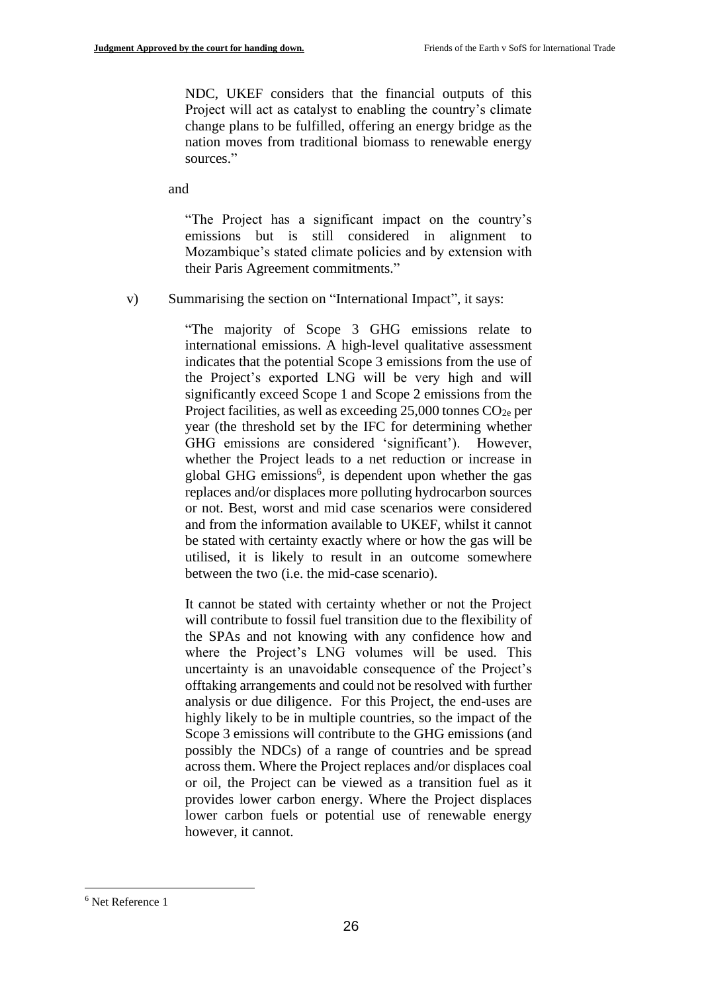NDC, UKEF considers that the financial outputs of this Project will act as catalyst to enabling the country's climate change plans to be fulfilled, offering an energy bridge as the nation moves from traditional biomass to renewable energy sources."

and

"The Project has a significant impact on the country's emissions but is still considered in alignment to Mozambique's stated climate policies and by extension with their Paris Agreement commitments."

v) Summarising the section on "International Impact", it says:

"The majority of Scope 3 GHG emissions relate to international emissions. A high-level qualitative assessment indicates that the potential Scope 3 emissions from the use of the Project's exported LNG will be very high and will significantly exceed Scope 1 and Scope 2 emissions from the Project facilities, as well as exceeding  $25,000$  tonnes  $CO<sub>2e</sub>$  per year (the threshold set by the IFC for determining whether GHG emissions are considered 'significant'). However, whether the Project leads to a net reduction or increase in global GHG emissions<sup>6</sup>, is dependent upon whether the gas replaces and/or displaces more polluting hydrocarbon sources or not. Best, worst and mid case scenarios were considered and from the information available to UKEF, whilst it cannot be stated with certainty exactly where or how the gas will be utilised, it is likely to result in an outcome somewhere between the two (i.e. the mid-case scenario).

It cannot be stated with certainty whether or not the Project will contribute to fossil fuel transition due to the flexibility of the SPAs and not knowing with any confidence how and where the Project's LNG volumes will be used. This uncertainty is an unavoidable consequence of the Project's offtaking arrangements and could not be resolved with further analysis or due diligence. For this Project, the end-uses are highly likely to be in multiple countries, so the impact of the Scope 3 emissions will contribute to the GHG emissions (and possibly the NDCs) of a range of countries and be spread across them. Where the Project replaces and/or displaces coal or oil, the Project can be viewed as a transition fuel as it provides lower carbon energy. Where the Project displaces lower carbon fuels or potential use of renewable energy however, it cannot.

<sup>6</sup> Net Reference 1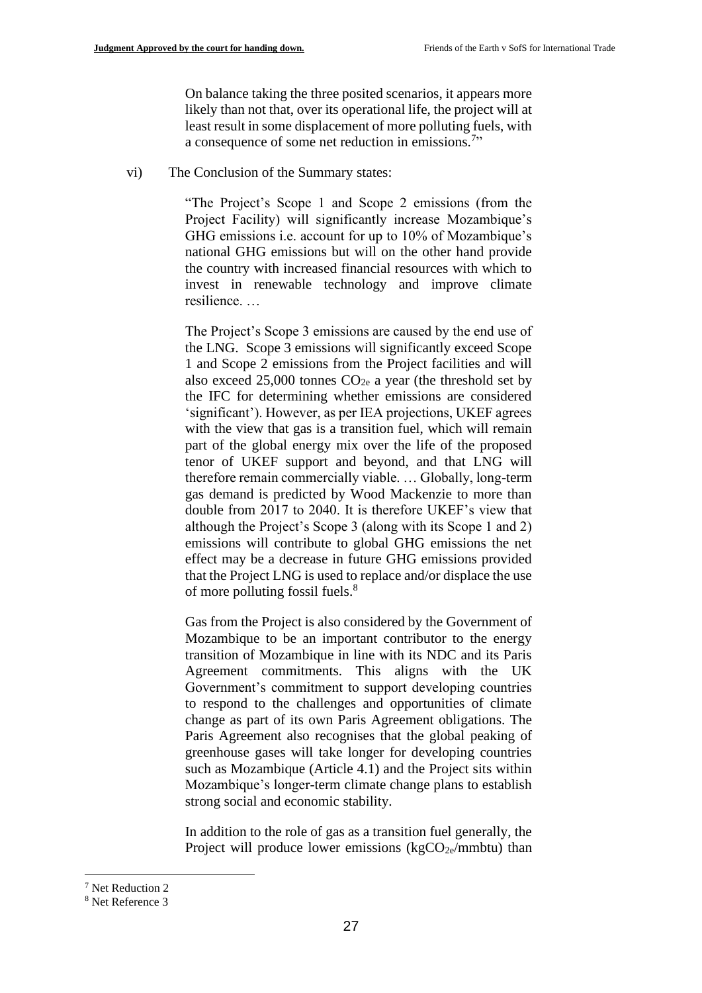On balance taking the three posited scenarios, it appears more likely than not that, over its operational life, the project will at least result in some displacement of more polluting fuels, with a consequence of some net reduction in emissions.<sup>7</sup>"

vi) The Conclusion of the Summary states:

"The Project's Scope 1 and Scope 2 emissions (from the Project Facility) will significantly increase Mozambique's GHG emissions i.e. account for up to 10% of Mozambique's national GHG emissions but will on the other hand provide the country with increased financial resources with which to invest in renewable technology and improve climate resilience. …

The Project's Scope 3 emissions are caused by the end use of the LNG. Scope 3 emissions will significantly exceed Scope 1 and Scope 2 emissions from the Project facilities and will also exceed  $25,000$  tonnes  $CO<sub>2e</sub>$  a year (the threshold set by the IFC for determining whether emissions are considered 'significant'). However, as per IEA projections, UKEF agrees with the view that gas is a transition fuel, which will remain part of the global energy mix over the life of the proposed tenor of UKEF support and beyond, and that LNG will therefore remain commercially viable. … Globally, long-term gas demand is predicted by Wood Mackenzie to more than double from 2017 to 2040. It is therefore UKEF's view that although the Project's Scope 3 (along with its Scope 1 and 2) emissions will contribute to global GHG emissions the net effect may be a decrease in future GHG emissions provided that the Project LNG is used to replace and/or displace the use of more polluting fossil fuels.<sup>8</sup>

Gas from the Project is also considered by the Government of Mozambique to be an important contributor to the energy transition of Mozambique in line with its NDC and its Paris Agreement commitments. This aligns with the UK Government's commitment to support developing countries to respond to the challenges and opportunities of climate change as part of its own Paris Agreement obligations. The Paris Agreement also recognises that the global peaking of greenhouse gases will take longer for developing countries such as Mozambique (Article 4.1) and the Project sits within Mozambique's longer-term climate change plans to establish strong social and economic stability.

In addition to the role of gas as a transition fuel generally, the Project will produce lower emissions ( $kgCO<sub>2e</sub>/mmbtu$ ) than

<sup>7</sup> Net Reduction 2

<sup>8</sup> Net Reference 3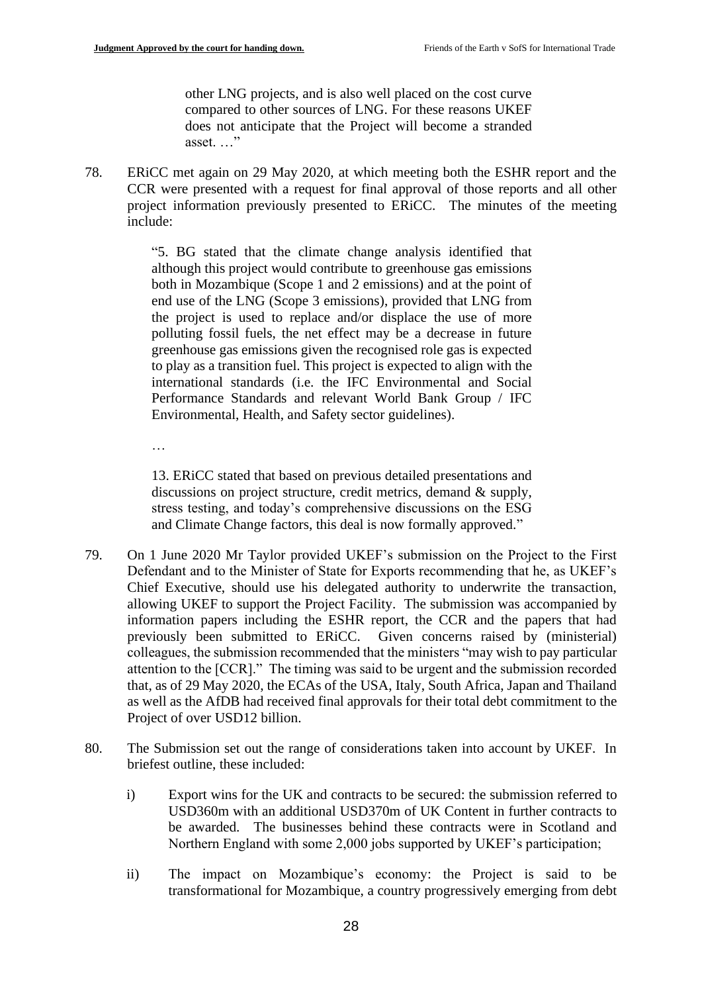other LNG projects, and is also well placed on the cost curve compared to other sources of LNG. For these reasons UKEF does not anticipate that the Project will become a stranded asset. …"

78. ERiCC met again on 29 May 2020, at which meeting both the ESHR report and the CCR were presented with a request for final approval of those reports and all other project information previously presented to ERiCC. The minutes of the meeting include:

> "5. BG stated that the climate change analysis identified that although this project would contribute to greenhouse gas emissions both in Mozambique (Scope 1 and 2 emissions) and at the point of end use of the LNG (Scope 3 emissions), provided that LNG from the project is used to replace and/or displace the use of more polluting fossil fuels, the net effect may be a decrease in future greenhouse gas emissions given the recognised role gas is expected to play as a transition fuel. This project is expected to align with the international standards (i.e. the IFC Environmental and Social Performance Standards and relevant World Bank Group / IFC Environmental, Health, and Safety sector guidelines).

…

13. ERiCC stated that based on previous detailed presentations and discussions on project structure, credit metrics, demand & supply, stress testing, and today's comprehensive discussions on the ESG and Climate Change factors, this deal is now formally approved."

- 79. On 1 June 2020 Mr Taylor provided UKEF's submission on the Project to the First Defendant and to the Minister of State for Exports recommending that he, as UKEF's Chief Executive, should use his delegated authority to underwrite the transaction, allowing UKEF to support the Project Facility. The submission was accompanied by information papers including the ESHR report, the CCR and the papers that had previously been submitted to ERiCC. Given concerns raised by (ministerial) colleagues, the submission recommended that the ministers "may wish to pay particular attention to the [CCR]." The timing was said to be urgent and the submission recorded that, as of 29 May 2020, the ECAs of the USA, Italy, South Africa, Japan and Thailand as well as the AfDB had received final approvals for their total debt commitment to the Project of over USD12 billion.
- 80. The Submission set out the range of considerations taken into account by UKEF. In briefest outline, these included:
	- i) Export wins for the UK and contracts to be secured: the submission referred to USD360m with an additional USD370m of UK Content in further contracts to be awarded. The businesses behind these contracts were in Scotland and Northern England with some 2,000 jobs supported by UKEF's participation;
	- ii) The impact on Mozambique's economy: the Project is said to be transformational for Mozambique, a country progressively emerging from debt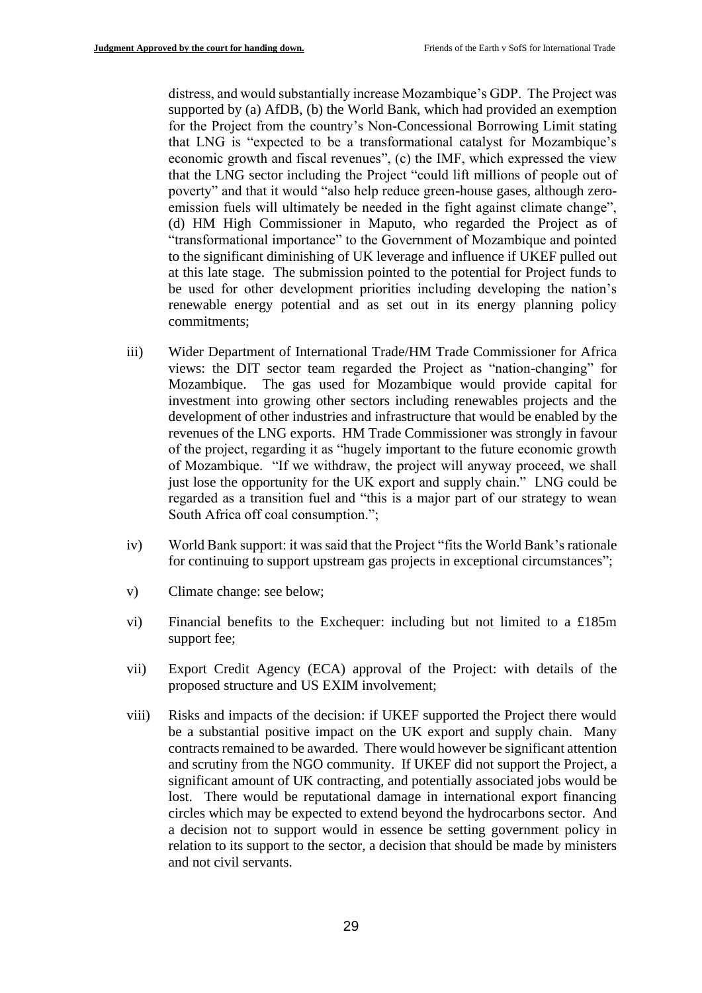distress, and would substantially increase Mozambique's GDP. The Project was supported by (a) AfDB, (b) the World Bank, which had provided an exemption for the Project from the country's Non-Concessional Borrowing Limit stating that LNG is "expected to be a transformational catalyst for Mozambique's economic growth and fiscal revenues", (c) the IMF, which expressed the view that the LNG sector including the Project "could lift millions of people out of poverty" and that it would "also help reduce green-house gases, although zeroemission fuels will ultimately be needed in the fight against climate change", (d) HM High Commissioner in Maputo, who regarded the Project as of "transformational importance" to the Government of Mozambique and pointed to the significant diminishing of UK leverage and influence if UKEF pulled out at this late stage. The submission pointed to the potential for Project funds to be used for other development priorities including developing the nation's renewable energy potential and as set out in its energy planning policy commitments;

- iii) Wider Department of International Trade/HM Trade Commissioner for Africa views: the DIT sector team regarded the Project as "nation-changing" for Mozambique. The gas used for Mozambique would provide capital for investment into growing other sectors including renewables projects and the development of other industries and infrastructure that would be enabled by the revenues of the LNG exports. HM Trade Commissioner was strongly in favour of the project, regarding it as "hugely important to the future economic growth of Mozambique. "If we withdraw, the project will anyway proceed, we shall just lose the opportunity for the UK export and supply chain." LNG could be regarded as a transition fuel and "this is a major part of our strategy to wean South Africa off coal consumption.";
- iv) World Bank support: it was said that the Project "fits the World Bank's rationale for continuing to support upstream gas projects in exceptional circumstances";
- v) Climate change: see below;
- vi) Financial benefits to the Exchequer: including but not limited to a £185m support fee;
- vii) Export Credit Agency (ECA) approval of the Project: with details of the proposed structure and US EXIM involvement;
- viii) Risks and impacts of the decision: if UKEF supported the Project there would be a substantial positive impact on the UK export and supply chain. Many contracts remained to be awarded. There would however be significant attention and scrutiny from the NGO community. If UKEF did not support the Project, a significant amount of UK contracting, and potentially associated jobs would be lost. There would be reputational damage in international export financing circles which may be expected to extend beyond the hydrocarbons sector. And a decision not to support would in essence be setting government policy in relation to its support to the sector, a decision that should be made by ministers and not civil servants.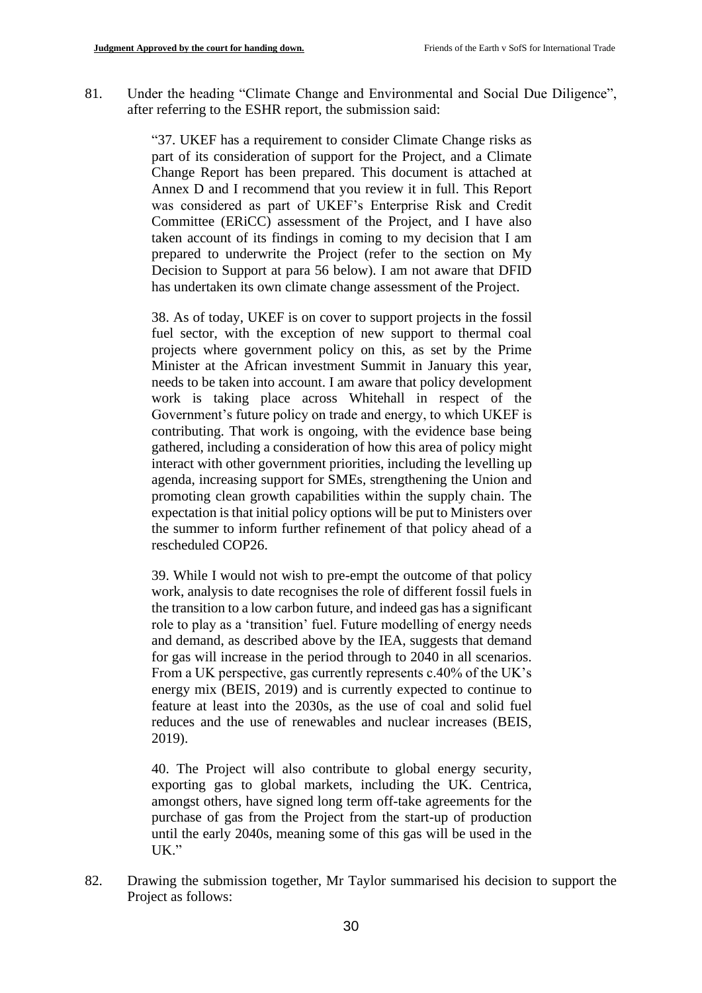81. Under the heading "Climate Change and Environmental and Social Due Diligence", after referring to the ESHR report, the submission said:

> "37. UKEF has a requirement to consider Climate Change risks as part of its consideration of support for the Project, and a Climate Change Report has been prepared. This document is attached at Annex D and I recommend that you review it in full. This Report was considered as part of UKEF's Enterprise Risk and Credit Committee (ERiCC) assessment of the Project, and I have also taken account of its findings in coming to my decision that I am prepared to underwrite the Project (refer to the section on My Decision to Support at para 56 below). I am not aware that DFID has undertaken its own climate change assessment of the Project.

> 38. As of today, UKEF is on cover to support projects in the fossil fuel sector, with the exception of new support to thermal coal projects where government policy on this, as set by the Prime Minister at the African investment Summit in January this year, needs to be taken into account. I am aware that policy development work is taking place across Whitehall in respect of the Government's future policy on trade and energy, to which UKEF is contributing. That work is ongoing, with the evidence base being gathered, including a consideration of how this area of policy might interact with other government priorities, including the levelling up agenda, increasing support for SMEs, strengthening the Union and promoting clean growth capabilities within the supply chain. The expectation is that initial policy options will be put to Ministers over the summer to inform further refinement of that policy ahead of a rescheduled COP26.

> 39. While I would not wish to pre-empt the outcome of that policy work, analysis to date recognises the role of different fossil fuels in the transition to a low carbon future, and indeed gas has a significant role to play as a 'transition' fuel. Future modelling of energy needs and demand, as described above by the IEA, suggests that demand for gas will increase in the period through to 2040 in all scenarios. From a UK perspective, gas currently represents c.40% of the UK's energy mix (BEIS, 2019) and is currently expected to continue to feature at least into the 2030s, as the use of coal and solid fuel reduces and the use of renewables and nuclear increases (BEIS, 2019).

> 40. The Project will also contribute to global energy security, exporting gas to global markets, including the UK. Centrica, amongst others, have signed long term off-take agreements for the purchase of gas from the Project from the start-up of production until the early 2040s, meaning some of this gas will be used in the UK."

82. Drawing the submission together, Mr Taylor summarised his decision to support the Project as follows: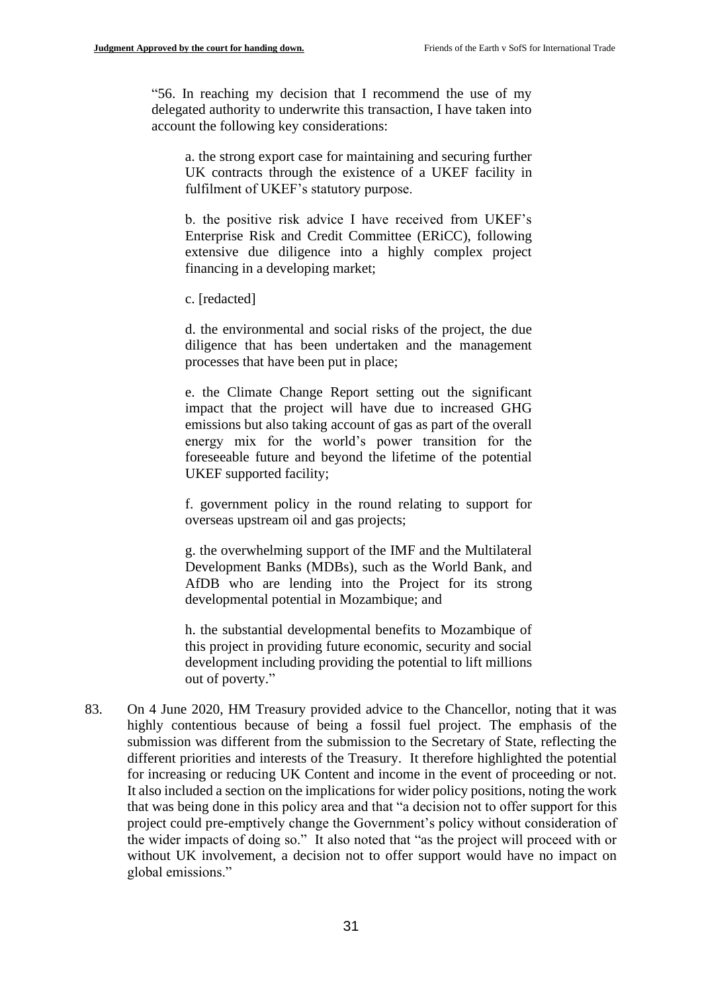"56. In reaching my decision that I recommend the use of my delegated authority to underwrite this transaction, I have taken into account the following key considerations:

a. the strong export case for maintaining and securing further UK contracts through the existence of a UKEF facility in fulfilment of UKEF's statutory purpose.

b. the positive risk advice I have received from UKEF's Enterprise Risk and Credit Committee (ERiCC), following extensive due diligence into a highly complex project financing in a developing market;

c. [redacted]

d. the environmental and social risks of the project, the due diligence that has been undertaken and the management processes that have been put in place;

e. the Climate Change Report setting out the significant impact that the project will have due to increased GHG emissions but also taking account of gas as part of the overall energy mix for the world's power transition for the foreseeable future and beyond the lifetime of the potential UKEF supported facility;

f. government policy in the round relating to support for overseas upstream oil and gas projects;

g. the overwhelming support of the IMF and the Multilateral Development Banks (MDBs), such as the World Bank, and AfDB who are lending into the Project for its strong developmental potential in Mozambique; and

h. the substantial developmental benefits to Mozambique of this project in providing future economic, security and social development including providing the potential to lift millions out of poverty."

83. On 4 June 2020, HM Treasury provided advice to the Chancellor, noting that it was highly contentious because of being a fossil fuel project. The emphasis of the submission was different from the submission to the Secretary of State, reflecting the different priorities and interests of the Treasury. It therefore highlighted the potential for increasing or reducing UK Content and income in the event of proceeding or not. It also included a section on the implications for wider policy positions, noting the work that was being done in this policy area and that "a decision not to offer support for this project could pre-emptively change the Government's policy without consideration of the wider impacts of doing so." It also noted that "as the project will proceed with or without UK involvement, a decision not to offer support would have no impact on global emissions."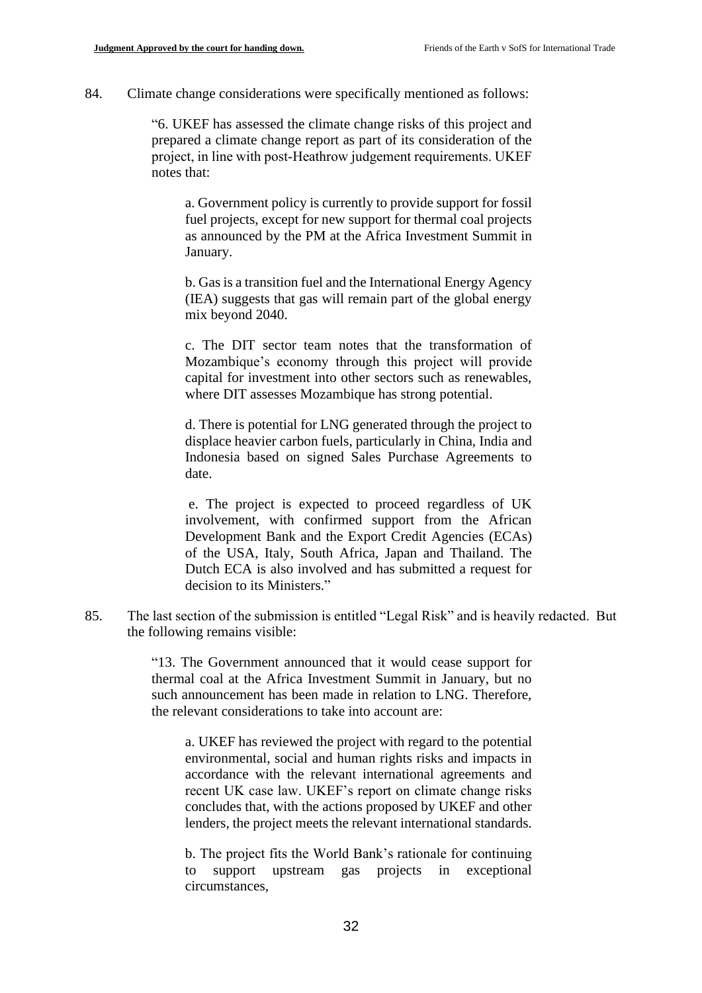84. Climate change considerations were specifically mentioned as follows:

"6. UKEF has assessed the climate change risks of this project and prepared a climate change report as part of its consideration of the project, in line with post‐Heathrow judgement requirements. UKEF notes that:

a. Government policy is currently to provide support for fossil fuel projects, except for new support for thermal coal projects as announced by the PM at the Africa Investment Summit in January.

b. Gas is a transition fuel and the International Energy Agency (IEA) suggests that gas will remain part of the global energy mix beyond 2040.

c. The DIT sector team notes that the transformation of Mozambique's economy through this project will provide capital for investment into other sectors such as renewables, where DIT assesses Mozambique has strong potential.

d. There is potential for LNG generated through the project to displace heavier carbon fuels, particularly in China, India and Indonesia based on signed Sales Purchase Agreements to date.

e. The project is expected to proceed regardless of UK involvement, with confirmed support from the African Development Bank and the Export Credit Agencies (ECAs) of the USA, Italy, South Africa, Japan and Thailand. The Dutch ECA is also involved and has submitted a request for decision to its Ministers."

85. The last section of the submission is entitled "Legal Risk" and is heavily redacted. But the following remains visible:

> "13. The Government announced that it would cease support for thermal coal at the Africa Investment Summit in January, but no such announcement has been made in relation to LNG. Therefore, the relevant considerations to take into account are:

a. UKEF has reviewed the project with regard to the potential environmental, social and human rights risks and impacts in accordance with the relevant international agreements and recent UK case law. UKEF's report on climate change risks concludes that, with the actions proposed by UKEF and other lenders, the project meets the relevant international standards.

b. The project fits the World Bank's rationale for continuing to support upstream gas projects in exceptional circumstances,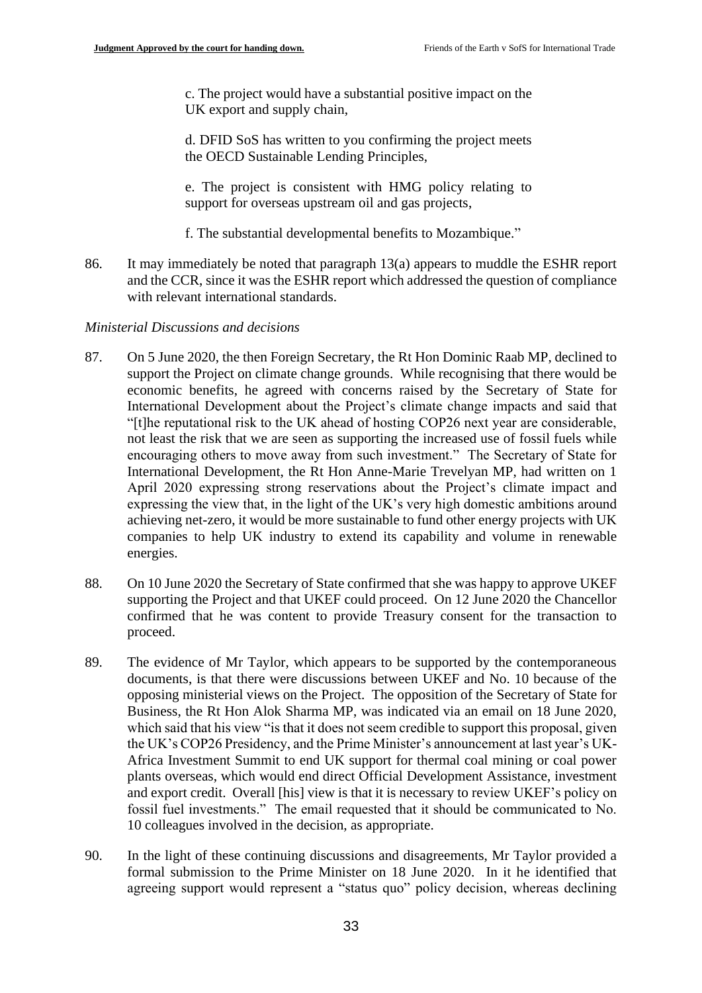c. The project would have a substantial positive impact on the UK export and supply chain,

d. DFID SoS has written to you confirming the project meets the OECD Sustainable Lending Principles,

e. The project is consistent with HMG policy relating to support for overseas upstream oil and gas projects,

- f. The substantial developmental benefits to Mozambique."
- 86. It may immediately be noted that paragraph 13(a) appears to muddle the ESHR report and the CCR, since it was the ESHR report which addressed the question of compliance with relevant international standards.

#### *Ministerial Discussions and decisions*

- 87. On 5 June 2020, the then Foreign Secretary, the Rt Hon Dominic Raab MP, declined to support the Project on climate change grounds. While recognising that there would be economic benefits, he agreed with concerns raised by the Secretary of State for International Development about the Project's climate change impacts and said that "[t]he reputational risk to the UK ahead of hosting COP26 next year are considerable, not least the risk that we are seen as supporting the increased use of fossil fuels while encouraging others to move away from such investment." The Secretary of State for International Development, the Rt Hon Anne-Marie Trevelyan MP, had written on 1 April 2020 expressing strong reservations about the Project's climate impact and expressing the view that, in the light of the UK's very high domestic ambitions around achieving net-zero, it would be more sustainable to fund other energy projects with UK companies to help UK industry to extend its capability and volume in renewable energies.
- 88. On 10 June 2020 the Secretary of State confirmed that she was happy to approve UKEF supporting the Project and that UKEF could proceed. On 12 June 2020 the Chancellor confirmed that he was content to provide Treasury consent for the transaction to proceed.
- 89. The evidence of Mr Taylor, which appears to be supported by the contemporaneous documents, is that there were discussions between UKEF and No. 10 because of the opposing ministerial views on the Project. The opposition of the Secretary of State for Business, the Rt Hon Alok Sharma MP, was indicated via an email on 18 June 2020, which said that his view "is that it does not seem credible to support this proposal, given the UK's COP26 Presidency, and the Prime Minister's announcement at last year's UK-Africa Investment Summit to end UK support for thermal coal mining or coal power plants overseas, which would end direct Official Development Assistance, investment and export credit. Overall [his] view is that it is necessary to review UKEF's policy on fossil fuel investments." The email requested that it should be communicated to No. 10 colleagues involved in the decision, as appropriate.
- 90. In the light of these continuing discussions and disagreements, Mr Taylor provided a formal submission to the Prime Minister on 18 June 2020. In it he identified that agreeing support would represent a "status quo" policy decision, whereas declining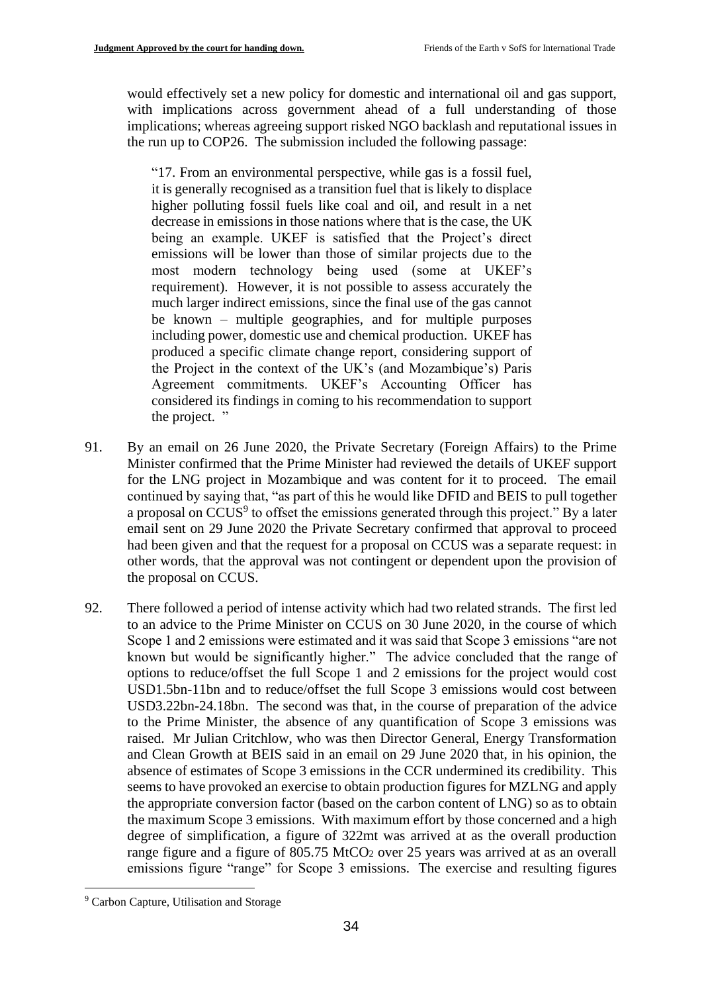would effectively set a new policy for domestic and international oil and gas support, with implications across government ahead of a full understanding of those implications; whereas agreeing support risked NGO backlash and reputational issues in the run up to COP26. The submission included the following passage:

"17. From an environmental perspective, while gas is a fossil fuel, it is generally recognised as a transition fuel that is likely to displace higher polluting fossil fuels like coal and oil, and result in a net decrease in emissions in those nations where that is the case, the UK being an example. UKEF is satisfied that the Project's direct emissions will be lower than those of similar projects due to the most modern technology being used (some at UKEF's requirement). However, it is not possible to assess accurately the much larger indirect emissions, since the final use of the gas cannot be known – multiple geographies, and for multiple purposes including power, domestic use and chemical production. UKEF has produced a specific climate change report, considering support of the Project in the context of the UK's (and Mozambique's) Paris Agreement commitments. UKEF's Accounting Officer has considered its findings in coming to his recommendation to support the project. "

- 91. By an email on 26 June 2020, the Private Secretary (Foreign Affairs) to the Prime Minister confirmed that the Prime Minister had reviewed the details of UKEF support for the LNG project in Mozambique and was content for it to proceed. The email continued by saying that, "as part of this he would like DFID and BEIS to pull together a proposal on  $CCUS<sup>9</sup>$  to offset the emissions generated through this project." By a later email sent on 29 June 2020 the Private Secretary confirmed that approval to proceed had been given and that the request for a proposal on CCUS was a separate request: in other words, that the approval was not contingent or dependent upon the provision of the proposal on CCUS.
- 92. There followed a period of intense activity which had two related strands. The first led to an advice to the Prime Minister on CCUS on 30 June 2020, in the course of which Scope 1 and 2 emissions were estimated and it was said that Scope 3 emissions "are not known but would be significantly higher." The advice concluded that the range of options to reduce/offset the full Scope 1 and 2 emissions for the project would cost USD1.5bn-11bn and to reduce/offset the full Scope 3 emissions would cost between USD3.22bn-24.18bn. The second was that, in the course of preparation of the advice to the Prime Minister, the absence of any quantification of Scope 3 emissions was raised. Mr Julian Critchlow, who was then Director General, Energy Transformation and Clean Growth at BEIS said in an email on 29 June 2020 that, in his opinion, the absence of estimates of Scope 3 emissions in the CCR undermined its credibility. This seems to have provoked an exercise to obtain production figures for MZLNG and apply the appropriate conversion factor (based on the carbon content of LNG) so as to obtain the maximum Scope 3 emissions. With maximum effort by those concerned and a high degree of simplification, a figure of 322mt was arrived at as the overall production range figure and a figure of 805.75 MtCO<sup>2</sup> over 25 years was arrived at as an overall emissions figure "range" for Scope 3 emissions. The exercise and resulting figures

<sup>&</sup>lt;sup>9</sup> Carbon Capture, Utilisation and Storage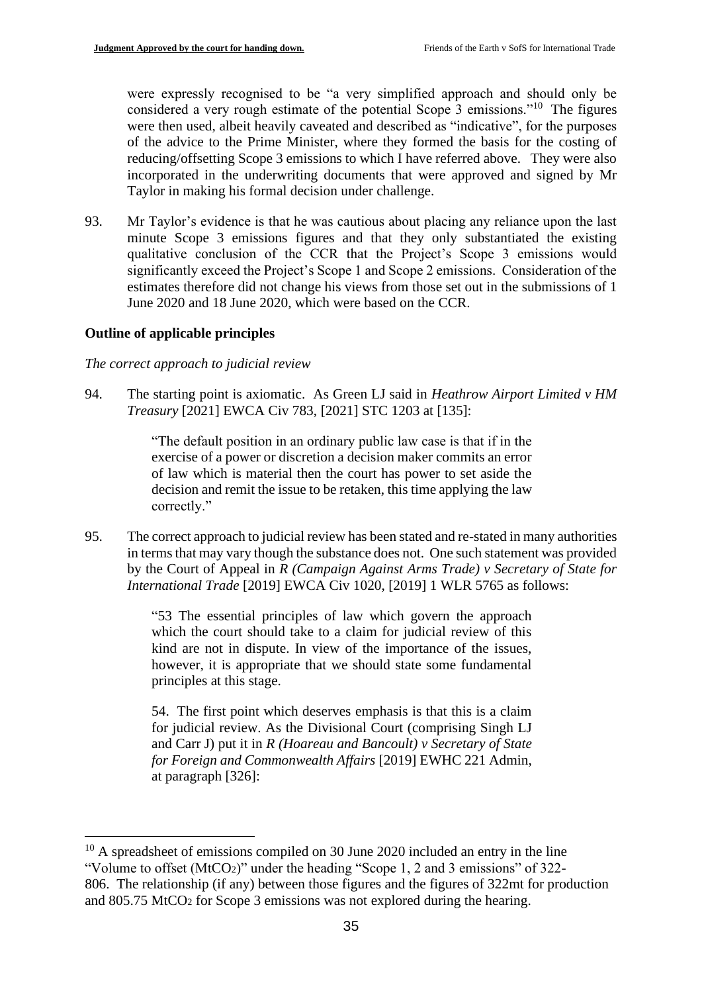were expressly recognised to be "a very simplified approach and should only be considered a very rough estimate of the potential Scope 3 emissions."<sup>10</sup> The figures were then used, albeit heavily caveated and described as "indicative", for the purposes of the advice to the Prime Minister, where they formed the basis for the costing of reducing/offsetting Scope 3 emissions to which I have referred above. They were also incorporated in the underwriting documents that were approved and signed by Mr Taylor in making his formal decision under challenge.

93. Mr Taylor's evidence is that he was cautious about placing any reliance upon the last minute Scope 3 emissions figures and that they only substantiated the existing qualitative conclusion of the CCR that the Project's Scope 3 emissions would significantly exceed the Project's Scope 1 and Scope 2 emissions. Consideration of the estimates therefore did not change his views from those set out in the submissions of 1 June 2020 and 18 June 2020, which were based on the CCR.

## **Outline of applicable principles**

### *The correct approach to judicial review*

94. The starting point is axiomatic. As Green LJ said in *Heathrow Airport Limited v HM Treasury* [2021] EWCA Civ 783, [2021] STC 1203 at [135]:

> "The default position in an ordinary public law case is that if in the exercise of a power or discretion a decision maker commits an error of law which is material then the court has power to set aside the decision and remit the issue to be retaken, this time applying the law correctly."

95. The correct approach to judicial review has been stated and re-stated in many authorities in terms that may vary though the substance does not. One such statement was provided by the Court of Appeal in *R (Campaign Against Arms Trade) v Secretary of State for International Trade* [2019] EWCA Civ 1020, [2019] 1 WLR 5765 as follows:

> "53 The essential principles of law which govern the approach which the court should take to a claim for judicial review of this kind are not in dispute. In view of the importance of the issues, however, it is appropriate that we should state some fundamental principles at this stage.

> 54. The first point which deserves emphasis is that this is a claim for judicial review. As the Divisional Court (comprising Singh LJ and Carr J) put it in *R (Hoareau and Bancoult) v Secretary of State for Foreign and Commonwealth Affairs* [2019] EWHC 221 Admin, at paragraph [326]:

<sup>&</sup>lt;sup>10</sup> A spreadsheet of emissions compiled on 30 June 2020 included an entry in the line "Volume to offset (MtCO2)" under the heading "Scope 1, 2 and 3 emissions" of 322- 806. The relationship (if any) between those figures and the figures of 322mt for production and 805.75 MtCO<sup>2</sup> for Scope 3 emissions was not explored during the hearing.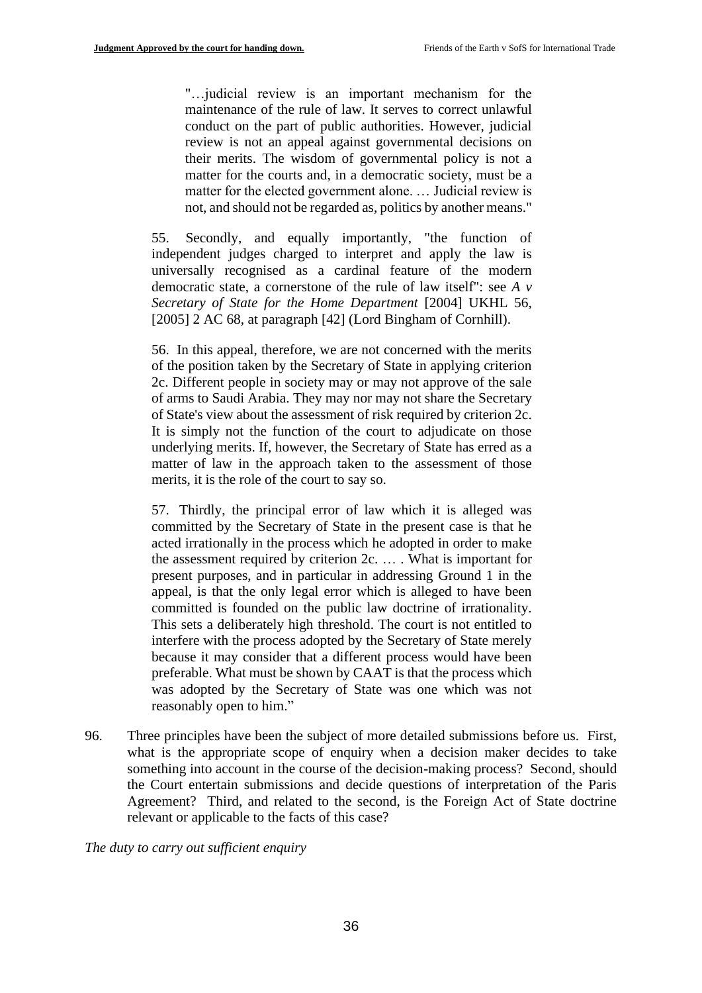"…judicial review is an important mechanism for the maintenance of the rule of law. It serves to correct unlawful conduct on the part of public authorities. However, judicial review is not an appeal against governmental decisions on their merits. The wisdom of governmental policy is not a matter for the courts and, in a democratic society, must be a matter for the elected government alone. … Judicial review is not, and should not be regarded as, politics by another means."

55. Secondly, and equally importantly, "the function of independent judges charged to interpret and apply the law is universally recognised as a cardinal feature of the modern democratic state, a cornerstone of the rule of law itself": see *A v Secretary of State for the Home Department* [2004] UKHL 56, [2005] 2 AC 68, at paragraph [42] (Lord Bingham of Cornhill).

56. In this appeal, therefore, we are not concerned with the merits of the position taken by the Secretary of State in applying criterion 2c. Different people in society may or may not approve of the sale of arms to Saudi Arabia. They may nor may not share the Secretary of State's view about the assessment of risk required by criterion 2c. It is simply not the function of the court to adjudicate on those underlying merits. If, however, the Secretary of State has erred as a matter of law in the approach taken to the assessment of those merits, it is the role of the court to say so.

57. Thirdly, the principal error of law which it is alleged was committed by the Secretary of State in the present case is that he acted irrationally in the process which he adopted in order to make the assessment required by criterion 2c. … . What is important for present purposes, and in particular in addressing Ground 1 in the appeal, is that the only legal error which is alleged to have been committed is founded on the public law doctrine of irrationality. This sets a deliberately high threshold. The court is not entitled to interfere with the process adopted by the Secretary of State merely because it may consider that a different process would have been preferable. What must be shown by CAAT is that the process which was adopted by the Secretary of State was one which was not reasonably open to him."

96. Three principles have been the subject of more detailed submissions before us. First, what is the appropriate scope of enquiry when a decision maker decides to take something into account in the course of the decision-making process? Second, should the Court entertain submissions and decide questions of interpretation of the Paris Agreement? Third, and related to the second, is the Foreign Act of State doctrine relevant or applicable to the facts of this case?

*The duty to carry out sufficient enquiry*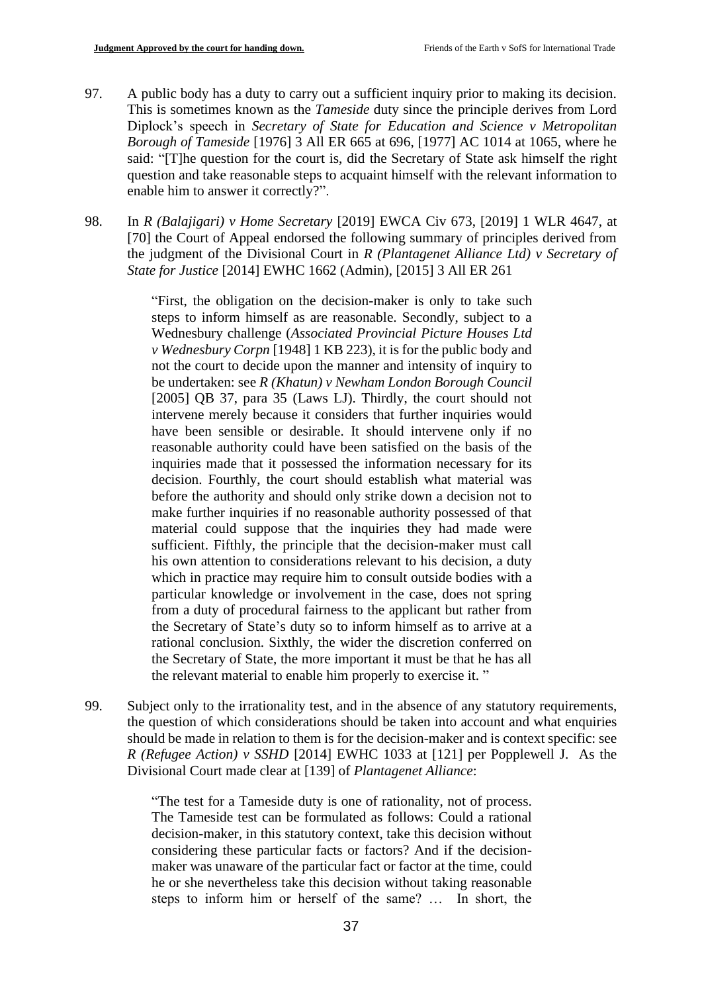- 97. A public body has a duty to carry out a sufficient inquiry prior to making its decision. This is sometimes known as the *Tameside* duty since the principle derives from Lord Diplock's speech in *Secretary of State for Education and Science v Metropolitan Borough of Tameside* [1976] 3 All ER 665 at 696, [1977] AC 1014 at 1065, where he said: "[T]he question for the court is, did the Secretary of State ask himself the right question and take reasonable steps to acquaint himself with the relevant information to enable him to answer it correctly?".
- 98. In *R (Balajigari) v Home Secretary* [2019] EWCA Civ 673, [2019] 1 WLR 4647, at [70] the Court of Appeal endorsed the following summary of principles derived from the judgment of the Divisional Court in *R (Plantagenet Alliance Ltd) v Secretary of State for Justice* [2014] EWHC 1662 (Admin), [2015] 3 All ER 261

"First, the obligation on the decision-maker is only to take such steps to inform himself as are reasonable. Secondly, subject to a Wednesbury challenge (*Associated Provincial Picture Houses Ltd v Wednesbury Corpn* [1948] 1 KB 223), it is for the public body and not the court to decide upon the manner and intensity of inquiry to be undertaken: see *R (Khatun) v Newham London Borough Council* [2005] QB 37, para 35 (Laws LJ). Thirdly, the court should not intervene merely because it considers that further inquiries would have been sensible or desirable. It should intervene only if no reasonable authority could have been satisfied on the basis of the inquiries made that it possessed the information necessary for its decision. Fourthly, the court should establish what material was before the authority and should only strike down a decision not to make further inquiries if no reasonable authority possessed of that material could suppose that the inquiries they had made were sufficient. Fifthly, the principle that the decision-maker must call his own attention to considerations relevant to his decision, a duty which in practice may require him to consult outside bodies with a particular knowledge or involvement in the case, does not spring from a duty of procedural fairness to the applicant but rather from the Secretary of State's duty so to inform himself as to arrive at a rational conclusion. Sixthly, the wider the discretion conferred on the Secretary of State, the more important it must be that he has all the relevant material to enable him properly to exercise it. "

99. Subject only to the irrationality test, and in the absence of any statutory requirements, the question of which considerations should be taken into account and what enquiries should be made in relation to them is for the decision-maker and is context specific: see *R (Refugee Action) v SSHD* [2014] EWHC 1033 at [121] per Popplewell J. As the Divisional Court made clear at [139] of *Plantagenet Alliance*:

> "The test for a Tameside duty is one of rationality, not of process. The Tameside test can be formulated as follows: Could a rational decision-maker, in this statutory context, take this decision without considering these particular facts or factors? And if the decisionmaker was unaware of the particular fact or factor at the time, could he or she nevertheless take this decision without taking reasonable steps to inform him or herself of the same? … In short, the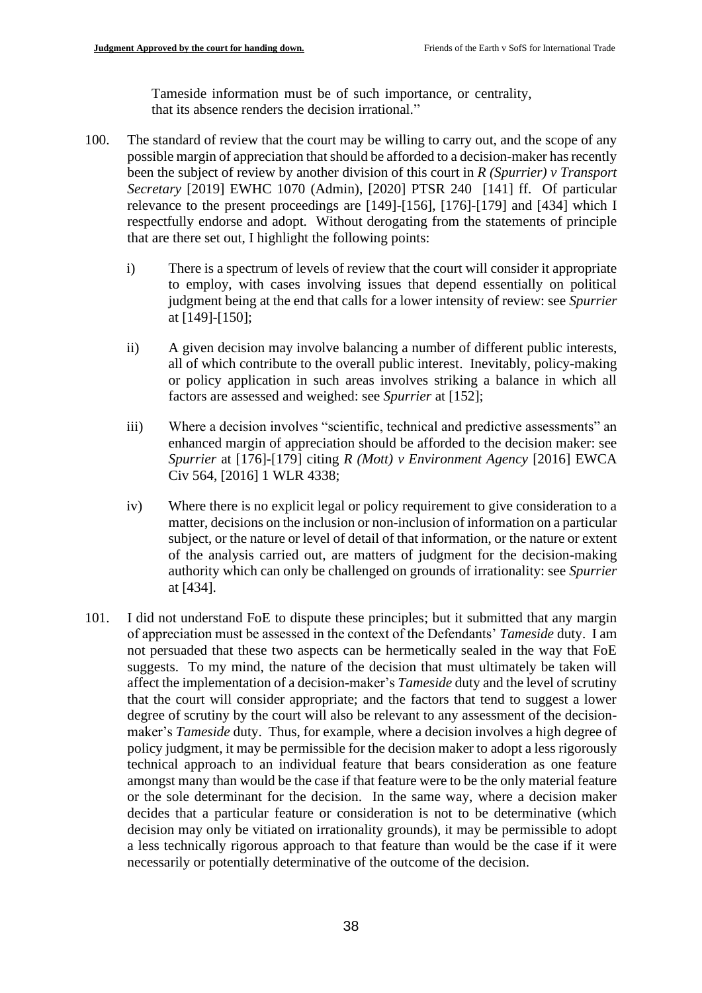Tameside information must be of such importance, or centrality, that its absence renders the decision irrational."

- 100. The standard of review that the court may be willing to carry out, and the scope of any possible margin of appreciation that should be afforded to a decision-maker has recently been the subject of review by another division of this court in *R (Spurrier) v Transport Secretary* [2019] EWHC 1070 (Admin), [2020] PTSR 240 [141] ff. Of particular relevance to the present proceedings are [149]-[156], [176]-[179] and [434] which I respectfully endorse and adopt. Without derogating from the statements of principle that are there set out, I highlight the following points:
	- i) There is a spectrum of levels of review that the court will consider it appropriate to employ, with cases involving issues that depend essentially on political judgment being at the end that calls for a lower intensity of review: see *Spurrier*  at [149]-[150];
	- ii) A given decision may involve balancing a number of different public interests, all of which contribute to the overall public interest. Inevitably, policy-making or policy application in such areas involves striking a balance in which all factors are assessed and weighed: see *Spurrier* at [152];
	- iii) Where a decision involves "scientific, technical and predictive assessments" an enhanced margin of appreciation should be afforded to the decision maker: see *Spurrier* at [176]-[179] citing *R (Mott) v Environment Agency* [2016] EWCA Civ 564, [2016] 1 WLR 4338;
	- iv) Where there is no explicit legal or policy requirement to give consideration to a matter, decisions on the inclusion or non-inclusion of information on a particular subject, or the nature or level of detail of that information, or the nature or extent of the analysis carried out, are matters of judgment for the decision-making authority which can only be challenged on grounds of irrationality: see *Spurrier*  at [434].
- 101. I did not understand FoE to dispute these principles; but it submitted that any margin of appreciation must be assessed in the context of the Defendants' *Tameside* duty. I am not persuaded that these two aspects can be hermetically sealed in the way that FoE suggests. To my mind, the nature of the decision that must ultimately be taken will affect the implementation of a decision-maker's *Tameside* duty and the level of scrutiny that the court will consider appropriate; and the factors that tend to suggest a lower degree of scrutiny by the court will also be relevant to any assessment of the decisionmaker's *Tameside* duty. Thus, for example, where a decision involves a high degree of policy judgment, it may be permissible for the decision maker to adopt a less rigorously technical approach to an individual feature that bears consideration as one feature amongst many than would be the case if that feature were to be the only material feature or the sole determinant for the decision. In the same way, where a decision maker decides that a particular feature or consideration is not to be determinative (which decision may only be vitiated on irrationality grounds), it may be permissible to adopt a less technically rigorous approach to that feature than would be the case if it were necessarily or potentially determinative of the outcome of the decision.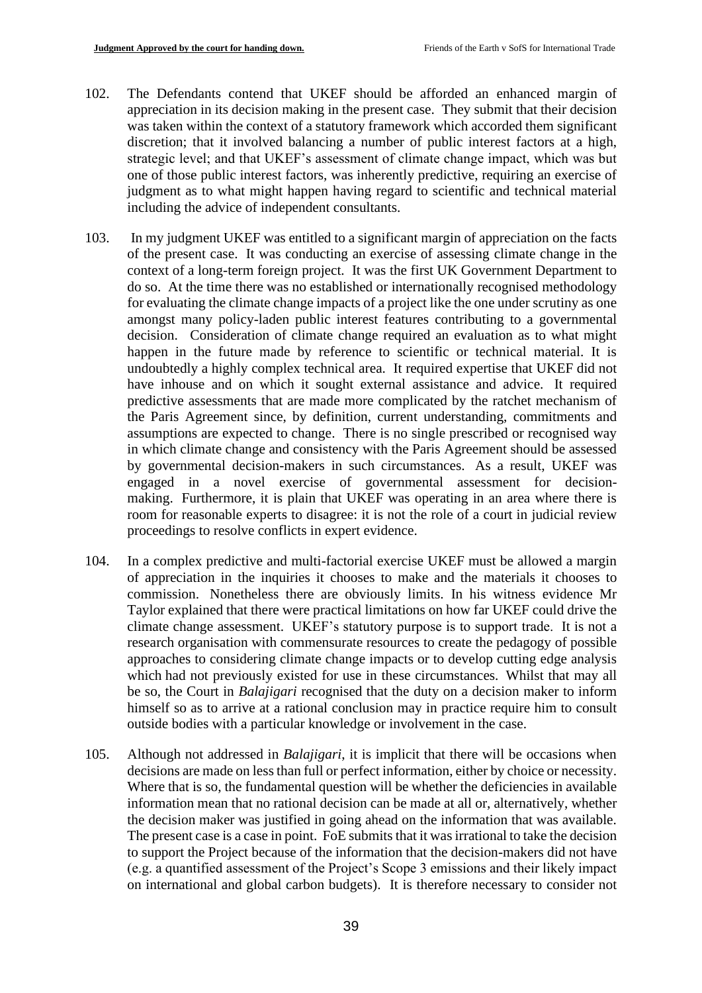- 102. The Defendants contend that UKEF should be afforded an enhanced margin of appreciation in its decision making in the present case. They submit that their decision was taken within the context of a statutory framework which accorded them significant discretion; that it involved balancing a number of public interest factors at a high, strategic level; and that UKEF's assessment of climate change impact, which was but one of those public interest factors, was inherently predictive, requiring an exercise of judgment as to what might happen having regard to scientific and technical material including the advice of independent consultants.
- 103. In my judgment UKEF was entitled to a significant margin of appreciation on the facts of the present case. It was conducting an exercise of assessing climate change in the context of a long-term foreign project. It was the first UK Government Department to do so. At the time there was no established or internationally recognised methodology for evaluating the climate change impacts of a project like the one under scrutiny as one amongst many policy-laden public interest features contributing to a governmental decision. Consideration of climate change required an evaluation as to what might happen in the future made by reference to scientific or technical material. It is undoubtedly a highly complex technical area. It required expertise that UKEF did not have inhouse and on which it sought external assistance and advice. It required predictive assessments that are made more complicated by the ratchet mechanism of the Paris Agreement since, by definition, current understanding, commitments and assumptions are expected to change. There is no single prescribed or recognised way in which climate change and consistency with the Paris Agreement should be assessed by governmental decision-makers in such circumstances. As a result, UKEF was engaged in a novel exercise of governmental assessment for decisionmaking. Furthermore, it is plain that UKEF was operating in an area where there is room for reasonable experts to disagree: it is not the role of a court in judicial review proceedings to resolve conflicts in expert evidence.
- 104. In a complex predictive and multi-factorial exercise UKEF must be allowed a margin of appreciation in the inquiries it chooses to make and the materials it chooses to commission. Nonetheless there are obviously limits. In his witness evidence Mr Taylor explained that there were practical limitations on how far UKEF could drive the climate change assessment. UKEF's statutory purpose is to support trade. It is not a research organisation with commensurate resources to create the pedagogy of possible approaches to considering climate change impacts or to develop cutting edge analysis which had not previously existed for use in these circumstances. Whilst that may all be so, the Court in *Balajigari* recognised that the duty on a decision maker to inform himself so as to arrive at a rational conclusion may in practice require him to consult outside bodies with a particular knowledge or involvement in the case.
- 105. Although not addressed in *Balajigari*, it is implicit that there will be occasions when decisions are made on less than full or perfect information, either by choice or necessity. Where that is so, the fundamental question will be whether the deficiencies in available information mean that no rational decision can be made at all or, alternatively, whether the decision maker was justified in going ahead on the information that was available. The present case is a case in point. FoE submits that it was irrational to take the decision to support the Project because of the information that the decision-makers did not have (e.g. a quantified assessment of the Project's Scope 3 emissions and their likely impact on international and global carbon budgets). It is therefore necessary to consider not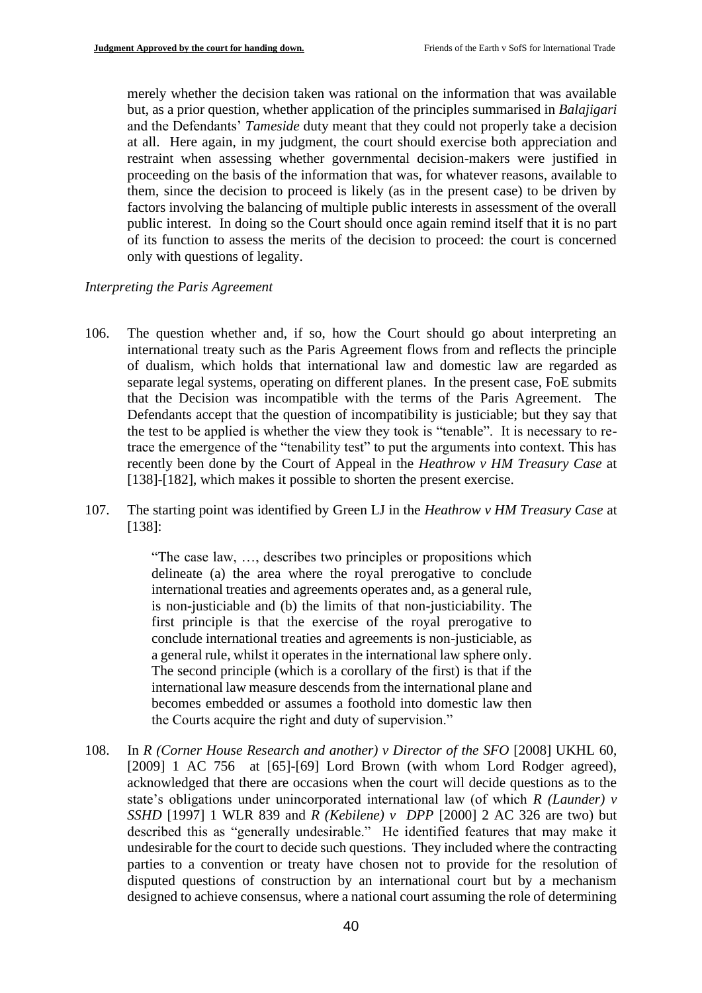merely whether the decision taken was rational on the information that was available but, as a prior question, whether application of the principles summarised in *Balajigari* and the Defendants' *Tameside* duty meant that they could not properly take a decision at all. Here again, in my judgment, the court should exercise both appreciation and restraint when assessing whether governmental decision-makers were justified in proceeding on the basis of the information that was, for whatever reasons, available to them, since the decision to proceed is likely (as in the present case) to be driven by factors involving the balancing of multiple public interests in assessment of the overall public interest. In doing so the Court should once again remind itself that it is no part of its function to assess the merits of the decision to proceed: the court is concerned only with questions of legality.

### *Interpreting the Paris Agreement*

- 106. The question whether and, if so, how the Court should go about interpreting an international treaty such as the Paris Agreement flows from and reflects the principle of dualism, which holds that international law and domestic law are regarded as separate legal systems, operating on different planes. In the present case, FoE submits that the Decision was incompatible with the terms of the Paris Agreement. The Defendants accept that the question of incompatibility is justiciable; but they say that the test to be applied is whether the view they took is "tenable". It is necessary to retrace the emergence of the "tenability test" to put the arguments into context. This has recently been done by the Court of Appeal in the *Heathrow v HM Treasury Case* at [138]-[182], which makes it possible to shorten the present exercise.
- 107. The starting point was identified by Green LJ in the *Heathrow v HM Treasury Case* at [138]:

"The case law, …, describes two principles or propositions which delineate (a) the area where the royal prerogative to conclude international treaties and agreements operates and, as a general rule, is non-justiciable and (b) the limits of that non-justiciability. The first principle is that the exercise of the royal prerogative to conclude international treaties and agreements is non-justiciable, as a general rule, whilst it operates in the international law sphere only. The second principle (which is a corollary of the first) is that if the international law measure descends from the international plane and becomes embedded or assumes a foothold into domestic law then the Courts acquire the right and duty of supervision."

108. In *R (Corner House Research and another) v Director of the SFO* [2008] UKHL 60, [2009] 1 AC 756 at [65]-[69] Lord Brown (with whom Lord Rodger agreed), acknowledged that there are occasions when the court will decide questions as to the state's obligations under unincorporated international law (of which *R (Launder) v SSHD* [1997] 1 WLR 839 and *R (Kebilene) v DPP* [2000] 2 AC 326 are two) but described this as "generally undesirable." He identified features that may make it undesirable for the court to decide such questions. They included where the contracting parties to a convention or treaty have chosen not to provide for the resolution of disputed questions of construction by an international court but by a mechanism designed to achieve consensus, where a national court assuming the role of determining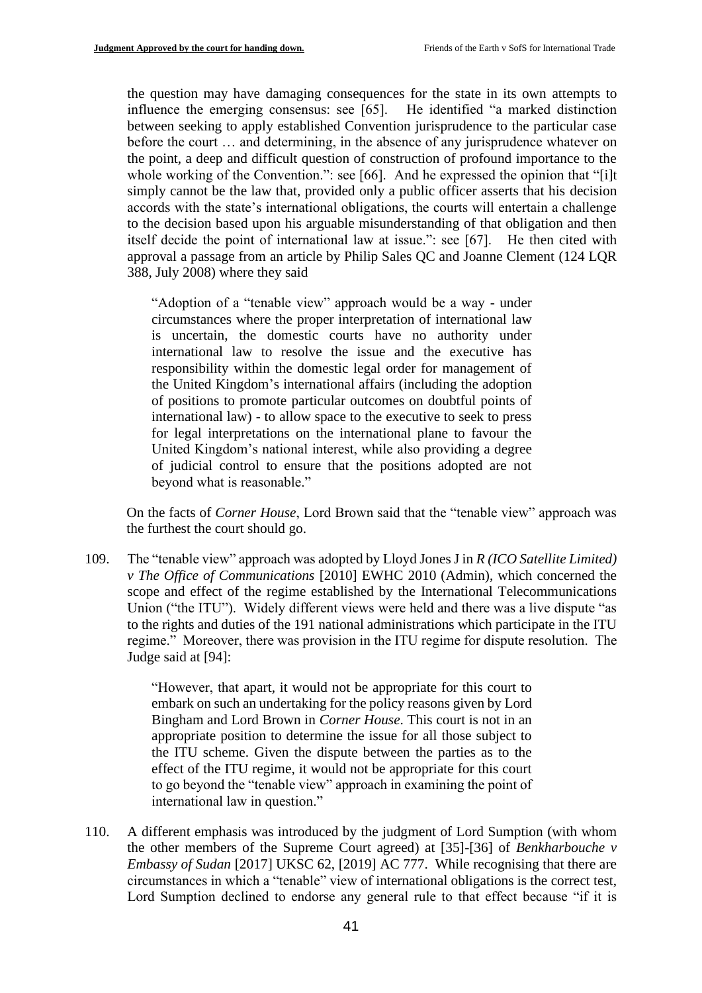the question may have damaging consequences for the state in its own attempts to influence the emerging consensus: see [65]. He identified "a marked distinction between seeking to apply established Convention jurisprudence to the particular case before the court … and determining, in the absence of any jurisprudence whatever on the point, a deep and difficult question of construction of profound importance to the whole working of the Convention.": see [66]. And he expressed the opinion that "[i]t simply cannot be the law that, provided only a public officer asserts that his decision accords with the state's international obligations, the courts will entertain a challenge to the decision based upon his arguable misunderstanding of that obligation and then itself decide the point of international law at issue.": see [67]. He then cited with approval a passage from an article by Philip Sales QC and Joanne Clement (124 LQR 388, July 2008) where they said

"Adoption of a "tenable view" approach would be a way - under circumstances where the proper interpretation of international law is uncertain, the domestic courts have no authority under international law to resolve the issue and the executive has responsibility within the domestic legal order for management of the United Kingdom's international affairs (including the adoption of positions to promote particular outcomes on doubtful points of international law) - to allow space to the executive to seek to press for legal interpretations on the international plane to favour the United Kingdom's national interest, while also providing a degree of judicial control to ensure that the positions adopted are not beyond what is reasonable."

On the facts of *Corner House*, Lord Brown said that the "tenable view" approach was the furthest the court should go.

109. The "tenable view" approach was adopted by Lloyd Jones J in *R (ICO Satellite Limited) v The Office of Communications* [2010] EWHC 2010 (Admin), which concerned the scope and effect of the regime established by the International Telecommunications Union ("the ITU"). Widely different views were held and there was a live dispute "as to the rights and duties of the 191 national administrations which participate in the ITU regime." Moreover, there was provision in the ITU regime for dispute resolution. The Judge said at [94]:

> "However, that apart, it would not be appropriate for this court to embark on such an undertaking for the policy reasons given by Lord Bingham and Lord Brown in *Corner House*. This court is not in an appropriate position to determine the issue for all those subject to the ITU scheme. Given the dispute between the parties as to the effect of the ITU regime, it would not be appropriate for this court to go beyond the "tenable view" approach in examining the point of international law in question."

110. A different emphasis was introduced by the judgment of Lord Sumption (with whom the other members of the Supreme Court agreed) at [35]-[36] of *Benkharbouche v Embassy of Sudan* [2017] UKSC 62, [2019] AC 777. While recognising that there are circumstances in which a "tenable" view of international obligations is the correct test, Lord Sumption declined to endorse any general rule to that effect because "if it is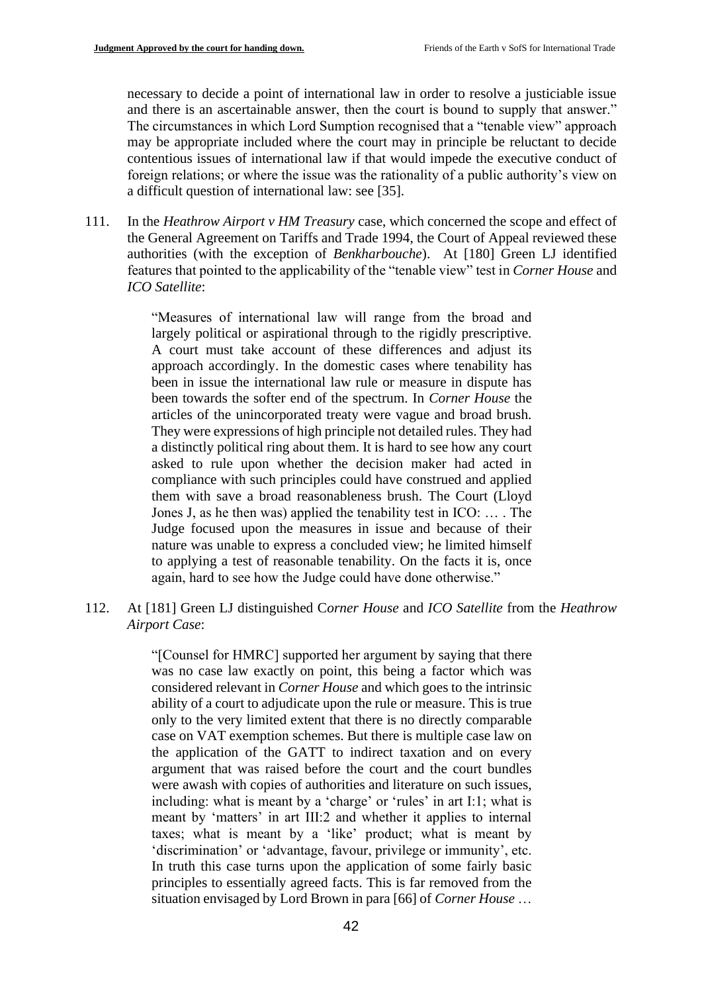necessary to decide a point of international law in order to resolve a justiciable issue and there is an ascertainable answer, then the court is bound to supply that answer." The circumstances in which Lord Sumption recognised that a "tenable view" approach may be appropriate included where the court may in principle be reluctant to decide contentious issues of international law if that would impede the executive conduct of foreign relations; or where the issue was the rationality of a public authority's view on a difficult question of international law: see [35].

111. In the *Heathrow Airport v HM Treasury* case, which concerned the scope and effect of the General Agreement on Tariffs and Trade 1994, the Court of Appeal reviewed these authorities (with the exception of *Benkharbouche*). At [180] Green LJ identified features that pointed to the applicability of the "tenable view" test in *Corner House* and *ICO Satellite*:

> "Measures of international law will range from the broad and largely political or aspirational through to the rigidly prescriptive. A court must take account of these differences and adjust its approach accordingly. In the domestic cases where tenability has been in issue the international law rule or measure in dispute has been towards the softer end of the spectrum. In *Corner House* the articles of the unincorporated treaty were vague and broad brush. They were expressions of high principle not detailed rules. They had a distinctly political ring about them. It is hard to see how any court asked to rule upon whether the decision maker had acted in compliance with such principles could have construed and applied them with save a broad reasonableness brush. The Court (Lloyd Jones J, as he then was) applied the tenability test in ICO: … . The Judge focused upon the measures in issue and because of their nature was unable to express a concluded view; he limited himself to applying a test of reasonable tenability. On the facts it is, once again, hard to see how the Judge could have done otherwise."

112. At [181] Green LJ distinguished C*orner House* and *ICO Satellite* from the *Heathrow Airport Case*:

> "[Counsel for HMRC] supported her argument by saying that there was no case law exactly on point, this being a factor which was considered relevant in *Corner House* and which goes to the intrinsic ability of a court to adjudicate upon the rule or measure. This is true only to the very limited extent that there is no directly comparable case on VAT exemption schemes. But there is multiple case law on the application of the GATT to indirect taxation and on every argument that was raised before the court and the court bundles were awash with copies of authorities and literature on such issues, including: what is meant by a 'charge' or 'rules' in art I:1; what is meant by 'matters' in art III:2 and whether it applies to internal taxes; what is meant by a 'like' product; what is meant by 'discrimination' or 'advantage, favour, privilege or immunity', etc. In truth this case turns upon the application of some fairly basic principles to essentially agreed facts. This is far removed from the situation envisaged by Lord Brown in para [66] of *Corner House* …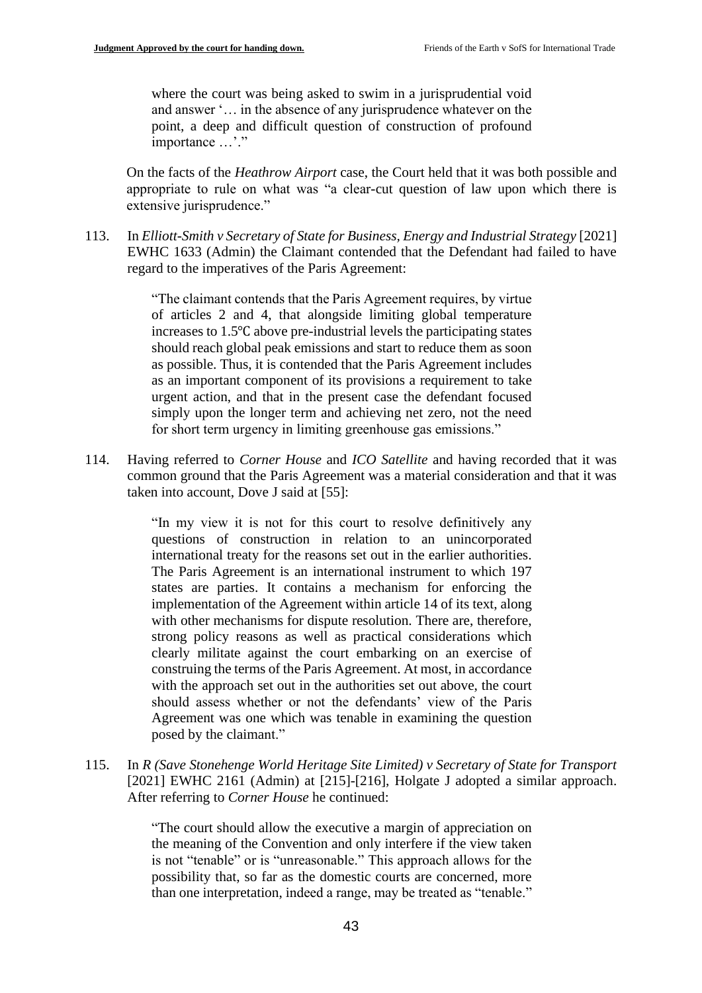where the court was being asked to swim in a jurisprudential void and answer '… in the absence of any jurisprudence whatever on the point, a deep and difficult question of construction of profound importance ...'."

On the facts of the *Heathrow Airport* case, the Court held that it was both possible and appropriate to rule on what was "a clear-cut question of law upon which there is extensive jurisprudence."

113. In *Elliott-Smith v Secretary of State for Business, Energy and Industrial Strategy* [2021] EWHC 1633 (Admin) the Claimant contended that the Defendant had failed to have regard to the imperatives of the Paris Agreement:

> "The claimant contends that the Paris Agreement requires, by virtue of articles 2 and 4, that alongside limiting global temperature increases to 1.5℃ above pre-industrial levels the participating states should reach global peak emissions and start to reduce them as soon as possible. Thus, it is contended that the Paris Agreement includes as an important component of its provisions a requirement to take urgent action, and that in the present case the defendant focused simply upon the longer term and achieving net zero, not the need for short term urgency in limiting greenhouse gas emissions."

114. Having referred to *Corner House* and *ICO Satellite* and having recorded that it was common ground that the Paris Agreement was a material consideration and that it was taken into account, Dove J said at [55]:

> "In my view it is not for this court to resolve definitively any questions of construction in relation to an unincorporated international treaty for the reasons set out in the earlier authorities. The Paris Agreement is an international instrument to which 197 states are parties. It contains a mechanism for enforcing the implementation of the Agreement within article 14 of its text, along with other mechanisms for dispute resolution. There are, therefore, strong policy reasons as well as practical considerations which clearly militate against the court embarking on an exercise of construing the terms of the Paris Agreement. At most, in accordance with the approach set out in the authorities set out above, the court should assess whether or not the defendants' view of the Paris Agreement was one which was tenable in examining the question posed by the claimant."

115. In *R (Save Stonehenge World Heritage Site Limited) v Secretary of State for Transport* [2021] EWHC 2161 (Admin) at [215]-[216], Holgate J adopted a similar approach. After referring to *Corner House* he continued:

> "The court should allow the executive a margin of appreciation on the meaning of the Convention and only interfere if the view taken is not "tenable" or is "unreasonable." This approach allows for the possibility that, so far as the domestic courts are concerned, more than one interpretation, indeed a range, may be treated as "tenable."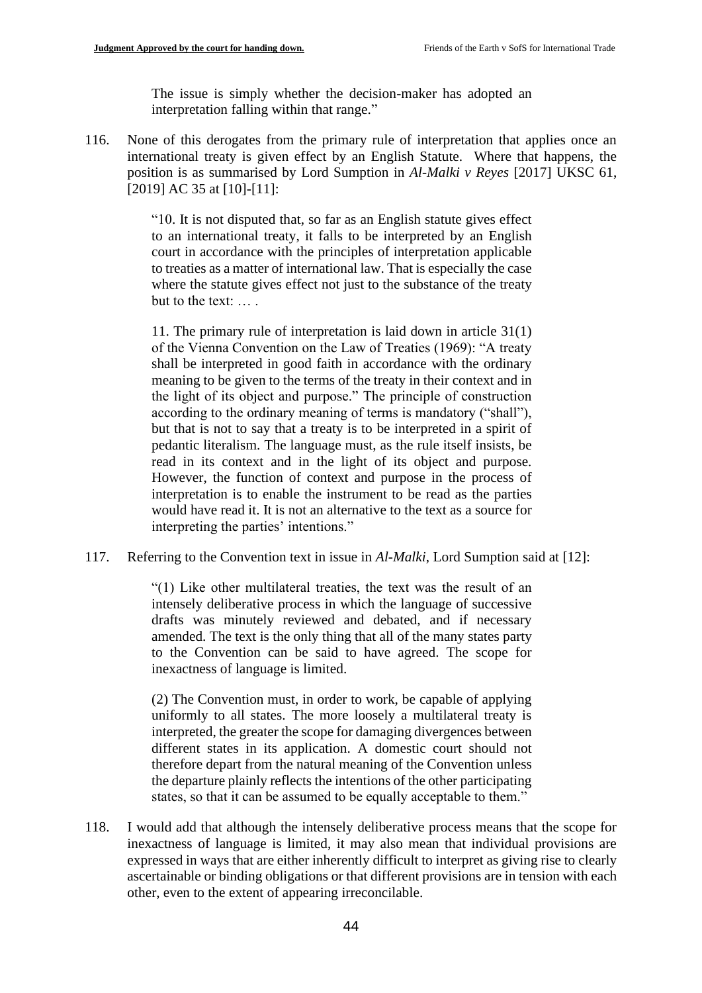The issue is simply whether the decision-maker has adopted an interpretation falling within that range."

116. None of this derogates from the primary rule of interpretation that applies once an international treaty is given effect by an English Statute. Where that happens, the position is as summarised by Lord Sumption in *Al-Malki v Reyes* [2017] UKSC 61, [2019] AC 35 at [10]-[11]:

> "10. It is not disputed that, so far as an English statute gives effect to an international treaty, it falls to be interpreted by an English court in accordance with the principles of interpretation applicable to treaties as a matter of international law. That is especially the case where the statute gives effect not just to the substance of the treaty but to the text: … .

> 11. The primary rule of interpretation is laid down in article 31(1) of the Vienna Convention on the Law of Treaties (1969): "A treaty shall be interpreted in good faith in accordance with the ordinary meaning to be given to the terms of the treaty in their context and in the light of its object and purpose." The principle of construction according to the ordinary meaning of terms is mandatory ("shall"), but that is not to say that a treaty is to be interpreted in a spirit of pedantic literalism. The language must, as the rule itself insists, be read in its context and in the light of its object and purpose. However, the function of context and purpose in the process of interpretation is to enable the instrument to be read as the parties would have read it. It is not an alternative to the text as a source for interpreting the parties' intentions."

117. Referring to the Convention text in issue in *Al-Malki*, Lord Sumption said at [12]:

"(1) Like other multilateral treaties, the text was the result of an intensely deliberative process in which the language of successive drafts was minutely reviewed and debated, and if necessary amended. The text is the only thing that all of the many states party to the Convention can be said to have agreed. The scope for inexactness of language is limited.

(2) The Convention must, in order to work, be capable of applying uniformly to all states. The more loosely a multilateral treaty is interpreted, the greater the scope for damaging divergences between different states in its application. A domestic court should not therefore depart from the natural meaning of the Convention unless the departure plainly reflects the intentions of the other participating states, so that it can be assumed to be equally acceptable to them."

118. I would add that although the intensely deliberative process means that the scope for inexactness of language is limited, it may also mean that individual provisions are expressed in ways that are either inherently difficult to interpret as giving rise to clearly ascertainable or binding obligations or that different provisions are in tension with each other, even to the extent of appearing irreconcilable.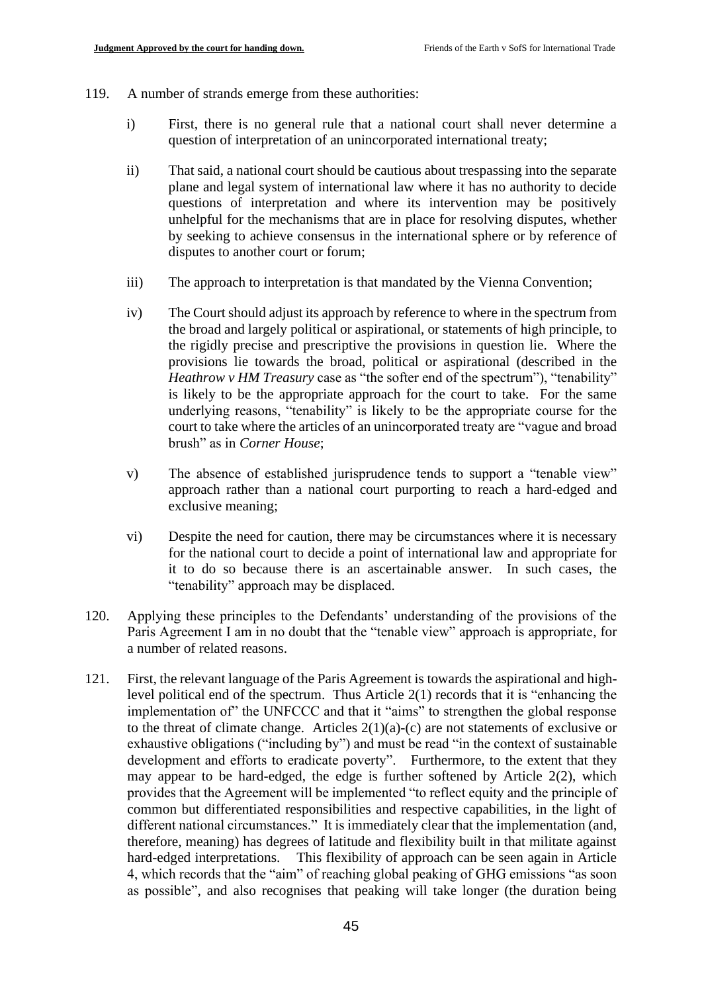- 119. A number of strands emerge from these authorities:
	- i) First, there is no general rule that a national court shall never determine a question of interpretation of an unincorporated international treaty;
	- ii) That said, a national court should be cautious about trespassing into the separate plane and legal system of international law where it has no authority to decide questions of interpretation and where its intervention may be positively unhelpful for the mechanisms that are in place for resolving disputes, whether by seeking to achieve consensus in the international sphere or by reference of disputes to another court or forum;
	- iii) The approach to interpretation is that mandated by the Vienna Convention;
	- iv) The Court should adjust its approach by reference to where in the spectrum from the broad and largely political or aspirational, or statements of high principle, to the rigidly precise and prescriptive the provisions in question lie. Where the provisions lie towards the broad, political or aspirational (described in the *Heathrow v HM Treasury* case as "the softer end of the spectrum"), "tenability" is likely to be the appropriate approach for the court to take. For the same underlying reasons, "tenability" is likely to be the appropriate course for the court to take where the articles of an unincorporated treaty are "vague and broad brush" as in *Corner House*;
	- v) The absence of established jurisprudence tends to support a "tenable view" approach rather than a national court purporting to reach a hard-edged and exclusive meaning;
	- vi) Despite the need for caution, there may be circumstances where it is necessary for the national court to decide a point of international law and appropriate for it to do so because there is an ascertainable answer. In such cases, the "tenability" approach may be displaced.
- 120. Applying these principles to the Defendants' understanding of the provisions of the Paris Agreement I am in no doubt that the "tenable view" approach is appropriate, for a number of related reasons.
- 121. First, the relevant language of the Paris Agreement is towards the aspirational and highlevel political end of the spectrum. Thus Article 2(1) records that it is "enhancing the implementation of" the UNFCCC and that it "aims" to strengthen the global response to the threat of climate change. Articles  $2(1)(a)-(c)$  are not statements of exclusive or exhaustive obligations ("including by") and must be read "in the context of sustainable development and efforts to eradicate poverty". Furthermore, to the extent that they may appear to be hard-edged, the edge is further softened by Article 2(2), which provides that the Agreement will be implemented "to reflect equity and the principle of common but differentiated responsibilities and respective capabilities, in the light of different national circumstances." It is immediately clear that the implementation (and, therefore, meaning) has degrees of latitude and flexibility built in that militate against hard-edged interpretations. This flexibility of approach can be seen again in Article 4, which records that the "aim" of reaching global peaking of GHG emissions "as soon as possible", and also recognises that peaking will take longer (the duration being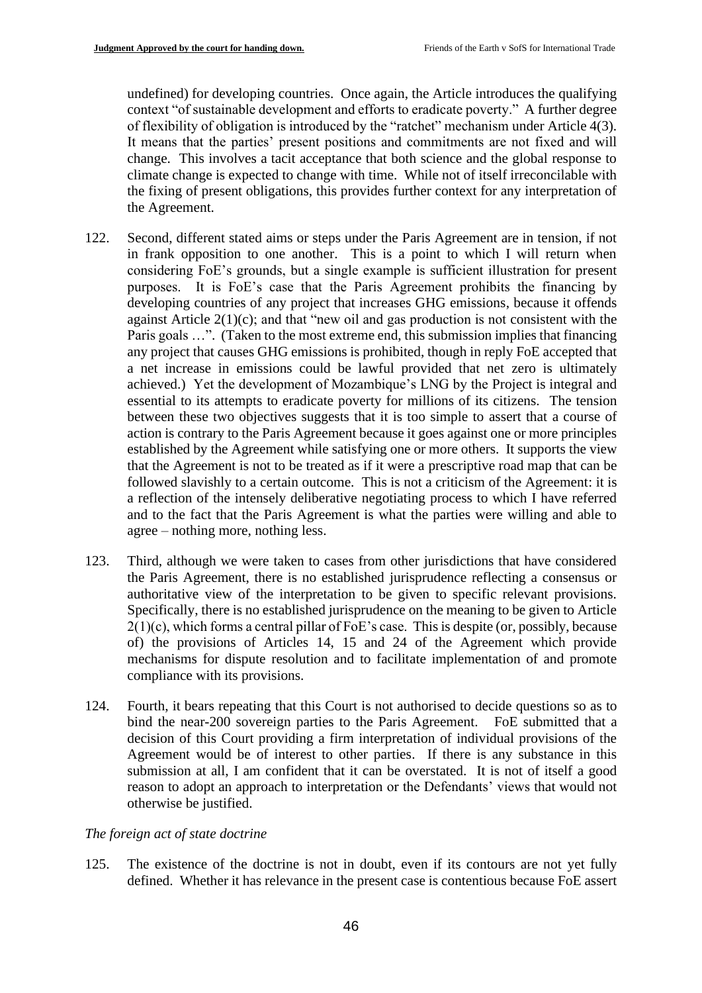undefined) for developing countries. Once again, the Article introduces the qualifying context "of sustainable development and efforts to eradicate poverty." A further degree of flexibility of obligation is introduced by the "ratchet" mechanism under Article 4(3). It means that the parties' present positions and commitments are not fixed and will change. This involves a tacit acceptance that both science and the global response to climate change is expected to change with time. While not of itself irreconcilable with the fixing of present obligations, this provides further context for any interpretation of the Agreement.

- 122. Second, different stated aims or steps under the Paris Agreement are in tension, if not in frank opposition to one another. This is a point to which I will return when considering FoE's grounds, but a single example is sufficient illustration for present purposes. It is FoE's case that the Paris Agreement prohibits the financing by developing countries of any project that increases GHG emissions, because it offends against Article 2(1)(c); and that "new oil and gas production is not consistent with the Paris goals ...". (Taken to the most extreme end, this submission implies that financing any project that causes GHG emissions is prohibited, though in reply FoE accepted that a net increase in emissions could be lawful provided that net zero is ultimately achieved.) Yet the development of Mozambique's LNG by the Project is integral and essential to its attempts to eradicate poverty for millions of its citizens. The tension between these two objectives suggests that it is too simple to assert that a course of action is contrary to the Paris Agreement because it goes against one or more principles established by the Agreement while satisfying one or more others. It supports the view that the Agreement is not to be treated as if it were a prescriptive road map that can be followed slavishly to a certain outcome. This is not a criticism of the Agreement: it is a reflection of the intensely deliberative negotiating process to which I have referred and to the fact that the Paris Agreement is what the parties were willing and able to agree – nothing more, nothing less.
- 123. Third, although we were taken to cases from other jurisdictions that have considered the Paris Agreement, there is no established jurisprudence reflecting a consensus or authoritative view of the interpretation to be given to specific relevant provisions. Specifically, there is no established jurisprudence on the meaning to be given to Article  $2(1)(c)$ , which forms a central pillar of FoE's case. This is despite (or, possibly, because of) the provisions of Articles 14, 15 and 24 of the Agreement which provide mechanisms for dispute resolution and to facilitate implementation of and promote compliance with its provisions.
- 124. Fourth, it bears repeating that this Court is not authorised to decide questions so as to bind the near-200 sovereign parties to the Paris Agreement. FoE submitted that a decision of this Court providing a firm interpretation of individual provisions of the Agreement would be of interest to other parties. If there is any substance in this submission at all, I am confident that it can be overstated. It is not of itself a good reason to adopt an approach to interpretation or the Defendants' views that would not otherwise be justified.

## *The foreign act of state doctrine*

125. The existence of the doctrine is not in doubt, even if its contours are not yet fully defined. Whether it has relevance in the present case is contentious because FoE assert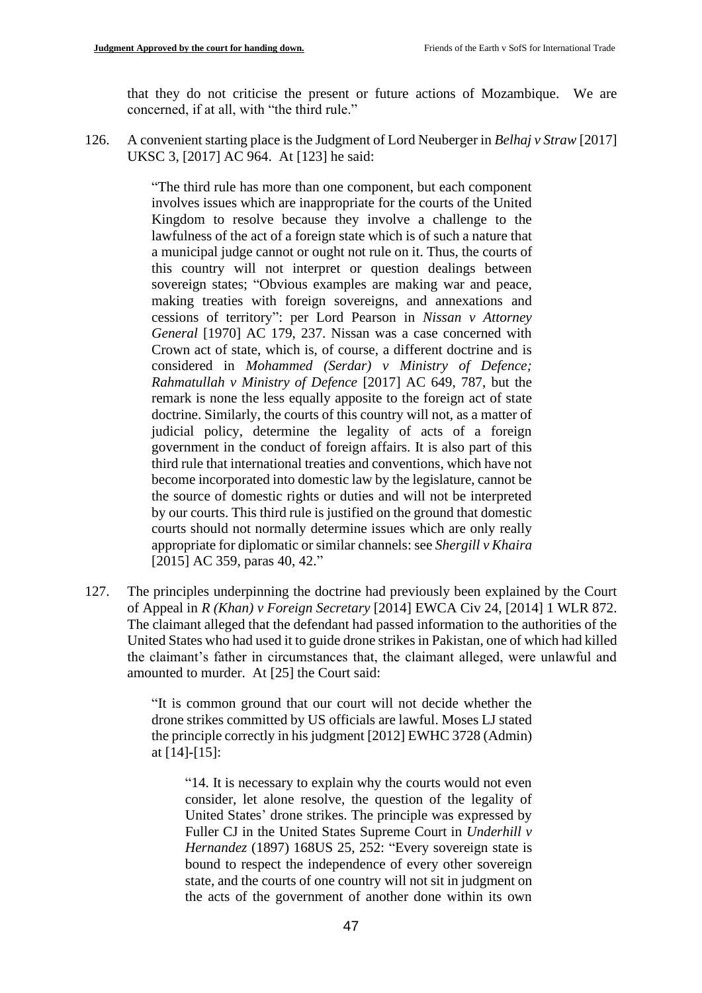that they do not criticise the present or future actions of Mozambique. We are concerned, if at all, with "the third rule."

126. A convenient starting place is the Judgment of Lord Neuberger in *Belhaj v Straw* [2017] UKSC 3, [2017] AC 964. At [123] he said:

> "The third rule has more than one component, but each component involves issues which are inappropriate for the courts of the United Kingdom to resolve because they involve a challenge to the lawfulness of the act of a foreign state which is of such a nature that a municipal judge cannot or ought not rule on it. Thus, the courts of this country will not interpret or question dealings between sovereign states; "Obvious examples are making war and peace, making treaties with foreign sovereigns, and annexations and cessions of territory": per Lord Pearson in *Nissan v Attorney General* [1970] AC 179, 237. Nissan was a case concerned with Crown act of state, which is, of course, a different doctrine and is considered in *Mohammed (Serdar) v Ministry of Defence; Rahmatullah v Ministry of Defence* [2017] AC 649, 787, but the remark is none the less equally apposite to the foreign act of state doctrine. Similarly, the courts of this country will not, as a matter of judicial policy, determine the legality of acts of a foreign government in the conduct of foreign affairs. It is also part of this third rule that international treaties and conventions, which have not become incorporated into domestic law by the legislature, cannot be the source of domestic rights or duties and will not be interpreted by our courts. This third rule is justified on the ground that domestic courts should not normally determine issues which are only really appropriate for diplomatic or similar channels: see *Shergill v Khaira* [2015] AC 359, paras 40, 42."

127. The principles underpinning the doctrine had previously been explained by the Court of Appeal in *R (Khan) v Foreign Secretary* [2014] EWCA Civ 24, [2014] 1 WLR 872. The claimant alleged that the defendant had passed information to the authorities of the United States who had used it to guide drone strikes in Pakistan, one of which had killed the claimant's father in circumstances that, the claimant alleged, were unlawful and amounted to murder. At [25] the Court said:

> "It is common ground that our court will not decide whether the drone strikes committed by US officials are lawful. Moses LJ stated the principle correctly in his judgment [2012] EWHC 3728 (Admin) at [14]-[15]:

"14. It is necessary to explain why the courts would not even consider, let alone resolve, the question of the legality of United States' drone strikes. The principle was expressed by Fuller CJ in the United States Supreme Court in *Underhill v Hernandez* (1897) 168US 25, 252: "Every sovereign state is bound to respect the independence of every other sovereign state, and the courts of one country will not sit in judgment on the acts of the government of another done within its own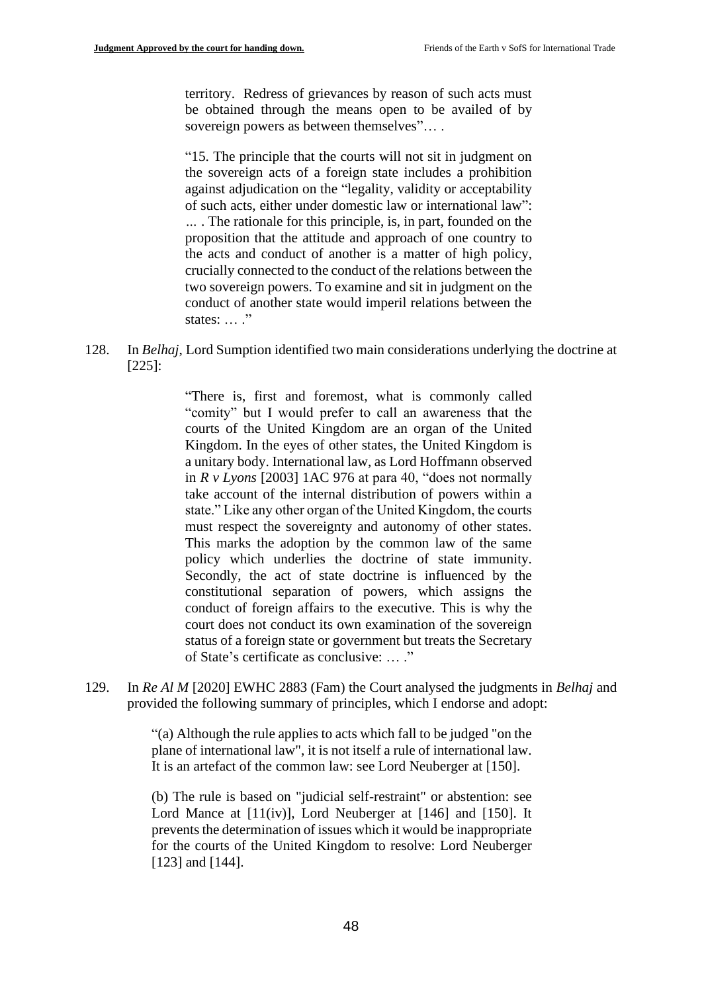territory. Redress of grievances by reason of such acts must be obtained through the means open to be availed of by sovereign powers as between themselves"....

"15. The principle that the courts will not sit in judgment on the sovereign acts of a foreign state includes a prohibition against adjudication on the "legality, validity or acceptability of such acts, either under domestic law or international law": *…* . The rationale for this principle, is, in part, founded on the proposition that the attitude and approach of one country to the acts and conduct of another is a matter of high policy, crucially connected to the conduct of the relations between the two sovereign powers. To examine and sit in judgment on the conduct of another state would imperil relations between the states: ... ."

128. In *Belhaj*, Lord Sumption identified two main considerations underlying the doctrine at [225]:

> "There is, first and foremost, what is commonly called "comity" but I would prefer to call an awareness that the courts of the United Kingdom are an organ of the United Kingdom. In the eyes of other states, the United Kingdom is a unitary body. International law, as Lord Hoffmann observed in *R v Lyons* [2003] 1AC 976 at para 40, "does not normally take account of the internal distribution of powers within a state." Like any other organ of the United Kingdom, the courts must respect the sovereignty and autonomy of other states. This marks the adoption by the common law of the same policy which underlies the doctrine of state immunity. Secondly, the act of state doctrine is influenced by the constitutional separation of powers, which assigns the conduct of foreign affairs to the executive. This is why the court does not conduct its own examination of the sovereign status of a foreign state or government but treats the Secretary of State's certificate as conclusive: … ."

129. In *Re Al M* [2020] EWHC 2883 (Fam) the Court analysed the judgments in *Belhaj* and provided the following summary of principles, which I endorse and adopt:

> "(a) Although the rule applies to acts which fall to be judged "on the plane of international law", it is not itself a rule of international law. It is an artefact of the common law: see Lord Neuberger at [150].

> (b) The rule is based on "judicial self-restraint" or abstention: see Lord Mance at [11(iv)], Lord Neuberger at [146] and [150]. It prevents the determination of issues which it would be inappropriate for the courts of the United Kingdom to resolve: Lord Neuberger [123] and [144].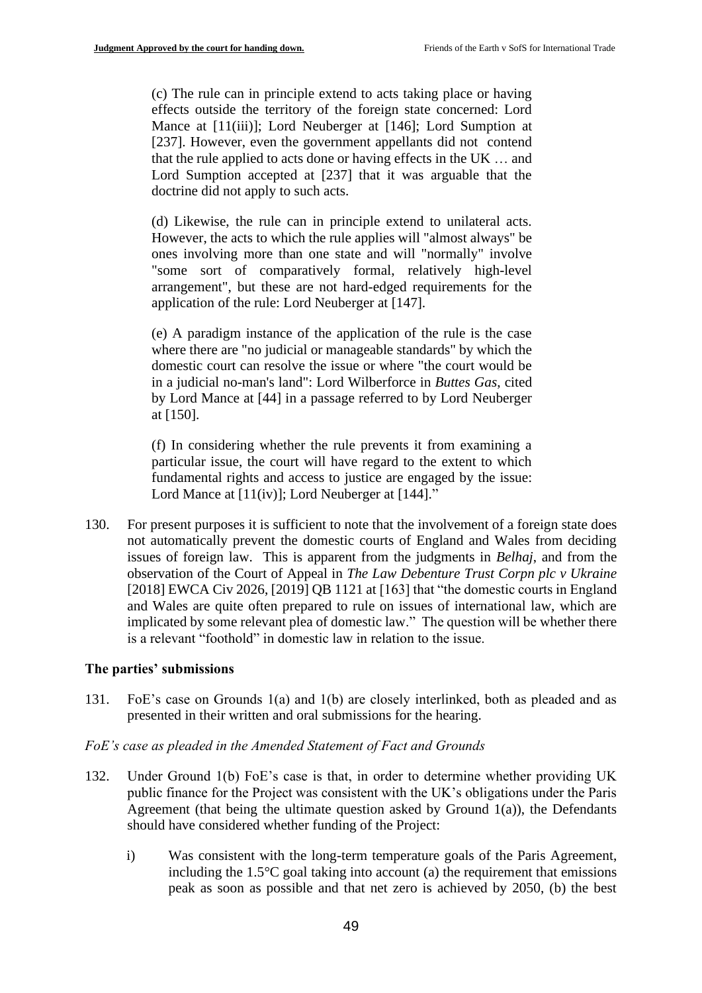(c) The rule can in principle extend to acts taking place or having effects outside the territory of the foreign state concerned: Lord Mance at [11(iii)]; Lord Neuberger at [146]; Lord Sumption at [237]. However, even the government appellants did not contend that the rule applied to acts done or having effects in the UK … and Lord Sumption accepted at [237] that it was arguable that the doctrine did not apply to such acts.

(d) Likewise, the rule can in principle extend to unilateral acts. However, the acts to which the rule applies will "almost always" be ones involving more than one state and will "normally" involve "some sort of comparatively formal, relatively high-level arrangement", but these are not hard-edged requirements for the application of the rule: Lord Neuberger at [147].

(e) A paradigm instance of the application of the rule is the case where there are "no judicial or manageable standards" by which the domestic court can resolve the issue or where "the court would be in a judicial no-man's land": Lord Wilberforce in *Buttes Gas*, cited by Lord Mance at [44] in a passage referred to by Lord Neuberger at [150].

(f) In considering whether the rule prevents it from examining a particular issue, the court will have regard to the extent to which fundamental rights and access to justice are engaged by the issue: Lord Mance at [11(iv)]; Lord Neuberger at [144]."

130. For present purposes it is sufficient to note that the involvement of a foreign state does not automatically prevent the domestic courts of England and Wales from deciding issues of foreign law. This is apparent from the judgments in *Belhaj*, and from the observation of the Court of Appeal in *The Law Debenture Trust Corpn plc v Ukraine*  [2018] EWCA Civ 2026, [2019] QB 1121 at [163] that "the domestic courts in England and Wales are quite often prepared to rule on issues of international law, which are implicated by some relevant plea of domestic law." The question will be whether there is a relevant "foothold" in domestic law in relation to the issue.

#### **The parties' submissions**

131. FoE's case on Grounds 1(a) and 1(b) are closely interlinked, both as pleaded and as presented in their written and oral submissions for the hearing.

#### *FoE's case as pleaded in the Amended Statement of Fact and Grounds*

- 132. Under Ground 1(b) FoE's case is that, in order to determine whether providing UK public finance for the Project was consistent with the UK's obligations under the Paris Agreement (that being the ultimate question asked by Ground  $1(a)$ ), the Defendants should have considered whether funding of the Project:
	- i) Was consistent with the long-term temperature goals of the Paris Agreement, including the  $1.5^{\circ}$ C goal taking into account (a) the requirement that emissions peak as soon as possible and that net zero is achieved by 2050, (b) the best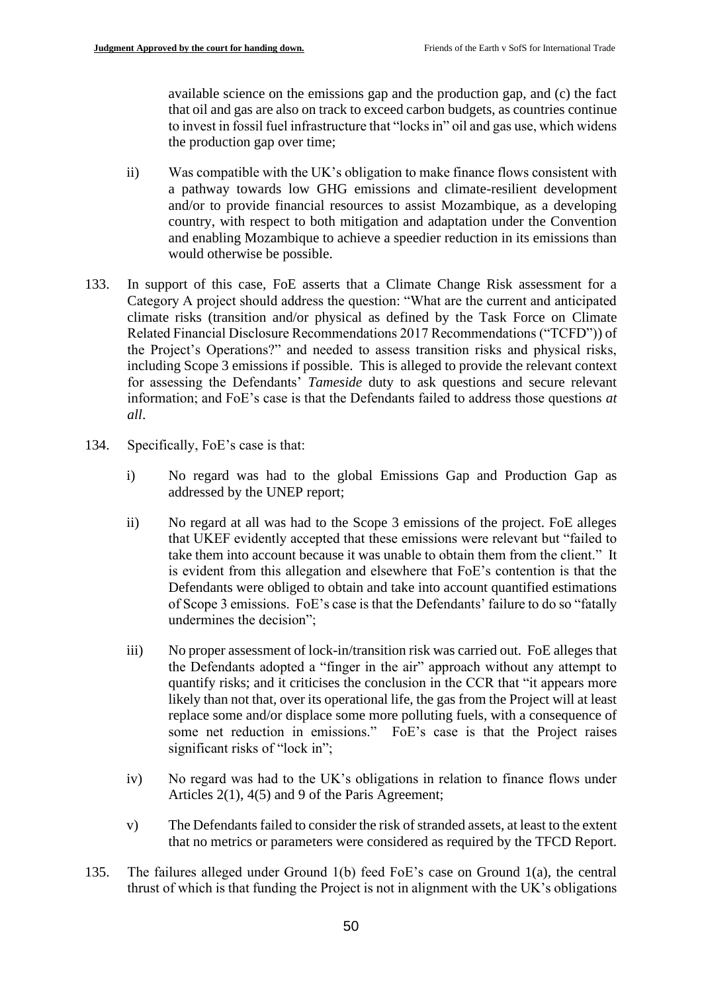available science on the emissions gap and the production gap, and (c) the fact that oil and gas are also on track to exceed carbon budgets, as countries continue to invest in fossil fuel infrastructure that "locks in" oil and gas use, which widens the production gap over time;

- ii) Was compatible with the UK's obligation to make finance flows consistent with a pathway towards low GHG emissions and climate-resilient development and/or to provide financial resources to assist Mozambique, as a developing country, with respect to both mitigation and adaptation under the Convention and enabling Mozambique to achieve a speedier reduction in its emissions than would otherwise be possible.
- 133. In support of this case, FoE asserts that a Climate Change Risk assessment for a Category A project should address the question: "What are the current and anticipated climate risks (transition and/or physical as defined by the Task Force on Climate Related Financial Disclosure Recommendations 2017 Recommendations ("TCFD")) of the Project's Operations?" and needed to assess transition risks and physical risks, including Scope 3 emissions if possible. This is alleged to provide the relevant context for assessing the Defendants' *Tameside* duty to ask questions and secure relevant information; and FoE's case is that the Defendants failed to address those questions *at all*.
- 134. Specifically, FoE's case is that:
	- i) No regard was had to the global Emissions Gap and Production Gap as addressed by the UNEP report;
	- ii) No regard at all was had to the Scope 3 emissions of the project. FoE alleges that UKEF evidently accepted that these emissions were relevant but "failed to take them into account because it was unable to obtain them from the client." It is evident from this allegation and elsewhere that FoE's contention is that the Defendants were obliged to obtain and take into account quantified estimations of Scope 3 emissions. FoE's case is that the Defendants' failure to do so "fatally undermines the decision";
	- iii) No proper assessment of lock-in/transition risk was carried out. FoE alleges that the Defendants adopted a "finger in the air" approach without any attempt to quantify risks; and it criticises the conclusion in the CCR that "it appears more likely than not that, over its operational life, the gas from the Project will at least replace some and/or displace some more polluting fuels, with a consequence of some net reduction in emissions." FoE's case is that the Project raises significant risks of "lock in";
	- iv) No regard was had to the UK's obligations in relation to finance flows under Articles 2(1), 4(5) and 9 of the Paris Agreement;
	- v) The Defendants failed to consider the risk of stranded assets, at least to the extent that no metrics or parameters were considered as required by the TFCD Report.
- 135. The failures alleged under Ground 1(b) feed FoE's case on Ground 1(a), the central thrust of which is that funding the Project is not in alignment with the UK's obligations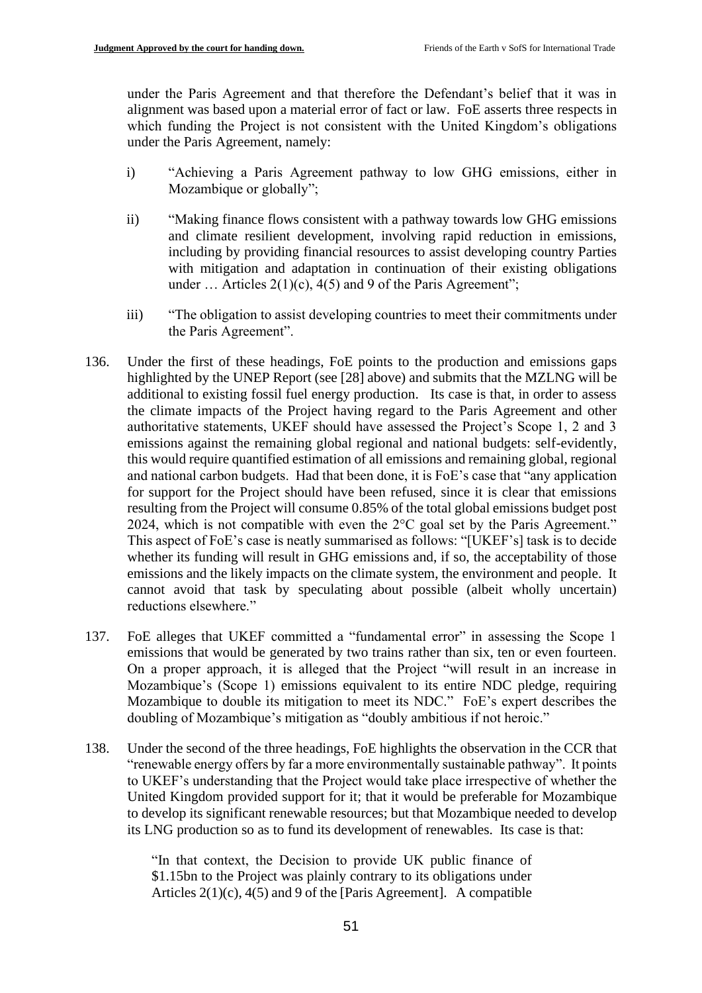under the Paris Agreement and that therefore the Defendant's belief that it was in alignment was based upon a material error of fact or law. FoE asserts three respects in which funding the Project is not consistent with the United Kingdom's obligations under the Paris Agreement, namely:

- i) "Achieving a Paris Agreement pathway to low GHG emissions, either in Mozambique or globally";
- ii) "Making finance flows consistent with a pathway towards low GHG emissions and climate resilient development, involving rapid reduction in emissions, including by providing financial resources to assist developing country Parties with mitigation and adaptation in continuation of their existing obligations under  $\ldots$  Articles 2(1)(c), 4(5) and 9 of the Paris Agreement";
- iii) "The obligation to assist developing countries to meet their commitments under the Paris Agreement".
- 136. Under the first of these headings, FoE points to the production and emissions gaps highlighted by the UNEP Report (see [28] above) and submits that the MZLNG will be additional to existing fossil fuel energy production. Its case is that, in order to assess the climate impacts of the Project having regard to the Paris Agreement and other authoritative statements, UKEF should have assessed the Project's Scope 1, 2 and 3 emissions against the remaining global regional and national budgets: self-evidently, this would require quantified estimation of all emissions and remaining global, regional and national carbon budgets. Had that been done, it is FoE's case that "any application for support for the Project should have been refused, since it is clear that emissions resulting from the Project will consume 0.85% of the total global emissions budget post 2024, which is not compatible with even the 2°C goal set by the Paris Agreement." This aspect of FoE's case is neatly summarised as follows: "[UKEF's] task is to decide whether its funding will result in GHG emissions and, if so, the acceptability of those emissions and the likely impacts on the climate system, the environment and people. It cannot avoid that task by speculating about possible (albeit wholly uncertain) reductions elsewhere."
- 137. FoE alleges that UKEF committed a "fundamental error" in assessing the Scope 1 emissions that would be generated by two trains rather than six, ten or even fourteen. On a proper approach, it is alleged that the Project "will result in an increase in Mozambique's (Scope 1) emissions equivalent to its entire NDC pledge, requiring Mozambique to double its mitigation to meet its NDC." FoE's expert describes the doubling of Mozambique's mitigation as "doubly ambitious if not heroic."
- 138. Under the second of the three headings, FoE highlights the observation in the CCR that "renewable energy offers by far a more environmentally sustainable pathway". It points to UKEF's understanding that the Project would take place irrespective of whether the United Kingdom provided support for it; that it would be preferable for Mozambique to develop its significant renewable resources; but that Mozambique needed to develop its LNG production so as to fund its development of renewables. Its case is that:

"In that context, the Decision to provide UK public finance of \$1.15bn to the Project was plainly contrary to its obligations under Articles 2(1)(c), 4(5) and 9 of the [Paris Agreement]. A compatible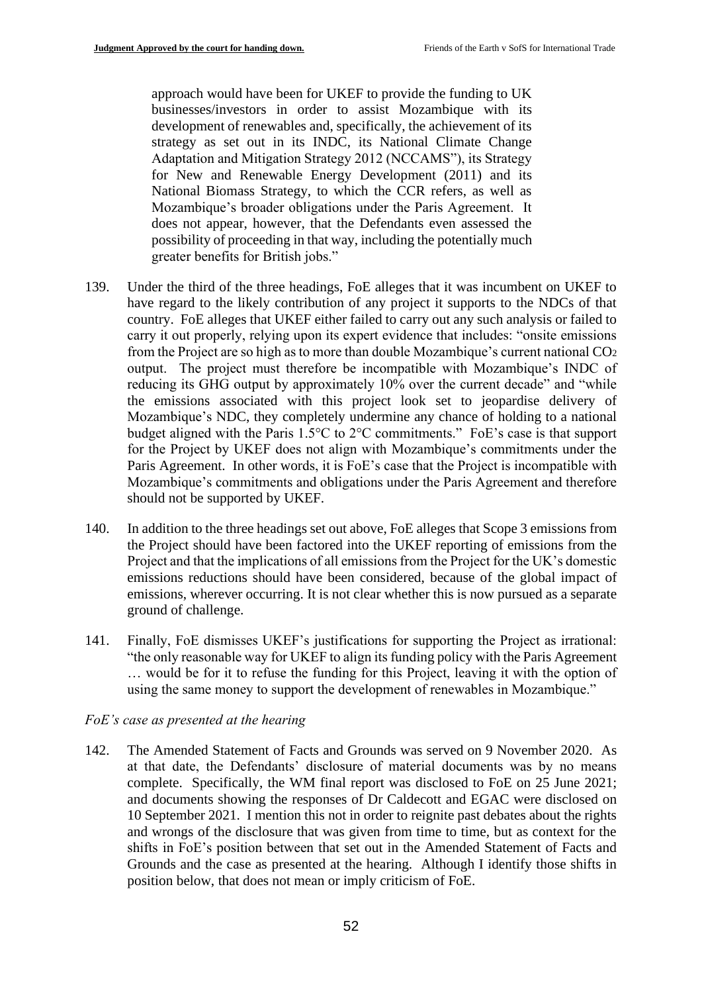approach would have been for UKEF to provide the funding to UK businesses/investors in order to assist Mozambique with its development of renewables and, specifically, the achievement of its strategy as set out in its INDC, its National Climate Change Adaptation and Mitigation Strategy 2012 (NCCAMS"), its Strategy for New and Renewable Energy Development (2011) and its National Biomass Strategy, to which the CCR refers, as well as Mozambique's broader obligations under the Paris Agreement. It does not appear, however, that the Defendants even assessed the possibility of proceeding in that way, including the potentially much greater benefits for British jobs."

- 139. Under the third of the three headings, FoE alleges that it was incumbent on UKEF to have regard to the likely contribution of any project it supports to the NDCs of that country. FoE alleges that UKEF either failed to carry out any such analysis or failed to carry it out properly, relying upon its expert evidence that includes: "onsite emissions from the Project are so high as to more than double Mozambique's current national CO<sup>2</sup> output. The project must therefore be incompatible with Mozambique's INDC of reducing its GHG output by approximately 10% over the current decade" and "while the emissions associated with this project look set to jeopardise delivery of Mozambique's NDC, they completely undermine any chance of holding to a national budget aligned with the Paris 1.5°C to 2°C commitments." FoE's case is that support for the Project by UKEF does not align with Mozambique's commitments under the Paris Agreement. In other words, it is FoE's case that the Project is incompatible with Mozambique's commitments and obligations under the Paris Agreement and therefore should not be supported by UKEF.
- 140. In addition to the three headings set out above, FoE alleges that Scope 3 emissions from the Project should have been factored into the UKEF reporting of emissions from the Project and that the implications of all emissions from the Project for the UK's domestic emissions reductions should have been considered, because of the global impact of emissions, wherever occurring. It is not clear whether this is now pursued as a separate ground of challenge.
- 141. Finally, FoE dismisses UKEF's justifications for supporting the Project as irrational: "the only reasonable way for UKEF to align its funding policy with the Paris Agreement … would be for it to refuse the funding for this Project, leaving it with the option of using the same money to support the development of renewables in Mozambique."

#### *FoE's case as presented at the hearing*

142. The Amended Statement of Facts and Grounds was served on 9 November 2020. As at that date, the Defendants' disclosure of material documents was by no means complete. Specifically, the WM final report was disclosed to FoE on 25 June 2021; and documents showing the responses of Dr Caldecott and EGAC were disclosed on 10 September 2021. I mention this not in order to reignite past debates about the rights and wrongs of the disclosure that was given from time to time, but as context for the shifts in FoE's position between that set out in the Amended Statement of Facts and Grounds and the case as presented at the hearing. Although I identify those shifts in position below, that does not mean or imply criticism of FoE.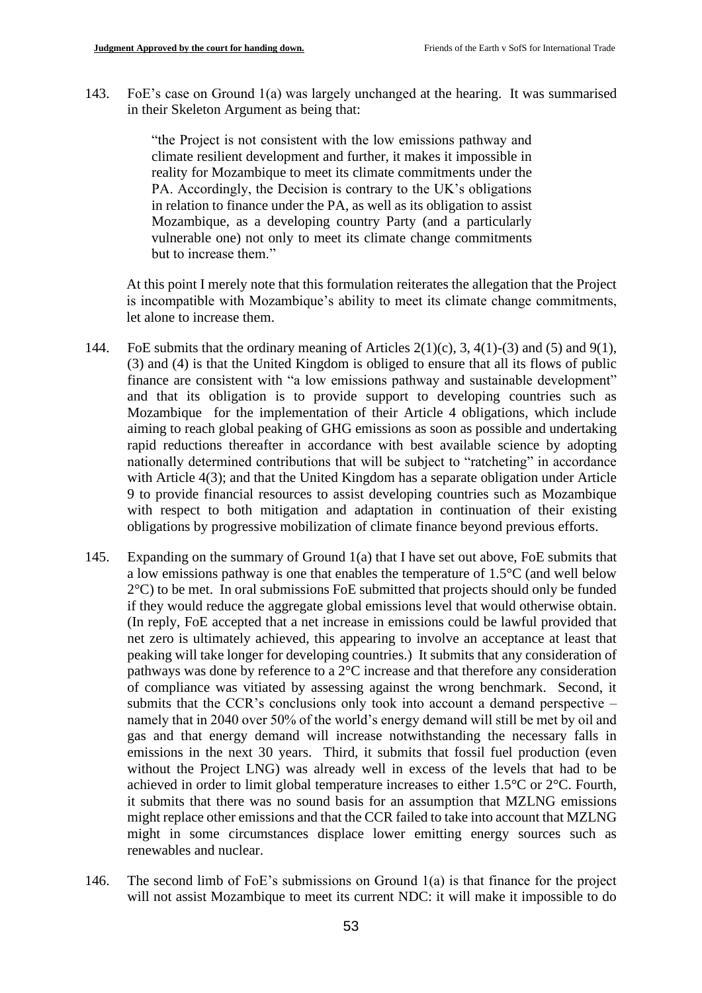143. FoE's case on Ground 1(a) was largely unchanged at the hearing. It was summarised in their Skeleton Argument as being that:

> "the Project is not consistent with the low emissions pathway and climate resilient development and further, it makes it impossible in reality for Mozambique to meet its climate commitments under the PA. Accordingly, the Decision is contrary to the UK's obligations in relation to finance under the PA, as well as its obligation to assist Mozambique, as a developing country Party (and a particularly vulnerable one) not only to meet its climate change commitments but to increase them."

At this point I merely note that this formulation reiterates the allegation that the Project is incompatible with Mozambique's ability to meet its climate change commitments, let alone to increase them.

- 144. FoE submits that the ordinary meaning of Articles  $2(1)(c)$ , 3,  $4(1)-(3)$  and  $(5)$  and  $9(1)$ , (3) and (4) is that the United Kingdom is obliged to ensure that all its flows of public finance are consistent with "a low emissions pathway and sustainable development" and that its obligation is to provide support to developing countries such as Mozambique for the implementation of their Article 4 obligations, which include aiming to reach global peaking of GHG emissions as soon as possible and undertaking rapid reductions thereafter in accordance with best available science by adopting nationally determined contributions that will be subject to "ratcheting" in accordance with Article 4(3); and that the United Kingdom has a separate obligation under Article 9 to provide financial resources to assist developing countries such as Mozambique with respect to both mitigation and adaptation in continuation of their existing obligations by progressive mobilization of climate finance beyond previous efforts.
- 145. Expanding on the summary of Ground 1(a) that I have set out above, FoE submits that a low emissions pathway is one that enables the temperature of 1.5°C (and well below 2°C) to be met. In oral submissions FoE submitted that projects should only be funded if they would reduce the aggregate global emissions level that would otherwise obtain. (In reply, FoE accepted that a net increase in emissions could be lawful provided that net zero is ultimately achieved, this appearing to involve an acceptance at least that peaking will take longer for developing countries.) It submits that any consideration of pathways was done by reference to a 2°C increase and that therefore any consideration of compliance was vitiated by assessing against the wrong benchmark. Second, it submits that the CCR's conclusions only took into account a demand perspective – namely that in 2040 over 50% of the world's energy demand will still be met by oil and gas and that energy demand will increase notwithstanding the necessary falls in emissions in the next 30 years. Third, it submits that fossil fuel production (even without the Project LNG) was already well in excess of the levels that had to be achieved in order to limit global temperature increases to either 1.5°C or 2°C. Fourth, it submits that there was no sound basis for an assumption that MZLNG emissions might replace other emissions and that the CCR failed to take into account that MZLNG might in some circumstances displace lower emitting energy sources such as renewables and nuclear.
- 146. The second limb of FoE's submissions on Ground 1(a) is that finance for the project will not assist Mozambique to meet its current NDC: it will make it impossible to do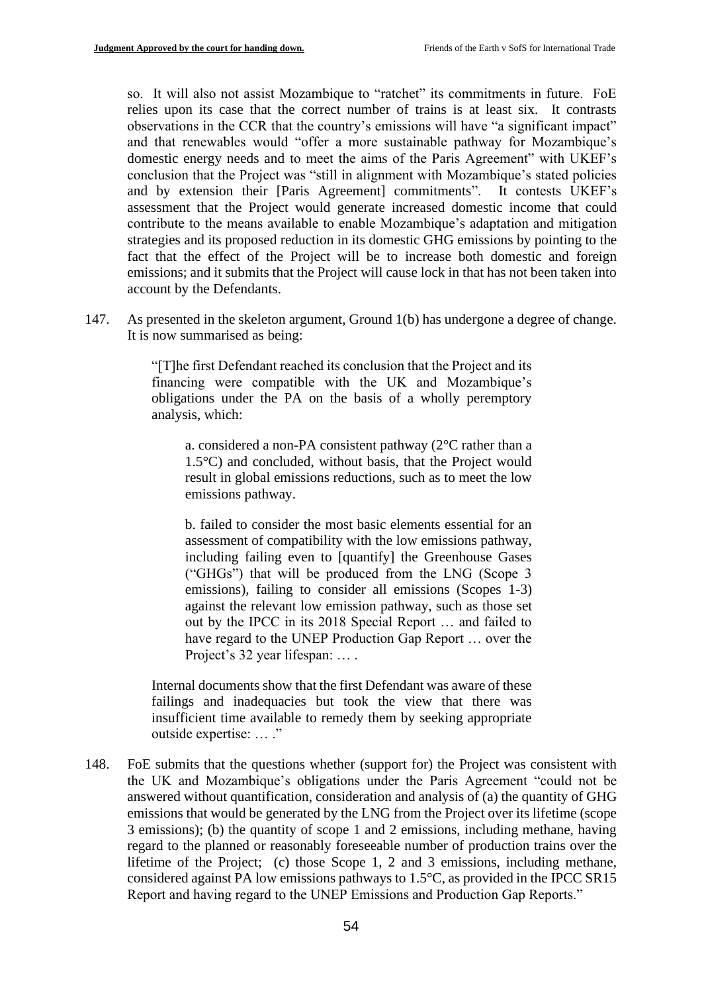so. It will also not assist Mozambique to "ratchet" its commitments in future. FoE relies upon its case that the correct number of trains is at least six. It contrasts observations in the CCR that the country's emissions will have "a significant impact" and that renewables would "offer a more sustainable pathway for Mozambique's domestic energy needs and to meet the aims of the Paris Agreement" with UKEF's conclusion that the Project was "still in alignment with Mozambique's stated policies and by extension their [Paris Agreement] commitments". It contests UKEF's assessment that the Project would generate increased domestic income that could contribute to the means available to enable Mozambique's adaptation and mitigation strategies and its proposed reduction in its domestic GHG emissions by pointing to the fact that the effect of the Project will be to increase both domestic and foreign emissions; and it submits that the Project will cause lock in that has not been taken into account by the Defendants.

147. As presented in the skeleton argument, Ground 1(b) has undergone a degree of change. It is now summarised as being:

> "[T]he first Defendant reached its conclusion that the Project and its financing were compatible with the UK and Mozambique's obligations under the PA on the basis of a wholly peremptory analysis, which:

a. considered a non-PA consistent pathway (2°C rather than a 1.5°C) and concluded, without basis, that the Project would result in global emissions reductions, such as to meet the low emissions pathway.

b. failed to consider the most basic elements essential for an assessment of compatibility with the low emissions pathway, including failing even to [quantify] the Greenhouse Gases ("GHGs") that will be produced from the LNG (Scope 3 emissions), failing to consider all emissions (Scopes 1-3) against the relevant low emission pathway, such as those set out by the IPCC in its 2018 Special Report … and failed to have regard to the UNEP Production Gap Report … over the Project's 32 year lifespan: … .

Internal documents show that the first Defendant was aware of these failings and inadequacies but took the view that there was insufficient time available to remedy them by seeking appropriate outside expertise: … ."

148. FoE submits that the questions whether (support for) the Project was consistent with the UK and Mozambique's obligations under the Paris Agreement "could not be answered without quantification, consideration and analysis of (a) the quantity of GHG emissions that would be generated by the LNG from the Project over its lifetime (scope 3 emissions); (b) the quantity of scope 1 and 2 emissions, including methane, having regard to the planned or reasonably foreseeable number of production trains over the lifetime of the Project; (c) those Scope 1, 2 and 3 emissions, including methane, considered against PA low emissions pathways to 1.5°C, as provided in the IPCC SR15 Report and having regard to the UNEP Emissions and Production Gap Reports."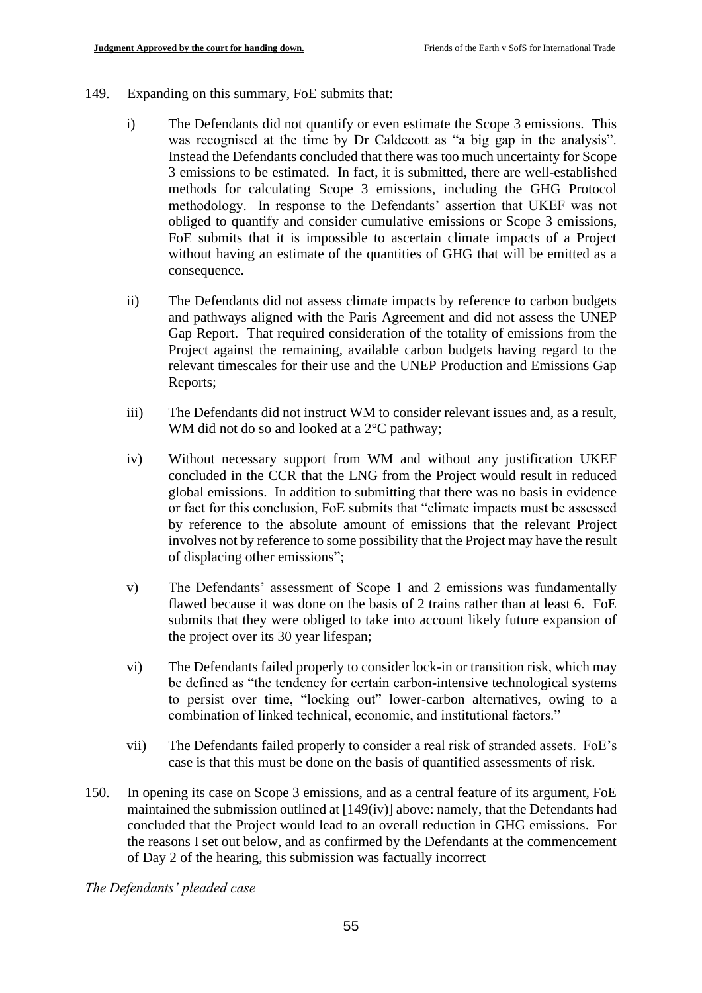- 149. Expanding on this summary, FoE submits that:
	- i) The Defendants did not quantify or even estimate the Scope 3 emissions. This was recognised at the time by Dr Caldecott as "a big gap in the analysis". Instead the Defendants concluded that there was too much uncertainty for Scope 3 emissions to be estimated. In fact, it is submitted, there are well-established methods for calculating Scope 3 emissions, including the GHG Protocol methodology. In response to the Defendants' assertion that UKEF was not obliged to quantify and consider cumulative emissions or Scope 3 emissions, FoE submits that it is impossible to ascertain climate impacts of a Project without having an estimate of the quantities of GHG that will be emitted as a consequence.
	- ii) The Defendants did not assess climate impacts by reference to carbon budgets and pathways aligned with the Paris Agreement and did not assess the UNEP Gap Report. That required consideration of the totality of emissions from the Project against the remaining, available carbon budgets having regard to the relevant timescales for their use and the UNEP Production and Emissions Gap Reports;
	- iii) The Defendants did not instruct WM to consider relevant issues and, as a result, WM did not do so and looked at a  $2^{\circ}$ C pathway;
	- iv) Without necessary support from WM and without any justification UKEF concluded in the CCR that the LNG from the Project would result in reduced global emissions. In addition to submitting that there was no basis in evidence or fact for this conclusion, FoE submits that "climate impacts must be assessed by reference to the absolute amount of emissions that the relevant Project involves not by reference to some possibility that the Project may have the result of displacing other emissions";
	- v) The Defendants' assessment of Scope 1 and 2 emissions was fundamentally flawed because it was done on the basis of 2 trains rather than at least 6. FoE submits that they were obliged to take into account likely future expansion of the project over its 30 year lifespan;
	- vi) The Defendants failed properly to consider lock-in or transition risk, which may be defined as "the tendency for certain carbon-intensive technological systems to persist over time, "locking out" lower-carbon alternatives, owing to a combination of linked technical, economic, and institutional factors."
	- vii) The Defendants failed properly to consider a real risk of stranded assets. FoE's case is that this must be done on the basis of quantified assessments of risk.
- 150. In opening its case on Scope 3 emissions, and as a central feature of its argument, FoE maintained the submission outlined at [149(iv)] above: namely, that the Defendants had concluded that the Project would lead to an overall reduction in GHG emissions. For the reasons I set out below, and as confirmed by the Defendants at the commencement of Day 2 of the hearing, this submission was factually incorrect

*The Defendants' pleaded case*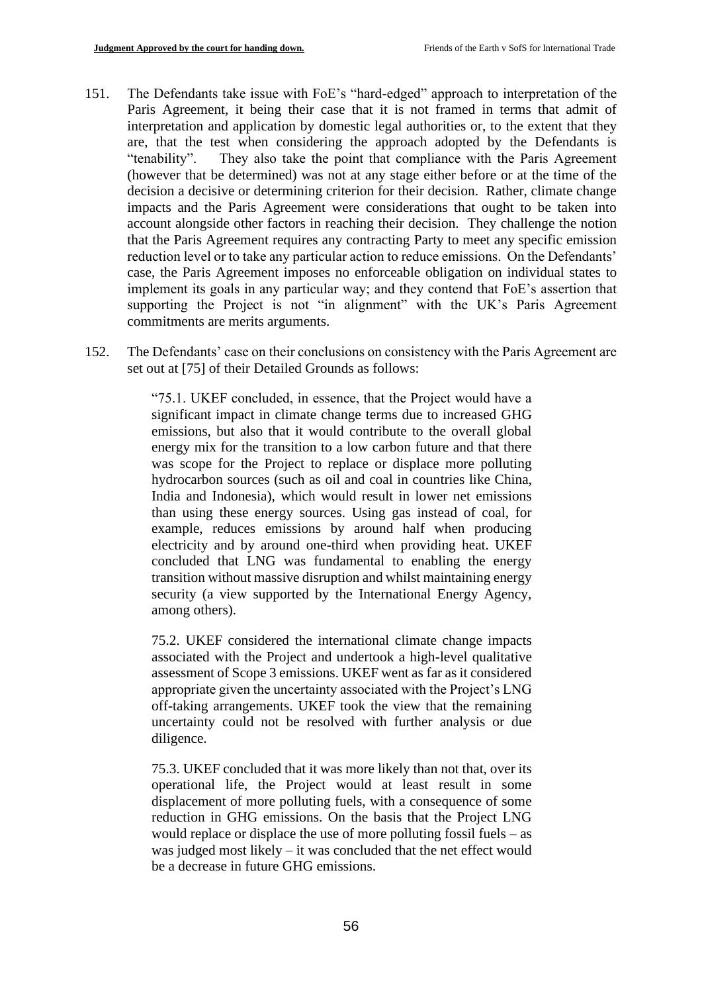- 151. The Defendants take issue with FoE's "hard-edged" approach to interpretation of the Paris Agreement, it being their case that it is not framed in terms that admit of interpretation and application by domestic legal authorities or, to the extent that they are, that the test when considering the approach adopted by the Defendants is "tenability". They also take the point that compliance with the Paris Agreement (however that be determined) was not at any stage either before or at the time of the decision a decisive or determining criterion for their decision. Rather, climate change impacts and the Paris Agreement were considerations that ought to be taken into account alongside other factors in reaching their decision. They challenge the notion that the Paris Agreement requires any contracting Party to meet any specific emission reduction level or to take any particular action to reduce emissions. On the Defendants' case, the Paris Agreement imposes no enforceable obligation on individual states to implement its goals in any particular way; and they contend that FoE's assertion that supporting the Project is not "in alignment" with the UK's Paris Agreement commitments are merits arguments.
- 152. The Defendants' case on their conclusions on consistency with the Paris Agreement are set out at [75] of their Detailed Grounds as follows:

"75.1. UKEF concluded, in essence, that the Project would have a significant impact in climate change terms due to increased GHG emissions, but also that it would contribute to the overall global energy mix for the transition to a low carbon future and that there was scope for the Project to replace or displace more polluting hydrocarbon sources (such as oil and coal in countries like China, India and Indonesia), which would result in lower net emissions than using these energy sources. Using gas instead of coal, for example, reduces emissions by around half when producing electricity and by around one-third when providing heat. UKEF concluded that LNG was fundamental to enabling the energy transition without massive disruption and whilst maintaining energy security (a view supported by the International Energy Agency, among others).

75.2. UKEF considered the international climate change impacts associated with the Project and undertook a high-level qualitative assessment of Scope 3 emissions. UKEF went as far as it considered appropriate given the uncertainty associated with the Project's LNG off-taking arrangements. UKEF took the view that the remaining uncertainty could not be resolved with further analysis or due diligence.

75.3. UKEF concluded that it was more likely than not that, over its operational life, the Project would at least result in some displacement of more polluting fuels, with a consequence of some reduction in GHG emissions. On the basis that the Project LNG would replace or displace the use of more polluting fossil fuels – as was judged most likely – it was concluded that the net effect would be a decrease in future GHG emissions.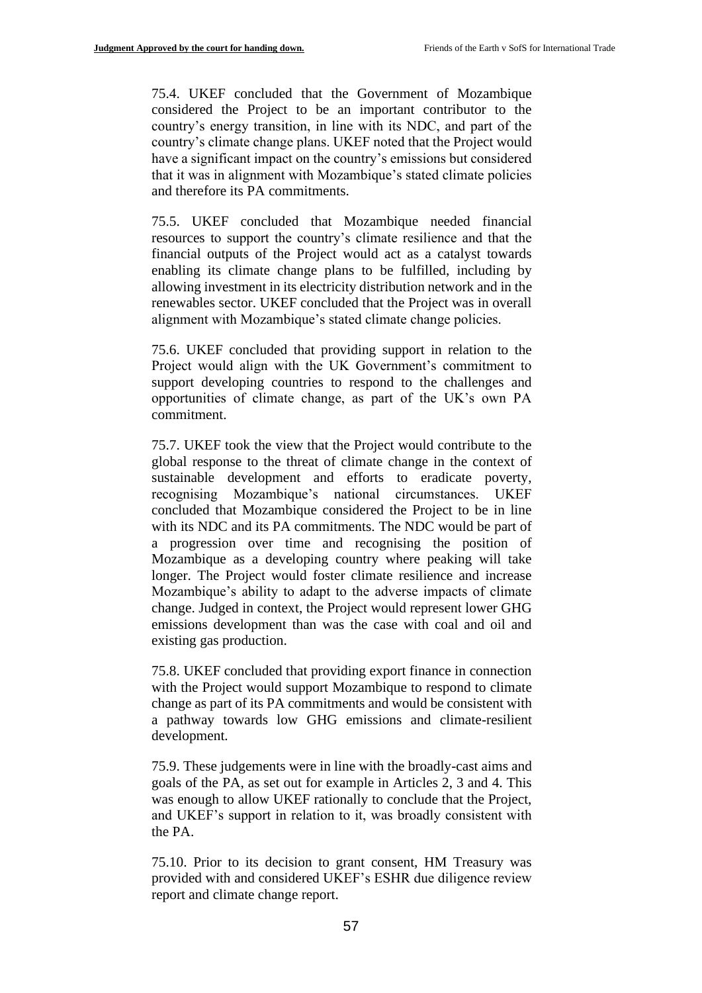75.4. UKEF concluded that the Government of Mozambique considered the Project to be an important contributor to the country's energy transition, in line with its NDC, and part of the country's climate change plans. UKEF noted that the Project would have a significant impact on the country's emissions but considered that it was in alignment with Mozambique's stated climate policies and therefore its PA commitments.

75.5. UKEF concluded that Mozambique needed financial resources to support the country's climate resilience and that the financial outputs of the Project would act as a catalyst towards enabling its climate change plans to be fulfilled, including by allowing investment in its electricity distribution network and in the renewables sector. UKEF concluded that the Project was in overall alignment with Mozambique's stated climate change policies.

75.6. UKEF concluded that providing support in relation to the Project would align with the UK Government's commitment to support developing countries to respond to the challenges and opportunities of climate change, as part of the UK's own PA commitment.

75.7. UKEF took the view that the Project would contribute to the global response to the threat of climate change in the context of sustainable development and efforts to eradicate poverty, recognising Mozambique's national circumstances. UKEF concluded that Mozambique considered the Project to be in line with its NDC and its PA commitments. The NDC would be part of a progression over time and recognising the position of Mozambique as a developing country where peaking will take longer. The Project would foster climate resilience and increase Mozambique's ability to adapt to the adverse impacts of climate change. Judged in context, the Project would represent lower GHG emissions development than was the case with coal and oil and existing gas production.

75.8. UKEF concluded that providing export finance in connection with the Project would support Mozambique to respond to climate change as part of its PA commitments and would be consistent with a pathway towards low GHG emissions and climate-resilient development.

75.9. These judgements were in line with the broadly-cast aims and goals of the PA, as set out for example in Articles 2, 3 and 4. This was enough to allow UKEF rationally to conclude that the Project, and UKEF's support in relation to it, was broadly consistent with the PA.

75.10. Prior to its decision to grant consent, HM Treasury was provided with and considered UKEF's ESHR due diligence review report and climate change report.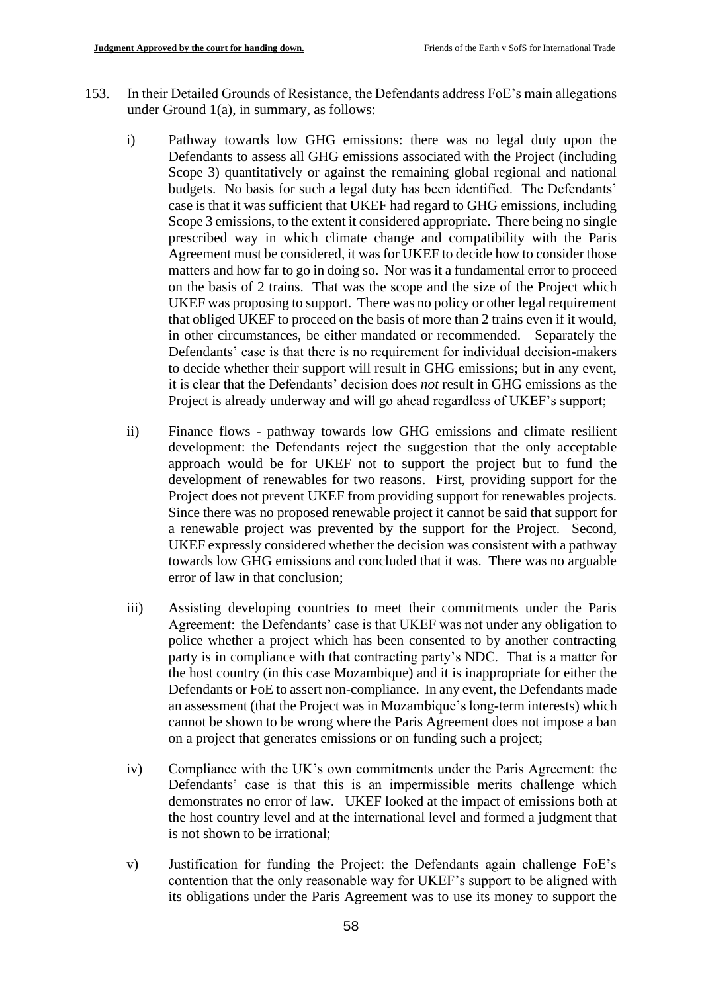- 153. In their Detailed Grounds of Resistance, the Defendants address FoE's main allegations under Ground 1(a), in summary, as follows:
	- i) Pathway towards low GHG emissions: there was no legal duty upon the Defendants to assess all GHG emissions associated with the Project (including Scope 3) quantitatively or against the remaining global regional and national budgets. No basis for such a legal duty has been identified. The Defendants' case is that it was sufficient that UKEF had regard to GHG emissions, including Scope 3 emissions, to the extent it considered appropriate. There being no single prescribed way in which climate change and compatibility with the Paris Agreement must be considered, it was for UKEF to decide how to consider those matters and how far to go in doing so. Nor was it a fundamental error to proceed on the basis of 2 trains. That was the scope and the size of the Project which UKEF was proposing to support. There was no policy or other legal requirement that obliged UKEF to proceed on the basis of more than 2 trains even if it would, in other circumstances, be either mandated or recommended. Separately the Defendants' case is that there is no requirement for individual decision-makers to decide whether their support will result in GHG emissions; but in any event, it is clear that the Defendants' decision does *not* result in GHG emissions as the Project is already underway and will go ahead regardless of UKEF's support;
	- ii) Finance flows pathway towards low GHG emissions and climate resilient development: the Defendants reject the suggestion that the only acceptable approach would be for UKEF not to support the project but to fund the development of renewables for two reasons. First, providing support for the Project does not prevent UKEF from providing support for renewables projects. Since there was no proposed renewable project it cannot be said that support for a renewable project was prevented by the support for the Project. Second, UKEF expressly considered whether the decision was consistent with a pathway towards low GHG emissions and concluded that it was. There was no arguable error of law in that conclusion;
	- iii) Assisting developing countries to meet their commitments under the Paris Agreement: the Defendants' case is that UKEF was not under any obligation to police whether a project which has been consented to by another contracting party is in compliance with that contracting party's NDC. That is a matter for the host country (in this case Mozambique) and it is inappropriate for either the Defendants or FoE to assert non-compliance. In any event, the Defendants made an assessment (that the Project was in Mozambique's long-term interests) which cannot be shown to be wrong where the Paris Agreement does not impose a ban on a project that generates emissions or on funding such a project;
	- iv) Compliance with the UK's own commitments under the Paris Agreement: the Defendants' case is that this is an impermissible merits challenge which demonstrates no error of law. UKEF looked at the impact of emissions both at the host country level and at the international level and formed a judgment that is not shown to be irrational;
	- v) Justification for funding the Project: the Defendants again challenge FoE's contention that the only reasonable way for UKEF's support to be aligned with its obligations under the Paris Agreement was to use its money to support the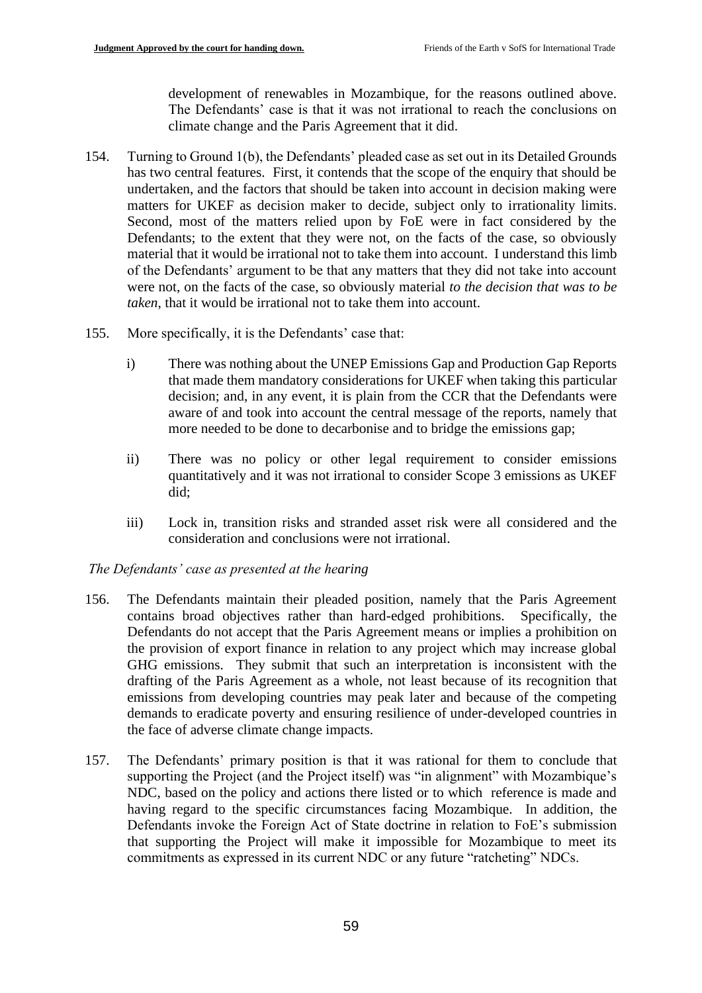development of renewables in Mozambique, for the reasons outlined above. The Defendants' case is that it was not irrational to reach the conclusions on climate change and the Paris Agreement that it did.

- 154. Turning to Ground 1(b), the Defendants' pleaded case as set out in its Detailed Grounds has two central features. First, it contends that the scope of the enquiry that should be undertaken, and the factors that should be taken into account in decision making were matters for UKEF as decision maker to decide, subject only to irrationality limits. Second, most of the matters relied upon by FoE were in fact considered by the Defendants; to the extent that they were not, on the facts of the case, so obviously material that it would be irrational not to take them into account. I understand this limb of the Defendants' argument to be that any matters that they did not take into account were not, on the facts of the case, so obviously material *to the decision that was to be taken*, that it would be irrational not to take them into account.
- 155. More specifically, it is the Defendants' case that:
	- i) There was nothing about the UNEP Emissions Gap and Production Gap Reports that made them mandatory considerations for UKEF when taking this particular decision; and, in any event, it is plain from the CCR that the Defendants were aware of and took into account the central message of the reports, namely that more needed to be done to decarbonise and to bridge the emissions gap;
	- ii) There was no policy or other legal requirement to consider emissions quantitatively and it was not irrational to consider Scope 3 emissions as UKEF did;
	- iii) Lock in, transition risks and stranded asset risk were all considered and the consideration and conclusions were not irrational.

## *The Defendants' case as presented at the hearing*

- 156. The Defendants maintain their pleaded position, namely that the Paris Agreement contains broad objectives rather than hard-edged prohibitions. Specifically, the Defendants do not accept that the Paris Agreement means or implies a prohibition on the provision of export finance in relation to any project which may increase global GHG emissions. They submit that such an interpretation is inconsistent with the drafting of the Paris Agreement as a whole, not least because of its recognition that emissions from developing countries may peak later and because of the competing demands to eradicate poverty and ensuring resilience of under-developed countries in the face of adverse climate change impacts.
- 157. The Defendants' primary position is that it was rational for them to conclude that supporting the Project (and the Project itself) was "in alignment" with Mozambique's NDC, based on the policy and actions there listed or to which reference is made and having regard to the specific circumstances facing Mozambique. In addition, the Defendants invoke the Foreign Act of State doctrine in relation to FoE's submission that supporting the Project will make it impossible for Mozambique to meet its commitments as expressed in its current NDC or any future "ratcheting" NDCs.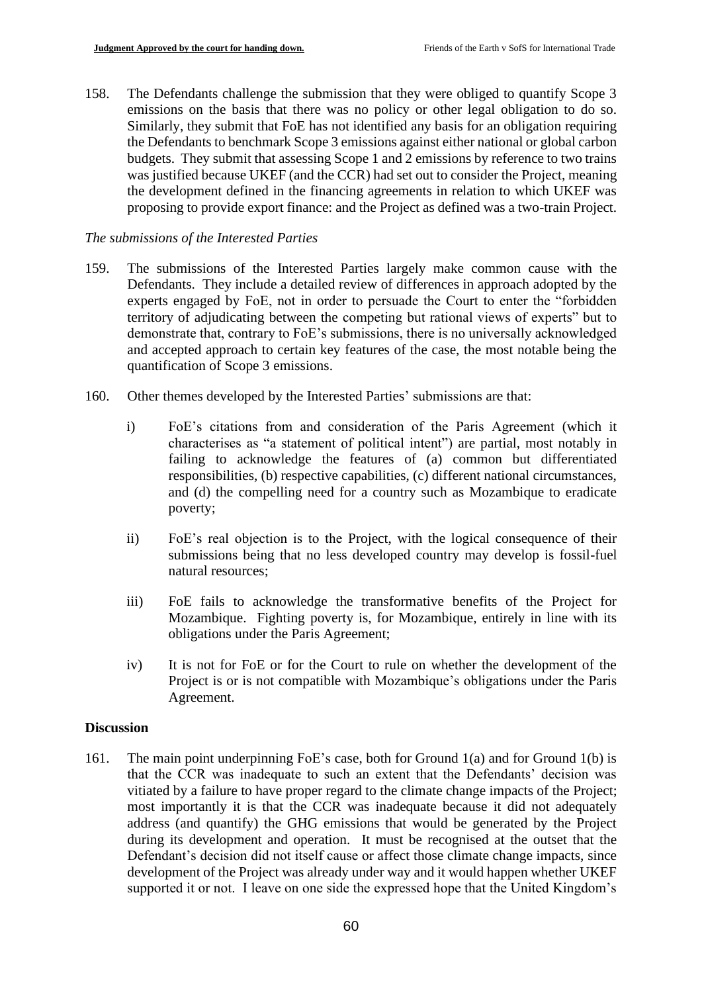158. The Defendants challenge the submission that they were obliged to quantify Scope 3 emissions on the basis that there was no policy or other legal obligation to do so. Similarly, they submit that FoE has not identified any basis for an obligation requiring the Defendants to benchmark Scope 3 emissions against either national or global carbon budgets. They submit that assessing Scope 1 and 2 emissions by reference to two trains was justified because UKEF (and the CCR) had set out to consider the Project, meaning the development defined in the financing agreements in relation to which UKEF was proposing to provide export finance: and the Project as defined was a two-train Project.

# *The submissions of the Interested Parties*

- 159. The submissions of the Interested Parties largely make common cause with the Defendants. They include a detailed review of differences in approach adopted by the experts engaged by FoE, not in order to persuade the Court to enter the "forbidden territory of adjudicating between the competing but rational views of experts" but to demonstrate that, contrary to FoE's submissions, there is no universally acknowledged and accepted approach to certain key features of the case, the most notable being the quantification of Scope 3 emissions.
- 160. Other themes developed by the Interested Parties' submissions are that:
	- i) FoE's citations from and consideration of the Paris Agreement (which it characterises as "a statement of political intent") are partial, most notably in failing to acknowledge the features of (a) common but differentiated responsibilities, (b) respective capabilities, (c) different national circumstances, and (d) the compelling need for a country such as Mozambique to eradicate poverty;
	- ii) FoE's real objection is to the Project, with the logical consequence of their submissions being that no less developed country may develop is fossil-fuel natural resources;
	- iii) FoE fails to acknowledge the transformative benefits of the Project for Mozambique. Fighting poverty is, for Mozambique, entirely in line with its obligations under the Paris Agreement;
	- iv) It is not for FoE or for the Court to rule on whether the development of the Project is or is not compatible with Mozambique's obligations under the Paris Agreement.

## **Discussion**

161. The main point underpinning FoE's case, both for Ground 1(a) and for Ground 1(b) is that the CCR was inadequate to such an extent that the Defendants' decision was vitiated by a failure to have proper regard to the climate change impacts of the Project; most importantly it is that the CCR was inadequate because it did not adequately address (and quantify) the GHG emissions that would be generated by the Project during its development and operation. It must be recognised at the outset that the Defendant's decision did not itself cause or affect those climate change impacts, since development of the Project was already under way and it would happen whether UKEF supported it or not. I leave on one side the expressed hope that the United Kingdom's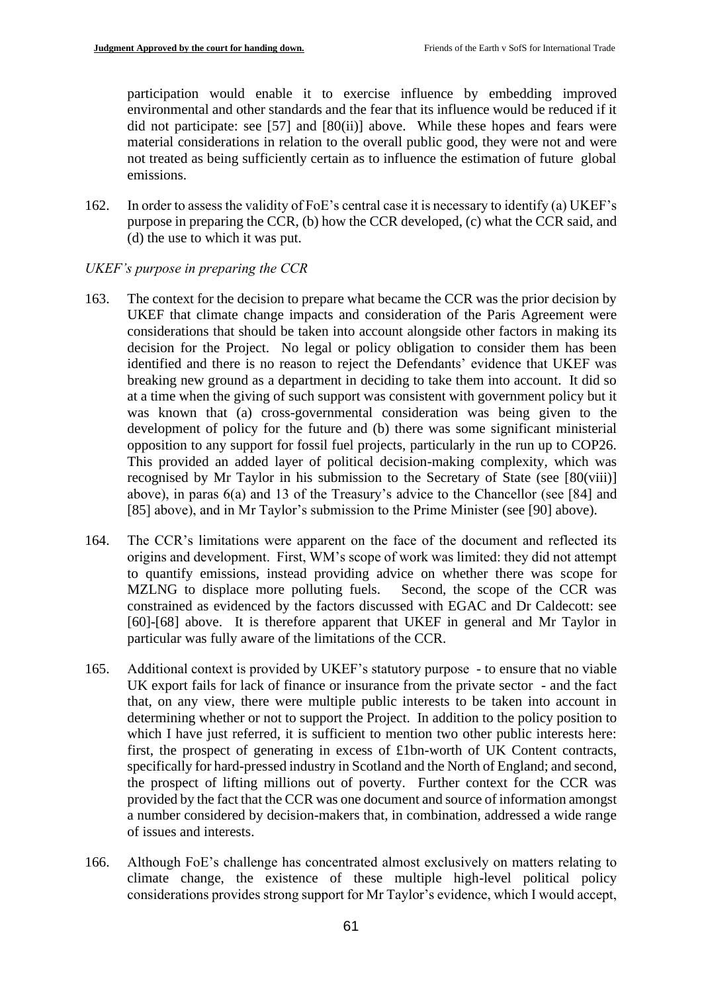participation would enable it to exercise influence by embedding improved environmental and other standards and the fear that its influence would be reduced if it did not participate: see  $[57]$  and  $[80(ii)]$  above. While these hopes and fears were material considerations in relation to the overall public good, they were not and were not treated as being sufficiently certain as to influence the estimation of future global emissions.

162. In order to assess the validity of FoE's central case it is necessary to identify (a) UKEF's purpose in preparing the CCR, (b) how the CCR developed, (c) what the CCR said, and (d) the use to which it was put.

# *UKEF's purpose in preparing the CCR*

- 163. The context for the decision to prepare what became the CCR was the prior decision by UKEF that climate change impacts and consideration of the Paris Agreement were considerations that should be taken into account alongside other factors in making its decision for the Project. No legal or policy obligation to consider them has been identified and there is no reason to reject the Defendants' evidence that UKEF was breaking new ground as a department in deciding to take them into account. It did so at a time when the giving of such support was consistent with government policy but it was known that (a) cross-governmental consideration was being given to the development of policy for the future and (b) there was some significant ministerial opposition to any support for fossil fuel projects, particularly in the run up to COP26. This provided an added layer of political decision-making complexity, which was recognised by Mr Taylor in his submission to the Secretary of State (see [80(viii)] above), in paras 6(a) and 13 of the Treasury's advice to the Chancellor (see [84] and [85] above), and in Mr Taylor's submission to the Prime Minister (see [90] above).
- 164. The CCR's limitations were apparent on the face of the document and reflected its origins and development. First, WM's scope of work was limited: they did not attempt to quantify emissions, instead providing advice on whether there was scope for MZLNG to displace more polluting fuels. Second, the scope of the CCR was constrained as evidenced by the factors discussed with EGAC and Dr Caldecott: see [60]-[68] above. It is therefore apparent that UKEF in general and Mr Taylor in particular was fully aware of the limitations of the CCR.
- 165. Additional context is provided by UKEF's statutory purpose to ensure that no viable UK export fails for lack of finance or insurance from the private sector - and the fact that, on any view, there were multiple public interests to be taken into account in determining whether or not to support the Project. In addition to the policy position to which I have just referred, it is sufficient to mention two other public interests here: first, the prospect of generating in excess of £1bn-worth of UK Content contracts, specifically for hard-pressed industry in Scotland and the North of England; and second, the prospect of lifting millions out of poverty. Further context for the CCR was provided by the fact that the CCR was one document and source of information amongst a number considered by decision-makers that, in combination, addressed a wide range of issues and interests.
- 166. Although FoE's challenge has concentrated almost exclusively on matters relating to climate change, the existence of these multiple high-level political policy considerations provides strong support for Mr Taylor's evidence, which I would accept,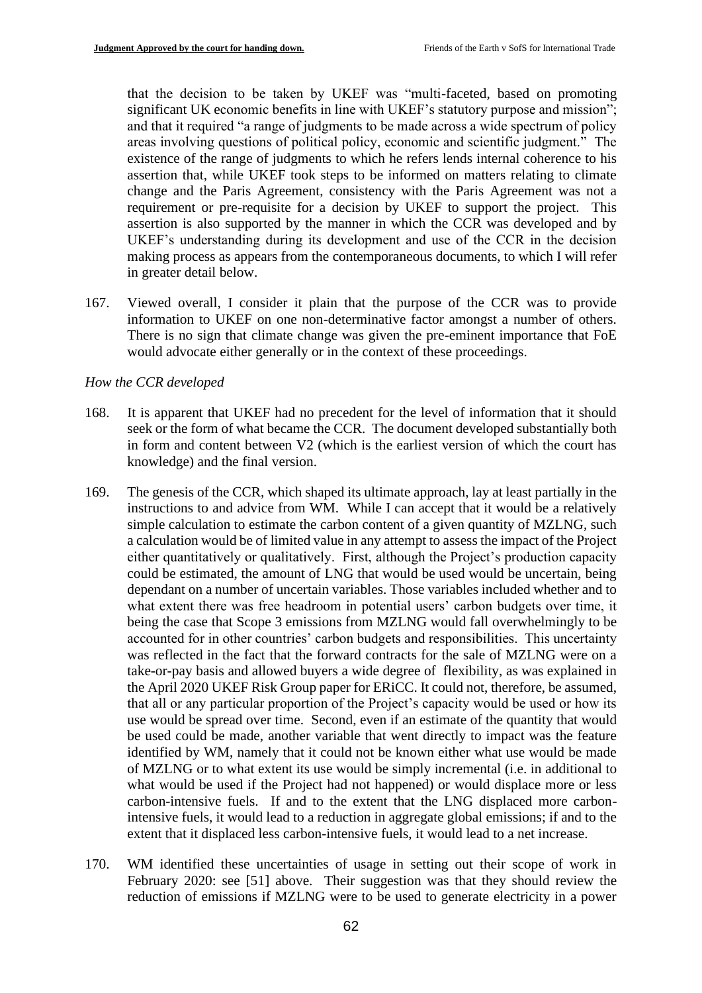that the decision to be taken by UKEF was "multi-faceted, based on promoting significant UK economic benefits in line with UKEF's statutory purpose and mission"; and that it required "a range of judgments to be made across a wide spectrum of policy areas involving questions of political policy, economic and scientific judgment." The existence of the range of judgments to which he refers lends internal coherence to his assertion that, while UKEF took steps to be informed on matters relating to climate change and the Paris Agreement, consistency with the Paris Agreement was not a requirement or pre-requisite for a decision by UKEF to support the project. This assertion is also supported by the manner in which the CCR was developed and by UKEF's understanding during its development and use of the CCR in the decision making process as appears from the contemporaneous documents, to which I will refer in greater detail below.

167. Viewed overall, I consider it plain that the purpose of the CCR was to provide information to UKEF on one non-determinative factor amongst a number of others. There is no sign that climate change was given the pre-eminent importance that FoE would advocate either generally or in the context of these proceedings.

### *How the CCR developed*

- 168. It is apparent that UKEF had no precedent for the level of information that it should seek or the form of what became the CCR. The document developed substantially both in form and content between V2 (which is the earliest version of which the court has knowledge) and the final version.
- 169. The genesis of the CCR, which shaped its ultimate approach, lay at least partially in the instructions to and advice from WM. While I can accept that it would be a relatively simple calculation to estimate the carbon content of a given quantity of MZLNG, such a calculation would be of limited value in any attempt to assess the impact of the Project either quantitatively or qualitatively. First, although the Project's production capacity could be estimated, the amount of LNG that would be used would be uncertain, being dependant on a number of uncertain variables. Those variables included whether and to what extent there was free headroom in potential users' carbon budgets over time, it being the case that Scope 3 emissions from MZLNG would fall overwhelmingly to be accounted for in other countries' carbon budgets and responsibilities. This uncertainty was reflected in the fact that the forward contracts for the sale of MZLNG were on a take-or-pay basis and allowed buyers a wide degree of flexibility, as was explained in the April 2020 UKEF Risk Group paper for ERiCC. It could not, therefore, be assumed, that all or any particular proportion of the Project's capacity would be used or how its use would be spread over time. Second, even if an estimate of the quantity that would be used could be made, another variable that went directly to impact was the feature identified by WM, namely that it could not be known either what use would be made of MZLNG or to what extent its use would be simply incremental (i.e. in additional to what would be used if the Project had not happened) or would displace more or less carbon-intensive fuels. If and to the extent that the LNG displaced more carbonintensive fuels, it would lead to a reduction in aggregate global emissions; if and to the extent that it displaced less carbon-intensive fuels, it would lead to a net increase.
- 170. WM identified these uncertainties of usage in setting out their scope of work in February 2020: see [51] above. Their suggestion was that they should review the reduction of emissions if MZLNG were to be used to generate electricity in a power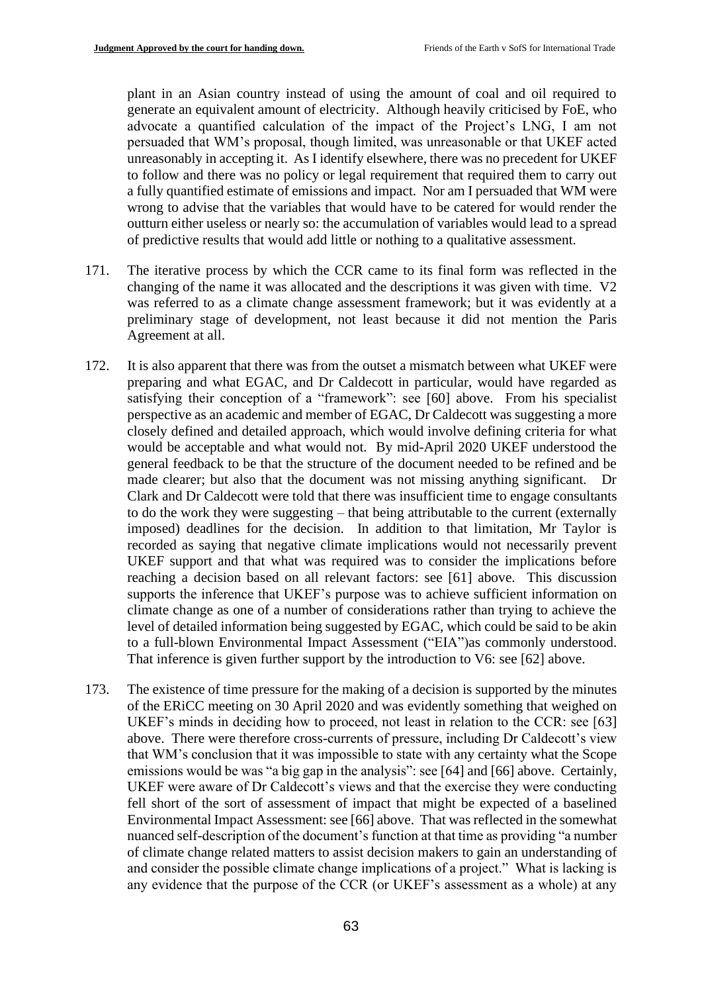plant in an Asian country instead of using the amount of coal and oil required to generate an equivalent amount of electricity. Although heavily criticised by FoE, who advocate a quantified calculation of the impact of the Project's LNG, I am not persuaded that WM's proposal, though limited, was unreasonable or that UKEF acted unreasonably in accepting it. As I identify elsewhere, there was no precedent for UKEF to follow and there was no policy or legal requirement that required them to carry out a fully quantified estimate of emissions and impact. Nor am I persuaded that WM were wrong to advise that the variables that would have to be catered for would render the outturn either useless or nearly so: the accumulation of variables would lead to a spread of predictive results that would add little or nothing to a qualitative assessment.

- 171. The iterative process by which the CCR came to its final form was reflected in the changing of the name it was allocated and the descriptions it was given with time. V2 was referred to as a climate change assessment framework; but it was evidently at a preliminary stage of development, not least because it did not mention the Paris Agreement at all.
- 172. It is also apparent that there was from the outset a mismatch between what UKEF were preparing and what EGAC, and Dr Caldecott in particular, would have regarded as satisfying their conception of a "framework": see [60] above. From his specialist perspective as an academic and member of EGAC, Dr Caldecott was suggesting a more closely defined and detailed approach, which would involve defining criteria for what would be acceptable and what would not. By mid-April 2020 UKEF understood the general feedback to be that the structure of the document needed to be refined and be made clearer; but also that the document was not missing anything significant. Dr Clark and Dr Caldecott were told that there was insufficient time to engage consultants to do the work they were suggesting – that being attributable to the current (externally imposed) deadlines for the decision. In addition to that limitation, Mr Taylor is recorded as saying that negative climate implications would not necessarily prevent UKEF support and that what was required was to consider the implications before reaching a decision based on all relevant factors: see [61] above. This discussion supports the inference that UKEF's purpose was to achieve sufficient information on climate change as one of a number of considerations rather than trying to achieve the level of detailed information being suggested by EGAC, which could be said to be akin to a full-blown Environmental Impact Assessment ("EIA")as commonly understood. That inference is given further support by the introduction to V6: see [62] above.
- 173. The existence of time pressure for the making of a decision is supported by the minutes of the ERiCC meeting on 30 April 2020 and was evidently something that weighed on UKEF's minds in deciding how to proceed, not least in relation to the CCR: see [63] above. There were therefore cross-currents of pressure, including Dr Caldecott's view that WM's conclusion that it was impossible to state with any certainty what the Scope emissions would be was "a big gap in the analysis": see [64] and [66] above. Certainly, UKEF were aware of Dr Caldecott's views and that the exercise they were conducting fell short of the sort of assessment of impact that might be expected of a baselined Environmental Impact Assessment: see [66] above. That was reflected in the somewhat nuanced self-description of the document's function at that time as providing "a number of climate change related matters to assist decision makers to gain an understanding of and consider the possible climate change implications of a project." What is lacking is any evidence that the purpose of the CCR (or UKEF's assessment as a whole) at any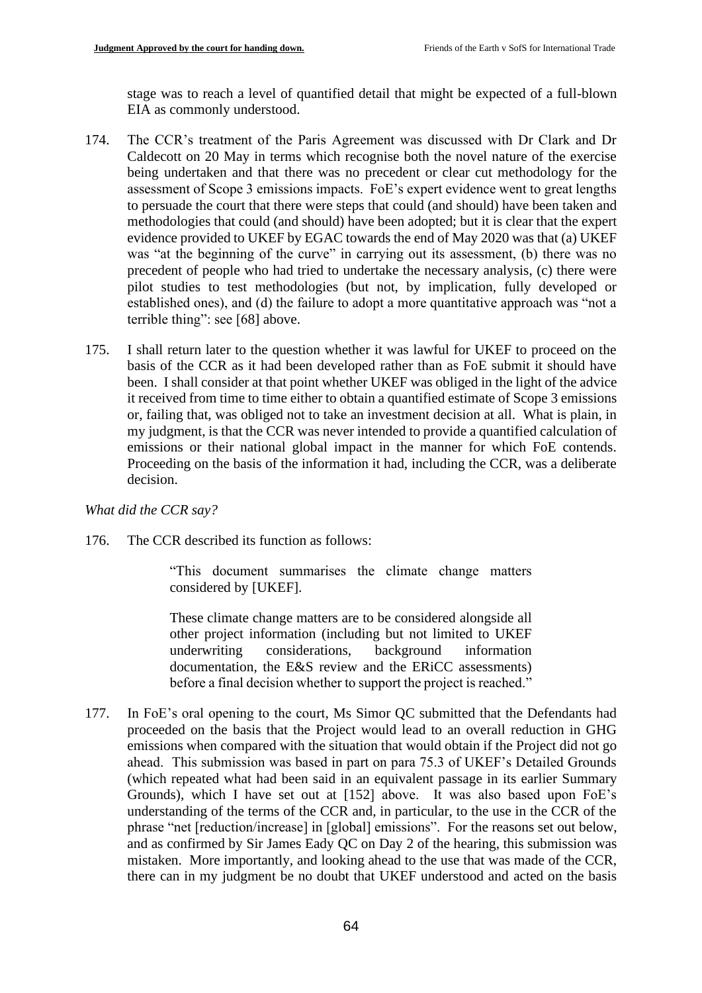stage was to reach a level of quantified detail that might be expected of a full-blown EIA as commonly understood.

- 174. The CCR's treatment of the Paris Agreement was discussed with Dr Clark and Dr Caldecott on 20 May in terms which recognise both the novel nature of the exercise being undertaken and that there was no precedent or clear cut methodology for the assessment of Scope 3 emissions impacts. FoE's expert evidence went to great lengths to persuade the court that there were steps that could (and should) have been taken and methodologies that could (and should) have been adopted; but it is clear that the expert evidence provided to UKEF by EGAC towards the end of May 2020 was that (a) UKEF was "at the beginning of the curve" in carrying out its assessment, (b) there was no precedent of people who had tried to undertake the necessary analysis, (c) there were pilot studies to test methodologies (but not, by implication, fully developed or established ones), and (d) the failure to adopt a more quantitative approach was "not a terrible thing": see [68] above.
- 175. I shall return later to the question whether it was lawful for UKEF to proceed on the basis of the CCR as it had been developed rather than as FoE submit it should have been. I shall consider at that point whether UKEF was obliged in the light of the advice it received from time to time either to obtain a quantified estimate of Scope 3 emissions or, failing that, was obliged not to take an investment decision at all. What is plain, in my judgment, is that the CCR was never intended to provide a quantified calculation of emissions or their national global impact in the manner for which FoE contends. Proceeding on the basis of the information it had, including the CCR, was a deliberate decision.

*What did the CCR say?*

176. The CCR described its function as follows:

"This document summarises the climate change matters considered by [UKEF].

These climate change matters are to be considered alongside all other project information (including but not limited to UKEF underwriting considerations, background information documentation, the E&S review and the ERiCC assessments) before a final decision whether to support the project is reached."

177. In FoE's oral opening to the court, Ms Simor QC submitted that the Defendants had proceeded on the basis that the Project would lead to an overall reduction in GHG emissions when compared with the situation that would obtain if the Project did not go ahead. This submission was based in part on para 75.3 of UKEF's Detailed Grounds (which repeated what had been said in an equivalent passage in its earlier Summary Grounds), which I have set out at [152] above. It was also based upon FoE's understanding of the terms of the CCR and, in particular, to the use in the CCR of the phrase "net [reduction/increase] in [global] emissions". For the reasons set out below, and as confirmed by Sir James Eady QC on Day 2 of the hearing, this submission was mistaken. More importantly, and looking ahead to the use that was made of the CCR, there can in my judgment be no doubt that UKEF understood and acted on the basis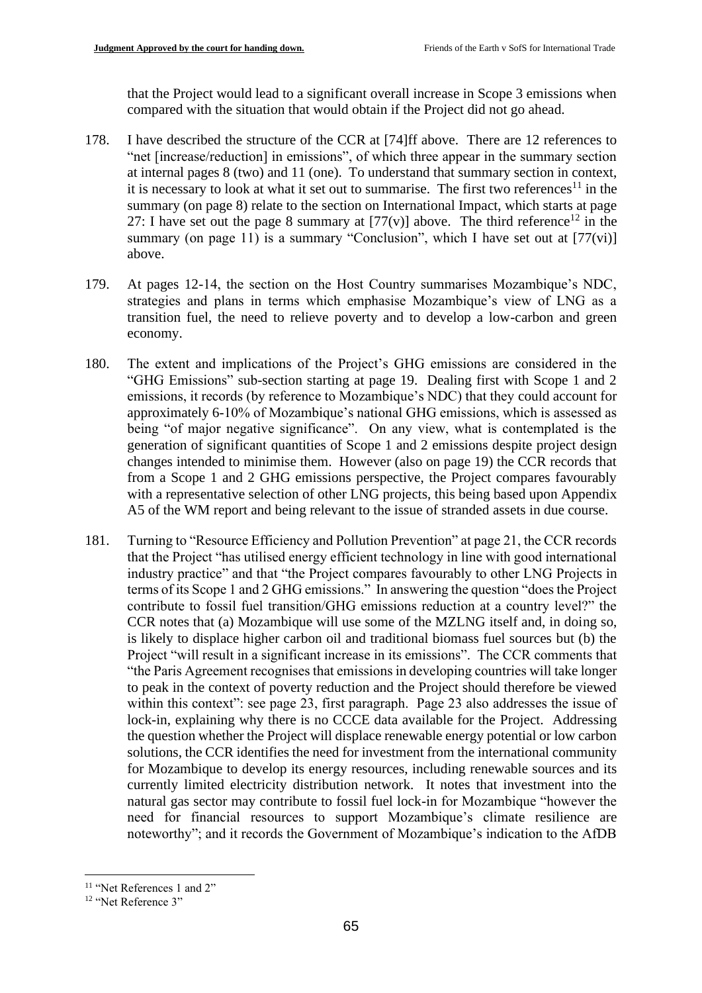that the Project would lead to a significant overall increase in Scope 3 emissions when compared with the situation that would obtain if the Project did not go ahead.

- 178. I have described the structure of the CCR at [74]ff above. There are 12 references to "net [increase/reduction] in emissions", of which three appear in the summary section at internal pages 8 (two) and 11 (one). To understand that summary section in context, it is necessary to look at what it set out to summarise. The first two references<sup>11</sup> in the summary (on page 8) relate to the section on International Impact, which starts at page 27: I have set out the page 8 summary at  $[77(v)]$  above. The third reference<sup>12</sup> in the summary (on page 11) is a summary "Conclusion", which I have set out at  $[77(vi)]$ above.
- 179. At pages 12-14, the section on the Host Country summarises Mozambique's NDC, strategies and plans in terms which emphasise Mozambique's view of LNG as a transition fuel, the need to relieve poverty and to develop a low-carbon and green economy.
- 180. The extent and implications of the Project's GHG emissions are considered in the "GHG Emissions" sub-section starting at page 19. Dealing first with Scope 1 and 2 emissions, it records (by reference to Mozambique's NDC) that they could account for approximately 6-10% of Mozambique's national GHG emissions, which is assessed as being "of major negative significance". On any view, what is contemplated is the generation of significant quantities of Scope 1 and 2 emissions despite project design changes intended to minimise them. However (also on page 19) the CCR records that from a Scope 1 and 2 GHG emissions perspective, the Project compares favourably with a representative selection of other LNG projects, this being based upon Appendix A5 of the WM report and being relevant to the issue of stranded assets in due course.
- 181. Turning to "Resource Efficiency and Pollution Prevention" at page 21, the CCR records that the Project "has utilised energy efficient technology in line with good international industry practice" and that "the Project compares favourably to other LNG Projects in terms of its Scope 1 and 2 GHG emissions." In answering the question "does the Project contribute to fossil fuel transition/GHG emissions reduction at a country level?" the CCR notes that (a) Mozambique will use some of the MZLNG itself and, in doing so, is likely to displace higher carbon oil and traditional biomass fuel sources but (b) the Project "will result in a significant increase in its emissions". The CCR comments that "the Paris Agreement recognises that emissions in developing countries will take longer to peak in the context of poverty reduction and the Project should therefore be viewed within this context": see page 23, first paragraph. Page 23 also addresses the issue of lock-in, explaining why there is no CCCE data available for the Project. Addressing the question whether the Project will displace renewable energy potential or low carbon solutions, the CCR identifies the need for investment from the international community for Mozambique to develop its energy resources, including renewable sources and its currently limited electricity distribution network. It notes that investment into the natural gas sector may contribute to fossil fuel lock-in for Mozambique "however the need for financial resources to support Mozambique's climate resilience are noteworthy"; and it records the Government of Mozambique's indication to the AfDB

<sup>&</sup>lt;sup>11</sup> "Net References 1 and 2"

<sup>12</sup> "Net Reference 3"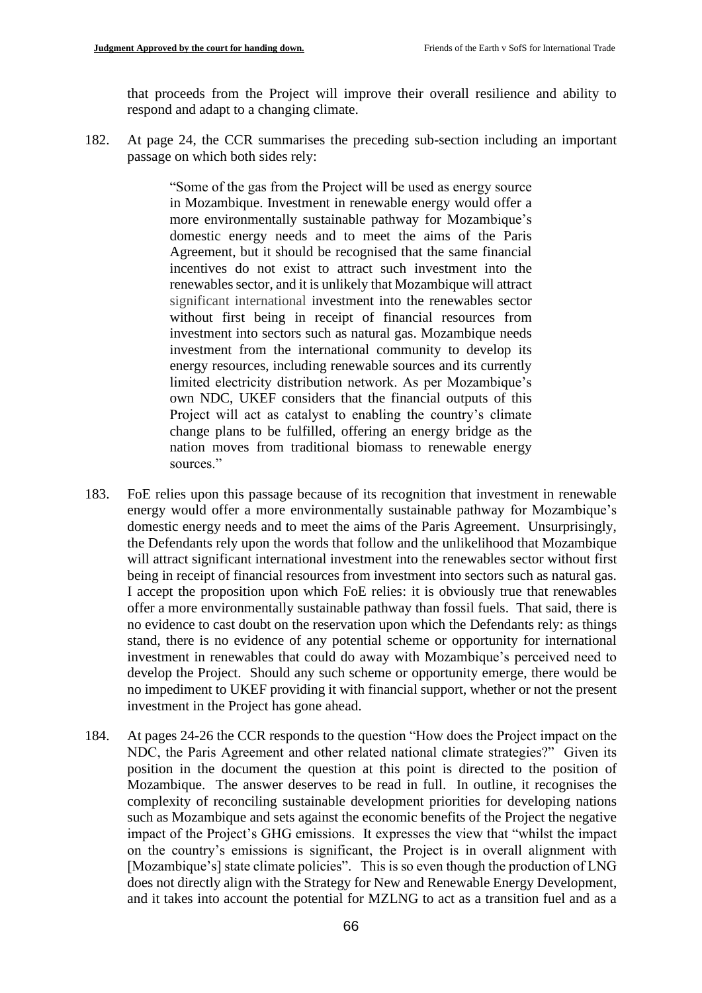that proceeds from the Project will improve their overall resilience and ability to respond and adapt to a changing climate.

182. At page 24, the CCR summarises the preceding sub-section including an important passage on which both sides rely:

> "Some of the gas from the Project will be used as energy source in Mozambique. Investment in renewable energy would offer a more environmentally sustainable pathway for Mozambique's domestic energy needs and to meet the aims of the Paris Agreement, but it should be recognised that the same financial incentives do not exist to attract such investment into the renewables sector, and it is unlikely that Mozambique will attract significant international investment into the renewables sector without first being in receipt of financial resources from investment into sectors such as natural gas. Mozambique needs investment from the international community to develop its energy resources, including renewable sources and its currently limited electricity distribution network. As per Mozambique's own NDC, UKEF considers that the financial outputs of this Project will act as catalyst to enabling the country's climate change plans to be fulfilled, offering an energy bridge as the nation moves from traditional biomass to renewable energy sources."

- 183. FoE relies upon this passage because of its recognition that investment in renewable energy would offer a more environmentally sustainable pathway for Mozambique's domestic energy needs and to meet the aims of the Paris Agreement. Unsurprisingly, the Defendants rely upon the words that follow and the unlikelihood that Mozambique will attract significant international investment into the renewables sector without first being in receipt of financial resources from investment into sectors such as natural gas. I accept the proposition upon which FoE relies: it is obviously true that renewables offer a more environmentally sustainable pathway than fossil fuels. That said, there is no evidence to cast doubt on the reservation upon which the Defendants rely: as things stand, there is no evidence of any potential scheme or opportunity for international investment in renewables that could do away with Mozambique's perceived need to develop the Project. Should any such scheme or opportunity emerge, there would be no impediment to UKEF providing it with financial support, whether or not the present investment in the Project has gone ahead.
- 184. At pages 24-26 the CCR responds to the question "How does the Project impact on the NDC, the Paris Agreement and other related national climate strategies?" Given its position in the document the question at this point is directed to the position of Mozambique. The answer deserves to be read in full. In outline, it recognises the complexity of reconciling sustainable development priorities for developing nations such as Mozambique and sets against the economic benefits of the Project the negative impact of the Project's GHG emissions. It expresses the view that "whilst the impact on the country's emissions is significant, the Project is in overall alignment with [Mozambique's] state climate policies". This is so even though the production of LNG does not directly align with the Strategy for New and Renewable Energy Development, and it takes into account the potential for MZLNG to act as a transition fuel and as a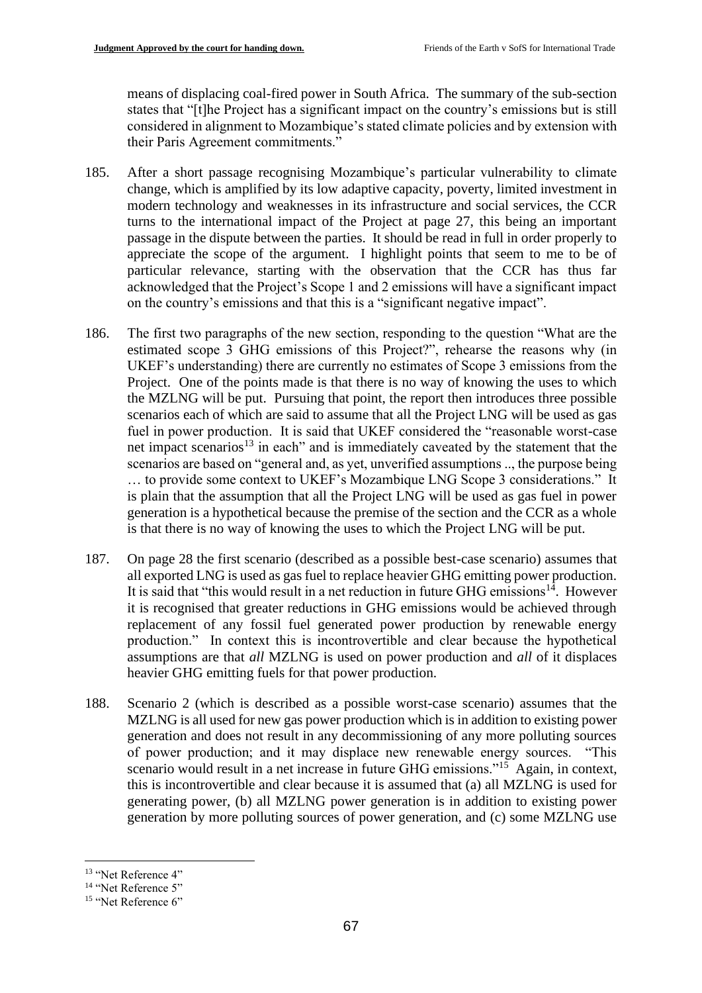means of displacing coal-fired power in South Africa. The summary of the sub-section states that "[t]he Project has a significant impact on the country's emissions but is still considered in alignment to Mozambique's stated climate policies and by extension with their Paris Agreement commitments."

- 185. After a short passage recognising Mozambique's particular vulnerability to climate change, which is amplified by its low adaptive capacity, poverty, limited investment in modern technology and weaknesses in its infrastructure and social services, the CCR turns to the international impact of the Project at page 27, this being an important passage in the dispute between the parties. It should be read in full in order properly to appreciate the scope of the argument. I highlight points that seem to me to be of particular relevance, starting with the observation that the CCR has thus far acknowledged that the Project's Scope 1 and 2 emissions will have a significant impact on the country's emissions and that this is a "significant negative impact".
- 186. The first two paragraphs of the new section, responding to the question "What are the estimated scope 3 GHG emissions of this Project?", rehearse the reasons why (in UKEF's understanding) there are currently no estimates of Scope 3 emissions from the Project. One of the points made is that there is no way of knowing the uses to which the MZLNG will be put. Pursuing that point, the report then introduces three possible scenarios each of which are said to assume that all the Project LNG will be used as gas fuel in power production. It is said that UKEF considered the "reasonable worst-case net impact scenarios<sup>13</sup> in each" and is immediately caveated by the statement that the scenarios are based on "general and, as yet, unverified assumptions .., the purpose being … to provide some context to UKEF's Mozambique LNG Scope 3 considerations." It is plain that the assumption that all the Project LNG will be used as gas fuel in power generation is a hypothetical because the premise of the section and the CCR as a whole is that there is no way of knowing the uses to which the Project LNG will be put.
- 187. On page 28 the first scenario (described as a possible best-case scenario) assumes that all exported LNG is used as gas fuel to replace heavier GHG emitting power production. It is said that "this would result in a net reduction in future GHG emissions $14$ . However it is recognised that greater reductions in GHG emissions would be achieved through replacement of any fossil fuel generated power production by renewable energy production." In context this is incontrovertible and clear because the hypothetical assumptions are that *all* MZLNG is used on power production and *all* of it displaces heavier GHG emitting fuels for that power production.
- 188. Scenario 2 (which is described as a possible worst-case scenario) assumes that the MZLNG is all used for new gas power production which is in addition to existing power generation and does not result in any decommissioning of any more polluting sources of power production; and it may displace new renewable energy sources. "This scenario would result in a net increase in future GHG emissions."<sup>15</sup> Again, in context, this is incontrovertible and clear because it is assumed that (a) all MZLNG is used for generating power, (b) all MZLNG power generation is in addition to existing power generation by more polluting sources of power generation, and (c) some MZLNG use

<sup>&</sup>lt;sup>13</sup> "Net Reference 4"

<sup>&</sup>lt;sup>14</sup> "Net Reference 5"

<sup>&</sup>lt;sup>15</sup> "Net Reference 6"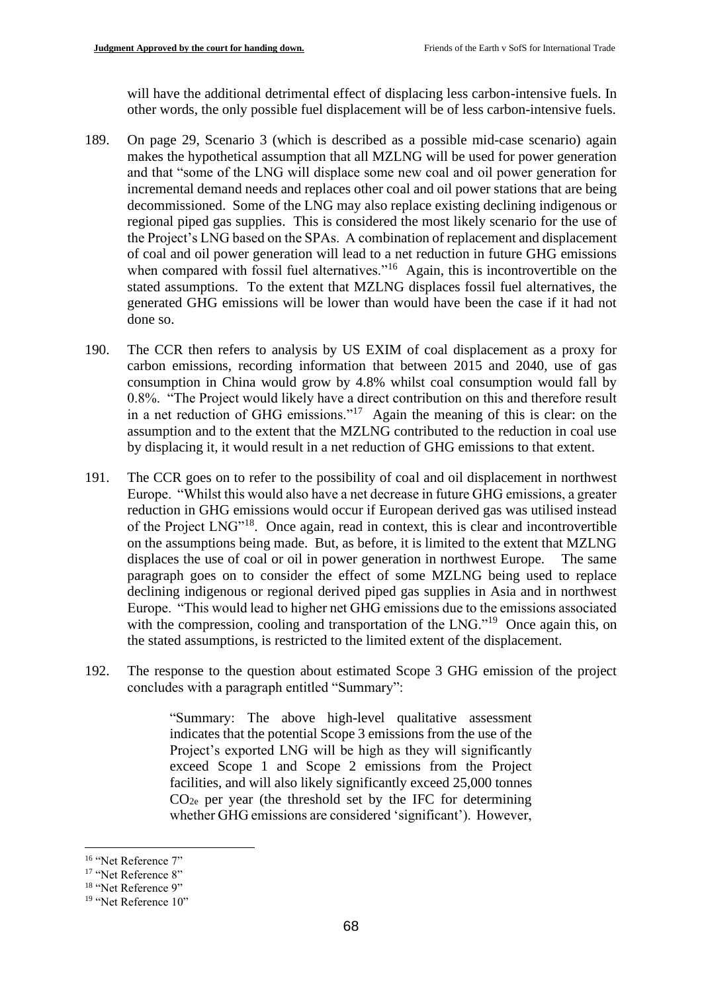will have the additional detrimental effect of displacing less carbon-intensive fuels. In other words, the only possible fuel displacement will be of less carbon-intensive fuels.

- 189. On page 29, Scenario 3 (which is described as a possible mid-case scenario) again makes the hypothetical assumption that all MZLNG will be used for power generation and that "some of the LNG will displace some new coal and oil power generation for incremental demand needs and replaces other coal and oil power stations that are being decommissioned. Some of the LNG may also replace existing declining indigenous or regional piped gas supplies. This is considered the most likely scenario for the use of the Project's LNG based on the SPAs. A combination of replacement and displacement of coal and oil power generation will lead to a net reduction in future GHG emissions when compared with fossil fuel alternatives."<sup>16</sup> Again, this is incontrovertible on the stated assumptions. To the extent that MZLNG displaces fossil fuel alternatives, the generated GHG emissions will be lower than would have been the case if it had not done so.
- 190. The CCR then refers to analysis by US EXIM of coal displacement as a proxy for carbon emissions, recording information that between 2015 and 2040, use of gas consumption in China would grow by 4.8% whilst coal consumption would fall by 0.8%. "The Project would likely have a direct contribution on this and therefore result in a net reduction of GHG emissions."<sup>17</sup> Again the meaning of this is clear: on the assumption and to the extent that the MZLNG contributed to the reduction in coal use by displacing it, it would result in a net reduction of GHG emissions to that extent.
- 191. The CCR goes on to refer to the possibility of coal and oil displacement in northwest Europe. "Whilst this would also have a net decrease in future GHG emissions, a greater reduction in GHG emissions would occur if European derived gas was utilised instead of the Project LNG"<sup>18</sup>. Once again, read in context, this is clear and incontrovertible on the assumptions being made. But, as before, it is limited to the extent that MZLNG displaces the use of coal or oil in power generation in northwest Europe. The same paragraph goes on to consider the effect of some MZLNG being used to replace declining indigenous or regional derived piped gas supplies in Asia and in northwest Europe. "This would lead to higher net GHG emissions due to the emissions associated with the compression, cooling and transportation of the LNG."<sup>19</sup> Once again this, on the stated assumptions, is restricted to the limited extent of the displacement.
- 192. The response to the question about estimated Scope 3 GHG emission of the project concludes with a paragraph entitled "Summary":

"Summary: The above high-level qualitative assessment indicates that the potential Scope 3 emissions from the use of the Project's exported LNG will be high as they will significantly exceed Scope 1 and Scope 2 emissions from the Project facilities, and will also likely significantly exceed 25,000 tonnes  $CO<sub>2e</sub>$  per year (the threshold set by the IFC for determining whether GHG emissions are considered 'significant'). However,

<sup>16</sup> "Net Reference 7"

<sup>&</sup>lt;sup>17</sup> "Net Reference 8"

<sup>&</sup>lt;sup>18</sup> "Net Reference 9"

<sup>&</sup>lt;sup>19</sup> "Net Reference 10"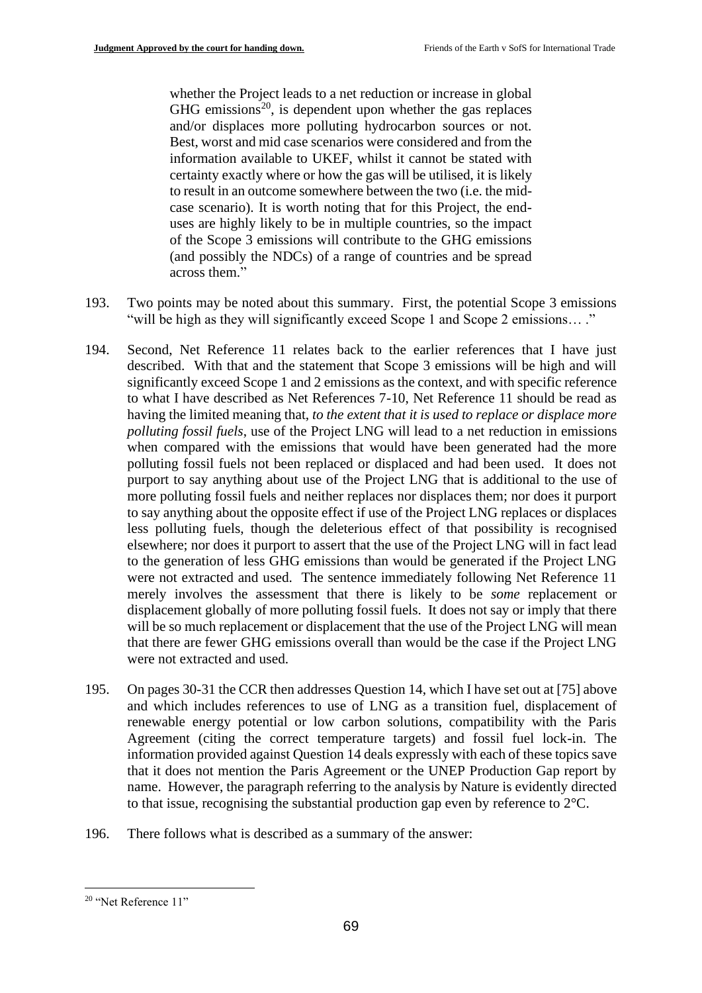whether the Project leads to a net reduction or increase in global  $GHG$  emissions<sup>20</sup>, is dependent upon whether the gas replaces and/or displaces more polluting hydrocarbon sources or not. Best, worst and mid case scenarios were considered and from the information available to UKEF, whilst it cannot be stated with certainty exactly where or how the gas will be utilised, it is likely to result in an outcome somewhere between the two (i.e. the midcase scenario). It is worth noting that for this Project, the enduses are highly likely to be in multiple countries, so the impact of the Scope 3 emissions will contribute to the GHG emissions (and possibly the NDCs) of a range of countries and be spread across them."

- 193. Two points may be noted about this summary. First, the potential Scope 3 emissions "will be high as they will significantly exceed Scope 1 and Scope 2 emissions… ."
- 194. Second, Net Reference 11 relates back to the earlier references that I have just described. With that and the statement that Scope 3 emissions will be high and will significantly exceed Scope 1 and 2 emissions as the context, and with specific reference to what I have described as Net References 7-10, Net Reference 11 should be read as having the limited meaning that, *to the extent that it is used to replace or displace more polluting fossil fuels*, use of the Project LNG will lead to a net reduction in emissions when compared with the emissions that would have been generated had the more polluting fossil fuels not been replaced or displaced and had been used. It does not purport to say anything about use of the Project LNG that is additional to the use of more polluting fossil fuels and neither replaces nor displaces them; nor does it purport to say anything about the opposite effect if use of the Project LNG replaces or displaces less polluting fuels, though the deleterious effect of that possibility is recognised elsewhere; nor does it purport to assert that the use of the Project LNG will in fact lead to the generation of less GHG emissions than would be generated if the Project LNG were not extracted and used. The sentence immediately following Net Reference 11 merely involves the assessment that there is likely to be *some* replacement or displacement globally of more polluting fossil fuels. It does not say or imply that there will be so much replacement or displacement that the use of the Project LNG will mean that there are fewer GHG emissions overall than would be the case if the Project LNG were not extracted and used.
- 195. On pages 30-31 the CCR then addresses Question 14, which I have set out at [75] above and which includes references to use of LNG as a transition fuel, displacement of renewable energy potential or low carbon solutions, compatibility with the Paris Agreement (citing the correct temperature targets) and fossil fuel lock-in. The information provided against Question 14 deals expressly with each of these topics save that it does not mention the Paris Agreement or the UNEP Production Gap report by name. However, the paragraph referring to the analysis by Nature is evidently directed to that issue, recognising the substantial production gap even by reference to 2°C.
- 196. There follows what is described as a summary of the answer:

<sup>20</sup> "Net Reference 11"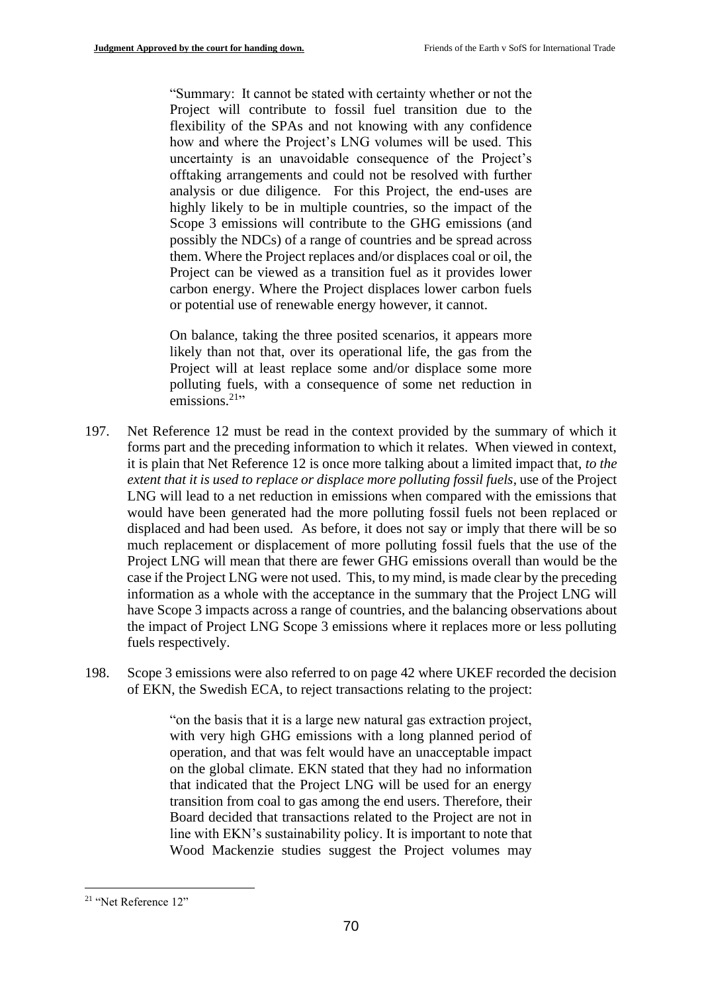"Summary: It cannot be stated with certainty whether or not the Project will contribute to fossil fuel transition due to the flexibility of the SPAs and not knowing with any confidence how and where the Project's LNG volumes will be used. This uncertainty is an unavoidable consequence of the Project's offtaking arrangements and could not be resolved with further analysis or due diligence*.* For this Project, the end-uses are highly likely to be in multiple countries, so the impact of the Scope 3 emissions will contribute to the GHG emissions (and possibly the NDCs) of a range of countries and be spread across them. Where the Project replaces and/or displaces coal or oil, the Project can be viewed as a transition fuel as it provides lower carbon energy. Where the Project displaces lower carbon fuels or potential use of renewable energy however, it cannot.

On balance, taking the three posited scenarios, it appears more likely than not that, over its operational life, the gas from the Project will at least replace some and/or displace some more polluting fuels, with a consequence of some net reduction in emissions.<sup>21</sup>"

- 197. Net Reference 12 must be read in the context provided by the summary of which it forms part and the preceding information to which it relates. When viewed in context, it is plain that Net Reference 12 is once more talking about a limited impact that, *to the extent that it is used to replace or displace more polluting fossil fuels*, use of the Project LNG will lead to a net reduction in emissions when compared with the emissions that would have been generated had the more polluting fossil fuels not been replaced or displaced and had been used. As before, it does not say or imply that there will be so much replacement or displacement of more polluting fossil fuels that the use of the Project LNG will mean that there are fewer GHG emissions overall than would be the case if the Project LNG were not used. This, to my mind, is made clear by the preceding information as a whole with the acceptance in the summary that the Project LNG will have Scope 3 impacts across a range of countries, and the balancing observations about the impact of Project LNG Scope 3 emissions where it replaces more or less polluting fuels respectively.
- 198. Scope 3 emissions were also referred to on page 42 where UKEF recorded the decision of EKN, the Swedish ECA, to reject transactions relating to the project:

"on the basis that it is a large new natural gas extraction project, with very high GHG emissions with a long planned period of operation, and that was felt would have an unacceptable impact on the global climate. EKN stated that they had no information that indicated that the Project LNG will be used for an energy transition from coal to gas among the end users. Therefore, their Board decided that transactions related to the Project are not in line with EKN's sustainability policy. It is important to note that Wood Mackenzie studies suggest the Project volumes may

<sup>21</sup> "Net Reference 12"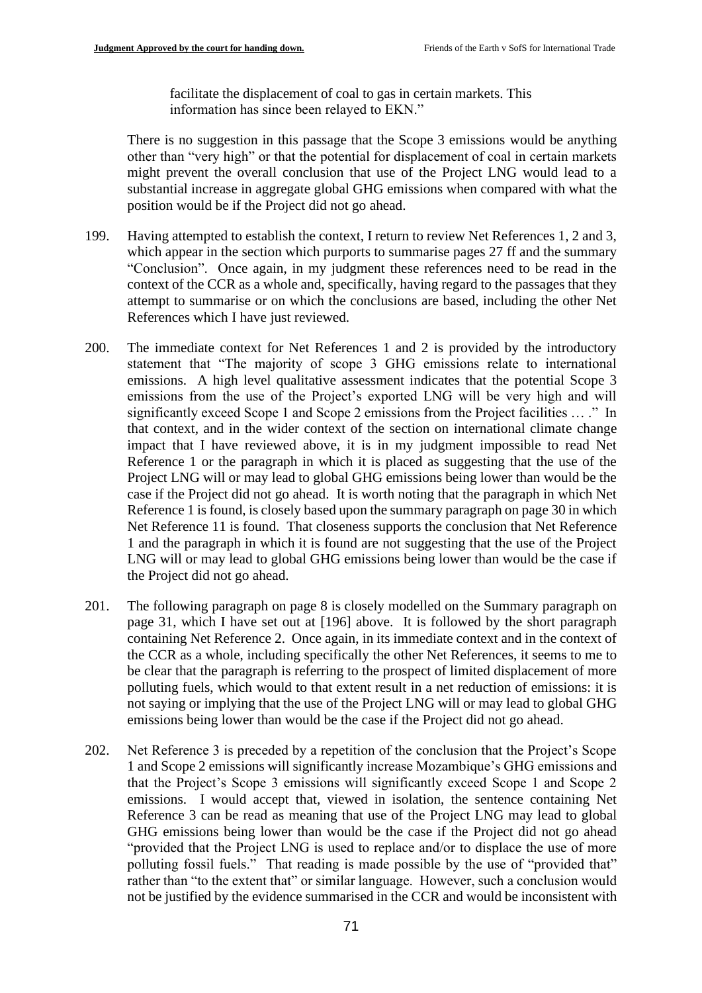facilitate the displacement of coal to gas in certain markets. This information has since been relayed to EKN."

There is no suggestion in this passage that the Scope 3 emissions would be anything other than "very high" or that the potential for displacement of coal in certain markets might prevent the overall conclusion that use of the Project LNG would lead to a substantial increase in aggregate global GHG emissions when compared with what the position would be if the Project did not go ahead.

- 199. Having attempted to establish the context, I return to review Net References 1, 2 and 3, which appear in the section which purports to summarise pages 27 ff and the summary "Conclusion". Once again, in my judgment these references need to be read in the context of the CCR as a whole and, specifically, having regard to the passages that they attempt to summarise or on which the conclusions are based, including the other Net References which I have just reviewed.
- 200. The immediate context for Net References 1 and 2 is provided by the introductory statement that "The majority of scope 3 GHG emissions relate to international emissions. A high level qualitative assessment indicates that the potential Scope 3 emissions from the use of the Project's exported LNG will be very high and will significantly exceed Scope 1 and Scope 2 emissions from the Project facilities … ." In that context, and in the wider context of the section on international climate change impact that I have reviewed above, it is in my judgment impossible to read Net Reference 1 or the paragraph in which it is placed as suggesting that the use of the Project LNG will or may lead to global GHG emissions being lower than would be the case if the Project did not go ahead. It is worth noting that the paragraph in which Net Reference 1 is found, is closely based upon the summary paragraph on page 30 in which Net Reference 11 is found. That closeness supports the conclusion that Net Reference 1 and the paragraph in which it is found are not suggesting that the use of the Project LNG will or may lead to global GHG emissions being lower than would be the case if the Project did not go ahead.
- 201. The following paragraph on page 8 is closely modelled on the Summary paragraph on page 31, which I have set out at [196] above. It is followed by the short paragraph containing Net Reference 2. Once again, in its immediate context and in the context of the CCR as a whole, including specifically the other Net References, it seems to me to be clear that the paragraph is referring to the prospect of limited displacement of more polluting fuels, which would to that extent result in a net reduction of emissions: it is not saying or implying that the use of the Project LNG will or may lead to global GHG emissions being lower than would be the case if the Project did not go ahead.
- 202. Net Reference 3 is preceded by a repetition of the conclusion that the Project's Scope 1 and Scope 2 emissions will significantly increase Mozambique's GHG emissions and that the Project's Scope 3 emissions will significantly exceed Scope 1 and Scope 2 emissions. I would accept that, viewed in isolation, the sentence containing Net Reference 3 can be read as meaning that use of the Project LNG may lead to global GHG emissions being lower than would be the case if the Project did not go ahead "provided that the Project LNG is used to replace and/or to displace the use of more polluting fossil fuels." That reading is made possible by the use of "provided that" rather than "to the extent that" or similar language. However, such a conclusion would not be justified by the evidence summarised in the CCR and would be inconsistent with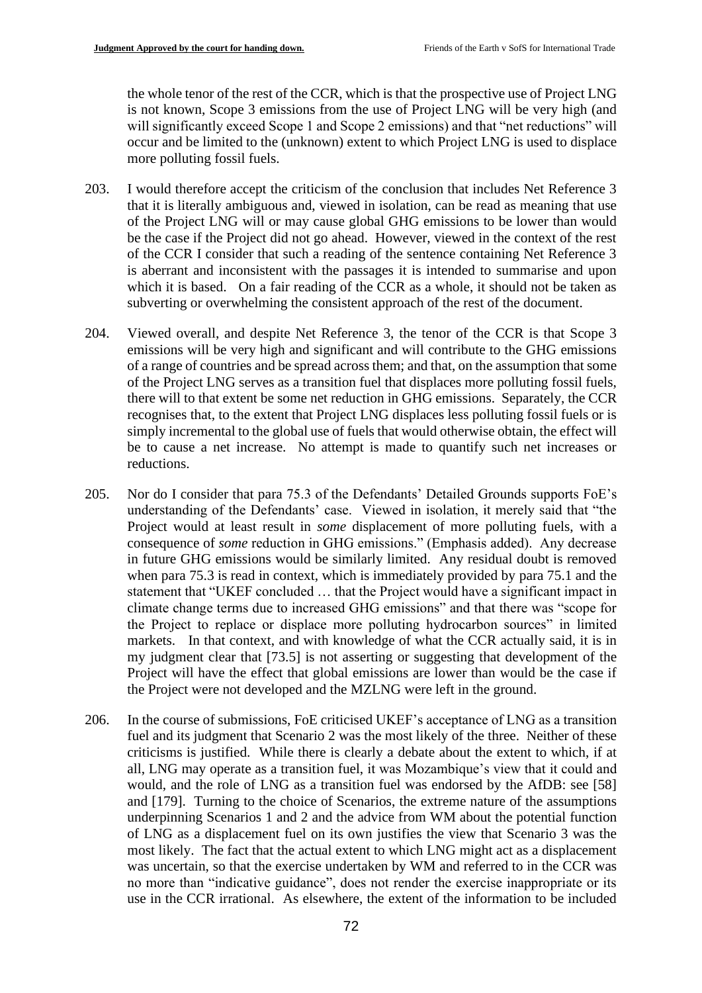the whole tenor of the rest of the CCR, which is that the prospective use of Project LNG is not known, Scope 3 emissions from the use of Project LNG will be very high (and will significantly exceed Scope 1 and Scope 2 emissions) and that "net reductions" will occur and be limited to the (unknown) extent to which Project LNG is used to displace more polluting fossil fuels.

- 203. I would therefore accept the criticism of the conclusion that includes Net Reference 3 that it is literally ambiguous and, viewed in isolation, can be read as meaning that use of the Project LNG will or may cause global GHG emissions to be lower than would be the case if the Project did not go ahead. However, viewed in the context of the rest of the CCR I consider that such a reading of the sentence containing Net Reference 3 is aberrant and inconsistent with the passages it is intended to summarise and upon which it is based. On a fair reading of the CCR as a whole, it should not be taken as subverting or overwhelming the consistent approach of the rest of the document.
- 204. Viewed overall, and despite Net Reference 3, the tenor of the CCR is that Scope 3 emissions will be very high and significant and will contribute to the GHG emissions of a range of countries and be spread across them; and that, on the assumption that some of the Project LNG serves as a transition fuel that displaces more polluting fossil fuels, there will to that extent be some net reduction in GHG emissions. Separately, the CCR recognises that, to the extent that Project LNG displaces less polluting fossil fuels or is simply incremental to the global use of fuels that would otherwise obtain, the effect will be to cause a net increase. No attempt is made to quantify such net increases or reductions.
- 205. Nor do I consider that para 75.3 of the Defendants' Detailed Grounds supports FoE's understanding of the Defendants' case. Viewed in isolation, it merely said that "the Project would at least result in *some* displacement of more polluting fuels, with a consequence of *some* reduction in GHG emissions." (Emphasis added). Any decrease in future GHG emissions would be similarly limited. Any residual doubt is removed when para 75.3 is read in context, which is immediately provided by para 75.1 and the statement that "UKEF concluded … that the Project would have a significant impact in climate change terms due to increased GHG emissions" and that there was "scope for the Project to replace or displace more polluting hydrocarbon sources" in limited markets. In that context, and with knowledge of what the CCR actually said, it is in my judgment clear that [73.5] is not asserting or suggesting that development of the Project will have the effect that global emissions are lower than would be the case if the Project were not developed and the MZLNG were left in the ground.
- 206. In the course of submissions, FoE criticised UKEF's acceptance of LNG as a transition fuel and its judgment that Scenario 2 was the most likely of the three. Neither of these criticisms is justified. While there is clearly a debate about the extent to which, if at all, LNG may operate as a transition fuel, it was Mozambique's view that it could and would, and the role of LNG as a transition fuel was endorsed by the AfDB: see [58] and [179]. Turning to the choice of Scenarios, the extreme nature of the assumptions underpinning Scenarios 1 and 2 and the advice from WM about the potential function of LNG as a displacement fuel on its own justifies the view that Scenario 3 was the most likely. The fact that the actual extent to which LNG might act as a displacement was uncertain, so that the exercise undertaken by WM and referred to in the CCR was no more than "indicative guidance", does not render the exercise inappropriate or its use in the CCR irrational. As elsewhere, the extent of the information to be included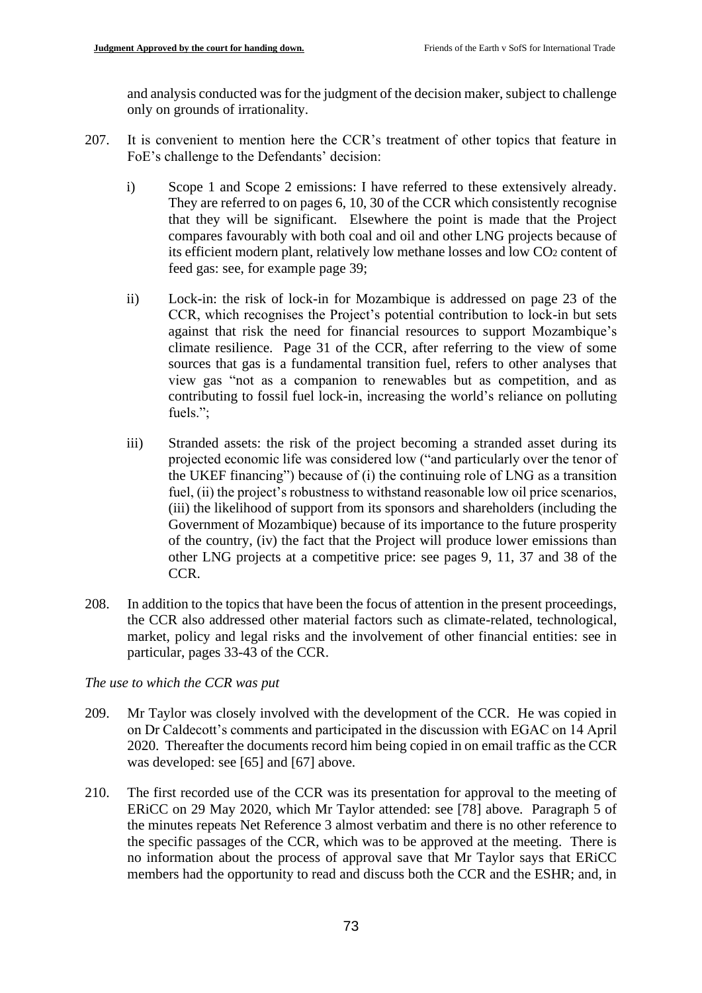and analysis conducted was for the judgment of the decision maker, subject to challenge only on grounds of irrationality.

- 207. It is convenient to mention here the CCR's treatment of other topics that feature in FoE's challenge to the Defendants' decision:
	- i) Scope 1 and Scope 2 emissions: I have referred to these extensively already. They are referred to on pages 6, 10, 30 of the CCR which consistently recognise that they will be significant. Elsewhere the point is made that the Project compares favourably with both coal and oil and other LNG projects because of its efficient modern plant, relatively low methane losses and low CO<sup>2</sup> content of feed gas: see, for example page 39;
	- ii) Lock-in: the risk of lock-in for Mozambique is addressed on page 23 of the CCR, which recognises the Project's potential contribution to lock-in but sets against that risk the need for financial resources to support Mozambique's climate resilience. Page 31 of the CCR, after referring to the view of some sources that gas is a fundamental transition fuel, refers to other analyses that view gas "not as a companion to renewables but as competition, and as contributing to fossil fuel lock-in, increasing the world's reliance on polluting fuels.";
	- iii) Stranded assets: the risk of the project becoming a stranded asset during its projected economic life was considered low ("and particularly over the tenor of the UKEF financing") because of (i) the continuing role of LNG as a transition fuel, (ii) the project's robustness to withstand reasonable low oil price scenarios, (iii) the likelihood of support from its sponsors and shareholders (including the Government of Mozambique) because of its importance to the future prosperity of the country, (iv) the fact that the Project will produce lower emissions than other LNG projects at a competitive price: see pages 9, 11, 37 and 38 of the CCR.
- 208. In addition to the topics that have been the focus of attention in the present proceedings, the CCR also addressed other material factors such as climate-related, technological, market, policy and legal risks and the involvement of other financial entities: see in particular, pages 33-43 of the CCR.

### *The use to which the CCR was put*

- 209. Mr Taylor was closely involved with the development of the CCR. He was copied in on Dr Caldecott's comments and participated in the discussion with EGAC on 14 April 2020. Thereafter the documents record him being copied in on email traffic as the CCR was developed: see [65] and [67] above.
- 210. The first recorded use of the CCR was its presentation for approval to the meeting of ERiCC on 29 May 2020, which Mr Taylor attended: see [78] above. Paragraph 5 of the minutes repeats Net Reference 3 almost verbatim and there is no other reference to the specific passages of the CCR, which was to be approved at the meeting. There is no information about the process of approval save that Mr Taylor says that ERiCC members had the opportunity to read and discuss both the CCR and the ESHR; and, in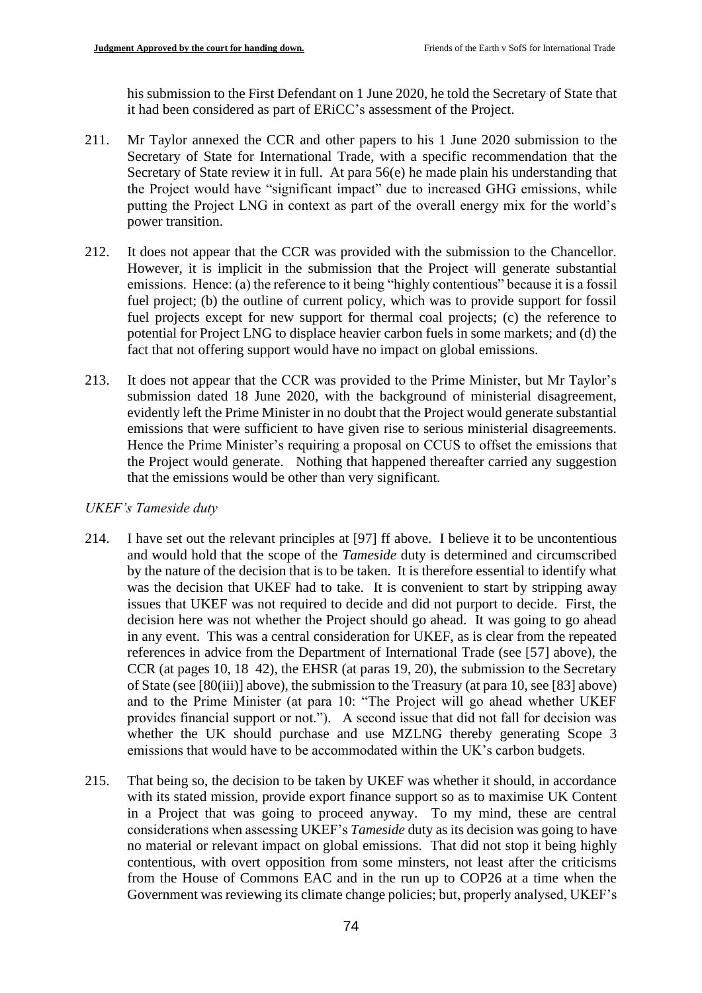his submission to the First Defendant on 1 June 2020, he told the Secretary of State that it had been considered as part of ERiCC's assessment of the Project.

- 211. Mr Taylor annexed the CCR and other papers to his 1 June 2020 submission to the Secretary of State for International Trade, with a specific recommendation that the Secretary of State review it in full. At para 56(e) he made plain his understanding that the Project would have "significant impact" due to increased GHG emissions, while putting the Project LNG in context as part of the overall energy mix for the world's power transition.
- 212. It does not appear that the CCR was provided with the submission to the Chancellor. However, it is implicit in the submission that the Project will generate substantial emissions. Hence: (a) the reference to it being "highly contentious" because it is a fossil fuel project; (b) the outline of current policy, which was to provide support for fossil fuel projects except for new support for thermal coal projects; (c) the reference to potential for Project LNG to displace heavier carbon fuels in some markets; and (d) the fact that not offering support would have no impact on global emissions.
- 213. It does not appear that the CCR was provided to the Prime Minister, but Mr Taylor's submission dated 18 June 2020, with the background of ministerial disagreement, evidently left the Prime Minister in no doubt that the Project would generate substantial emissions that were sufficient to have given rise to serious ministerial disagreements. Hence the Prime Minister's requiring a proposal on CCUS to offset the emissions that the Project would generate. Nothing that happened thereafter carried any suggestion that the emissions would be other than very significant.

# *UKEF's Tameside duty*

- 214. I have set out the relevant principles at [97] ff above. I believe it to be uncontentious and would hold that the scope of the *Tameside* duty is determined and circumscribed by the nature of the decision that is to be taken. It is therefore essential to identify what was the decision that UKEF had to take. It is convenient to start by stripping away issues that UKEF was not required to decide and did not purport to decide. First, the decision here was not whether the Project should go ahead. It was going to go ahead in any event. This was a central consideration for UKEF, as is clear from the repeated references in advice from the Department of International Trade (see [57] above), the CCR (at pages 10, 18 42), the EHSR (at paras 19, 20), the submission to the Secretary of State (see [80(iii)] above), the submission to the Treasury (at para 10, see [83] above) and to the Prime Minister (at para 10: "The Project will go ahead whether UKEF provides financial support or not."). A second issue that did not fall for decision was whether the UK should purchase and use MZLNG thereby generating Scope 3 emissions that would have to be accommodated within the UK's carbon budgets.
- 215. That being so, the decision to be taken by UKEF was whether it should, in accordance with its stated mission, provide export finance support so as to maximise UK Content in a Project that was going to proceed anyway. To my mind, these are central considerations when assessing UKEF's *Tameside* duty as its decision was going to have no material or relevant impact on global emissions. That did not stop it being highly contentious, with overt opposition from some minsters, not least after the criticisms from the House of Commons EAC and in the run up to COP26 at a time when the Government was reviewing its climate change policies; but, properly analysed, UKEF's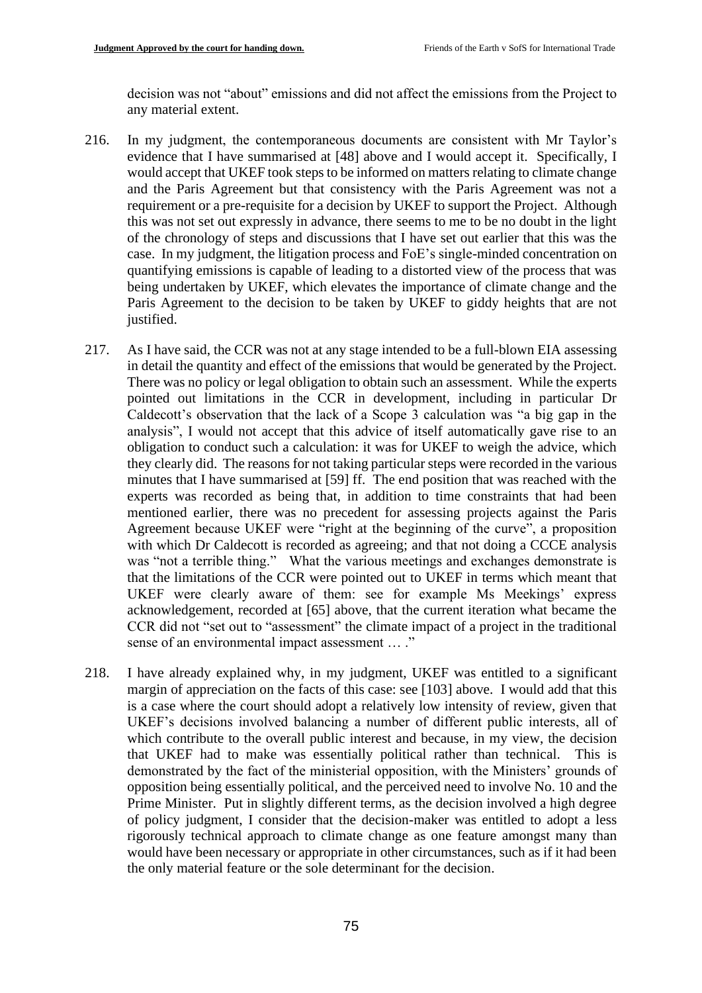decision was not "about" emissions and did not affect the emissions from the Project to any material extent.

- 216. In my judgment, the contemporaneous documents are consistent with Mr Taylor's evidence that I have summarised at [48] above and I would accept it. Specifically, I would accept that UKEF took steps to be informed on matters relating to climate change and the Paris Agreement but that consistency with the Paris Agreement was not a requirement or a pre-requisite for a decision by UKEF to support the Project. Although this was not set out expressly in advance, there seems to me to be no doubt in the light of the chronology of steps and discussions that I have set out earlier that this was the case. In my judgment, the litigation process and FoE's single-minded concentration on quantifying emissions is capable of leading to a distorted view of the process that was being undertaken by UKEF, which elevates the importance of climate change and the Paris Agreement to the decision to be taken by UKEF to giddy heights that are not justified.
- 217. As I have said, the CCR was not at any stage intended to be a full-blown EIA assessing in detail the quantity and effect of the emissions that would be generated by the Project. There was no policy or legal obligation to obtain such an assessment. While the experts pointed out limitations in the CCR in development, including in particular Dr Caldecott's observation that the lack of a Scope 3 calculation was "a big gap in the analysis", I would not accept that this advice of itself automatically gave rise to an obligation to conduct such a calculation: it was for UKEF to weigh the advice, which they clearly did. The reasons for not taking particular steps were recorded in the various minutes that I have summarised at [59] ff. The end position that was reached with the experts was recorded as being that, in addition to time constraints that had been mentioned earlier, there was no precedent for assessing projects against the Paris Agreement because UKEF were "right at the beginning of the curve", a proposition with which Dr Caldecott is recorded as agreeing; and that not doing a CCCE analysis was "not a terrible thing." What the various meetings and exchanges demonstrate is that the limitations of the CCR were pointed out to UKEF in terms which meant that UKEF were clearly aware of them: see for example Ms Meekings' express acknowledgement, recorded at [65] above, that the current iteration what became the CCR did not "set out to "assessment" the climate impact of a project in the traditional sense of an environmental impact assessment … ."
- 218. I have already explained why, in my judgment, UKEF was entitled to a significant margin of appreciation on the facts of this case: see [103] above. I would add that this is a case where the court should adopt a relatively low intensity of review, given that UKEF's decisions involved balancing a number of different public interests, all of which contribute to the overall public interest and because, in my view, the decision that UKEF had to make was essentially political rather than technical. This is demonstrated by the fact of the ministerial opposition, with the Ministers' grounds of opposition being essentially political, and the perceived need to involve No. 10 and the Prime Minister. Put in slightly different terms, as the decision involved a high degree of policy judgment, I consider that the decision-maker was entitled to adopt a less rigorously technical approach to climate change as one feature amongst many than would have been necessary or appropriate in other circumstances, such as if it had been the only material feature or the sole determinant for the decision.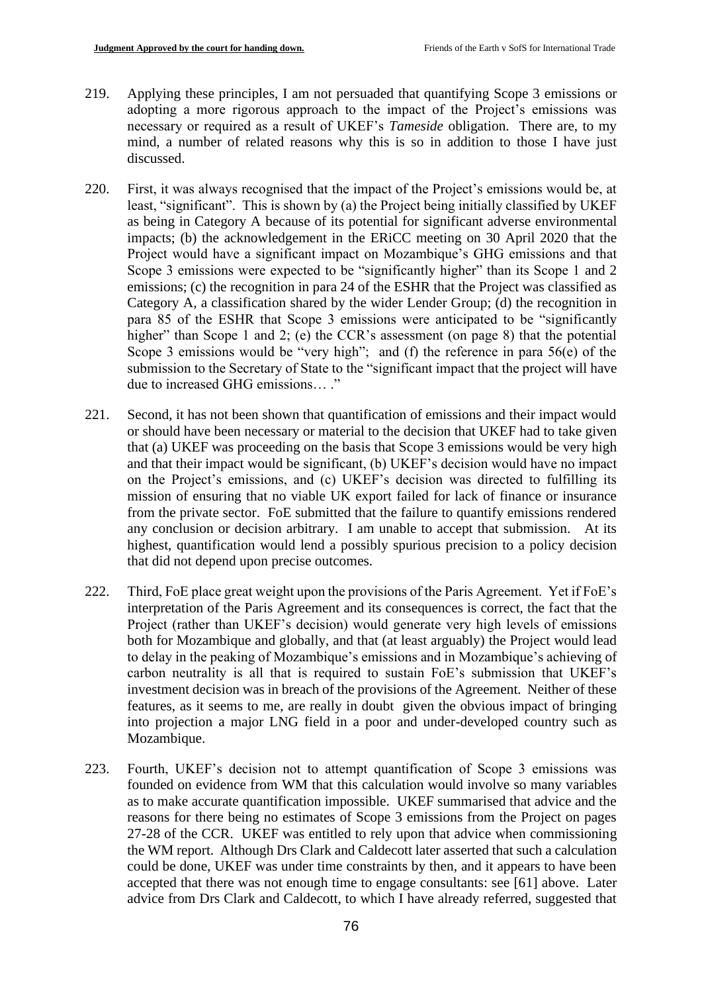- 219. Applying these principles, I am not persuaded that quantifying Scope 3 emissions or adopting a more rigorous approach to the impact of the Project's emissions was necessary or required as a result of UKEF's *Tameside* obligation. There are, to my mind, a number of related reasons why this is so in addition to those I have just discussed.
- 220. First, it was always recognised that the impact of the Project's emissions would be, at least, "significant". This is shown by (a) the Project being initially classified by UKEF as being in Category A because of its potential for significant adverse environmental impacts; (b) the acknowledgement in the ERiCC meeting on 30 April 2020 that the Project would have a significant impact on Mozambique's GHG emissions and that Scope 3 emissions were expected to be "significantly higher" than its Scope 1 and 2 emissions; (c) the recognition in para 24 of the ESHR that the Project was classified as Category A, a classification shared by the wider Lender Group; (d) the recognition in para 85 of the ESHR that Scope 3 emissions were anticipated to be "significantly higher" than Scope 1 and 2; (e) the CCR's assessment (on page 8) that the potential Scope 3 emissions would be "very high"; and (f) the reference in para 56(e) of the submission to the Secretary of State to the "significant impact that the project will have due to increased GHG emissions… ."
- 221. Second, it has not been shown that quantification of emissions and their impact would or should have been necessary or material to the decision that UKEF had to take given that (a) UKEF was proceeding on the basis that Scope 3 emissions would be very high and that their impact would be significant, (b) UKEF's decision would have no impact on the Project's emissions, and (c) UKEF's decision was directed to fulfilling its mission of ensuring that no viable UK export failed for lack of finance or insurance from the private sector. FoE submitted that the failure to quantify emissions rendered any conclusion or decision arbitrary. I am unable to accept that submission. At its highest, quantification would lend a possibly spurious precision to a policy decision that did not depend upon precise outcomes.
- 222. Third, FoE place great weight upon the provisions of the Paris Agreement. Yet if FoE's interpretation of the Paris Agreement and its consequences is correct, the fact that the Project (rather than UKEF's decision) would generate very high levels of emissions both for Mozambique and globally, and that (at least arguably) the Project would lead to delay in the peaking of Mozambique's emissions and in Mozambique's achieving of carbon neutrality is all that is required to sustain FoE's submission that UKEF's investment decision was in breach of the provisions of the Agreement. Neither of these features, as it seems to me, are really in doubt given the obvious impact of bringing into projection a major LNG field in a poor and under-developed country such as Mozambique.
- 223. Fourth, UKEF's decision not to attempt quantification of Scope 3 emissions was founded on evidence from WM that this calculation would involve so many variables as to make accurate quantification impossible. UKEF summarised that advice and the reasons for there being no estimates of Scope 3 emissions from the Project on pages 27-28 of the CCR. UKEF was entitled to rely upon that advice when commissioning the WM report. Although Drs Clark and Caldecott later asserted that such a calculation could be done, UKEF was under time constraints by then, and it appears to have been accepted that there was not enough time to engage consultants: see [61] above. Later advice from Drs Clark and Caldecott, to which I have already referred, suggested that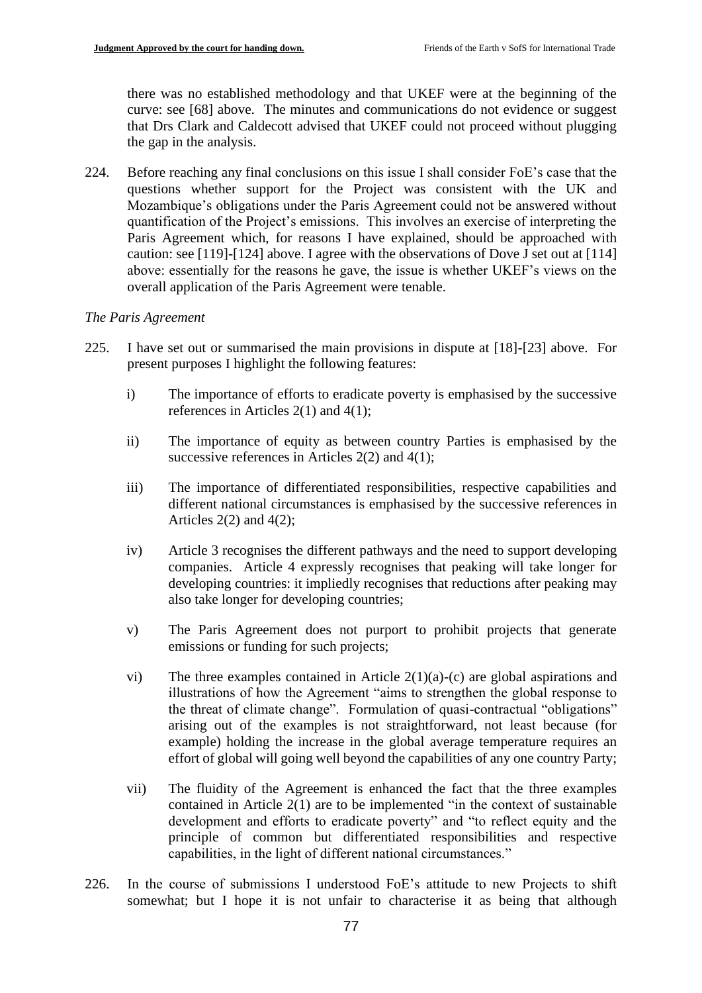there was no established methodology and that UKEF were at the beginning of the curve: see [68] above. The minutes and communications do not evidence or suggest that Drs Clark and Caldecott advised that UKEF could not proceed without plugging the gap in the analysis.

224. Before reaching any final conclusions on this issue I shall consider FoE's case that the questions whether support for the Project was consistent with the UK and Mozambique's obligations under the Paris Agreement could not be answered without quantification of the Project's emissions. This involves an exercise of interpreting the Paris Agreement which, for reasons I have explained, should be approached with caution: see [119]-[124] above. I agree with the observations of Dove J set out at [114] above: essentially for the reasons he gave, the issue is whether UKEF's views on the overall application of the Paris Agreement were tenable.

### *The Paris Agreement*

- 225. I have set out or summarised the main provisions in dispute at [18]-[23] above. For present purposes I highlight the following features:
	- i) The importance of efforts to eradicate poverty is emphasised by the successive references in Articles 2(1) and 4(1);
	- ii) The importance of equity as between country Parties is emphasised by the successive references in Articles 2(2) and 4(1);
	- iii) The importance of differentiated responsibilities, respective capabilities and different national circumstances is emphasised by the successive references in Articles  $2(2)$  and  $4(2)$ ;
	- iv) Article 3 recognises the different pathways and the need to support developing companies. Article 4 expressly recognises that peaking will take longer for developing countries: it impliedly recognises that reductions after peaking may also take longer for developing countries;
	- v) The Paris Agreement does not purport to prohibit projects that generate emissions or funding for such projects;
	- vi) The three examples contained in Article 2(1)(a)-(c) are global aspirations and illustrations of how the Agreement "aims to strengthen the global response to the threat of climate change". Formulation of quasi-contractual "obligations" arising out of the examples is not straightforward, not least because (for example) holding the increase in the global average temperature requires an effort of global will going well beyond the capabilities of any one country Party;
	- vii) The fluidity of the Agreement is enhanced the fact that the three examples contained in Article 2(1) are to be implemented "in the context of sustainable development and efforts to eradicate poverty" and "to reflect equity and the principle of common but differentiated responsibilities and respective capabilities, in the light of different national circumstances."
- 226. In the course of submissions I understood FoE's attitude to new Projects to shift somewhat; but I hope it is not unfair to characterise it as being that although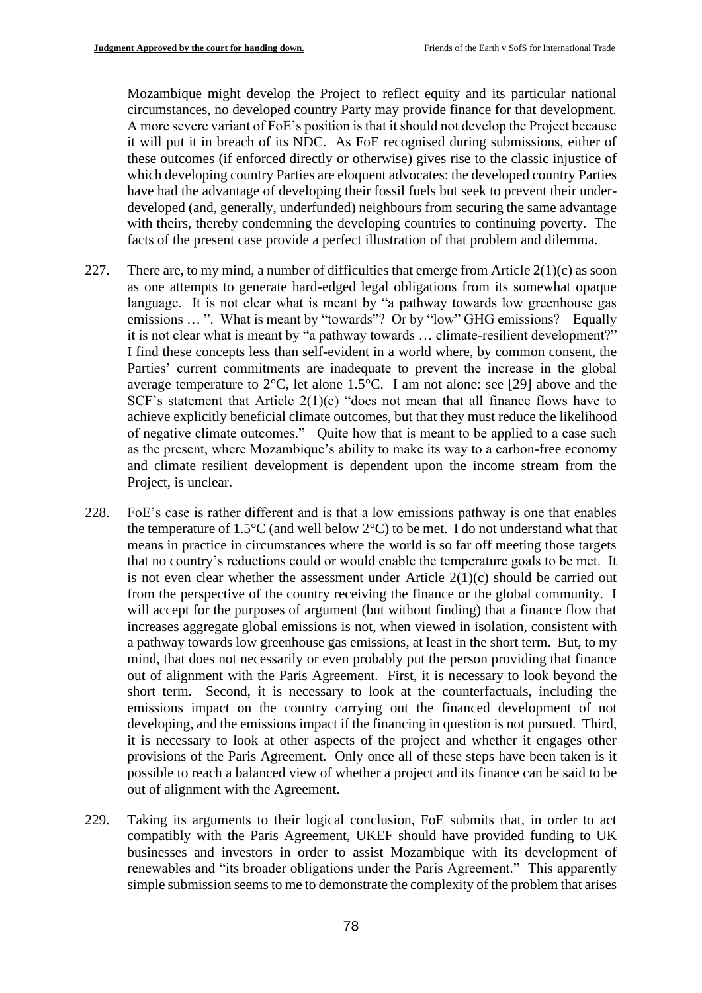Mozambique might develop the Project to reflect equity and its particular national circumstances, no developed country Party may provide finance for that development. A more severe variant of FoE's position is that it should not develop the Project because it will put it in breach of its NDC. As FoE recognised during submissions, either of these outcomes (if enforced directly or otherwise) gives rise to the classic injustice of which developing country Parties are eloquent advocates: the developed country Parties have had the advantage of developing their fossil fuels but seek to prevent their underdeveloped (and, generally, underfunded) neighbours from securing the same advantage with theirs, thereby condemning the developing countries to continuing poverty. The facts of the present case provide a perfect illustration of that problem and dilemma.

- 227. There are, to my mind, a number of difficulties that emerge from Article  $2(1)(c)$  as soon as one attempts to generate hard-edged legal obligations from its somewhat opaque language. It is not clear what is meant by "a pathway towards low greenhouse gas emissions ... ". What is meant by "towards"? Or by "low" GHG emissions? Equally it is not clear what is meant by "a pathway towards … climate-resilient development?" I find these concepts less than self-evident in a world where, by common consent, the Parties' current commitments are inadequate to prevent the increase in the global average temperature to 2°C, let alone 1.5°C. I am not alone: see [29] above and the SCF's statement that Article 2(1)(c) "does not mean that all finance flows have to achieve explicitly beneficial climate outcomes, but that they must reduce the likelihood of negative climate outcomes." Quite how that is meant to be applied to a case such as the present, where Mozambique's ability to make its way to a carbon-free economy and climate resilient development is dependent upon the income stream from the Project, is unclear.
- 228. FoE's case is rather different and is that a low emissions pathway is one that enables the temperature of 1.5°C (and well below 2°C) to be met. I do not understand what that means in practice in circumstances where the world is so far off meeting those targets that no country's reductions could or would enable the temperature goals to be met. It is not even clear whether the assessment under Article 2(1)(c) should be carried out from the perspective of the country receiving the finance or the global community. I will accept for the purposes of argument (but without finding) that a finance flow that increases aggregate global emissions is not, when viewed in isolation, consistent with a pathway towards low greenhouse gas emissions, at least in the short term. But, to my mind, that does not necessarily or even probably put the person providing that finance out of alignment with the Paris Agreement. First, it is necessary to look beyond the short term. Second, it is necessary to look at the counterfactuals, including the emissions impact on the country carrying out the financed development of not developing, and the emissions impact if the financing in question is not pursued. Third, it is necessary to look at other aspects of the project and whether it engages other provisions of the Paris Agreement. Only once all of these steps have been taken is it possible to reach a balanced view of whether a project and its finance can be said to be out of alignment with the Agreement.
- 229. Taking its arguments to their logical conclusion, FoE submits that, in order to act compatibly with the Paris Agreement, UKEF should have provided funding to UK businesses and investors in order to assist Mozambique with its development of renewables and "its broader obligations under the Paris Agreement." This apparently simple submission seems to me to demonstrate the complexity of the problem that arises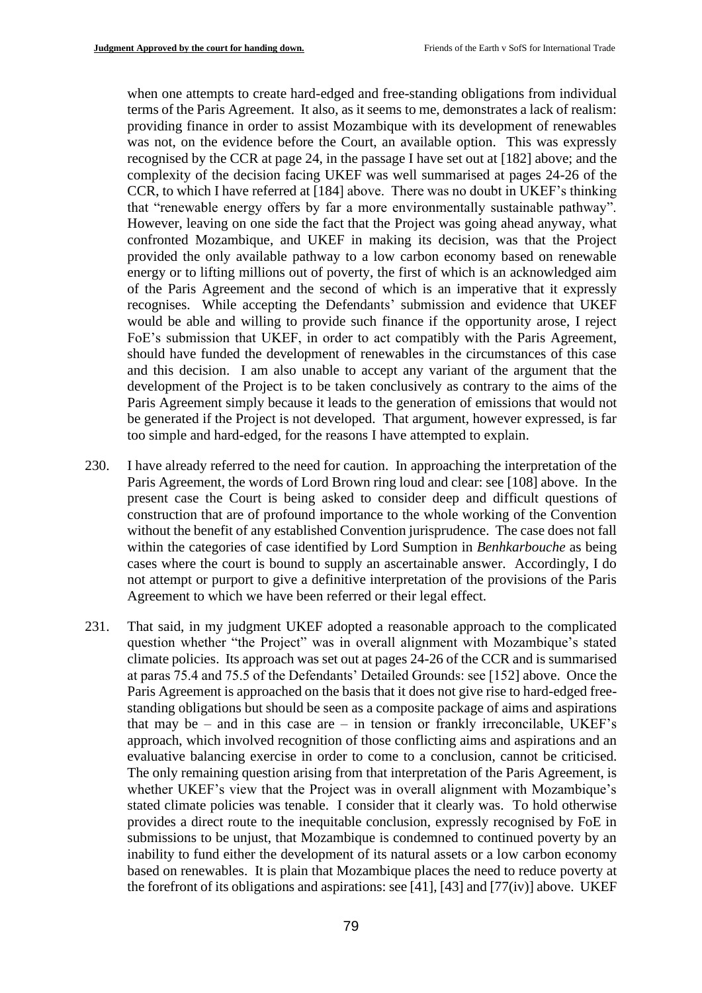when one attempts to create hard-edged and free-standing obligations from individual terms of the Paris Agreement. It also, as it seems to me, demonstrates a lack of realism: providing finance in order to assist Mozambique with its development of renewables was not, on the evidence before the Court, an available option. This was expressly recognised by the CCR at page 24, in the passage I have set out at [182] above; and the complexity of the decision facing UKEF was well summarised at pages 24-26 of the CCR, to which I have referred at [184] above. There was no doubt in UKEF's thinking that "renewable energy offers by far a more environmentally sustainable pathway". However, leaving on one side the fact that the Project was going ahead anyway, what confronted Mozambique, and UKEF in making its decision, was that the Project provided the only available pathway to a low carbon economy based on renewable energy or to lifting millions out of poverty, the first of which is an acknowledged aim of the Paris Agreement and the second of which is an imperative that it expressly recognises. While accepting the Defendants' submission and evidence that UKEF would be able and willing to provide such finance if the opportunity arose, I reject FoE's submission that UKEF, in order to act compatibly with the Paris Agreement, should have funded the development of renewables in the circumstances of this case and this decision. I am also unable to accept any variant of the argument that the development of the Project is to be taken conclusively as contrary to the aims of the Paris Agreement simply because it leads to the generation of emissions that would not be generated if the Project is not developed. That argument, however expressed, is far too simple and hard-edged, for the reasons I have attempted to explain.

- 230. I have already referred to the need for caution. In approaching the interpretation of the Paris Agreement, the words of Lord Brown ring loud and clear: see [108] above. In the present case the Court is being asked to consider deep and difficult questions of construction that are of profound importance to the whole working of the Convention without the benefit of any established Convention jurisprudence. The case does not fall within the categories of case identified by Lord Sumption in *Benhkarbouche* as being cases where the court is bound to supply an ascertainable answer. Accordingly, I do not attempt or purport to give a definitive interpretation of the provisions of the Paris Agreement to which we have been referred or their legal effect.
- 231. That said, in my judgment UKEF adopted a reasonable approach to the complicated question whether "the Project" was in overall alignment with Mozambique's stated climate policies. Its approach was set out at pages 24-26 of the CCR and is summarised at paras 75.4 and 75.5 of the Defendants' Detailed Grounds: see [152] above. Once the Paris Agreement is approached on the basis that it does not give rise to hard-edged freestanding obligations but should be seen as a composite package of aims and aspirations that may be – and in this case are – in tension or frankly irreconcilable, UKEF's approach, which involved recognition of those conflicting aims and aspirations and an evaluative balancing exercise in order to come to a conclusion, cannot be criticised. The only remaining question arising from that interpretation of the Paris Agreement, is whether UKEF's view that the Project was in overall alignment with Mozambique's stated climate policies was tenable. I consider that it clearly was. To hold otherwise provides a direct route to the inequitable conclusion, expressly recognised by FoE in submissions to be unjust, that Mozambique is condemned to continued poverty by an inability to fund either the development of its natural assets or a low carbon economy based on renewables. It is plain that Mozambique places the need to reduce poverty at the forefront of its obligations and aspirations: see [41], [43] and [77(iv)] above. UKEF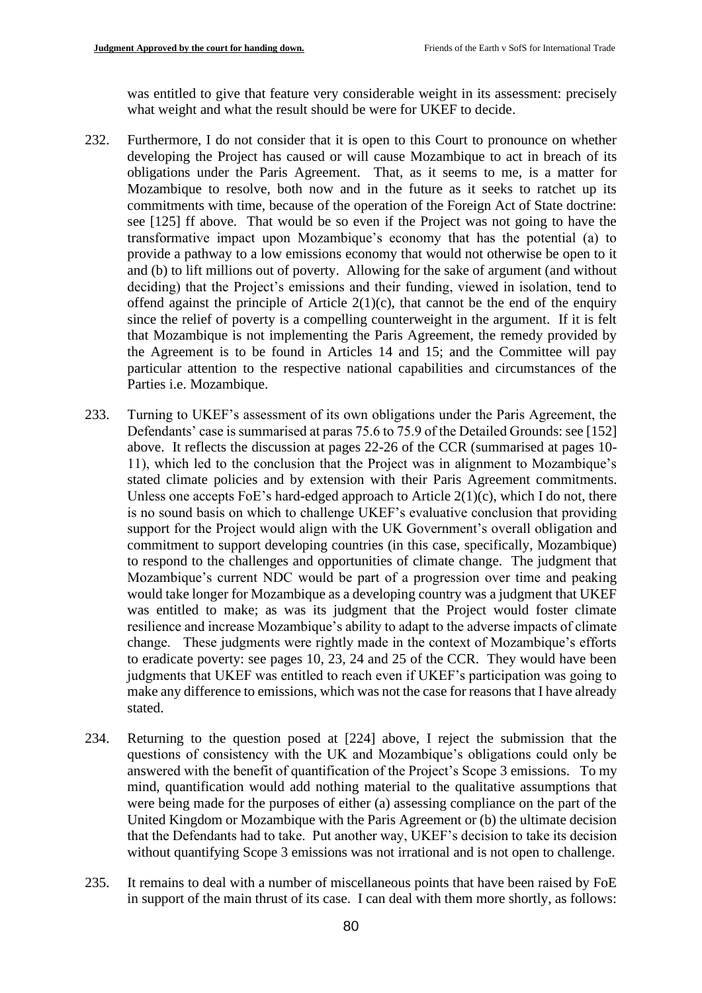was entitled to give that feature very considerable weight in its assessment: precisely what weight and what the result should be were for UKEF to decide.

- 232. Furthermore, I do not consider that it is open to this Court to pronounce on whether developing the Project has caused or will cause Mozambique to act in breach of its obligations under the Paris Agreement. That, as it seems to me, is a matter for Mozambique to resolve, both now and in the future as it seeks to ratchet up its commitments with time, because of the operation of the Foreign Act of State doctrine: see [125] ff above. That would be so even if the Project was not going to have the transformative impact upon Mozambique's economy that has the potential (a) to provide a pathway to a low emissions economy that would not otherwise be open to it and (b) to lift millions out of poverty. Allowing for the sake of argument (and without deciding) that the Project's emissions and their funding, viewed in isolation, tend to offend against the principle of Article  $2(1)(c)$ , that cannot be the end of the enquiry since the relief of poverty is a compelling counterweight in the argument. If it is felt that Mozambique is not implementing the Paris Agreement, the remedy provided by the Agreement is to be found in Articles 14 and 15; and the Committee will pay particular attention to the respective national capabilities and circumstances of the Parties i.e. Mozambique.
- 233. Turning to UKEF's assessment of its own obligations under the Paris Agreement, the Defendants' case is summarised at paras 75.6 to 75.9 of the Detailed Grounds: see [152] above. It reflects the discussion at pages 22-26 of the CCR (summarised at pages 10- 11), which led to the conclusion that the Project was in alignment to Mozambique's stated climate policies and by extension with their Paris Agreement commitments. Unless one accepts FoE's hard-edged approach to Article  $2(1)(c)$ , which I do not, there is no sound basis on which to challenge UKEF's evaluative conclusion that providing support for the Project would align with the UK Government's overall obligation and commitment to support developing countries (in this case, specifically, Mozambique) to respond to the challenges and opportunities of climate change. The judgment that Mozambique's current NDC would be part of a progression over time and peaking would take longer for Mozambique as a developing country was a judgment that UKEF was entitled to make; as was its judgment that the Project would foster climate resilience and increase Mozambique's ability to adapt to the adverse impacts of climate change. These judgments were rightly made in the context of Mozambique's efforts to eradicate poverty: see pages 10, 23, 24 and 25 of the CCR. They would have been judgments that UKEF was entitled to reach even if UKEF's participation was going to make any difference to emissions, which was not the case for reasons that I have already stated.
- 234. Returning to the question posed at [224] above, I reject the submission that the questions of consistency with the UK and Mozambique's obligations could only be answered with the benefit of quantification of the Project's Scope 3 emissions. To my mind, quantification would add nothing material to the qualitative assumptions that were being made for the purposes of either (a) assessing compliance on the part of the United Kingdom or Mozambique with the Paris Agreement or (b) the ultimate decision that the Defendants had to take. Put another way, UKEF's decision to take its decision without quantifying Scope 3 emissions was not irrational and is not open to challenge.
- 235. It remains to deal with a number of miscellaneous points that have been raised by FoE in support of the main thrust of its case. I can deal with them more shortly, as follows: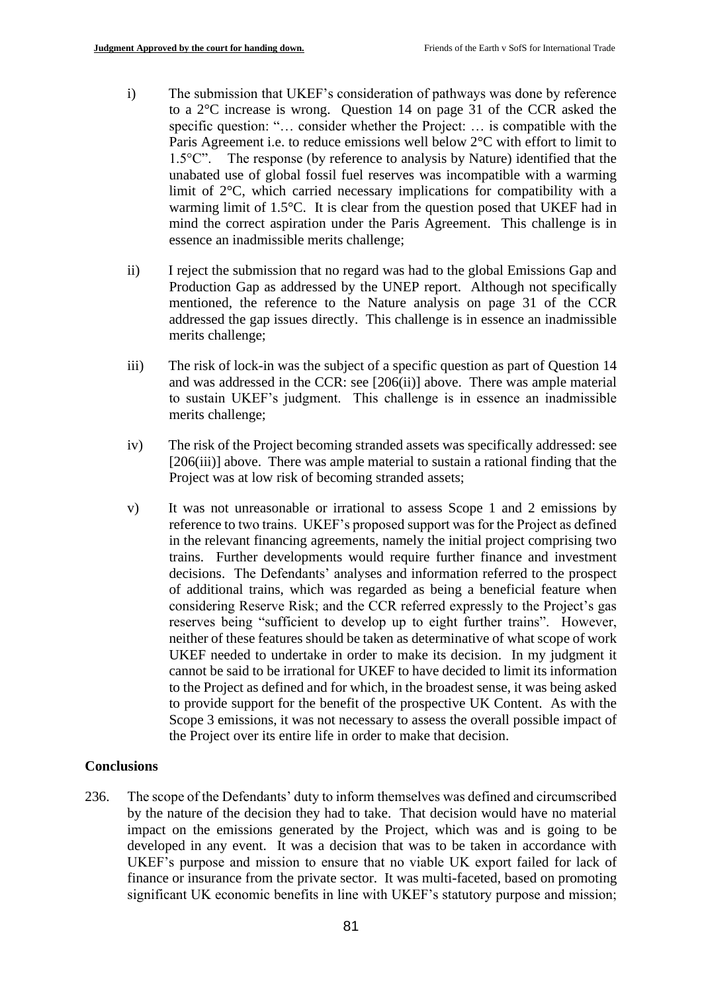- i) The submission that UKEF's consideration of pathways was done by reference to a 2°C increase is wrong. Question 14 on page 31 of the CCR asked the specific question: "… consider whether the Project: … is compatible with the Paris Agreement i.e. to reduce emissions well below 2°C with effort to limit to 1.5°C". The response (by reference to analysis by Nature) identified that the unabated use of global fossil fuel reserves was incompatible with a warming limit of 2°C, which carried necessary implications for compatibility with a warming limit of 1.5°C. It is clear from the question posed that UKEF had in mind the correct aspiration under the Paris Agreement. This challenge is in essence an inadmissible merits challenge;
- ii) I reject the submission that no regard was had to the global Emissions Gap and Production Gap as addressed by the UNEP report. Although not specifically mentioned, the reference to the Nature analysis on page 31 of the CCR addressed the gap issues directly. This challenge is in essence an inadmissible merits challenge;
- iii) The risk of lock-in was the subject of a specific question as part of Question 14 and was addressed in the CCR: see [206(ii)] above. There was ample material to sustain UKEF's judgment. This challenge is in essence an inadmissible merits challenge;
- iv) The risk of the Project becoming stranded assets was specifically addressed: see [206(iii)] above. There was ample material to sustain a rational finding that the Project was at low risk of becoming stranded assets;
- v) It was not unreasonable or irrational to assess Scope 1 and 2 emissions by reference to two trains. UKEF's proposed support was for the Project as defined in the relevant financing agreements, namely the initial project comprising two trains. Further developments would require further finance and investment decisions. The Defendants' analyses and information referred to the prospect of additional trains, which was regarded as being a beneficial feature when considering Reserve Risk; and the CCR referred expressly to the Project's gas reserves being "sufficient to develop up to eight further trains". However, neither of these features should be taken as determinative of what scope of work UKEF needed to undertake in order to make its decision. In my judgment it cannot be said to be irrational for UKEF to have decided to limit its information to the Project as defined and for which, in the broadest sense, it was being asked to provide support for the benefit of the prospective UK Content. As with the Scope 3 emissions, it was not necessary to assess the overall possible impact of the Project over its entire life in order to make that decision.

### **Conclusions**

236. The scope of the Defendants' duty to inform themselves was defined and circumscribed by the nature of the decision they had to take. That decision would have no material impact on the emissions generated by the Project, which was and is going to be developed in any event. It was a decision that was to be taken in accordance with UKEF's purpose and mission to ensure that no viable UK export failed for lack of finance or insurance from the private sector. It was multi-faceted, based on promoting significant UK economic benefits in line with UKEF's statutory purpose and mission;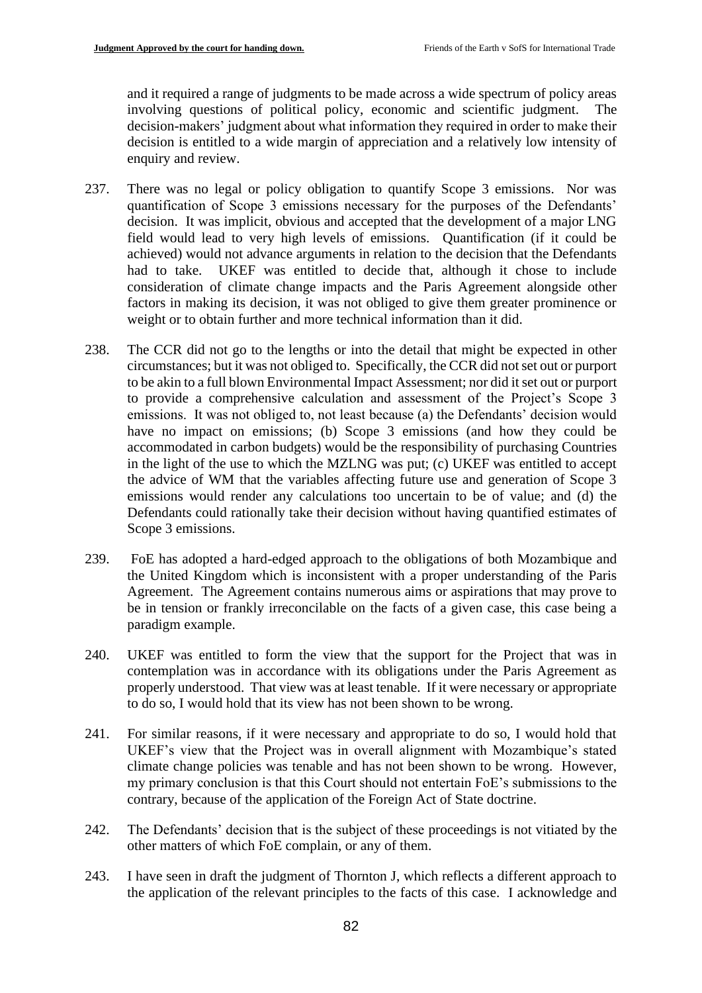and it required a range of judgments to be made across a wide spectrum of policy areas involving questions of political policy, economic and scientific judgment. The decision-makers' judgment about what information they required in order to make their decision is entitled to a wide margin of appreciation and a relatively low intensity of enquiry and review.

- 237. There was no legal or policy obligation to quantify Scope 3 emissions. Nor was quantification of Scope 3 emissions necessary for the purposes of the Defendants' decision. It was implicit, obvious and accepted that the development of a major LNG field would lead to very high levels of emissions. Quantification (if it could be achieved) would not advance arguments in relation to the decision that the Defendants had to take. UKEF was entitled to decide that, although it chose to include consideration of climate change impacts and the Paris Agreement alongside other factors in making its decision, it was not obliged to give them greater prominence or weight or to obtain further and more technical information than it did.
- 238. The CCR did not go to the lengths or into the detail that might be expected in other circumstances; but it was not obliged to. Specifically, the CCR did not set out or purport to be akin to a full blown Environmental Impact Assessment; nor did it set out or purport to provide a comprehensive calculation and assessment of the Project's Scope 3 emissions. It was not obliged to, not least because (a) the Defendants' decision would have no impact on emissions; (b) Scope 3 emissions (and how they could be accommodated in carbon budgets) would be the responsibility of purchasing Countries in the light of the use to which the MZLNG was put; (c) UKEF was entitled to accept the advice of WM that the variables affecting future use and generation of Scope 3 emissions would render any calculations too uncertain to be of value; and (d) the Defendants could rationally take their decision without having quantified estimates of Scope 3 emissions.
- 239. FoE has adopted a hard-edged approach to the obligations of both Mozambique and the United Kingdom which is inconsistent with a proper understanding of the Paris Agreement. The Agreement contains numerous aims or aspirations that may prove to be in tension or frankly irreconcilable on the facts of a given case, this case being a paradigm example.
- 240. UKEF was entitled to form the view that the support for the Project that was in contemplation was in accordance with its obligations under the Paris Agreement as properly understood. That view was at least tenable. If it were necessary or appropriate to do so, I would hold that its view has not been shown to be wrong.
- 241. For similar reasons, if it were necessary and appropriate to do so, I would hold that UKEF's view that the Project was in overall alignment with Mozambique's stated climate change policies was tenable and has not been shown to be wrong. However, my primary conclusion is that this Court should not entertain FoE's submissions to the contrary, because of the application of the Foreign Act of State doctrine.
- 242. The Defendants' decision that is the subject of these proceedings is not vitiated by the other matters of which FoE complain, or any of them.
- 243. I have seen in draft the judgment of Thornton J, which reflects a different approach to the application of the relevant principles to the facts of this case. I acknowledge and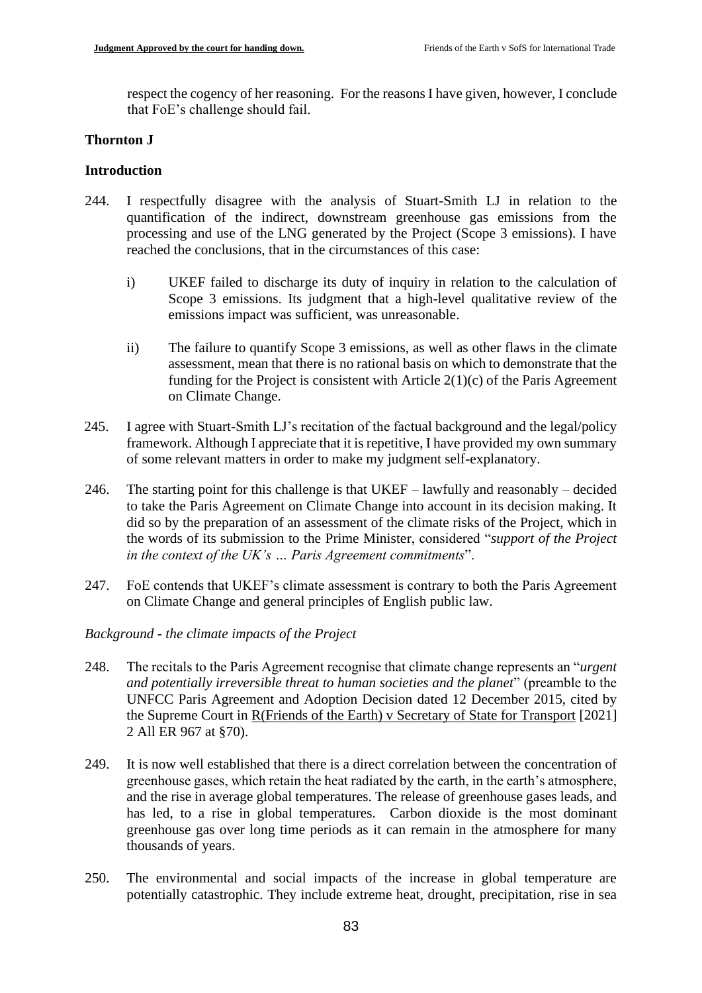respect the cogency of her reasoning. For the reasons I have given, however, I conclude that FoE's challenge should fail.

### **Thornton J**

#### **Introduction**

- 244. I respectfully disagree with the analysis of Stuart-Smith LJ in relation to the quantification of the indirect, downstream greenhouse gas emissions from the processing and use of the LNG generated by the Project (Scope 3 emissions). I have reached the conclusions, that in the circumstances of this case:
	- i) UKEF failed to discharge its duty of inquiry in relation to the calculation of Scope 3 emissions. Its judgment that a high-level qualitative review of the emissions impact was sufficient, was unreasonable.
	- ii) The failure to quantify Scope 3 emissions, as well as other flaws in the climate assessment, mean that there is no rational basis on which to demonstrate that the funding for the Project is consistent with Article  $2(1)(c)$  of the Paris Agreement on Climate Change.
- 245. I agree with Stuart-Smith LJ's recitation of the factual background and the legal/policy framework. Although I appreciate that it is repetitive, I have provided my own summary of some relevant matters in order to make my judgment self-explanatory.
- 246. The starting point for this challenge is that UKEF lawfully and reasonably decided to take the Paris Agreement on Climate Change into account in its decision making. It did so by the preparation of an assessment of the climate risks of the Project, which in the words of its submission to the Prime Minister, considered "*support of the Project in the context of the UK's … Paris Agreement commitments*".
- 247. FoE contends that UKEF's climate assessment is contrary to both the Paris Agreement on Climate Change and general principles of English public law.

### *Background - the climate impacts of the Project*

- 248. The recitals to the Paris Agreement recognise that climate change represents an "*urgent and potentially irreversible threat to human societies and the planet*" (preamble to the UNFCC Paris Agreement and Adoption Decision dated 12 December 2015, cited by the Supreme Court in R(Friends of the Earth) v Secretary of State for Transport [2021] 2 All ER 967 at §70).
- 249. It is now well established that there is a direct correlation between the concentration of greenhouse gases, which retain the heat radiated by the earth, in the earth's atmosphere, and the rise in average global temperatures. The release of greenhouse gases leads, and has led, to a rise in global temperatures. Carbon dioxide is the most dominant greenhouse gas over long time periods as it can remain in the atmosphere for many thousands of years.
- 250. The environmental and social impacts of the increase in global temperature are potentially catastrophic. They include extreme heat, drought, precipitation, rise in sea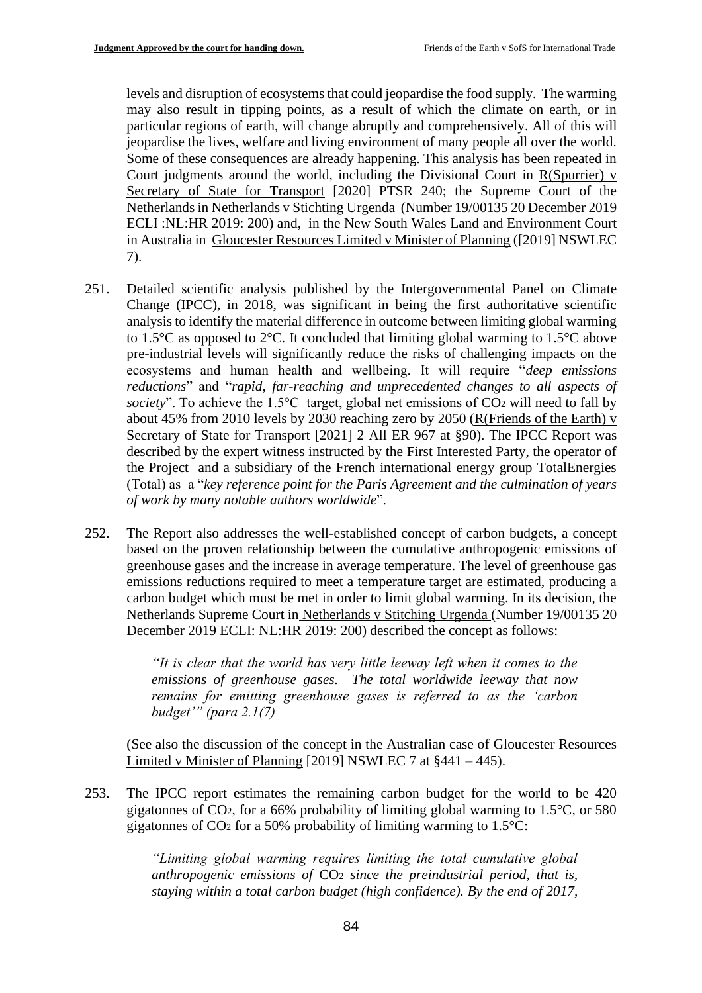levels and disruption of ecosystems that could jeopardise the food supply. The warming may also result in tipping points, as a result of which the climate on earth, or in particular regions of earth, will change abruptly and comprehensively. All of this will jeopardise the lives, welfare and living environment of many people all over the world. Some of these consequences are already happening. This analysis has been repeated in Court judgments around the world, including the Divisional Court in R(Spurrier) v Secretary of State for Transport [2020] PTSR 240; the Supreme Court of the Netherlands in Netherlands v Stichting Urgenda (Number 19/00135 20 December 2019 ECLI :NL:HR 2019: 200) and, in the New South Wales Land and Environment Court in Australia in Gloucester Resources Limited v Minister of Planning ([2019] NSWLEC 7).

- 251. Detailed scientific analysis published by the Intergovernmental Panel on Climate Change (IPCC), in 2018, was significant in being the first authoritative scientific analysis to identify the material difference in outcome between limiting global warming to 1.5°C as opposed to 2°C. It concluded that limiting global warming to 1.5°C above pre-industrial levels will significantly reduce the risks of challenging impacts on the ecosystems and human health and wellbeing. It will require "*deep emissions reductions*" and "*rapid, far-reaching and unprecedented changes to all aspects of society*". To achieve the 1.5°C target, global net emissions of CO<sub>2</sub> will need to fall by about 45% from 2010 levels by 2030 reaching zero by 2050 (R(Friends of the Earth) v Secretary of State for Transport [2021] 2 All ER 967 at §90). The IPCC Report was described by the expert witness instructed by the First Interested Party, the operator of the Project and a subsidiary of the French international energy group TotalEnergies (Total) as a "*key reference point for the Paris Agreement and the culmination of years of work by many notable authors worldwide*".
- 252. The Report also addresses the well-established concept of carbon budgets, a concept based on the proven relationship between the cumulative anthropogenic emissions of greenhouse gases and the increase in average temperature. The level of greenhouse gas emissions reductions required to meet a temperature target are estimated, producing a carbon budget which must be met in order to limit global warming. In its decision, the Netherlands Supreme Court in Netherlands v Stitching Urgenda (Number 19/00135 20 December 2019 ECLI: NL:HR 2019: 200) described the concept as follows:

*"It is clear that the world has very little leeway left when it comes to the emissions of greenhouse gases. The total worldwide leeway that now remains for emitting greenhouse gases is referred to as the 'carbon budget'" (para 2.1(7)*

(See also the discussion of the concept in the Australian case of Gloucester Resources Limited v Minister of Planning  $[2019]$  NSWLEC 7 at  $§441 - 445$ ).

253. The IPCC report estimates the remaining carbon budget for the world to be 420 gigatonnes of CO2, for a 66% probability of limiting global warming to 1.5°C, or 580 gigatonnes of  $CO<sub>2</sub>$  for a 50% probability of limiting warming to 1.5 $°C$ :

> *"Limiting global warming requires limiting the total cumulative global anthropogenic emissions of* CO<sup>2</sup> *since the preindustrial period, that is, staying within a total carbon budget (high confidence). By the end of 2017,*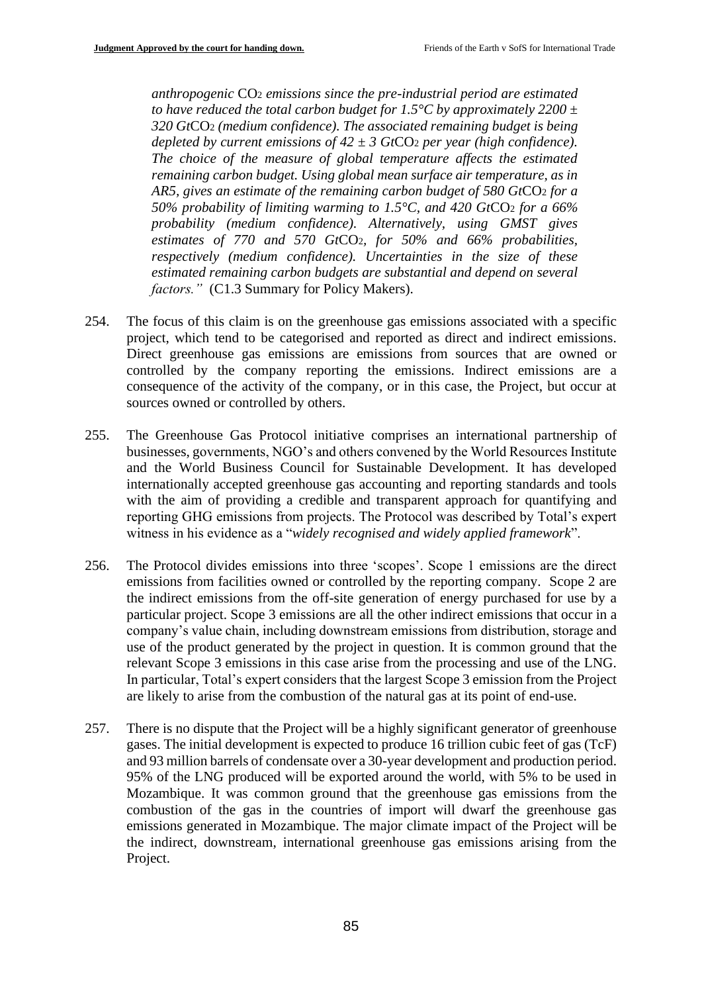*anthropogenic* CO<sup>2</sup> *emissions since the pre-industrial period are estimated to have reduced the total carbon budget for 1.5°C by approximately 2200*  $\pm$ *320 Gt*CO<sup>2</sup> *(medium confidence). The associated remaining budget is being depleted by current emissions of 42*  $\pm$  3 GtCO<sub>2</sub> *per year (high confidence). The choice of the measure of global temperature affects the estimated remaining carbon budget. Using global mean surface air temperature, as in AR5, gives an estimate of the remaining carbon budget of 580 Gt*CO<sup>2</sup> *for a 50% probability of limiting warming to 1.5°C, and 420 Gt*CO<sup>2</sup> *for a 66% probability (medium confidence). Alternatively, using GMST gives estimates of 770 and 570 Gt*CO2*, for 50% and 66% probabilities, respectively (medium confidence). Uncertainties in the size of these estimated remaining carbon budgets are substantial and depend on several factors."* (C1.3 Summary for Policy Makers).

- 254. The focus of this claim is on the greenhouse gas emissions associated with a specific project, which tend to be categorised and reported as direct and indirect emissions. Direct greenhouse gas emissions are emissions from sources that are owned or controlled by the company reporting the emissions. Indirect emissions are a consequence of the activity of the company, or in this case, the Project, but occur at sources owned or controlled by others.
- 255. The Greenhouse Gas Protocol initiative comprises an international partnership of businesses, governments, NGO's and others convened by the World Resources Institute and the World Business Council for Sustainable Development. It has developed internationally accepted greenhouse gas accounting and reporting standards and tools with the aim of providing a credible and transparent approach for quantifying and reporting GHG emissions from projects. The Protocol was described by Total's expert witness in his evidence as a "*widely recognised and widely applied framework*".
- 256. The Protocol divides emissions into three 'scopes'. Scope 1 emissions are the direct emissions from facilities owned or controlled by the reporting company. Scope 2 are the indirect emissions from the off-site generation of energy purchased for use by a particular project. Scope 3 emissions are all the other indirect emissions that occur in a company's value chain, including downstream emissions from distribution, storage and use of the product generated by the project in question. It is common ground that the relevant Scope 3 emissions in this case arise from the processing and use of the LNG. In particular, Total's expert considers that the largest Scope 3 emission from the Project are likely to arise from the combustion of the natural gas at its point of end-use.
- 257. There is no dispute that the Project will be a highly significant generator of greenhouse gases. The initial development is expected to produce 16 trillion cubic feet of gas (TcF) and 93 million barrels of condensate over a 30-year development and production period. 95% of the LNG produced will be exported around the world, with 5% to be used in Mozambique. It was common ground that the greenhouse gas emissions from the combustion of the gas in the countries of import will dwarf the greenhouse gas emissions generated in Mozambique. The major climate impact of the Project will be the indirect, downstream, international greenhouse gas emissions arising from the Project.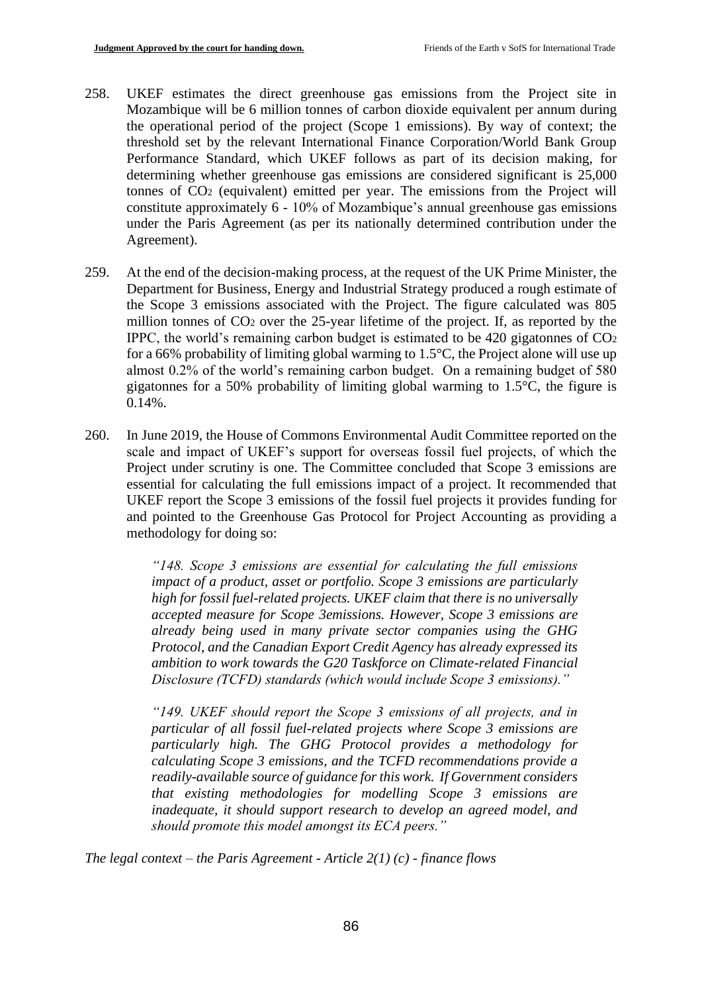- 258. UKEF estimates the direct greenhouse gas emissions from the Project site in Mozambique will be 6 million tonnes of carbon dioxide equivalent per annum during the operational period of the project (Scope 1 emissions). By way of context; the threshold set by the relevant International Finance Corporation/World Bank Group Performance Standard, which UKEF follows as part of its decision making, for determining whether greenhouse gas emissions are considered significant is 25,000 tonnes of CO<sup>2</sup> (equivalent) emitted per year. The emissions from the Project will constitute approximately 6 - 10% of Mozambique's annual greenhouse gas emissions under the Paris Agreement (as per its nationally determined contribution under the Agreement).
- 259. At the end of the decision-making process, at the request of the UK Prime Minister, the Department for Business, Energy and Industrial Strategy produced a rough estimate of the Scope 3 emissions associated with the Project. The figure calculated was 805 million tonnes of CO<sup>2</sup> over the 25-year lifetime of the project. If, as reported by the IPPC, the world's remaining carbon budget is estimated to be 420 gigatonnes of CO<sup>2</sup> for a 66% probability of limiting global warming to  $1.5^{\circ}$ C, the Project alone will use up almost 0.2% of the world's remaining carbon budget. On a remaining budget of 580 gigatonnes for a 50% probability of limiting global warming to 1.5°C, the figure is 0.14%.
- 260. In June 2019, the House of Commons Environmental Audit Committee reported on the scale and impact of UKEF's support for overseas fossil fuel projects, of which the Project under scrutiny is one. The Committee concluded that Scope 3 emissions are essential for calculating the full emissions impact of a project. It recommended that UKEF report the Scope 3 emissions of the fossil fuel projects it provides funding for and pointed to the Greenhouse Gas Protocol for Project Accounting as providing a methodology for doing so:

*"148. Scope 3 emissions are essential for calculating the full emissions impact of a product, asset or portfolio. Scope 3 emissions are particularly high for fossil fuel-related projects. UKEF claim that there is no universally accepted measure for Scope 3emissions. However, Scope 3 emissions are already being used in many private sector companies using the GHG Protocol, and the Canadian Export Credit Agency has already expressed its ambition to work towards the G20 Taskforce on Climate-related Financial Disclosure (TCFD) standards (which would include Scope 3 emissions)."*

*"149. UKEF should report the Scope 3 emissions of all projects, and in particular of all fossil fuel-related projects where Scope 3 emissions are particularly high. The GHG Protocol provides a methodology for calculating Scope 3 emissions, and the TCFD recommendations provide a readily-available source of guidance for this work. If Government considers that existing methodologies for modelling Scope 3 emissions are inadequate, it should support research to develop an agreed model, and should promote this model amongst its ECA peers."*

*The legal context – the Paris Agreement - Article 2(1) (c) - finance flows*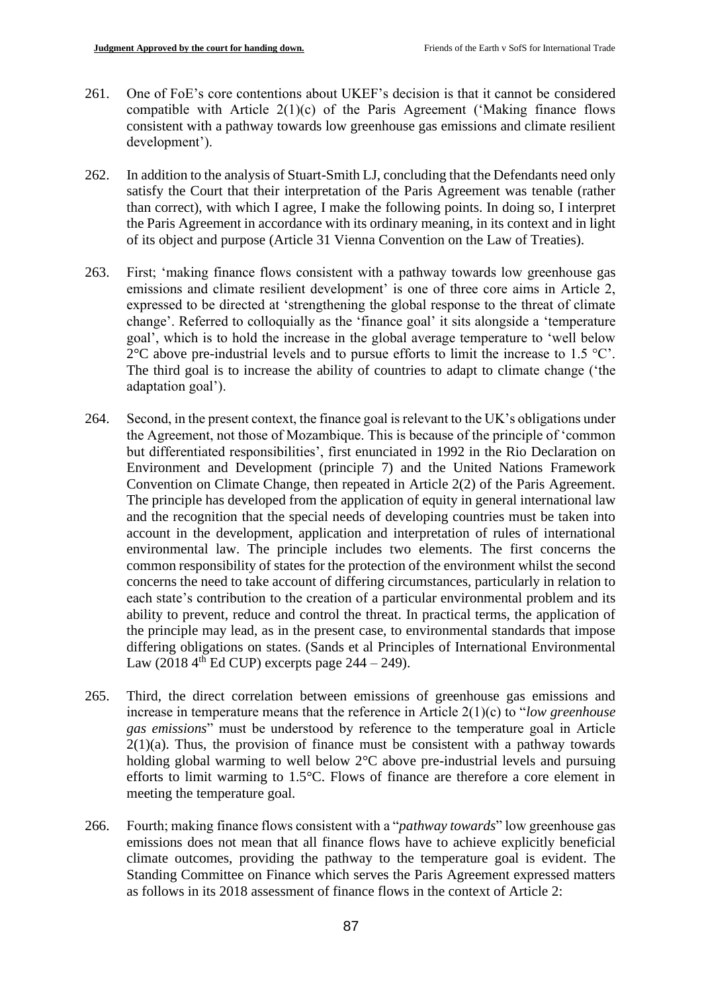- 261. One of FoE's core contentions about UKEF's decision is that it cannot be considered compatible with Article  $2(1)(c)$  of the Paris Agreement ('Making finance flows consistent with a pathway towards low greenhouse gas emissions and climate resilient development').
- 262. In addition to the analysis of Stuart-Smith LJ, concluding that the Defendants need only satisfy the Court that their interpretation of the Paris Agreement was tenable (rather than correct), with which I agree, I make the following points. In doing so, I interpret the Paris Agreement in accordance with its ordinary meaning, in its context and in light of its object and purpose (Article 31 Vienna Convention on the Law of Treaties).
- 263. First; 'making finance flows consistent with a pathway towards low greenhouse gas emissions and climate resilient development' is one of three core aims in Article 2, expressed to be directed at 'strengthening the global response to the threat of climate change'. Referred to colloquially as the 'finance goal' it sits alongside a 'temperature goal', which is to hold the increase in the global average temperature to 'well below  $2^{\circ}$ C above pre-industrial levels and to pursue efforts to limit the increase to 1.5  $^{\circ}$ C'. The third goal is to increase the ability of countries to adapt to climate change ('the adaptation goal').
- 264. Second, in the present context, the finance goal is relevant to the UK's obligations under the Agreement, not those of Mozambique. This is because of the principle of 'common but differentiated responsibilities', first enunciated in 1992 in the Rio Declaration on Environment and Development (principle 7) and the United Nations Framework Convention on Climate Change, then repeated in Article 2(2) of the Paris Agreement. The principle has developed from the application of equity in general international law and the recognition that the special needs of developing countries must be taken into account in the development, application and interpretation of rules of international environmental law. The principle includes two elements. The first concerns the common responsibility of states for the protection of the environment whilst the second concerns the need to take account of differing circumstances, particularly in relation to each state's contribution to the creation of a particular environmental problem and its ability to prevent, reduce and control the threat. In practical terms, the application of the principle may lead, as in the present case, to environmental standards that impose differing obligations on states. (Sands et al Principles of International Environmental Law (2018  $4^{th}$  Ed CUP) excerpts page 244 – 249).
- 265. Third, the direct correlation between emissions of greenhouse gas emissions and increase in temperature means that the reference in Article 2(1)(c) to "*low greenhouse gas emissions*" must be understood by reference to the temperature goal in Article  $2(1)(a)$ . Thus, the provision of finance must be consistent with a pathway towards holding global warming to well below 2°C above pre-industrial levels and pursuing efforts to limit warming to 1.5°C. Flows of finance are therefore a core element in meeting the temperature goal.
- 266. Fourth; making finance flows consistent with a "*pathway towards*" low greenhouse gas emissions does not mean that all finance flows have to achieve explicitly beneficial climate outcomes, providing the pathway to the temperature goal is evident. The Standing Committee on Finance which serves the Paris Agreement expressed matters as follows in its 2018 assessment of finance flows in the context of Article 2: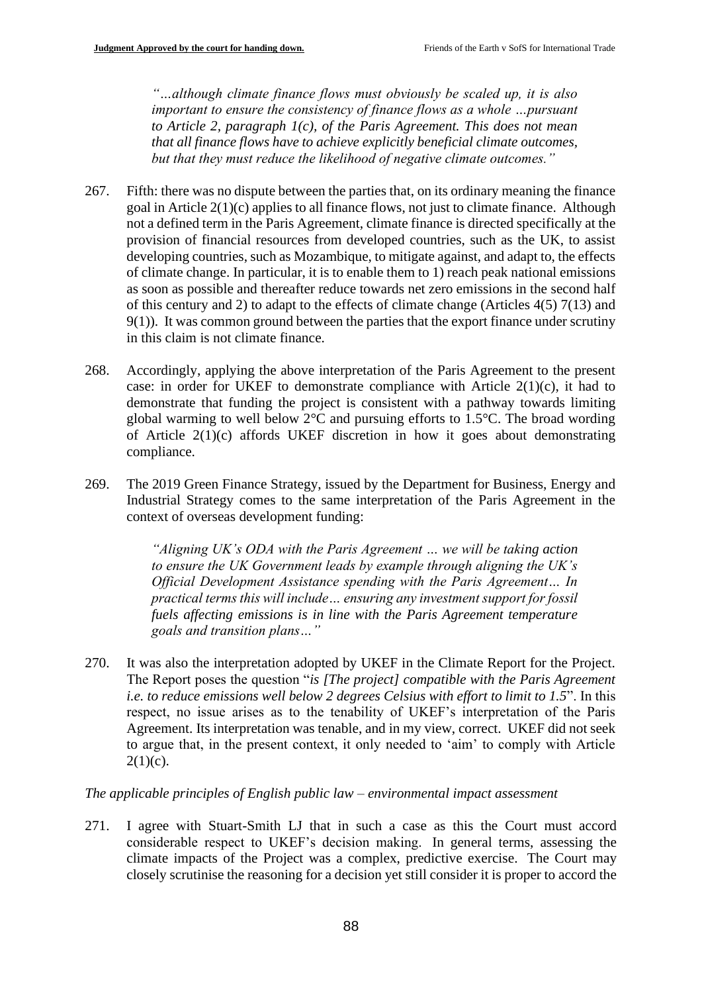*"…although climate finance flows must obviously be scaled up, it is also important to ensure the consistency of finance flows as a whole ... pursuant to Article 2, paragraph 1(c), of the Paris Agreement. This does not mean that all finance flows have to achieve explicitly beneficial climate outcomes, but that they must reduce the likelihood of negative climate outcomes."*

- 267. Fifth: there was no dispute between the parties that, on its ordinary meaning the finance goal in Article 2(1)(c) applies to all finance flows, not just to climate finance. Although not a defined term in the Paris Agreement, climate finance is directed specifically at the provision of financial resources from developed countries, such as the UK, to assist developing countries, such as Mozambique, to mitigate against, and adapt to, the effects of climate change. In particular, it is to enable them to 1) reach peak national emissions as soon as possible and thereafter reduce towards net zero emissions in the second half of this century and 2) to adapt to the effects of climate change (Articles 4(5) 7(13) and 9(1)). It was common ground between the parties that the export finance under scrutiny in this claim is not climate finance.
- 268. Accordingly, applying the above interpretation of the Paris Agreement to the present case: in order for UKEF to demonstrate compliance with Article  $2(1)(c)$ , it had to demonstrate that funding the project is consistent with a pathway towards limiting global warming to well below 2°C and pursuing efforts to 1.5°C. The broad wording of Article 2(1)(c) affords UKEF discretion in how it goes about demonstrating compliance.
- 269. The 2019 Green Finance Strategy, issued by the Department for Business, Energy and Industrial Strategy comes to the same interpretation of the Paris Agreement in the context of overseas development funding:

*"Aligning UK's ODA with the Paris Agreement … we will be taking action to ensure the UK Government leads by example through aligning the UK's Official Development Assistance spending with the Paris Agreement… In practical terms this will include… ensuring any investment support for fossil fuels affecting emissions is in line with the Paris Agreement temperature goals and transition plans…"*

270. It was also the interpretation adopted by UKEF in the Climate Report for the Project. The Report poses the question "*is [The project] compatible with the Paris Agreement i.e. to reduce emissions well below 2 degrees Celsius with effort to limit to 1.5*". In this respect, no issue arises as to the tenability of UKEF's interpretation of the Paris Agreement. Its interpretation was tenable, and in my view, correct. UKEF did not seek to argue that, in the present context, it only needed to 'aim' to comply with Article  $2(1)(c)$ .

#### *The applicable principles of English public law – environmental impact assessment*

271. I agree with Stuart-Smith LJ that in such a case as this the Court must accord considerable respect to UKEF's decision making. In general terms, assessing the climate impacts of the Project was a complex, predictive exercise. The Court may closely scrutinise the reasoning for a decision yet still consider it is proper to accord the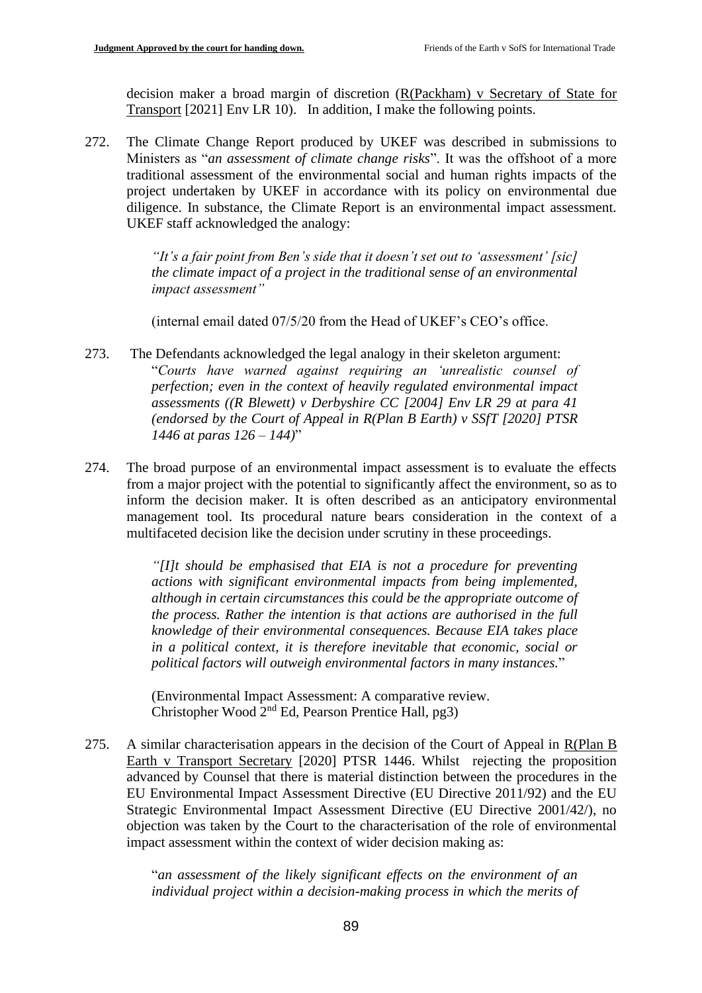decision maker a broad margin of discretion (R(Packham) v Secretary of State for Transport [2021] Env LR 10). In addition, I make the following points.

272. The Climate Change Report produced by UKEF was described in submissions to Ministers as "*an assessment of climate change risks*". It was the offshoot of a more traditional assessment of the environmental social and human rights impacts of the project undertaken by UKEF in accordance with its policy on environmental due diligence. In substance, the Climate Report is an environmental impact assessment. UKEF staff acknowledged the analogy:

> *"It's a fair point from Ben's side that it doesn't set out to 'assessment' [sic] the climate impact of a project in the traditional sense of an environmental impact assessment"*

(internal email dated 07/5/20 from the Head of UKEF's CEO's office.

- 273. The Defendants acknowledged the legal analogy in their skeleton argument: "*Courts have warned against requiring an 'unrealistic counsel of perfection; even in the context of heavily regulated environmental impact assessments ((R Blewett) v Derbyshire CC [2004] Env LR 29 at para 41 (endorsed by the Court of Appeal in R(Plan B Earth) v SSfT [2020] PTSR 1446 at paras 126 – 144)*"
- 274. The broad purpose of an environmental impact assessment is to evaluate the effects from a major project with the potential to significantly affect the environment, so as to inform the decision maker. It is often described as an anticipatory environmental management tool. Its procedural nature bears consideration in the context of a multifaceted decision like the decision under scrutiny in these proceedings.

*"[I]t should be emphasised that EIA is not a procedure for preventing actions with significant environmental impacts from being implemented, although in certain circumstances this could be the appropriate outcome of the process. Rather the intention is that actions are authorised in the full knowledge of their environmental consequences. Because EIA takes place in a political context, it is therefore inevitable that economic, social or political factors will outweigh environmental factors in many instances.*"

(Environmental Impact Assessment: A comparative review. Christopher Wood 2nd Ed, Pearson Prentice Hall, pg3)

275. A similar characterisation appears in the decision of the Court of Appeal in R(Plan B Earth v Transport Secretary [2020] PTSR 1446. Whilst rejecting the proposition advanced by Counsel that there is material distinction between the procedures in the EU Environmental Impact Assessment Directive (EU Directive 2011/92) and the EU Strategic Environmental Impact Assessment Directive (EU Directive 2001/42/), no objection was taken by the Court to the characterisation of the role of environmental impact assessment within the context of wider decision making as:

> "*an assessment of the likely significant effects on the environment of an individual project within a decision-making process in which the merits of*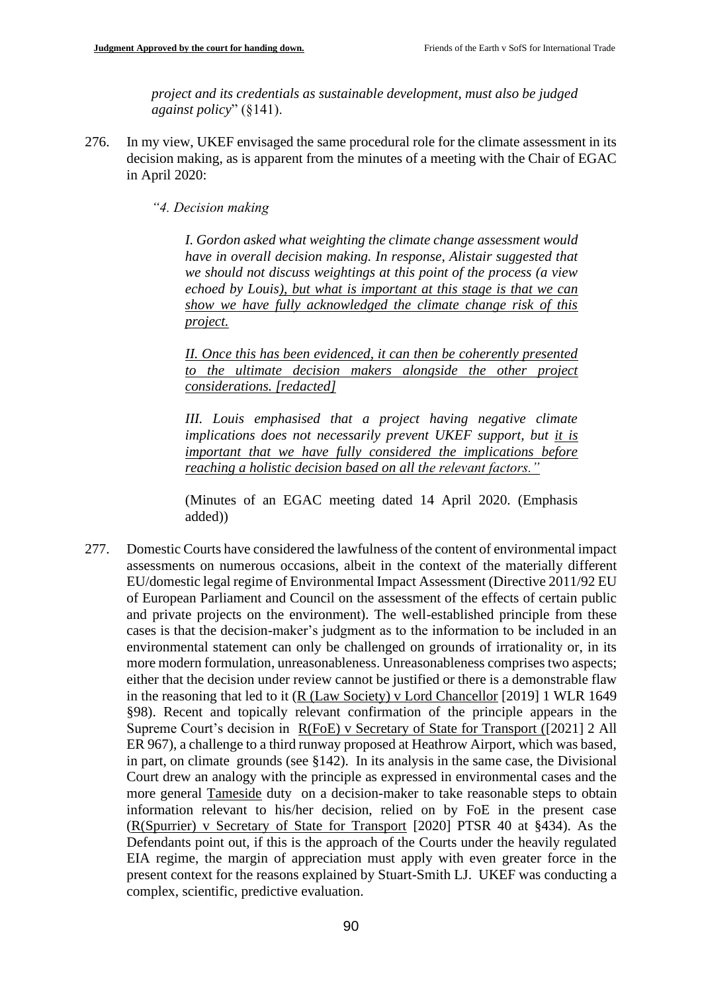*project and its credentials as sustainable development, must also be judged against policy*" (§141).

- 276. In my view, UKEF envisaged the same procedural role for the climate assessment in its decision making, as is apparent from the minutes of a meeting with the Chair of EGAC in April 2020:
	- *"4. Decision making*

*I. Gordon asked what weighting the climate change assessment would have in overall decision making. In response, Alistair suggested that we should not discuss weightings at this point of the process (a view echoed by Louis), but what is important at this stage is that we can show we have fully acknowledged the climate change risk of this project.* 

*II. Once this has been evidenced, it can then be coherently presented to the ultimate decision makers alongside the other project considerations. [redacted]*

*III. Louis emphasised that a project having negative climate implications does not necessarily prevent UKEF support, but it is important that we have fully considered the implications before reaching a holistic decision based on all the relevant factors."*

(Minutes of an EGAC meeting dated 14 April 2020. (Emphasis added))

277. Domestic Courts have considered the lawfulness of the content of environmental impact assessments on numerous occasions, albeit in the context of the materially different EU/domestic legal regime of Environmental Impact Assessment (Directive 2011/92 EU of European Parliament and Council on the assessment of the effects of certain public and private projects on the environment). The well-established principle from these cases is that the decision-maker's judgment as to the information to be included in an environmental statement can only be challenged on grounds of irrationality or, in its more modern formulation, unreasonableness. Unreasonableness comprises two aspects; either that the decision under review cannot be justified or there is a demonstrable flaw in the reasoning that led to it (R (Law Society) v Lord Chancellor [2019] 1 WLR 1649 §98). Recent and topically relevant confirmation of the principle appears in the Supreme Court's decision in R(FoE) v Secretary of State for Transport ([2021] 2 All ER 967), a challenge to a third runway proposed at Heathrow Airport, which was based, in part, on climate grounds (see §142). In its analysis in the same case, the Divisional Court drew an analogy with the principle as expressed in environmental cases and the more general Tameside duty on a decision-maker to take reasonable steps to obtain information relevant to his/her decision, relied on by FoE in the present case (R(Spurrier) v Secretary of State for Transport [2020] PTSR 40 at §434). As the Defendants point out, if this is the approach of the Courts under the heavily regulated EIA regime, the margin of appreciation must apply with even greater force in the present context for the reasons explained by Stuart-Smith LJ. UKEF was conducting a complex, scientific, predictive evaluation.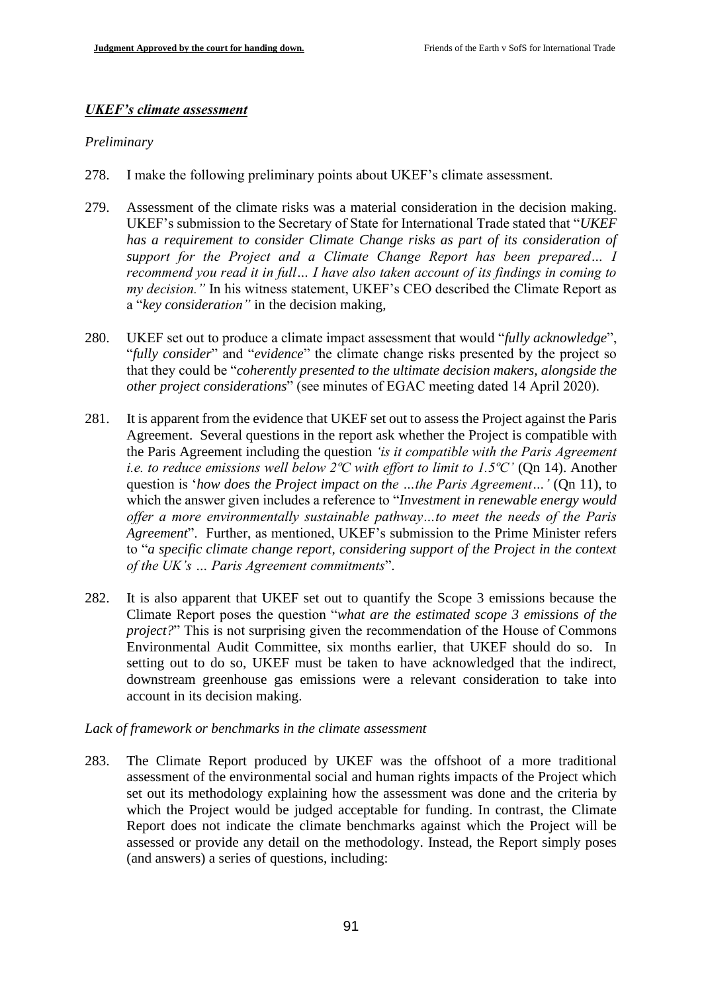### *UKEF's climate assessment*

### *Preliminary*

- 278. I make the following preliminary points about UKEF's climate assessment.
- 279. Assessment of the climate risks was a material consideration in the decision making. UKEF's submission to the Secretary of State for International Trade stated that "*UKEF has a requirement to consider Climate Change risks as part of its consideration of support for the Project and a Climate Change Report has been prepared... I recommend you read it in full… I have also taken account of its findings in coming to my decision."* In his witness statement, UKEF's CEO described the Climate Report as a "*key consideration"* in the decision making,
- 280. UKEF set out to produce a climate impact assessment that would "*fully acknowledge*", "*fully consider*" and "*evidence*" the climate change risks presented by the project so that they could be "*coherently presented to the ultimate decision makers, alongside the other project considerations*" (see minutes of EGAC meeting dated 14 April 2020).
- 281. It is apparent from the evidence that UKEF set out to assess the Project against the Paris Agreement. Several questions in the report ask whether the Project is compatible with the Paris Agreement including the question *'is it compatible with the Paris Agreement i.e. to reduce emissions well below 2ºC with effort to limit to 1.5ºC'* (Qn 14). Another question is '*how does the Project impact on the …the Paris Agreement…'* (Qn 11), to which the answer given includes a reference to "*Investment in renewable energy would offer a more environmentally sustainable pathway…to meet the needs of the Paris Agreement*". Further, as mentioned, UKEF's submission to the Prime Minister refers to "*a specific climate change report, considering support of the Project in the context of the UK's … Paris Agreement commitments*".
- 282. It is also apparent that UKEF set out to quantify the Scope 3 emissions because the Climate Report poses the question "*what are the estimated scope 3 emissions of the project?*" This is not surprising given the recommendation of the House of Commons Environmental Audit Committee, six months earlier, that UKEF should do so. In setting out to do so, UKEF must be taken to have acknowledged that the indirect, downstream greenhouse gas emissions were a relevant consideration to take into account in its decision making.

### *Lack of framework or benchmarks in the climate assessment*

283. The Climate Report produced by UKEF was the offshoot of a more traditional assessment of the environmental social and human rights impacts of the Project which set out its methodology explaining how the assessment was done and the criteria by which the Project would be judged acceptable for funding. In contrast, the Climate Report does not indicate the climate benchmarks against which the Project will be assessed or provide any detail on the methodology. Instead, the Report simply poses (and answers) a series of questions, including: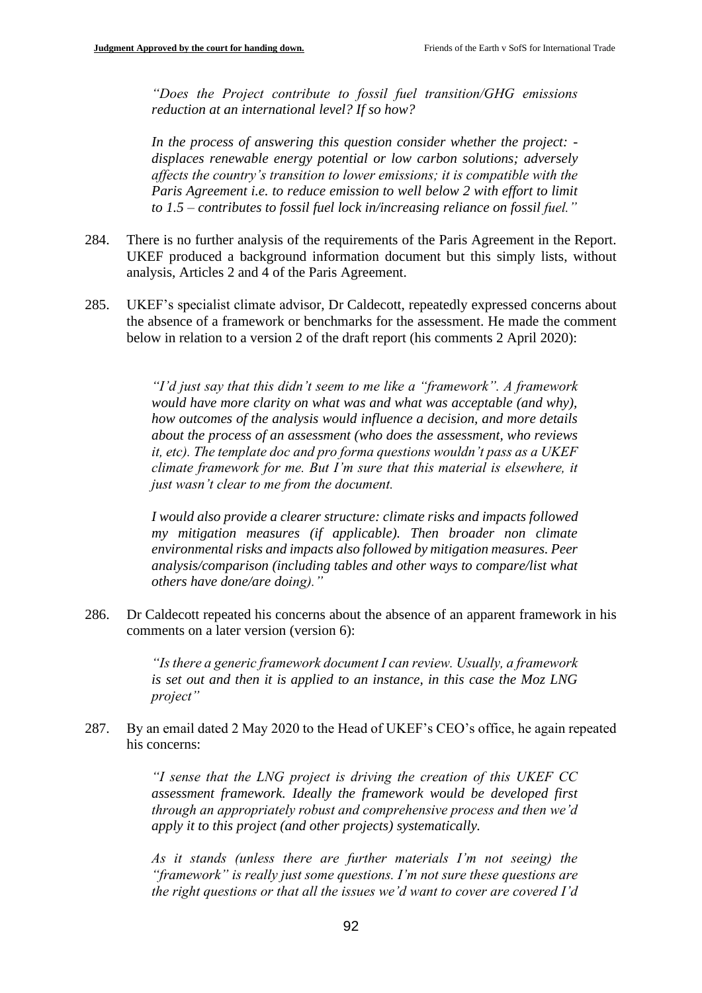*"Does the Project contribute to fossil fuel transition/GHG emissions reduction at an international level? If so how?* 

*In the process of answering this question consider whether the project: displaces renewable energy potential or low carbon solutions; adversely affects the country's transition to lower emissions; it is compatible with the Paris Agreement i.e. to reduce emission to well below 2 with effort to limit to 1.5 – contributes to fossil fuel lock in/increasing reliance on fossil fuel."*

- 284. There is no further analysis of the requirements of the Paris Agreement in the Report. UKEF produced a background information document but this simply lists, without analysis, Articles 2 and 4 of the Paris Agreement.
- 285. UKEF's specialist climate advisor, Dr Caldecott, repeatedly expressed concerns about the absence of a framework or benchmarks for the assessment. He made the comment below in relation to a version 2 of the draft report (his comments 2 April 2020):

*"I'd just say that this didn't seem to me like a "framework". A framework would have more clarity on what was and what was acceptable (and why), how outcomes of the analysis would influence a decision, and more details about the process of an assessment (who does the assessment, who reviews it, etc). The template doc and pro forma questions wouldn't pass as a UKEF climate framework for me. But I'm sure that this material is elsewhere, it just wasn't clear to me from the document.*

*I would also provide a clearer structure: climate risks and impacts followed my mitigation measures (if applicable). Then broader non climate environmental risks and impacts also followed by mitigation measures. Peer analysis/comparison (including tables and other ways to compare/list what others have done/are doing)."* 

286. Dr Caldecott repeated his concerns about the absence of an apparent framework in his comments on a later version (version 6):

> *"Is there a generic framework document I can review. Usually, a framework is set out and then it is applied to an instance, in this case the Moz LNG project"*

287. By an email dated 2 May 2020 to the Head of UKEF's CEO's office, he again repeated his concerns:

> *"I sense that the LNG project is driving the creation of this UKEF CC assessment framework. Ideally the framework would be developed first through an appropriately robust and comprehensive process and then we'd apply it to this project (and other projects) systematically.*

> *As it stands (unless there are further materials I'm not seeing) the "framework" is really just some questions. I'm not sure these questions are the right questions or that all the issues we'd want to cover are covered I'd*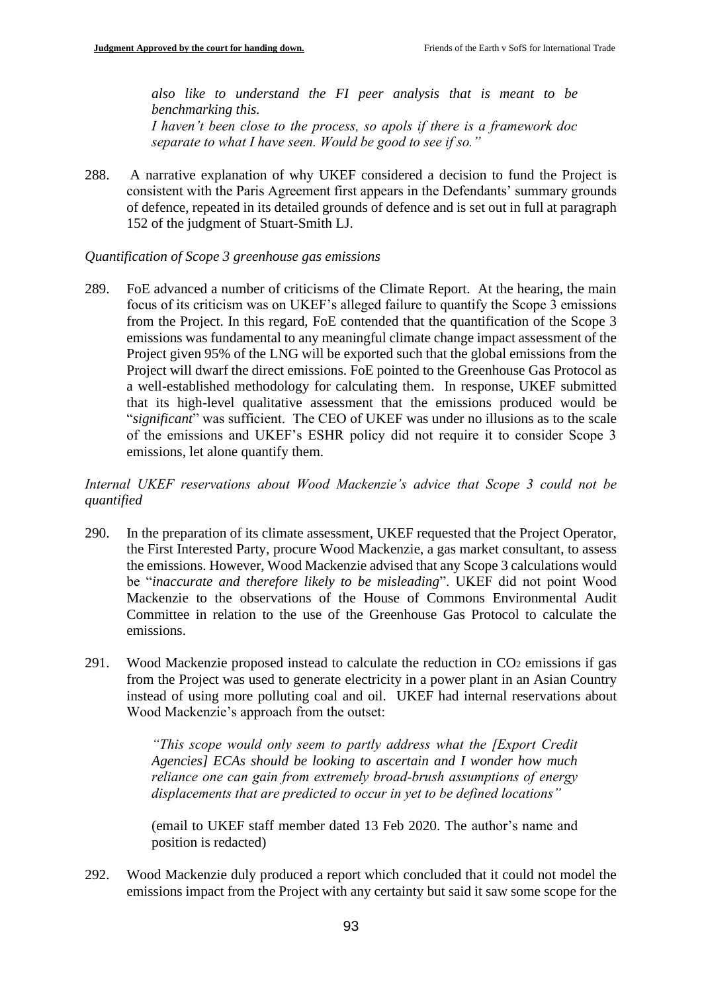*also like to understand the FI peer analysis that is meant to be benchmarking this. I haven't been close to the process, so apols if there is a framework doc separate to what I have seen. Would be good to see if so."*

288. A narrative explanation of why UKEF considered a decision to fund the Project is consistent with the Paris Agreement first appears in the Defendants' summary grounds of defence, repeated in its detailed grounds of defence and is set out in full at paragraph 152 of the judgment of Stuart-Smith LJ.

### *Quantification of Scope 3 greenhouse gas emissions*

289. FoE advanced a number of criticisms of the Climate Report. At the hearing, the main focus of its criticism was on UKEF's alleged failure to quantify the Scope 3 emissions from the Project. In this regard, FoE contended that the quantification of the Scope 3 emissions was fundamental to any meaningful climate change impact assessment of the Project given 95% of the LNG will be exported such that the global emissions from the Project will dwarf the direct emissions. FoE pointed to the Greenhouse Gas Protocol as a well-established methodology for calculating them. In response, UKEF submitted that its high-level qualitative assessment that the emissions produced would be "*significant*" was sufficient. The CEO of UKEF was under no illusions as to the scale of the emissions and UKEF's ESHR policy did not require it to consider Scope 3 emissions, let alone quantify them.

*Internal UKEF reservations about Wood Mackenzie's advice that Scope 3 could not be quantified*

- 290. In the preparation of its climate assessment, UKEF requested that the Project Operator, the First Interested Party, procure Wood Mackenzie, a gas market consultant, to assess the emissions. However, Wood Mackenzie advised that any Scope 3 calculations would be "*inaccurate and therefore likely to be misleading*". UKEF did not point Wood Mackenzie to the observations of the House of Commons Environmental Audit Committee in relation to the use of the Greenhouse Gas Protocol to calculate the emissions.
- 291. Wood Mackenzie proposed instead to calculate the reduction in CO<sup>2</sup> emissions if gas from the Project was used to generate electricity in a power plant in an Asian Country instead of using more polluting coal and oil. UKEF had internal reservations about Wood Mackenzie's approach from the outset:

*"This scope would only seem to partly address what the [Export Credit Agencies] ECAs should be looking to ascertain and I wonder how much reliance one can gain from extremely broad‐brush assumptions of energy displacements that are predicted to occur in yet to be defined locations"*

(email to UKEF staff member dated 13 Feb 2020. The author's name and position is redacted)

292. Wood Mackenzie duly produced a report which concluded that it could not model the emissions impact from the Project with any certainty but said it saw some scope for the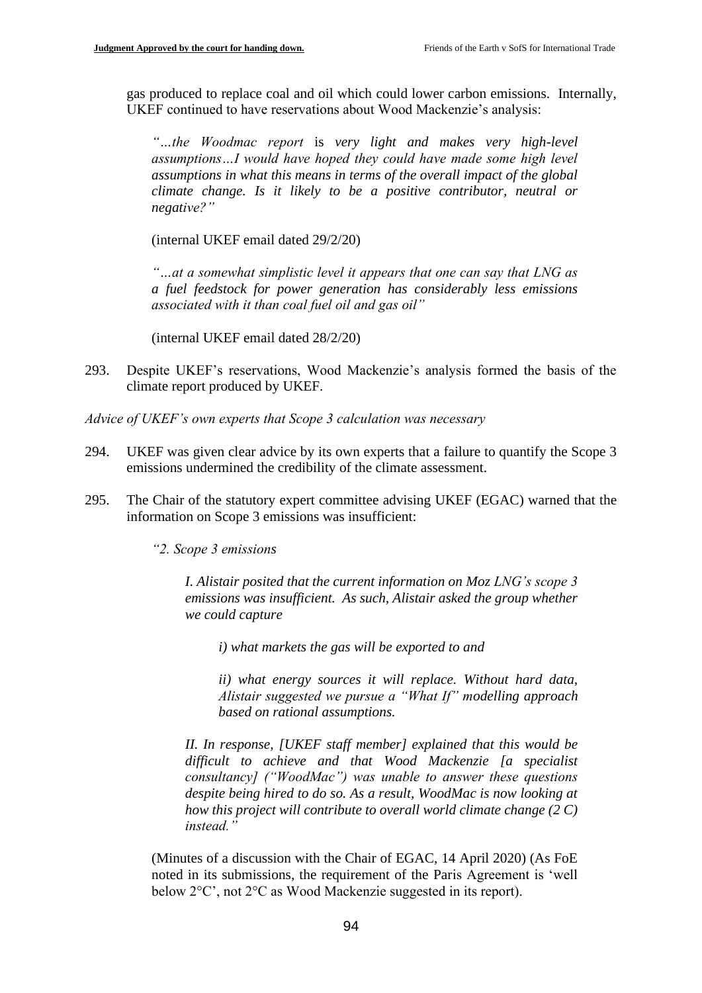gas produced to replace coal and oil which could lower carbon emissions. Internally, UKEF continued to have reservations about Wood Mackenzie's analysis:

*"…the Woodmac report* is *very light and makes very high-level assumptions…I would have hoped they could have made some high level assumptions in what this means in terms of the overall impact of the global climate change. Is it likely to be a positive contributor, neutral or negative?"* 

(internal UKEF email dated 29/2/20)

*"…at a somewhat simplistic level it appears that one can say that LNG as a fuel feedstock for power generation has considerably less emissions associated with it than coal fuel oil and gas oil"* 

(internal UKEF email dated 28/2/20)

293. Despite UKEF's reservations, Wood Mackenzie's analysis formed the basis of the climate report produced by UKEF.

*Advice of UKEF's own experts that Scope 3 calculation was necessary*

- 294. UKEF was given clear advice by its own experts that a failure to quantify the Scope 3 emissions undermined the credibility of the climate assessment.
- 295. The Chair of the statutory expert committee advising UKEF (EGAC) warned that the information on Scope 3 emissions was insufficient:

*"2. Scope 3 emissions* 

*I. Alistair posited that the current information on Moz LNG's scope 3 emissions was insufficient. As such, Alistair asked the group whether we could capture* 

*i) what markets the gas will be exported to and*

*ii) what energy sources it will replace. Without hard data, Alistair suggested we pursue a "What If" modelling approach based on rational assumptions.*

*II. In response, [UKEF staff member] explained that this would be difficult to achieve and that Wood Mackenzie [a specialist consultancy] ("WoodMac") was unable to answer these questions despite being hired to do so. As a result, WoodMac is now looking at how this project will contribute to overall world climate change (2 C) instead."*

(Minutes of a discussion with the Chair of EGAC, 14 April 2020) (As FoE noted in its submissions, the requirement of the Paris Agreement is 'well below 2°C', not 2°C as Wood Mackenzie suggested in its report).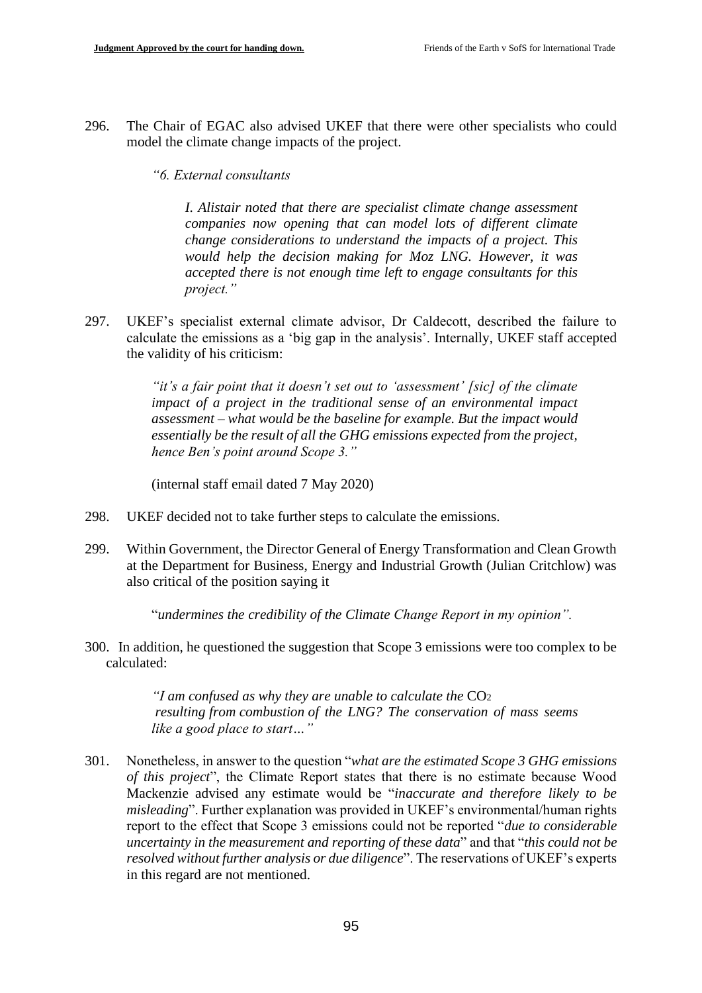296. The Chair of EGAC also advised UKEF that there were other specialists who could model the climate change impacts of the project.

#### *"6. External consultants*

*I. Alistair noted that there are specialist climate change assessment companies now opening that can model lots of different climate change considerations to understand the impacts of a project. This would help the decision making for Moz LNG. However, it was accepted there is not enough time left to engage consultants for this project."*

297. UKEF's specialist external climate advisor, Dr Caldecott, described the failure to calculate the emissions as a 'big gap in the analysis'. Internally, UKEF staff accepted the validity of his criticism:

> *"it's a fair point that it doesn't set out to 'assessment' [sic] of the climate impact of a project in the traditional sense of an environmental impact assessment – what would be the baseline for example. But the impact would essentially be the result of all the GHG emissions expected from the project, hence Ben's point around Scope 3."*

(internal staff email dated 7 May 2020)

- 298. UKEF decided not to take further steps to calculate the emissions.
- 299. Within Government, the Director General of Energy Transformation and Clean Growth at the Department for Business, Energy and Industrial Growth (Julian Critchlow) was also critical of the position saying it

"*undermines the credibility of the Climate Change Report in my opinion".*

300. In addition, he questioned the suggestion that Scope 3 emissions were too complex to be calculated:

> *"I am confused as why they are unable to calculate the* CO<sup>2</sup> *resulting from combustion of the LNG? The conservation of mass seems like a good place to start…"*

301. Nonetheless, in answer to the question "*what are the estimated Scope 3 GHG emissions of this project*", the Climate Report states that there is no estimate because Wood Mackenzie advised any estimate would be "*inaccurate and therefore likely to be misleading*". Further explanation was provided in UKEF's environmental/human rights report to the effect that Scope 3 emissions could not be reported "*due to considerable uncertainty in the measurement and reporting of these data*" and that "*this could not be resolved without further analysis or due diligence*". The reservations of UKEF's experts in this regard are not mentioned.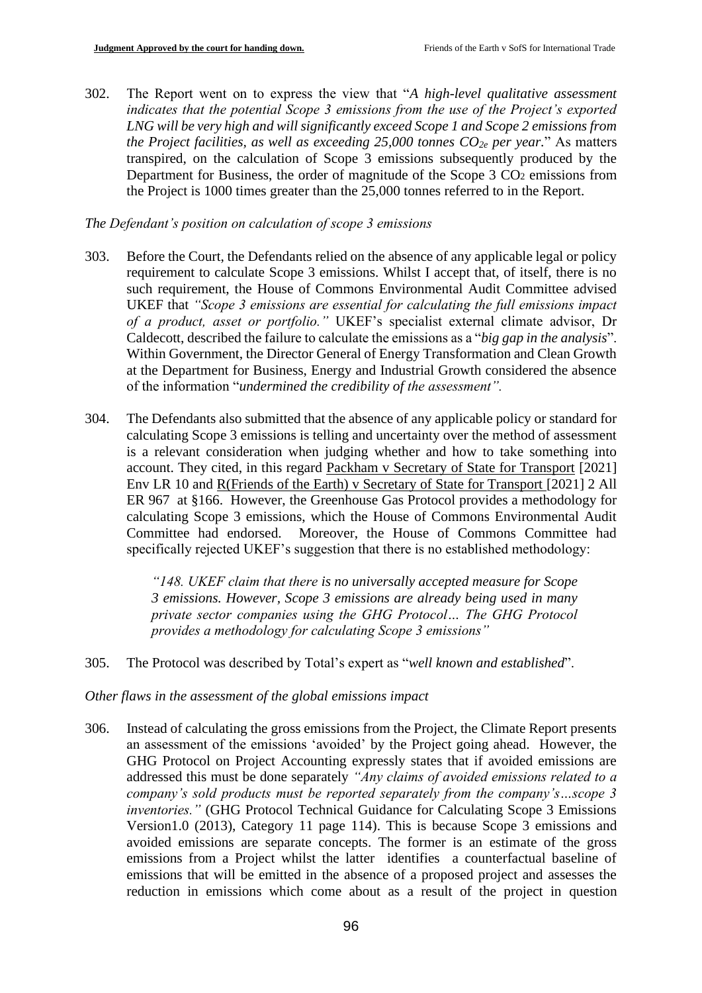302. The Report went on to express the view that "*A high-level qualitative assessment indicates that the potential Scope 3 emissions from the use of the Project's exported LNG will be very high and will significantly exceed Scope 1 and Scope 2 emissions from the Project facilities, as well as exceeding 25,000 tonnes CO2e per year.*" As matters transpired, on the calculation of Scope 3 emissions subsequently produced by the Department for Business, the order of magnitude of the Scope 3 CO<sub>2</sub> emissions from the Project is 1000 times greater than the 25,000 tonnes referred to in the Report.

#### *The Defendant's position on calculation of scope 3 emissions*

- 303. Before the Court, the Defendants relied on the absence of any applicable legal or policy requirement to calculate Scope 3 emissions. Whilst I accept that, of itself, there is no such requirement, the House of Commons Environmental Audit Committee advised UKEF that *"Scope 3 emissions are essential for calculating the full emissions impact of a product, asset or portfolio."* UKEF's specialist external climate advisor, Dr Caldecott, described the failure to calculate the emissions as a "*big gap in the analysis*". Within Government, the Director General of Energy Transformation and Clean Growth at the Department for Business, Energy and Industrial Growth considered the absence of the information "*undermined the credibility of the assessment".*
- 304. The Defendants also submitted that the absence of any applicable policy or standard for calculating Scope 3 emissions is telling and uncertainty over the method of assessment is a relevant consideration when judging whether and how to take something into account. They cited, in this regard Packham v Secretary of State for Transport [2021] Env LR 10 and R(Friends of the Earth) v Secretary of State for Transport [2021] 2 All ER 967 at §166. However, the Greenhouse Gas Protocol provides a methodology for calculating Scope 3 emissions, which the House of Commons Environmental Audit Committee had endorsed. Moreover, the House of Commons Committee had specifically rejected UKEF's suggestion that there is no established methodology:

*"148. UKEF claim that there is no universally accepted measure for Scope 3 emissions. However, Scope 3 emissions are already being used in many private sector companies using the GHG Protocol… The GHG Protocol provides a methodology for calculating Scope 3 emissions"*

305. The Protocol was described by Total's expert as "*well known and established*".

*Other flaws in the assessment of the global emissions impact*

306. Instead of calculating the gross emissions from the Project, the Climate Report presents an assessment of the emissions 'avoided' by the Project going ahead. However, the GHG Protocol on Project Accounting expressly states that if avoided emissions are addressed this must be done separately *"Any claims of avoided emissions related to a company's sold products must be reported separately from the company's…scope 3 inventories."* (GHG Protocol Technical Guidance for Calculating Scope 3 Emissions Version1.0 (2013), Category 11 page 114). This is because Scope 3 emissions and avoided emissions are separate concepts. The former is an estimate of the gross emissions from a Project whilst the latter identifies a counterfactual baseline of emissions that will be emitted in the absence of a proposed project and assesses the reduction in emissions which come about as a result of the project in question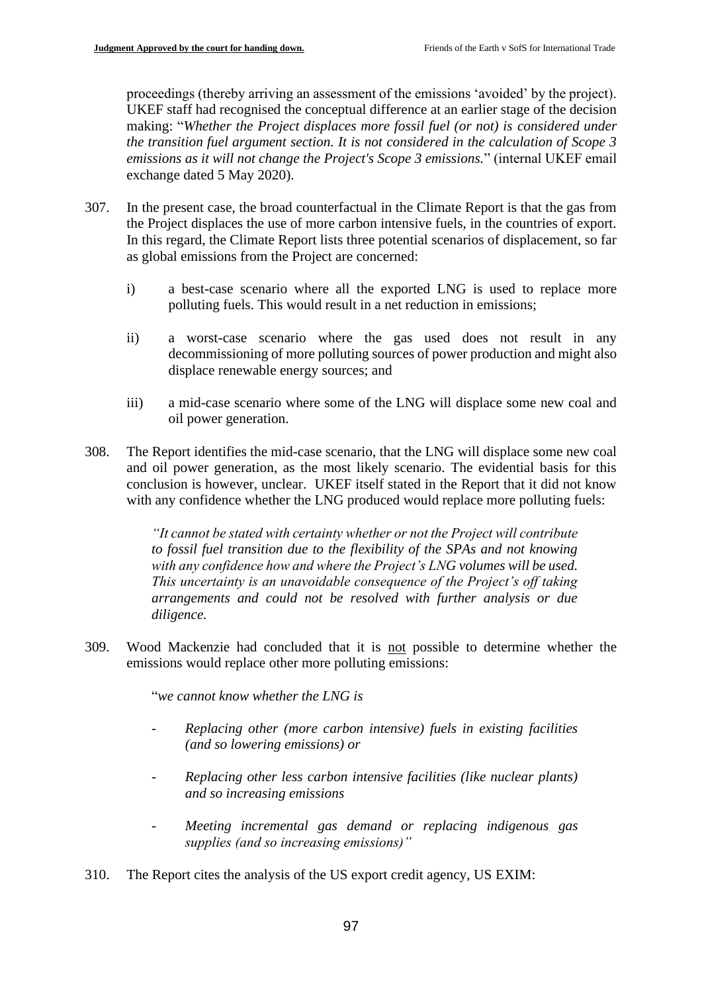proceedings (thereby arriving an assessment of the emissions 'avoided' by the project). UKEF staff had recognised the conceptual difference at an earlier stage of the decision making: "*Whether the Project displaces more fossil fuel (or not) is considered under the transition fuel argument section. It is not considered in the calculation of Scope 3 emissions as it will not change the Project's Scope 3 emissions.*" (internal UKEF email exchange dated 5 May 2020).

- 307. In the present case, the broad counterfactual in the Climate Report is that the gas from the Project displaces the use of more carbon intensive fuels, in the countries of export. In this regard, the Climate Report lists three potential scenarios of displacement, so far as global emissions from the Project are concerned:
	- i) a best-case scenario where all the exported LNG is used to replace more polluting fuels. This would result in a net reduction in emissions;
	- ii) a worst-case scenario where the gas used does not result in any decommissioning of more polluting sources of power production and might also displace renewable energy sources; and
	- iii) a mid-case scenario where some of the LNG will displace some new coal and oil power generation.
- 308. The Report identifies the mid-case scenario, that the LNG will displace some new coal and oil power generation, as the most likely scenario. The evidential basis for this conclusion is however, unclear. UKEF itself stated in the Report that it did not know with any confidence whether the LNG produced would replace more polluting fuels:

*"It cannot be stated with certainty whether or not the Project will contribute to fossil fuel transition due to the flexibility of the SPAs and not knowing with any confidence how and where the Project's LNG volumes will be used. This uncertainty is an unavoidable consequence of the Project's off taking arrangements and could not be resolved with further analysis or due diligence.* 

309. Wood Mackenzie had concluded that it is not possible to determine whether the emissions would replace other more polluting emissions:

"*we cannot know whether the LNG is* 

- *Replacing other (more carbon intensive) fuels in existing facilities (and so lowering emissions) or*
- *Replacing other less carbon intensive facilities (like nuclear plants) and so increasing emissions*
- *Meeting incremental gas demand or replacing indigenous gas supplies (and so increasing emissions)"*
- 310. The Report cites the analysis of the US export credit agency, US EXIM: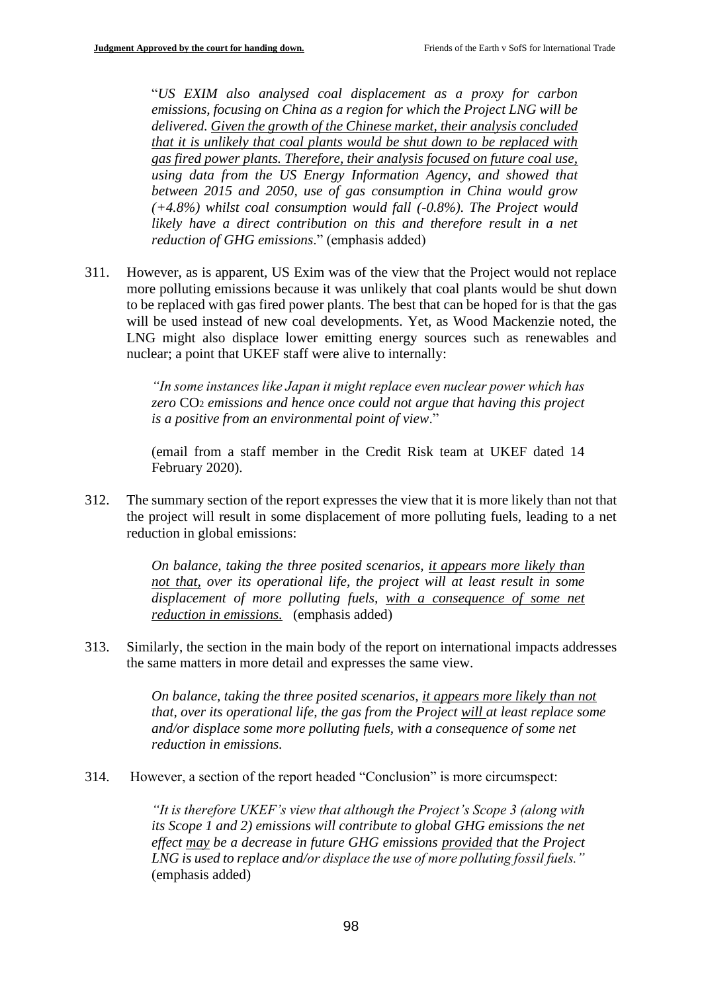"*US EXIM also analysed coal displacement as a proxy for carbon emissions, focusing on China as a region for which the Project LNG will be delivered. Given the growth of the Chinese market, their analysis concluded that it is unlikely that coal plants would be shut down to be replaced with gas fired power plants. Therefore, their analysis focused on future coal use, using data from the US Energy Information Agency, and showed that between 2015 and 2050, use of gas consumption in China would grow (+4.8%) whilst coal consumption would fall (-0.8%). The Project would likely have a direct contribution on this and therefore result in a net reduction of GHG emissions*." (emphasis added)

311. However, as is apparent, US Exim was of the view that the Project would not replace more polluting emissions because it was unlikely that coal plants would be shut down to be replaced with gas fired power plants. The best that can be hoped for is that the gas will be used instead of new coal developments. Yet, as Wood Mackenzie noted, the LNG might also displace lower emitting energy sources such as renewables and nuclear; a point that UKEF staff were alive to internally:

> *"In some instances like Japan it might replace even nuclear power which has zero* CO<sup>2</sup> *emissions and hence once could not argue that having this project is a positive from an environmental point of view*."

> (email from a staff member in the Credit Risk team at UKEF dated 14 February 2020).

312. The summary section of the report expresses the view that it is more likely than not that the project will result in some displacement of more polluting fuels, leading to a net reduction in global emissions:

> *On balance, taking the three posited scenarios, it appears more likely than not that, over its operational life, the project will at least result in some*  displacement of more polluting fuels, with a consequence of some net *reduction in emissions.* (emphasis added)

313. Similarly, the section in the main body of the report on international impacts addresses the same matters in more detail and expresses the same view.

> *On balance, taking the three posited scenarios, it appears more likely than not that, over its operational life, the gas from the Project will at least replace some and/or displace some more polluting fuels, with a consequence of some net reduction in emissions.*

314. However, a section of the report headed "Conclusion" is more circumspect:

*"It is therefore UKEF's view that although the Project's Scope 3 (along with its Scope 1 and 2) emissions will contribute to global GHG emissions the net effect may be a decrease in future GHG emissions provided that the Project LNG is used to replace and/or displace the use of more polluting fossil fuels."*  (emphasis added)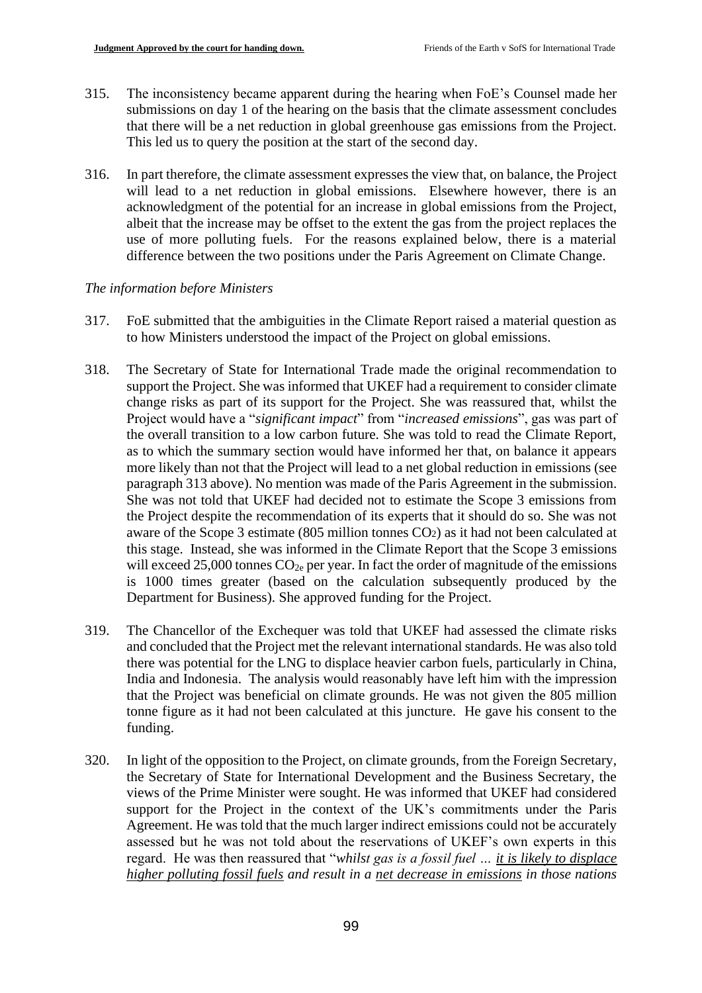- 315. The inconsistency became apparent during the hearing when FoE's Counsel made her submissions on day 1 of the hearing on the basis that the climate assessment concludes that there will be a net reduction in global greenhouse gas emissions from the Project. This led us to query the position at the start of the second day.
- 316. In part therefore, the climate assessment expresses the view that, on balance, the Project will lead to a net reduction in global emissions. Elsewhere however, there is an acknowledgment of the potential for an increase in global emissions from the Project, albeit that the increase may be offset to the extent the gas from the project replaces the use of more polluting fuels. For the reasons explained below, there is a material difference between the two positions under the Paris Agreement on Climate Change.

# *The information before Ministers*

- 317. FoE submitted that the ambiguities in the Climate Report raised a material question as to how Ministers understood the impact of the Project on global emissions.
- 318. The Secretary of State for International Trade made the original recommendation to support the Project. She was informed that UKEF had a requirement to consider climate change risks as part of its support for the Project. She was reassured that, whilst the Project would have a "*significant impact*" from "*increased emissions*", gas was part of the overall transition to a low carbon future. She was told to read the Climate Report, as to which the summary section would have informed her that, on balance it appears more likely than not that the Project will lead to a net global reduction in emissions (see paragraph 313 above). No mention was made of the Paris Agreement in the submission. She was not told that UKEF had decided not to estimate the Scope 3 emissions from the Project despite the recommendation of its experts that it should do so. She was not aware of the Scope 3 estimate (805 million tonnes CO2) as it had not been calculated at this stage. Instead, she was informed in the Climate Report that the Scope 3 emissions will exceed 25,000 tonnes  $CO<sub>2e</sub>$  per year. In fact the order of magnitude of the emissions is 1000 times greater (based on the calculation subsequently produced by the Department for Business). She approved funding for the Project.
- 319. The Chancellor of the Exchequer was told that UKEF had assessed the climate risks and concluded that the Project met the relevant international standards. He was also told there was potential for the LNG to displace heavier carbon fuels, particularly in China, India and Indonesia. The analysis would reasonably have left him with the impression that the Project was beneficial on climate grounds. He was not given the 805 million tonne figure as it had not been calculated at this juncture. He gave his consent to the funding.
- 320. In light of the opposition to the Project, on climate grounds, from the Foreign Secretary, the Secretary of State for International Development and the Business Secretary, the views of the Prime Minister were sought. He was informed that UKEF had considered support for the Project in the context of the UK's commitments under the Paris Agreement. He was told that the much larger indirect emissions could not be accurately assessed but he was not told about the reservations of UKEF's own experts in this regard. He was then reassured that "*whilst gas is a fossil fuel … it is likely to displace higher polluting fossil fuels and result in a net decrease in emissions in those nations*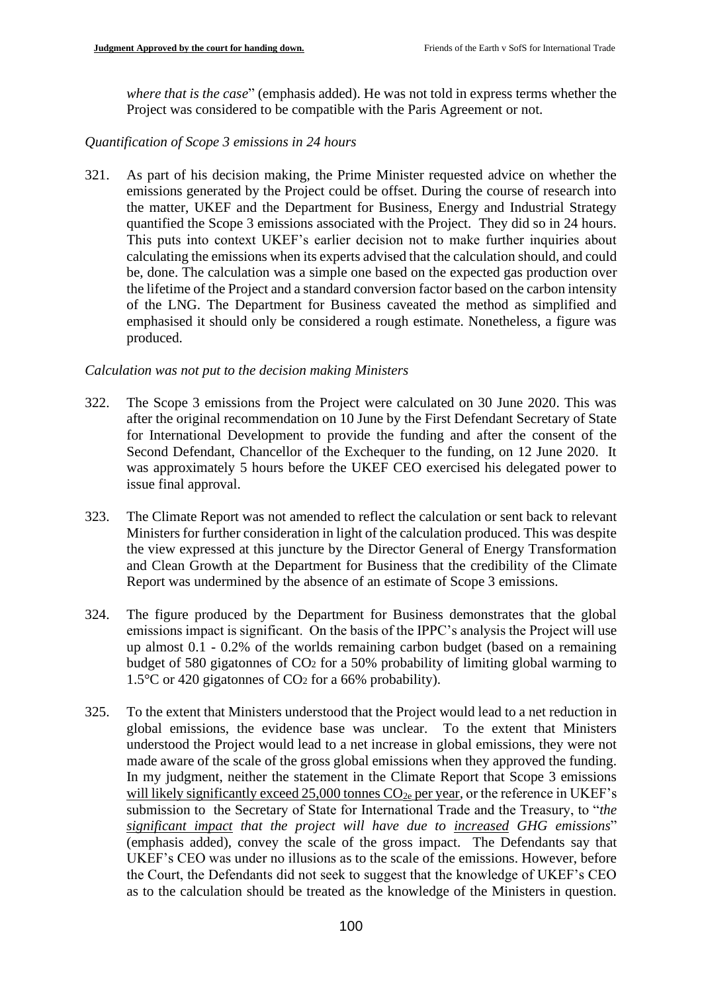*where that is the case*" (emphasis added). He was not told in express terms whether the Project was considered to be compatible with the Paris Agreement or not.

# *Quantification of Scope 3 emissions in 24 hours*

321. As part of his decision making, the Prime Minister requested advice on whether the emissions generated by the Project could be offset. During the course of research into the matter, UKEF and the Department for Business, Energy and Industrial Strategy quantified the Scope 3 emissions associated with the Project. They did so in 24 hours. This puts into context UKEF's earlier decision not to make further inquiries about calculating the emissions when its experts advised that the calculation should, and could be, done. The calculation was a simple one based on the expected gas production over the lifetime of the Project and a standard conversion factor based on the carbon intensity of the LNG. The Department for Business caveated the method as simplified and emphasised it should only be considered a rough estimate. Nonetheless, a figure was produced.

# *Calculation was not put to the decision making Ministers*

- 322. The Scope 3 emissions from the Project were calculated on 30 June 2020. This was after the original recommendation on 10 June by the First Defendant Secretary of State for International Development to provide the funding and after the consent of the Second Defendant, Chancellor of the Exchequer to the funding, on 12 June 2020. It was approximately 5 hours before the UKEF CEO exercised his delegated power to issue final approval.
- 323. The Climate Report was not amended to reflect the calculation or sent back to relevant Ministers for further consideration in light of the calculation produced. This was despite the view expressed at this juncture by the Director General of Energy Transformation and Clean Growth at the Department for Business that the credibility of the Climate Report was undermined by the absence of an estimate of Scope 3 emissions.
- 324. The figure produced by the Department for Business demonstrates that the global emissions impact is significant. On the basis of the IPPC's analysis the Project will use up almost 0.1 - 0.2% of the worlds remaining carbon budget (based on a remaining budget of 580 gigatonnes of CO<sup>2</sup> for a 50% probability of limiting global warming to 1.5°C or 420 gigatonnes of CO<sup>2</sup> for a 66% probability).
- 325. To the extent that Ministers understood that the Project would lead to a net reduction in global emissions, the evidence base was unclear. To the extent that Ministers understood the Project would lead to a net increase in global emissions, they were not made aware of the scale of the gross global emissions when they approved the funding. In my judgment, neither the statement in the Climate Report that Scope 3 emissions will likely significantly exceed 25,000 tonnes  $CO<sub>2e</sub>$  per year, or the reference in UKEF's submission to the Secretary of State for International Trade and the Treasury, to "*the significant impact that the project will have due to increased GHG emissions*" (emphasis added), convey the scale of the gross impact. The Defendants say that UKEF's CEO was under no illusions as to the scale of the emissions. However, before the Court, the Defendants did not seek to suggest that the knowledge of UKEF's CEO as to the calculation should be treated as the knowledge of the Ministers in question.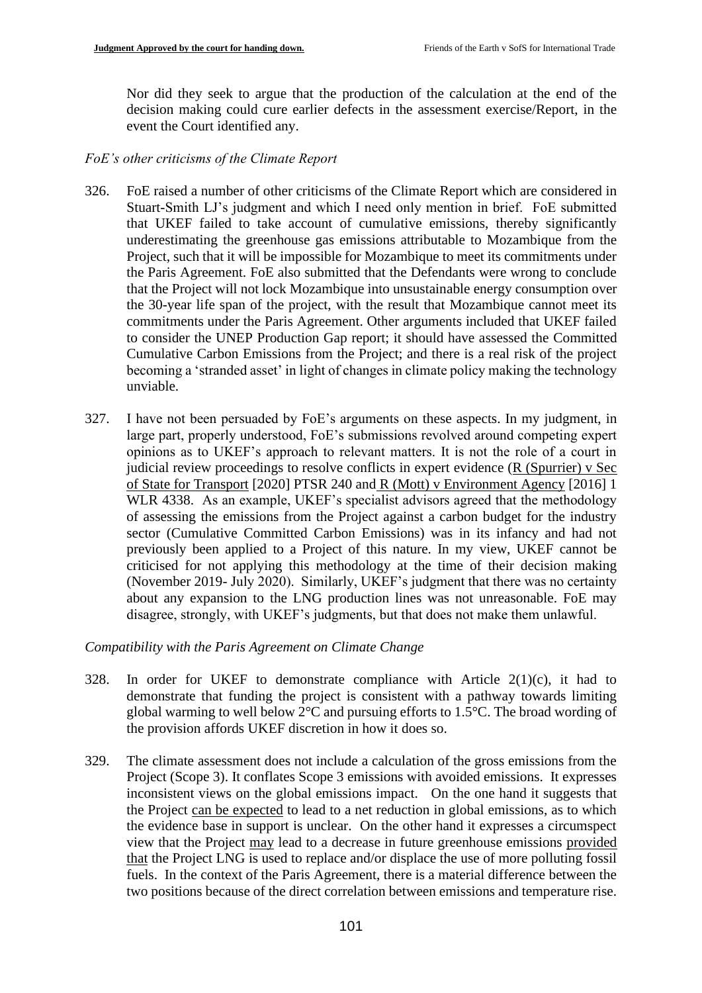Nor did they seek to argue that the production of the calculation at the end of the decision making could cure earlier defects in the assessment exercise/Report, in the event the Court identified any.

### *FoE's other criticisms of the Climate Report*

- 326. FoE raised a number of other criticisms of the Climate Report which are considered in Stuart-Smith LJ's judgment and which I need only mention in brief. FoE submitted that UKEF failed to take account of cumulative emissions, thereby significantly underestimating the greenhouse gas emissions attributable to Mozambique from the Project, such that it will be impossible for Mozambique to meet its commitments under the Paris Agreement. FoE also submitted that the Defendants were wrong to conclude that the Project will not lock Mozambique into unsustainable energy consumption over the 30-year life span of the project, with the result that Mozambique cannot meet its commitments under the Paris Agreement. Other arguments included that UKEF failed to consider the UNEP Production Gap report; it should have assessed the Committed Cumulative Carbon Emissions from the Project; and there is a real risk of the project becoming a 'stranded asset' in light of changes in climate policy making the technology unviable.
- 327. I have not been persuaded by FoE's arguments on these aspects. In my judgment, in large part, properly understood, FoE's submissions revolved around competing expert opinions as to UKEF's approach to relevant matters. It is not the role of a court in judicial review proceedings to resolve conflicts in expert evidence (R (Spurrier) v Sec of State for Transport [2020] PTSR 240 and R (Mott) v Environment Agency [2016] 1 WLR 4338. As an example, UKEF's specialist advisors agreed that the methodology of assessing the emissions from the Project against a carbon budget for the industry sector (Cumulative Committed Carbon Emissions) was in its infancy and had not previously been applied to a Project of this nature. In my view, UKEF cannot be criticised for not applying this methodology at the time of their decision making (November 2019- July 2020). Similarly, UKEF's judgment that there was no certainty about any expansion to the LNG production lines was not unreasonable. FoE may disagree, strongly, with UKEF's judgments, but that does not make them unlawful.

# *Compatibility with the Paris Agreement on Climate Change*

- 328. In order for UKEF to demonstrate compliance with Article  $2(1)(c)$ , it had to demonstrate that funding the project is consistent with a pathway towards limiting global warming to well below 2°C and pursuing efforts to 1.5°C. The broad wording of the provision affords UKEF discretion in how it does so.
- 329. The climate assessment does not include a calculation of the gross emissions from the Project (Scope 3). It conflates Scope 3 emissions with avoided emissions. It expresses inconsistent views on the global emissions impact. On the one hand it suggests that the Project can be expected to lead to a net reduction in global emissions, as to which the evidence base in support is unclear. On the other hand it expresses a circumspect view that the Project may lead to a decrease in future greenhouse emissions provided that the Project LNG is used to replace and/or displace the use of more polluting fossil fuels. In the context of the Paris Agreement, there is a material difference between the two positions because of the direct correlation between emissions and temperature rise.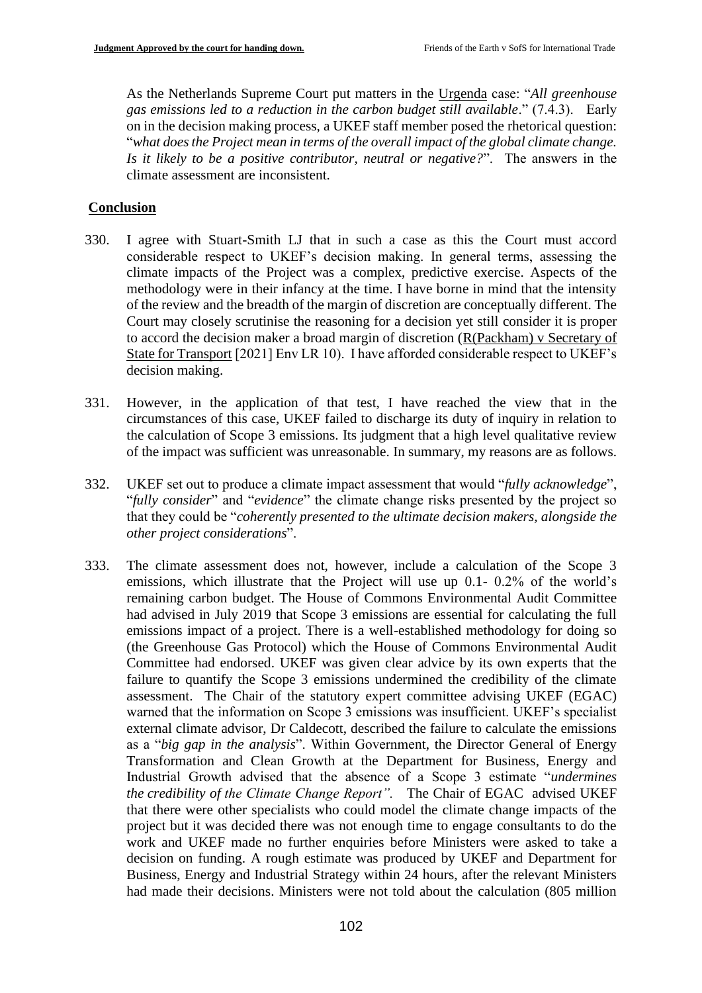As the Netherlands Supreme Court put matters in the Urgenda case: "*All greenhouse gas emissions led to a reduction in the carbon budget still available*." (7.4.3). Early on in the decision making process, a UKEF staff member posed the rhetorical question: "*what does the Project mean in terms of the overall impact of the global climate change. Is it likely to be a positive contributor, neutral or negative?*". The answers in the climate assessment are inconsistent.

# **Conclusion**

- 330. I agree with Stuart-Smith LJ that in such a case as this the Court must accord considerable respect to UKEF's decision making. In general terms, assessing the climate impacts of the Project was a complex, predictive exercise. Aspects of the methodology were in their infancy at the time. I have borne in mind that the intensity of the review and the breadth of the margin of discretion are conceptually different. The Court may closely scrutinise the reasoning for a decision yet still consider it is proper to accord the decision maker a broad margin of discretion (R(Packham) v Secretary of State for Transport [2021] Env LR 10). I have afforded considerable respect to UKEF's decision making.
- 331. However, in the application of that test, I have reached the view that in the circumstances of this case, UKEF failed to discharge its duty of inquiry in relation to the calculation of Scope 3 emissions. Its judgment that a high level qualitative review of the impact was sufficient was unreasonable. In summary, my reasons are as follows.
- 332. UKEF set out to produce a climate impact assessment that would "*fully acknowledge*", "*fully consider*" and "*evidence*" the climate change risks presented by the project so that they could be "*coherently presented to the ultimate decision makers, alongside the other project considerations*".
- 333. The climate assessment does not, however, include a calculation of the Scope 3 emissions, which illustrate that the Project will use up 0.1- 0.2% of the world's remaining carbon budget. The House of Commons Environmental Audit Committee had advised in July 2019 that Scope 3 emissions are essential for calculating the full emissions impact of a project. There is a well-established methodology for doing so (the Greenhouse Gas Protocol) which the House of Commons Environmental Audit Committee had endorsed. UKEF was given clear advice by its own experts that the failure to quantify the Scope 3 emissions undermined the credibility of the climate assessment. The Chair of the statutory expert committee advising UKEF (EGAC) warned that the information on Scope 3 emissions was insufficient. UKEF's specialist external climate advisor, Dr Caldecott, described the failure to calculate the emissions as a "*big gap in the analysis*". Within Government, the Director General of Energy Transformation and Clean Growth at the Department for Business, Energy and Industrial Growth advised that the absence of a Scope 3 estimate "*undermines the credibility of the Climate Change Report".* The Chair of EGAC advised UKEF that there were other specialists who could model the climate change impacts of the project but it was decided there was not enough time to engage consultants to do the work and UKEF made no further enquiries before Ministers were asked to take a decision on funding. A rough estimate was produced by UKEF and Department for Business, Energy and Industrial Strategy within 24 hours, after the relevant Ministers had made their decisions. Ministers were not told about the calculation (805 million